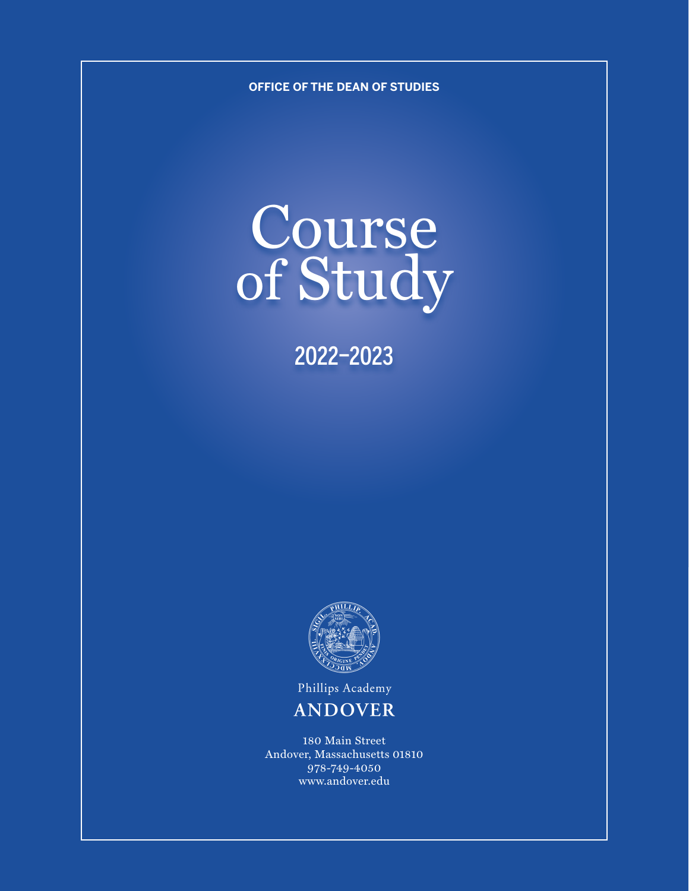**OFFICE OF THE DEAN OF STUDIES**

# Course of Study

2022–2023



Phillips Academy

# **ANDOVER**

180 Main Street Andover, Massachusetts 01810 978-749-4050 www.andover.edu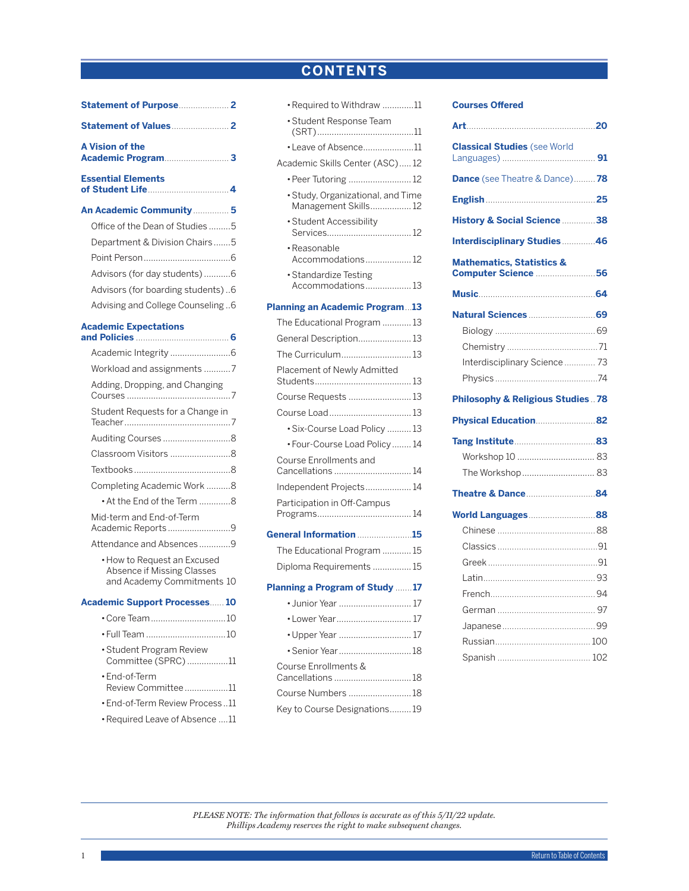# **CONTENTS**

[•Required to Withdraw](#page-11-0) .............11

<span id="page-1-0"></span>

| <b>A Vision of the</b>                                                      |  |
|-----------------------------------------------------------------------------|--|
| <b>Essential Elements</b>                                                   |  |
| An Academic Community  5                                                    |  |
| Office of the Dean of Studies5                                              |  |
| Department & Division Chairs5                                               |  |
|                                                                             |  |
| Advisors (for day students)6                                                |  |
| Advisors (for boarding students)6                                           |  |
| Advising and College Counseling6                                            |  |
| <b>Academic Expectations</b><br>and Policies <b>Manual</b> Service <b>6</b> |  |
|                                                                             |  |
| Workload and assignments 7                                                  |  |
| Adding, Dropping, and Changing                                              |  |
| Chicala at Damisata faula Changas in                                        |  |

| Adding, Dropping, and Changing                |  |
|-----------------------------------------------|--|
| Student Requests for a Change in              |  |
|                                               |  |
| Classroom Visitors 8                          |  |
|                                               |  |
| Completing Academic Work8                     |  |
| • At the End of the Term 8                    |  |
| Mid-term and End-of-Term<br>Academic Reports9 |  |
| Attendance and Absences9                      |  |
| • How to Request an Excused                   |  |

[•How to Request an Excused](#page-10-0)  [Absence if Missing Classes](#page-10-0)  [and Academy Commitments](#page-10-0) 10

# **[Academic Support Processes](#page-10-0)**...... **10**

| • Student Program Review<br>Committee (SPRC)11 |  |
|------------------------------------------------|--|
| • End-of-Term<br>Review Committee 11           |  |
| • End-of-Term Review Process11                 |  |
|                                                |  |

[•Required Leave of Absence](#page-11-0) ....11

| · Student Response Team                                   |
|-----------------------------------------------------------|
| · Leave of Absence11                                      |
| Academic Skills Center (ASC)12                            |
| • Peer Tutoring  12                                       |
| · Study, Organizational, and Time<br>Management Skills 12 |
| · Student Accessibility                                   |
| · Reasonable<br>Accommodations12                          |
| · Standardize Testing<br>Accommodations13                 |
| <b>Planning an Academic Program13</b>                     |
| The Educational Program  13                               |
| General Description 13                                    |
| The Curriculum 13                                         |
| Placement of Newly Admitted                               |
| Course Requests  13                                       |
| Course Load13                                             |
| · Six-Course Load Policy  13                              |
| • Four-Course Load Policy 14                              |
| <b>Course Enrollments and</b><br>Cancellations  14        |
| Independent Projects 14                                   |
| Participation in Off-Campus                               |
| General Information 15                                    |
| The Educational Program  15                               |
| Diploma Requirements  15                                  |
| Planning a Program of Study 17                            |
| • Junior Year  17                                         |
| • Lower Year 17                                           |
| • Upper Year  17                                          |
| · Senior Year  18                                         |
| Course Enrollments &<br>Cancellations 18                  |
| Course Numbers 18                                         |
| Key to Course Designations 19                             |

# **Courses Offere[d](#page-17-0)**

| <b>Classical Studies</b> (see World                         |  |
|-------------------------------------------------------------|--|
| <b>Dance</b> (see Theatre & Dance) 78                       |  |
|                                                             |  |
| History & Social Science 38                                 |  |
| <b>Interdisciplinary Studies 46</b>                         |  |
| <b>Mathematics, Statistics &amp;</b><br>Computer Science 56 |  |
|                                                             |  |
|                                                             |  |
|                                                             |  |
|                                                             |  |
| Interdisciplinary Science 73                                |  |
|                                                             |  |
| <b>Philosophy &amp; Religious Studies  78</b>               |  |
|                                                             |  |
| Physical Education82                                        |  |
|                                                             |  |
|                                                             |  |
| The Workshop  83                                            |  |
|                                                             |  |
| World Languages88                                           |  |
|                                                             |  |
|                                                             |  |
|                                                             |  |
|                                                             |  |
|                                                             |  |
|                                                             |  |
|                                                             |  |
|                                                             |  |

*PLEASE NOTE: The information that follows is accurate as of this 5/11/22 update. Phillips Academy reserves the right to make subsequent changes.*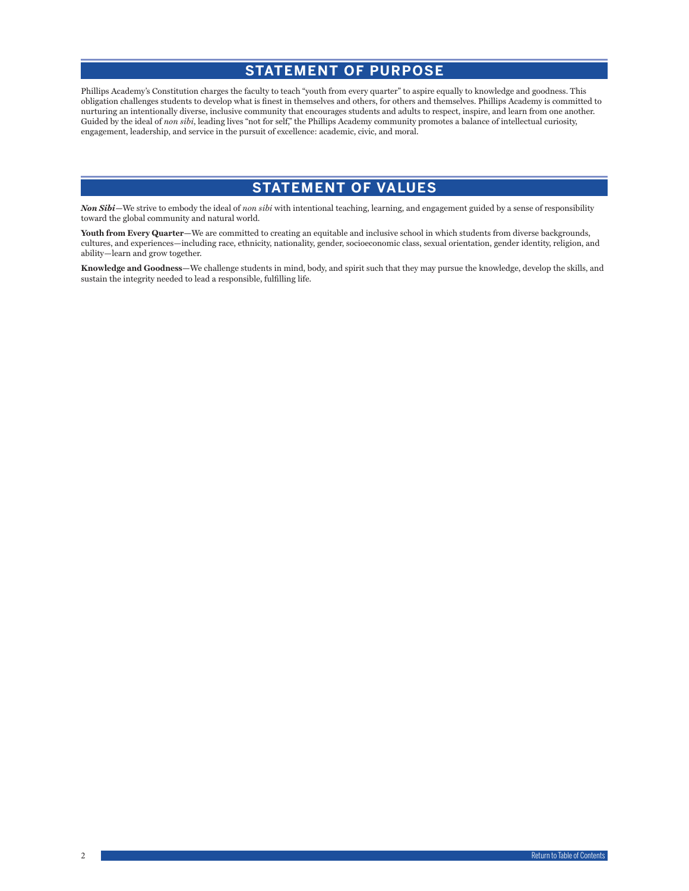# **STATEMENT OF PURPOSE**

<span id="page-2-0"></span>Phillips Academy's Constitution charges the faculty to teach "youth from every quarter" to aspire equally to knowledge and goodness. This obligation challenges students to develop what is finest in themselves and others, for others and themselves. Phillips Academy is committed to nurturing an intentionally diverse, inclusive community that encourages students and adults to respect, inspire, and learn from one another. Guided by the ideal of *non sibi*, leading lives "not for self," the Phillips Academy community promotes a balance of intellectual curiosity, engagement, leadership, and service in the pursuit of excellence: academic, civic, and moral.

# **STATEMENT OF VALUES**

*Non Sibi—*We strive to embody the ideal of *non sibi* with intentional teaching, learning, and engagement guided by a sense of responsibility toward the global community and natural world.

**Youth from Every Quarter—**We are committed to creating an equitable and inclusive school in which students from diverse backgrounds, cultures, and experiences—including race, ethnicity, nationality, gender, socioeconomic class, sexual orientation, gender identity, religion, and ability—learn and grow together.

**Knowledge and Goodness—**We challenge students in mind, body, and spirit such that they may pursue the knowledge, develop the skills, and sustain the integrity needed to lead a responsible, fulfilling life.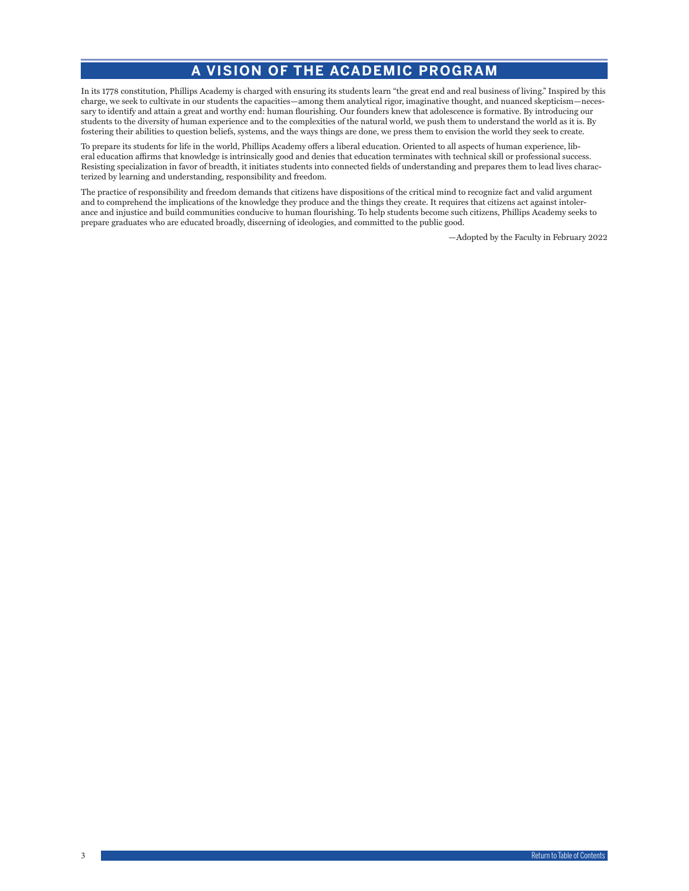# **A VISION OF THE ACADEMIC PROGRAM**

<span id="page-3-0"></span>In its 1778 constitution, Phillips Academy is charged with ensuring its students learn "the great end and real business of living." Inspired by this charge, we seek to cultivate in our students the capacities—among them analytical rigor, imaginative thought, and nuanced skepticism—necessary to identify and attain a great and worthy end: human flourishing. Our founders knew that adolescence is formative. By introducing our students to the diversity of human experience and to the complexities of the natural world, we push them to understand the world as it is. By fostering their abilities to question beliefs, systems, and the ways things are done, we press them to envision the world they seek to create.

To prepare its students for life in the world, Phillips Academy offers a liberal education. Oriented to all aspects of human experience, liberal education affirms that knowledge is intrinsically good and denies that education terminates with technical skill or professional success. Resisting specialization in favor of breadth, it initiates students into connected fields of understanding and prepares them to lead lives characterized by learning and understanding, responsibility and freedom.

The practice of responsibility and freedom demands that citizens have dispositions of the critical mind to recognize fact and valid argument and to comprehend the implications of the knowledge they produce and the things they create. It requires that citizens act against intolerance and injustice and build communities conducive to human flourishing. To help students become such citizens, Phillips Academy seeks to prepare graduates who are educated broadly, discerning of ideologies, and committed to the public good.

—Adopted by the Faculty in February 2022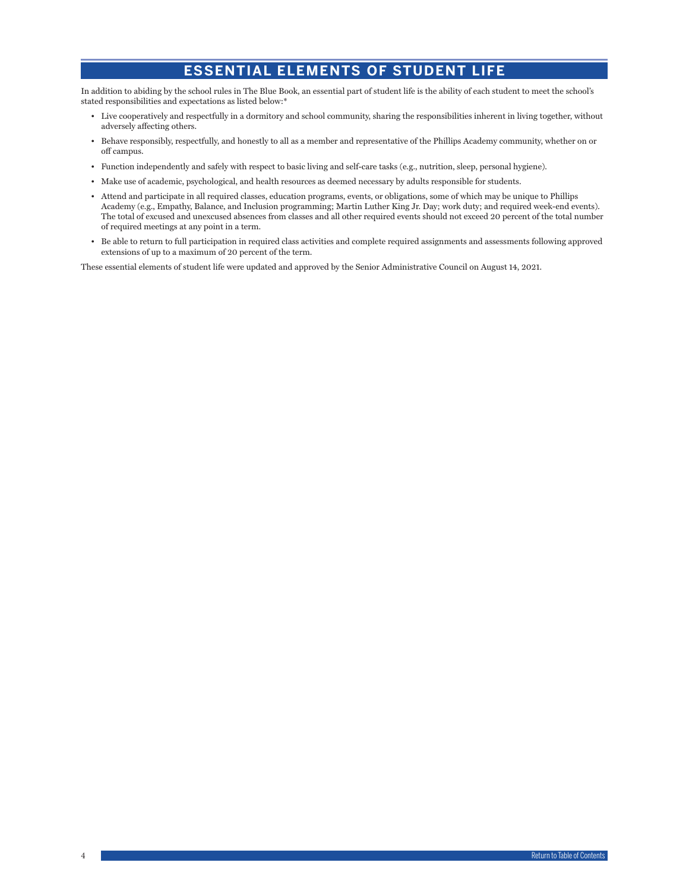# **ESSENTIAL ELEMENTS OF STUDENT LIFE**

<span id="page-4-0"></span>In addition to abiding by the school rules in The Blue Book, an essential part of student life is the ability of each student to meet the school's stated responsibilities and expectations as listed below:\*

- Live cooperatively and respectfully in a dormitory and school community, sharing the responsibilities inherent in living together, without adversely affecting others.
- Behave responsibly, respectfully, and honestly to all as a member and representative of the Phillips Academy community, whether on or off campus.
- Function independently and safely with respect to basic living and self-care tasks (e.g., nutrition, sleep, personal hygiene).
- Make use of academic, psychological, and health resources as deemed necessary by adults responsible for students.
- Attend and participate in all required classes, education programs, events, or obligations, some of which may be unique to Phillips Academy (e.g., Empathy, Balance, and Inclusion programming; Martin Luther King Jr. Day; work duty; and required week-end events). The total of excused and unexcused absences from classes and all other required events should not exceed 20 percent of the total number of required meetings at any point in a term.
- Be able to return to full participation in required class activities and complete required assignments and assessments following approved extensions of up to a maximum of 20 percent of the term.

These essential elements of student life were updated and approved by the Senior Administrative Council on August 14, 2021.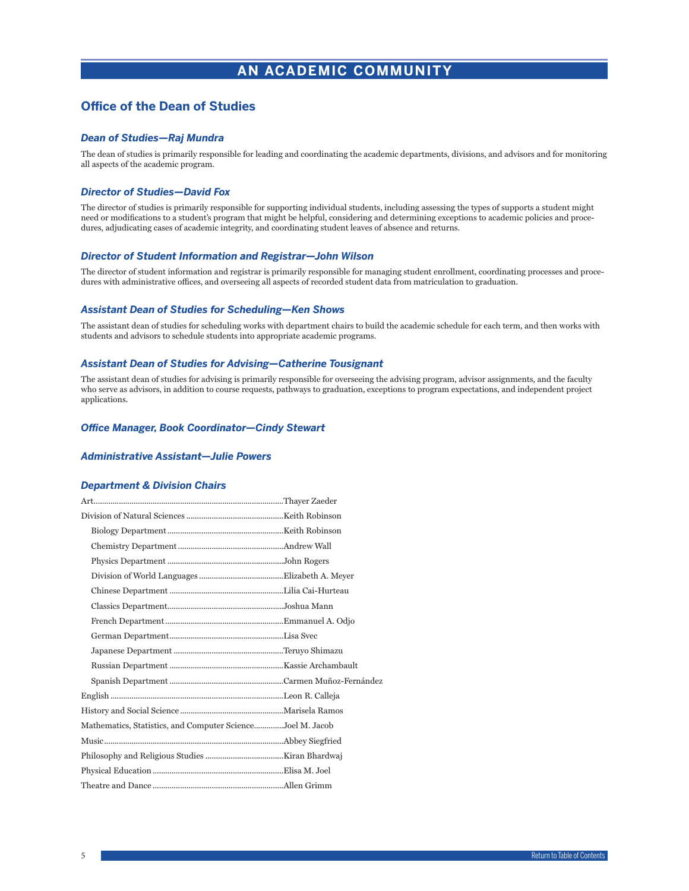# **AN ACADEMIC COMMUNITY**

# <span id="page-5-0"></span>**Office of the Dean of Studies**

# *Dean of Studies—Raj Mundra*

The dean of studies is primarily responsible for leading and coordinating the academic departments, divisions, and advisors and for monitoring all aspects of the academic program.

# *Director of Studies—David Fox*

The director of studies is primarily responsible for supporting individual students, including assessing the types of supports a student might need or modifications to a student's program that might be helpful, considering and determining exceptions to academic policies and procedures, adjudicating cases of academic integrity, and coordinating student leaves of absence and returns.

### *Director of Student Information and Registrar—John Wilson*

The director of student information and registrar is primarily responsible for managing student enrollment, coordinating processes and procedures with administrative offices, and overseeing all aspects of recorded student data from matriculation to graduation.

### *Assistant Dean of Studies for Scheduling—Ken Shows*

The assistant dean of studies for scheduling works with department chairs to build the academic schedule for each term, and then works with students and advisors to schedule students into appropriate academic programs.

### *Assistant Dean of Studies for Advising—Catherine Tousignant*

The assistant dean of studies for advising is primarily responsible for overseeing the advising program, advisor assignments, and the faculty who serve as advisors, in addition to course requests, pathways to graduation, exceptions to program expectations, and independent project applications.

### *Office Manager, Book Coordinator—Cindy Stewart*

### *Administrative Assistant—Julie Powers*

### *Department & Division Chairs*

| Mathematics, Statistics, and Computer ScienceJoel M. Jacob |  |
|------------------------------------------------------------|--|
|                                                            |  |
|                                                            |  |
|                                                            |  |
|                                                            |  |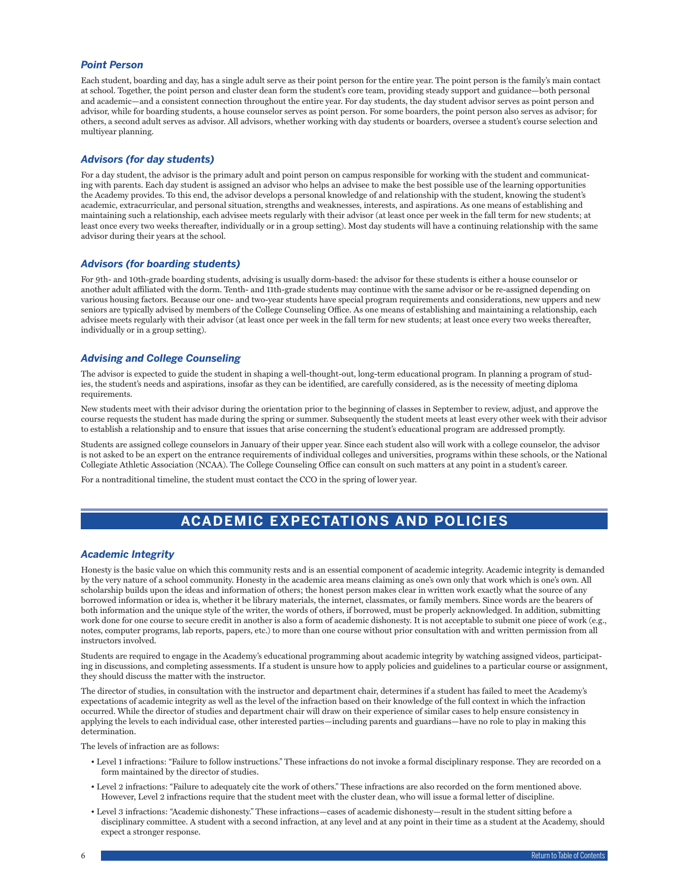# <span id="page-6-0"></span>*Point Person*

Each student, boarding and day, has a single adult serve as their point person for the entire year. The point person is the family's main contact at school. Together, the point person and cluster dean form the student's core team, providing steady support and guidance—both personal and academic—and a consistent connection throughout the entire year. For day students, the day student advisor serves as point person and advisor, while for boarding students, a house counselor serves as point person. For some boarders, the point person also serves as advisor; for others, a second adult serves as advisor. All advisors, whether working with day students or boarders, oversee a student's course selection and multiyear planning.

# *Advisors (for day students)*

For a day student, the advisor is the primary adult and point person on campus responsible for working with the student and communicating with parents. Each day student is assigned an advisor who helps an advisee to make the best possible use of the learning opportunities the Academy provides. To this end, the advisor develops a personal knowledge of and relationship with the student, knowing the student's academic, extracurricular, and personal situation, strengths and weaknesses, interests, and aspirations. As one means of establishing and maintaining such a relationship, each advisee meets regularly with their advisor (at least once per week in the fall term for new students; at least once every two weeks thereafter, individually or in a group setting). Most day students will have a continuing relationship with the same advisor during their years at the school.

### *Advisors (for boarding students)*

For 9th- and 10th-grade boarding students, advising is usually dorm-based: the advisor for these students is either a house counselor or another adult affiliated with the dorm. Tenth- and 11th-grade students may continue with the same advisor or be re-assigned depending on various housing factors. Because our one- and two-year students have special program requirements and considerations, new uppers and new seniors are typically advised by members of the College Counseling Office. As one means of establishing and maintaining a relationship, each advisee meets regularly with their advisor (at least once per week in the fall term for new students; at least once every two weeks thereafter, individually or in a group setting).

# *Advising and College Counseling*

The advisor is expected to guide the student in shaping a well-thought-out, long-term educational program. In planning a program of studies, the student's needs and aspirations, insofar as they can be identified, are carefully considered, as is the necessity of meeting diploma requirements.

New students meet with their advisor during the orientation prior to the beginning of classes in September to review, adjust, and approve the course requests the student has made during the spring or summer. Subsequently the student meets at least every other week with their advisor to establish a relationship and to ensure that issues that arise concerning the student's educational program are addressed promptly.

Students are assigned college counselors in January of their upper year. Since each student also will work with a college counselor, the advisor is not asked to be an expert on the entrance requirements of individual colleges and universities, programs within these schools, or the National Collegiate Athletic Association (NCAA). The College Counseling Office can consult on such matters at any point in a student's career.

For a nontraditional timeline, the student must contact the CCO in the spring of lower year.

# **ACADEMIC EXPECTATIONS AND POLICIES**

### *Academic Integrity*

Honesty is the basic value on which this community rests and is an essential component of academic integrity. Academic integrity is demanded by the very nature of a school community. Honesty in the academic area means claiming as one's own only that work which is one's own. All scholarship builds upon the ideas and information of others; the honest person makes clear in written work exactly what the source of any borrowed information or idea is, whether it be library materials, the internet, classmates, or family members. Since words are the bearers of both information and the unique style of the writer, the words of others, if borrowed, must be properly acknowledged. In addition, submitting work done for one course to secure credit in another is also a form of academic dishonesty. It is not acceptable to submit one piece of work (e.g., notes, computer programs, lab reports, papers, etc.) to more than one course without prior consultation with and written permission from all instructors involved.

Students are required to engage in the Academy's educational programming about academic integrity by watching assigned videos, participating in discussions, and completing assessments. If a student is unsure how to apply policies and guidelines to a particular course or assignment, they should discuss the matter with the instructor.

The director of studies, in consultation with the instructor and department chair, determines if a student has failed to meet the Academy's expectations of academic integrity as well as the level of the infraction based on their knowledge of the full context in which the infraction occurred. While the director of studies and department chair will draw on their experience of similar cases to help ensure consistency in applying the levels to each individual case, other interested parties—including parents and guardians—have no role to play in making this determination.

The levels of infraction are as follows:

- Level 1 infractions: "Failure to follow instructions." These infractions do not invoke a formal disciplinary response. They are recorded on a form maintained by the director of studies.
- Level 2 infractions: "Failure to adequately cite the work of others." These infractions are also recorded on the form mentioned above. However, Level 2 infractions require that the student meet with the cluster dean, who will issue a formal letter of discipline.
- Level 3 infractions: "Academic dishonesty." These infractions—cases of academic dishonesty—result in the student sitting before a disciplinary committee. A student with a second infraction, at any level and at any point in their time as a student at the Academy, should expect a stronger response.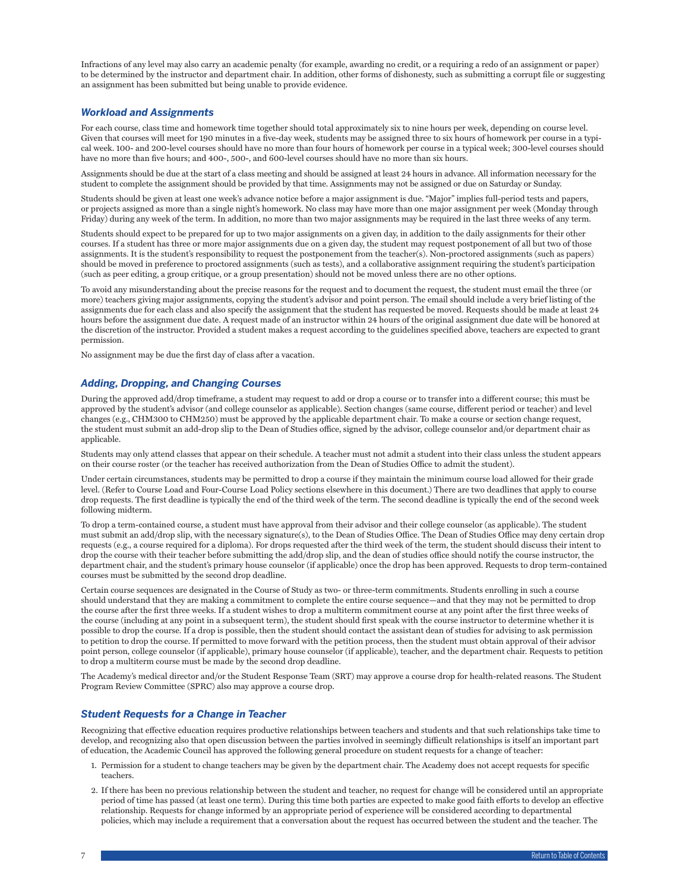<span id="page-7-0"></span>Infractions of any level may also carry an academic penalty (for example, awarding no credit, or a requiring a redo of an assignment or paper) to be determined by the instructor and department chair. In addition, other forms of dishonesty, such as submitting a corrupt file or suggesting an assignment has been submitted but being unable to provide evidence.

### *Workload and Assignments*

For each course, class time and homework time together should total approximately six to nine hours per week, depending on course level. Given that courses will meet for 190 minutes in a five-day week, students may be assigned three to six hours of homework per course in a typical week. 100- and 200-level courses should have no more than four hours of homework per course in a typical week; 300-level courses should have no more than five hours; and 400-, 500-, and 600-level courses should have no more than six hours.

Assignments should be due at the start of a class meeting and should be assigned at least 24 hours in advance. All information necessary for the student to complete the assignment should be provided by that time. Assignments may not be assigned or due on Saturday or Sunday.

Students should be given at least one week's advance notice before a major assignment is due. "Major" implies full-period tests and papers, or projects assigned as more than a single night's homework. No class may have more than one major assignment per week (Monday through Friday) during any week of the term. In addition, no more than two major assignments may be required in the last three weeks of any term.

Students should expect to be prepared for up to two major assignments on a given day, in addition to the daily assignments for their other courses. If a student has three or more major assignments due on a given day, the student may request postponement of all but two of those assignments. It is the student's responsibility to request the postponement from the teacher(s). Non-proctored assignments (such as papers) should be moved in preference to proctored assignments (such as tests), and a collaborative assignment requiring the student's participation (such as peer editing, a group critique, or a group presentation) should not be moved unless there are no other options.

To avoid any misunderstanding about the precise reasons for the request and to document the request, the student must email the three (or more) teachers giving major assignments, copying the student's advisor and point person. The email should include a very brief listing of the assignments due for each class and also specify the assignment that the student has requested be moved. Requests should be made at least 24 hours before the assignment due date. A request made of an instructor within 24 hours of the original assignment due date will be honored at the discretion of the instructor. Provided a student makes a request according to the guidelines specified above, teachers are expected to grant permission.

No assignment may be due the first day of class after a vacation.

### *Adding, Dropping, and Changing Courses*

During the approved add/drop timeframe, a student may request to add or drop a course or to transfer into a different course; this must be approved by the student's advisor (and college counselor as applicable). Section changes (same course, different period or teacher) and level changes (e.g., CHM300 to CHM250) must be approved by the applicable department chair. To make a course or section change request, the student must submit an add-drop slip to the Dean of Studies office, signed by the advisor, college counselor and/or department chair as applicable.

Students may only attend classes that appear on their schedule. A teacher must not admit a student into their class unless the student appears on their course roster (or the teacher has received authorization from the Dean of Studies Office to admit the student).

Under certain circumstances, students may be permitted to drop a course if they maintain the minimum course load allowed for their grade level. (Refer to Course Load and Four-Course Load Policy sections elsewhere in this document.) There are two deadlines that apply to course drop requests. The first deadline is typically the end of the third week of the term. The second deadline is typically the end of the second week following midterm.

To drop a term-contained course, a student must have approval from their advisor and their college counselor (as applicable). The student must submit an add/drop slip, with the necessary signature(s), to the Dean of Studies Office. The Dean of Studies Office may deny certain drop requests (e.g., a course required for a diploma). For drops requested after the third week of the term, the student should discuss their intent to drop the course with their teacher before submitting the add/drop slip, and the dean of studies office should notify the course instructor, the department chair, and the student's primary house counselor (if applicable) once the drop has been approved. Requests to drop term-contained courses must be submitted by the second drop deadline.

Certain course sequences are designated in the Course of Study as two- or three-term commitments. Students enrolling in such a course should understand that they are making a commitment to complete the entire course sequence—and that they may not be permitted to drop the course after the first three weeks. If a student wishes to drop a multiterm commitment course at any point after the first three weeks of the course (including at any point in a subsequent term), the student should first speak with the course instructor to determine whether it is possible to drop the course. If a drop is possible, then the student should contact the assistant dean of studies for advising to ask permission to petition to drop the course. If permitted to move forward with the petition process, then the student must obtain approval of their advisor point person, college counselor (if applicable), primary house counselor (if applicable), teacher, and the department chair. Requests to petition to drop a multiterm course must be made by the second drop deadline.

The Academy's medical director and/or the Student Response Team (SRT) may approve a course drop for health-related reasons. The Student Program Review Committee (SPRC) also may approve a course drop.

### *Student Requests for a Change in Teacher*

Recognizing that effective education requires productive relationships between teachers and students and that such relationships take time to develop, and recognizing also that open discussion between the parties involved in seemingly difficult relationships is itself an important part of education, the Academic Council has approved the following general procedure on student requests for a change of teacher:

- 1. Permission for a student to change teachers may be given by the department chair. The Academy does not accept requests for specific teachers.
- 2. If there has been no previous relationship between the student and teacher, no request for change will be considered until an appropriate period of time has passed (at least one term). During this time both parties are expected to make good faith efforts to develop an effective relationship. Requests for change informed by an appropriate period of experience will be considered according to departmental policies, which may include a requirement that a conversation about the request has occurred between the student and the teacher. The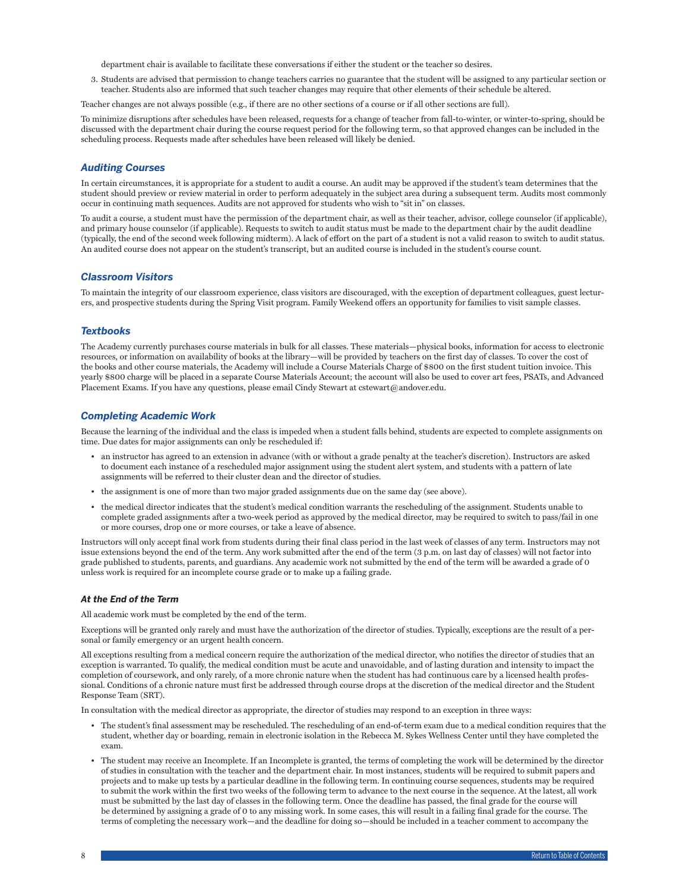department chair is available to facilitate these conversations if either the student or the teacher so desires.

<span id="page-8-0"></span>3. Students are advised that permission to change teachers carries no guarantee that the student will be assigned to any particular section or teacher. Students also are informed that such teacher changes may require that other elements of their schedule be altered.

Teacher changes are not always possible (e.g., if there are no other sections of a course or if all other sections are full).

To minimize disruptions after schedules have been released, requests for a change of teacher from fall-to-winter, or winter-to-spring, should be discussed with the department chair during the course request period for the following term, so that approved changes can be included in the scheduling process. Requests made after schedules have been released will likely be denied.

## *Auditing Courses*

In certain circumstances, it is appropriate for a student to audit a course. An audit may be approved if the student's team determines that the student should preview or review material in order to perform adequately in the subject area during a subsequent term. Audits most commonly occur in continuing math sequences. Audits are not approved for students who wish to "sit in" on classes.

To audit a course, a student must have the permission of the department chair, as well as their teacher, advisor, college counselor (if applicable), and primary house counselor (if applicable). Requests to switch to audit status must be made to the department chair by the audit deadline (typically, the end of the second week following midterm). A lack of effort on the part of a student is not a valid reason to switch to audit status. An audited course does not appear on the student's transcript, but an audited course is included in the student's course count.

### *Classroom Visitors*

To maintain the integrity of our classroom experience, class visitors are discouraged, with the exception of department colleagues, guest lecturers, and prospective students during the Spring Visit program. Family Weekend offers an opportunity for families to visit sample classes.

#### *Textbooks*

The Academy currently purchases course materials in bulk for all classes. These materials—physical books, information for access to electronic resources, or information on availability of books at the library—will be provided by teachers on the first day of classes. To cover the cost of the books and other course materials, the Academy will include a Course Materials Charge of \$800 on the first student tuition invoice. This yearly \$800 charge will be placed in a separate Course Materials Account; the account will also be used to cover art fees, PSATs, and Advanced Placement Exams. If you have any questions, please email Cindy Stewart at cstewart@andover.edu.

### *Completing Academic Work*

Because the learning of the individual and the class is impeded when a student falls behind, students are expected to complete assignments on time. Due dates for major assignments can only be rescheduled if:

- an instructor has agreed to an extension in advance (with or without a grade penalty at the teacher's discretion). Instructors are asked to document each instance of a rescheduled major assignment using the student alert system, and students with a pattern of late assignments will be referred to their cluster dean and the director of studies.
- the assignment is one of more than two major graded assignments due on the same day (see above).
- the medical director indicates that the student's medical condition warrants the rescheduling of the assignment. Students unable to complete graded assignments after a two-week period as approved by the medical director, may be required to switch to pass/fail in one or more courses, drop one or more courses, or take a leave of absence.

Instructors will only accept final work from students during their final class period in the last week of classes of any term. Instructors may not issue extensions beyond the end of the term. Any work submitted after the end of the term (3 p.m. on last day of classes) will not factor into grade published to students, parents, and guardians. Any academic work not submitted by the end of the term will be awarded a grade of 0 unless work is required for an incomplete course grade or to make up a failing grade.

### *At the End of the Term*

All academic work must be completed by the end of the term.

Exceptions will be granted only rarely and must have the authorization of the director of studies. Typically, exceptions are the result of a personal or family emergency or an urgent health concern.

All exceptions resulting from a medical concern require the authorization of the medical director, who notifies the director of studies that an exception is warranted. To qualify, the medical condition must be acute and unavoidable, and of lasting duration and intensity to impact the completion of coursework, and only rarely, of a more chronic nature when the student has had continuous care by a licensed health professional. Conditions of a chronic nature must first be addressed through course drops at the discretion of the medical director and the Student Response Team (SRT).

In consultation with the medical director as appropriate, the director of studies may respond to an exception in three ways:

- The student's final assessment may be rescheduled. The rescheduling of an end-of-term exam due to a medical condition requires that the student, whether day or boarding, remain in electronic isolation in the Rebecca M. Sykes Wellness Center until they have completed the exam.
- The student may receive an Incomplete. If an Incomplete is granted, the terms of completing the work will be determined by the director of studies in consultation with the teacher and the department chair. In most instances, students will be required to submit papers and projects and to make up tests by a particular deadline in the following term. In continuing course sequences, students may be required to submit the work within the first two weeks of the following term to advance to the next course in the sequence. At the latest, all work must be submitted by the last day of classes in the following term. Once the deadline has passed, the final grade for the course will be determined by assigning a grade of 0 to any missing work. In some cases, this will result in a failing final grade for the course. The terms of completing the necessary work—and the deadline for doing so—should be included in a teacher comment to accompany the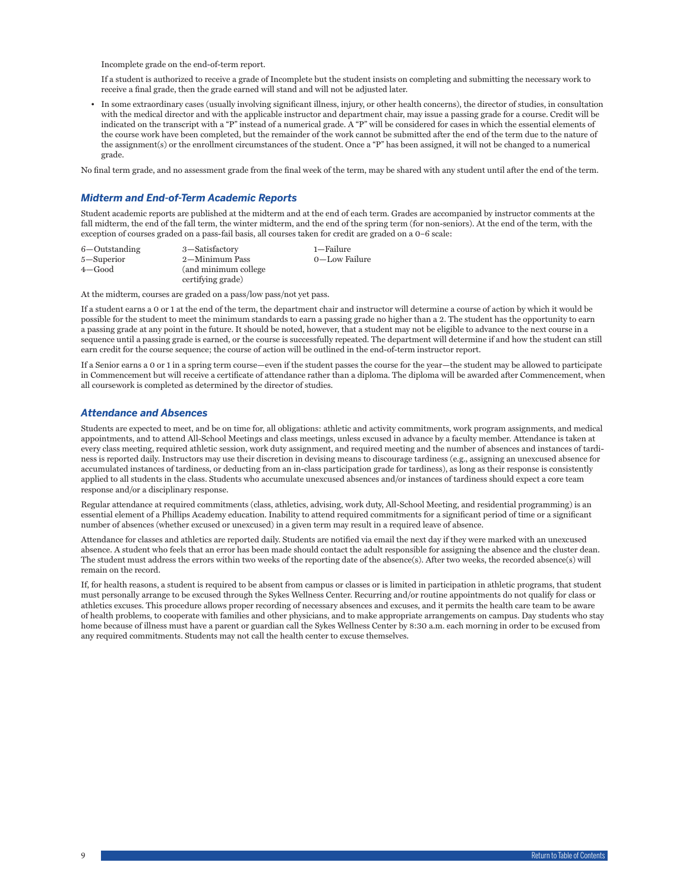<span id="page-9-0"></span>Incomplete grade on the end-of-term report.

If a student is authorized to receive a grade of Incomplete but the student insists on completing and submitting the necessary work to receive a final grade, then the grade earned will stand and will not be adjusted later.

• In some extraordinary cases (usually involving significant illness, injury, or other health concerns), the director of studies, in consultation with the medical director and with the applicable instructor and department chair, may issue a passing grade for a course. Credit will be indicated on the transcript with a "P" instead of a numerical grade. A "P" will be considered for cases in which the essential elements of the course work have been completed, but the remainder of the work cannot be submitted after the end of the term due to the nature of the assignment(s) or the enrollment circumstances of the student. Once a "P" has been assigned, it will not be changed to a numerical grade.

No final term grade, and no assessment grade from the final week of the term, may be shared with any student until after the end of the term.

# *Midterm and End-of-Term Academic Reports*

Student academic reports are published at the midterm and at the end of each term. Grades are accompanied by instructor comments at the fall midterm, the end of the fall term, the winter midterm, and the end of the spring term (for non-seniors). At the end of the term, with the exception of courses graded on a pass-fail basis, all courses taken for credit are graded on a 0–6 scale:

| 6-Outstanding | 3-Satisfactory        | 1-Failure     |
|---------------|-----------------------|---------------|
| 5-Superior    | 2-Minimum Pass        | 0-Low Failure |
| $4 - Good$    | (and minimum college) |               |
|               | certifying grade)     |               |

At the midterm, courses are graded on a pass/low pass/not yet pass.

If a student earns a 0 or 1 at the end of the term, the department chair and instructor will determine a course of action by which it would be possible for the student to meet the minimum standards to earn a passing grade no higher than a 2. The student has the opportunity to earn a passing grade at any point in the future. It should be noted, however, that a student may not be eligible to advance to the next course in a sequence until a passing grade is earned, or the course is successfully repeated. The department will determine if and how the student can still earn credit for the course sequence; the course of action will be outlined in the end-of-term instructor report.

If a Senior earns a 0 or 1 in a spring term course—even if the student passes the course for the year—the student may be allowed to participate in Commencement but will receive a certificate of attendance rather than a diploma. The diploma will be awarded after Commencement, when all coursework is completed as determined by the director of studies.

# *Attendance and Absences*

Students are expected to meet, and be on time for, all obligations: athletic and activity commitments, work program assignments, and medical appointments, and to attend All-School Meetings and class meetings, unless excused in advance by a faculty member. Attendance is taken at every class meeting, required athletic session, work duty assignment, and required meeting and the number of absences and instances of tardiness is reported daily. Instructors may use their discretion in devising means to discourage tardiness (e.g., assigning an unexcused absence for accumulated instances of tardiness, or deducting from an in-class participation grade for tardiness), as long as their response is consistently applied to all students in the class. Students who accumulate unexcused absences and/or instances of tardiness should expect a core team response and/or a disciplinary response.

Regular attendance at required commitments (class, athletics, advising, work duty, All-School Meeting, and residential programming) is an essential element of a Phillips Academy education. Inability to attend required commitments for a significant period of time or a significant number of absences (whether excused or unexcused) in a given term may result in a required leave of absence.

Attendance for classes and athletics are reported daily. Students are notified via email the next day if they were marked with an unexcused absence. A student who feels that an error has been made should contact the adult responsible for assigning the absence and the cluster dean. The student must address the errors within two weeks of the reporting date of the absence(s). After two weeks, the recorded absence(s) will remain on the record.

If, for health reasons, a student is required to be absent from campus or classes or is limited in participation in athletic programs, that student must personally arrange to be excused through the Sykes Wellness Center. Recurring and/or routine appointments do not qualify for class or athletics excuses. This procedure allows proper recording of necessary absences and excuses, and it permits the health care team to be aware of health problems, to cooperate with families and other physicians, and to make appropriate arrangements on campus. Day students who stay home because of illness must have a parent or guardian call the Sykes Wellness Center by 8:30 a.m. each morning in order to be excused from any required commitments. Students may not call the health center to excuse themselves.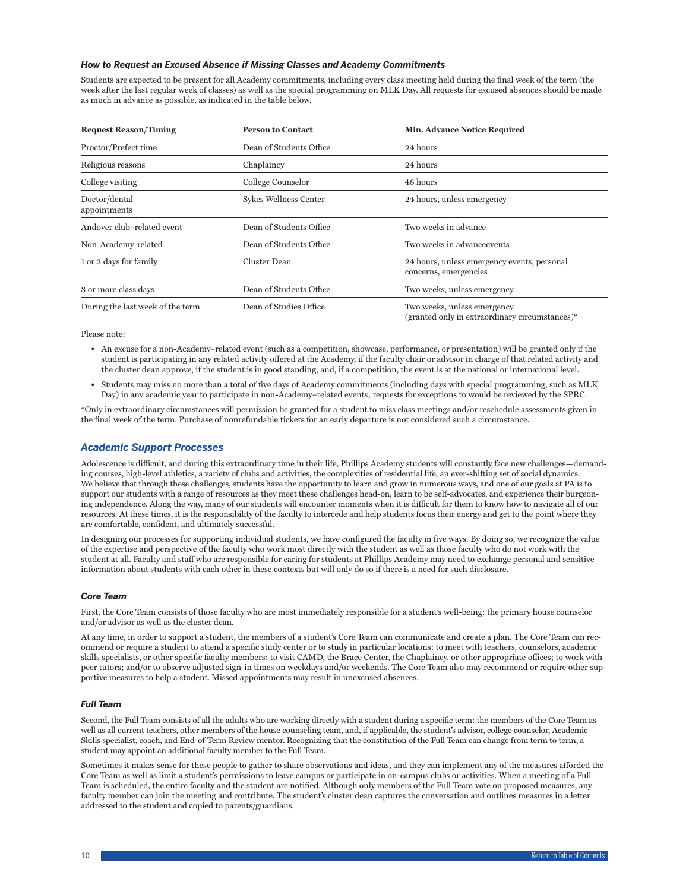### <span id="page-10-0"></span>*How to Request an Excused Absence if Missing Classes and Academy Commitments*

Students are expected to be present for all Academy commitments, including every class meeting held during the final week of the term (the week after the last regular week of classes) as well as the special programming on MLK Day. All requests for excused absences should be made as much in advance as possible, as indicated in the table below.

| <b>Request Reason/Timing</b>                                    | <b>Person to Contact</b>      | <b>Min. Advance Notice Required</b>                                           |
|-----------------------------------------------------------------|-------------------------------|-------------------------------------------------------------------------------|
| Proctor/Prefect time                                            | Dean of Students Office       | 24 hours                                                                      |
| Religious reasons                                               | Chaplaincy                    | 24 hours                                                                      |
| College visiting                                                | College Counselor<br>48 hours |                                                                               |
| Doctor/dental<br>appointments                                   | Sykes Wellness Center         | 24 hours, unless emergency                                                    |
| Andover club-related event                                      | Dean of Students Office       | Two weeks in advance                                                          |
| Non-Academy-related                                             | Dean of Students Office       | Two weeks in advance events                                                   |
| Cluster Dean<br>1 or 2 days for family<br>concerns, emergencies |                               | 24 hours, unless emergency events, personal                                   |
| 3 or more class days                                            | Dean of Students Office       | Two weeks, unless emergency                                                   |
| During the last week of the term                                | Dean of Studies Office        | Two weeks, unless emergency<br>(granted only in extraordinary circumstances)* |

Please note:

- An excuse for a non-Academy–related event (such as a competition, showcase, performance, or presentation) will be granted only if the student is participating in any related activity offered at the Academy, if the faculty chair or advisor in charge of that related activity and the cluster dean approve, if the student is in good standing, and, if a competition, the event is at the national or international level.
- Students may miss no more than a total of five days of Academy commitments (including days with special programming, such as MLK Day) in any academic year to participate in non-Academy–related events; requests for exceptions to would be reviewed by the SPRC.

\*Only in extraordinary circumstances will permission be granted for a student to miss class meetings and/or reschedule assessments given in the final week of the term. Purchase of nonrefundable tickets for an early departure is not considered such a circumstance.

### *Academic Support Processes*

Adolescence is difficult, and during this extraordinary time in their life, Phillips Academy students will constantly face new challenges—demanding courses, high-level athletics, a variety of clubs and activities, the complexities of residential life, an ever-shifting set of social dynamics. We believe that through these challenges, students have the opportunity to learn and grow in numerous ways, and one of our goals at PA is to support our students with a range of resources as they meet these challenges head-on, learn to be self-advocates, and experience their burgeoning independence. Along the way, many of our students will encounter moments when it is difficult for them to know how to navigate all of our resources. At these times, it is the responsibility of the faculty to intercede and help students focus their energy and get to the point where they are comfortable, confident, and ultimately successful.

In designing our processes for supporting individual students, we have configured the faculty in five ways. By doing so, we recognize the value of the expertise and perspective of the faculty who work most directly with the student as well as those faculty who do not work with the student at all. Faculty and staff who are responsible for caring for students at Phillips Academy may need to exchange personal and sensitive information about students with each other in these contexts but will only do so if there is a need for such disclosure.

### *Core Team*

First, the Core Team consists of those faculty who are most immediately responsible for a student's well-being: the primary house counselor and/or advisor as well as the cluster dean.

At any time, in order to support a student, the members of a student's Core Team can communicate and create a plan. The Core Team can recommend or require a student to attend a specific study center or to study in particular locations; to meet with teachers, counselors, academic skills specialists, or other specific faculty members; to visit CAMD, the Brace Center, the Chaplaincy, or other appropriate offices; to work with peer tutors; and/or to observe adjusted sign-in times on weekdays and/or weekends. The Core Team also may recommend or require other supportive measures to help a student. Missed appointments may result in unexcused absences.

### *Full Team*

Second, the Full Team consists of all the adults who are working directly with a student during a specific term: the members of the Core Team as well as all current teachers, other members of the house counseling team, and, if applicable, the student's advisor, college counselor, Academic Skills specialist, coach, and End-of-Term Review mentor. Recognizing that the constitution of the Full Team can change from term to term, a student may appoint an additional faculty member to the Full Team.

Sometimes it makes sense for these people to gather to share observations and ideas, and they can implement any of the measures afforded the Core Team as well as limit a student's permissions to leave campus or participate in on-campus clubs or activities. When a meeting of a Full Team is scheduled, the entire faculty and the student are notified. Although only members of the Full Team vote on proposed measures, any faculty member can join the meeting and contribute. The student's cluster dean captures the conversation and outlines measures in a letter addressed to the student and copied to parents/guardians.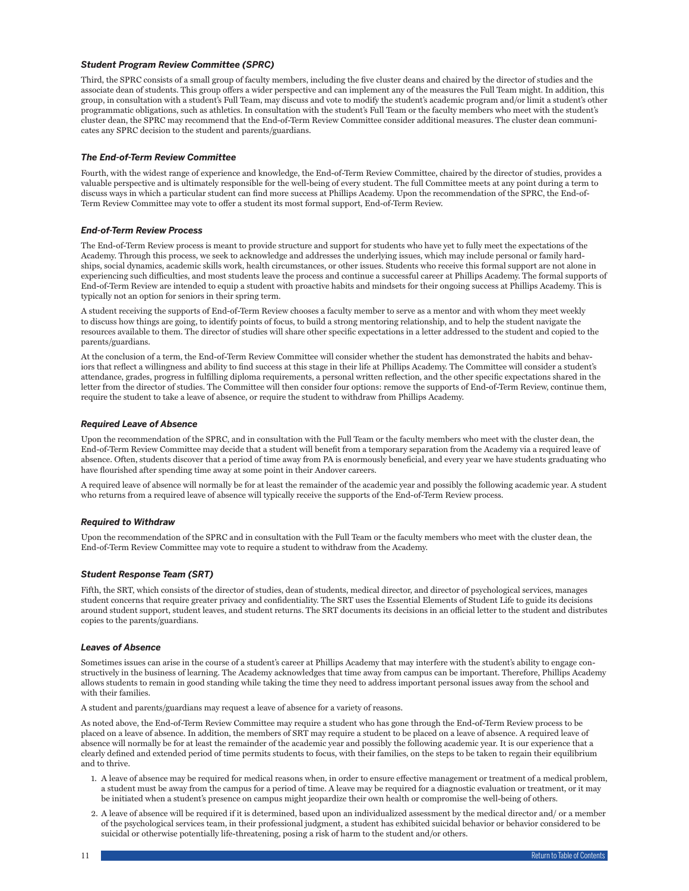### <span id="page-11-0"></span>*Student Program Review Committee (SPRC)*

Third, the SPRC consists of a small group of faculty members, including the five cluster deans and chaired by the director of studies and the associate dean of students. This group offers a wider perspective and can implement any of the measures the Full Team might. In addition, this group, in consultation with a student's Full Team, may discuss and vote to modify the student's academic program and/or limit a student's other programmatic obligations, such as athletics. In consultation with the student's Full Team or the faculty members who meet with the student's cluster dean, the SPRC may recommend that the End-of-Term Review Committee consider additional measures. The cluster dean communicates any SPRC decision to the student and parents/guardians.

### *The End-of-Term Review Committee*

Fourth, with the widest range of experience and knowledge, the End-of-Term Review Committee, chaired by the director of studies, provides a valuable perspective and is ultimately responsible for the well-being of every student. The full Committee meets at any point during a term to discuss ways in which a particular student can find more success at Phillips Academy. Upon the recommendation of the SPRC, the End-of-Term Review Committee may vote to offer a student its most formal support, End-of-Term Review.

### *End-of-Term Review Process*

The End-of-Term Review process is meant to provide structure and support for students who have yet to fully meet the expectations of the Academy. Through this process, we seek to acknowledge and addresses the underlying issues, which may include personal or family hardships, social dynamics, academic skills work, health circumstances, or other issues. Students who receive this formal support are not alone in experiencing such difficulties, and most students leave the process and continue a successful career at Phillips Academy. The formal supports of End-of-Term Review are intended to equip a student with proactive habits and mindsets for their ongoing success at Phillips Academy. This is typically not an option for seniors in their spring term.

A student receiving the supports of End-of-Term Review chooses a faculty member to serve as a mentor and with whom they meet weekly to discuss how things are going, to identify points of focus, to build a strong mentoring relationship, and to help the student navigate the resources available to them. The director of studies will share other specific expectations in a letter addressed to the student and copied to the parents/guardians.

At the conclusion of a term, the End-of-Term Review Committee will consider whether the student has demonstrated the habits and behaviors that reflect a willingness and ability to find success at this stage in their life at Phillips Academy. The Committee will consider a student's attendance, grades, progress in fulfilling diploma requirements, a personal written reflection, and the other specific expectations shared in the letter from the director of studies. The Committee will then consider four options: remove the supports of End-of-Term Review, continue them, require the student to take a leave of absence, or require the student to withdraw from Phillips Academy.

### *Required Leave of Absence*

Upon the recommendation of the SPRC, and in consultation with the Full Team or the faculty members who meet with the cluster dean, the End-of-Term Review Committee may decide that a student will benefit from a temporary separation from the Academy via a required leave of absence. Often, students discover that a period of time away from PA is enormously beneficial, and every year we have students graduating who have flourished after spending time away at some point in their Andover careers.

A required leave of absence will normally be for at least the remainder of the academic year and possibly the following academic year. A student who returns from a required leave of absence will typically receive the supports of the End-of-Term Review process.

### *Required to Withdraw*

Upon the recommendation of the SPRC and in consultation with the Full Team or the faculty members who meet with the cluster dean, the End-of-Term Review Committee may vote to require a student to withdraw from the Academy.

### *Student Response Team (SRT)*

Fifth, the SRT, which consists of the director of studies, dean of students, medical director, and director of psychological services, manages student concerns that require greater privacy and confidentiality. The SRT uses the Essential Elements of Student Life to guide its decisions around student support, student leaves, and student returns. The SRT documents its decisions in an official letter to the student and distributes copies to the parents/guardians.

### *Leaves of Absence*

Sometimes issues can arise in the course of a student's career at Phillips Academy that may interfere with the student's ability to engage constructively in the business of learning. The Academy acknowledges that time away from campus can be important. Therefore, Phillips Academy allows students to remain in good standing while taking the time they need to address important personal issues away from the school and with their families.

A student and parents/guardians may request a leave of absence for a variety of reasons.

As noted above, the End-of-Term Review Committee may require a student who has gone through the End-of-Term Review process to be placed on a leave of absence. In addition, the members of SRT may require a student to be placed on a leave of absence. A required leave of absence will normally be for at least the remainder of the academic year and possibly the following academic year. It is our experience that a clearly defined and extended period of time permits students to focus, with their families, on the steps to be taken to regain their equilibrium and to thrive.

- 1. A leave of absence may be required for medical reasons when, in order to ensure effective management or treatment of a medical problem, a student must be away from the campus for a period of time. A leave may be required for a diagnostic evaluation or treatment, or it may be initiated when a student's presence on campus might jeopardize their own health or compromise the well-being of others.
- 2. A leave of absence will be required if it is determined, based upon an individualized assessment by the medical director and/ or a member of the psychological services team, in their professional judgment, a student has exhibited suicidal behavior or behavior considered to be suicidal or otherwise potentially life-threatening, posing a risk of harm to the student and/or others.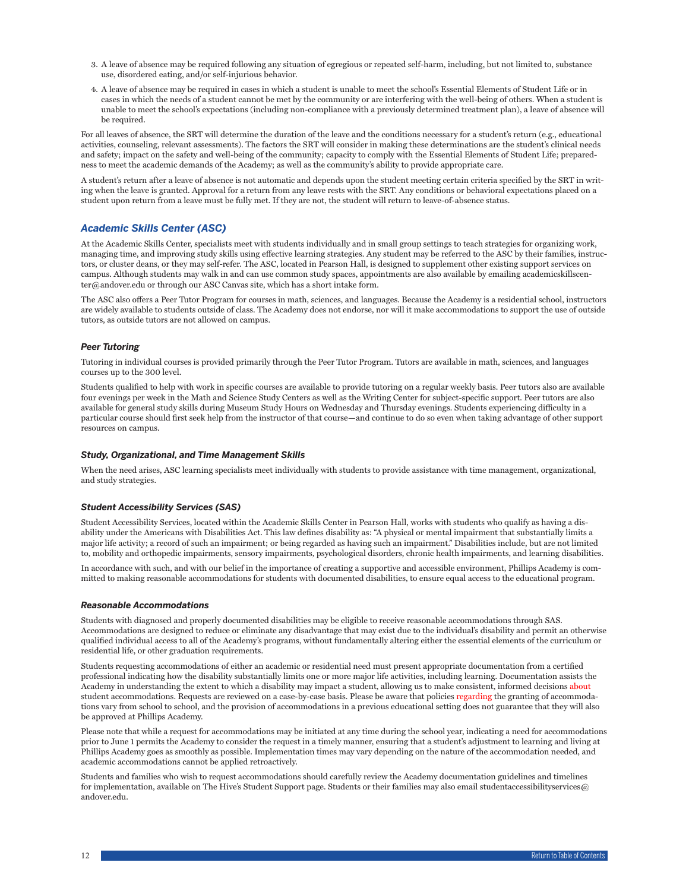- <span id="page-12-0"></span>3. A leave of absence may be required following any situation of egregious or repeated self-harm, including, but not limited to, substance use, disordered eating, and/or self-injurious behavior.
- 4. A leave of absence may be required in cases in which a student is unable to meet the school's Essential Elements of Student Life or in cases in which the needs of a student cannot be met by the community or are interfering with the well-being of others. When a student is unable to meet the school's expectations (including non-compliance with a previously determined treatment plan), a leave of absence will be required.

For all leaves of absence, the SRT will determine the duration of the leave and the conditions necessary for a student's return (e.g., educational activities, counseling, relevant assessments). The factors the SRT will consider in making these determinations are the student's clinical needs and safety; impact on the safety and well-being of the community; capacity to comply with the Essential Elements of Student Life; preparedness to meet the academic demands of the Academy; as well as the community's ability to provide appropriate care.

A student's return after a leave of absence is not automatic and depends upon the student meeting certain criteria specified by the SRT in writing when the leave is granted. Approval for a return from any leave rests with the SRT. Any conditions or behavioral expectations placed on a student upon return from a leave must be fully met. If they are not, the student will return to leave-of-absence status.

# *Academic Skills Center (ASC)*

At the Academic Skills Center, specialists meet with students individually and in small group settings to teach strategies for organizing work, managing time, and improving study skills using effective learning strategies. Any student may be referred to the ASC by their families, instructors, or cluster deans, or they may self-refer. The ASC, located in Pearson Hall, is designed to supplement other existing support services on campus. Although students may walk in and can use common study spaces, appointments are also available by emailing academicskillscenter@andover.edu or through our ASC Canvas site, which has a short intake form.

The ASC also offers a Peer Tutor Program for courses in math, sciences, and languages. Because the Academy is a residential school, instructors are widely available to students outside of class. The Academy does not endorse, nor will it make accommodations to support the use of outside tutors, as outside tutors are not allowed on campus.

### *Peer Tutoring*

Tutoring in individual courses is provided primarily through the Peer Tutor Program. Tutors are available in math, sciences, and languages courses up to the 300 level.

Students qualified to help with work in specific courses are available to provide tutoring on a regular weekly basis. Peer tutors also are available four evenings per week in the Math and Science Study Centers as well as the Writing Center for subject-specific support. Peer tutors are also available for general study skills during Museum Study Hours on Wednesday and Thursday evenings. Students experiencing difficulty in a particular course should first seek help from the instructor of that course—and continue to do so even when taking advantage of other support resources on campus.

### *Study, Organizational, and Time Management Skills*

When the need arises, ASC learning specialists meet individually with students to provide assistance with time management, organizational, and study strategies.

# *Student Accessibility Services (SAS)*

Student Accessibility Services, located within the Academic Skills Center in Pearson Hall, works with students who qualify as having a disability under the Americans with Disabilities Act. This law defines disability as: "A physical or mental impairment that substantially limits a major life activity; a record of such an impairment; or being regarded as having such an impairment." Disabilities include, but are not limited to, mobility and orthopedic impairments, sensory impairments, psychological disorders, chronic health impairments, and learning disabilities.

In accordance with such, and with our belief in the importance of creating a supportive and accessible environment, Phillips Academy is committed to making reasonable accommodations for students with documented disabilities, to ensure equal access to the educational program.

### *Reasonable Accommodations*

Students with diagnosed and properly documented disabilities may be eligible to receive reasonable accommodations through SAS. Accommodations are designed to reduce or eliminate any disadvantage that may exist due to the individual's disability and permit an otherwise qualified individual access to all of the Academy's programs, without fundamentally altering either the essential elements of the curriculum or residential life, or other graduation requirements.

Students requesting accommodations of either an academic or residential need must present appropriate documentation from a certified professional indicating how the disability substantially limits one or more major life activities, including learning. Documentation assists the Academy in understanding the extent to which a disability may impact a student, allowing us to make consistent, informed decisions about student accommodations. Requests are reviewed on a case-by-case basis. Please be aware that policies regarding the granting of accommodations vary from school to school, and the provision of accommodations in a previous educational setting does not guarantee that they will also be approved at Phillips Academy.

Please note that while a request for accommodations may be initiated at any time during the school year, indicating a need for accommodations prior to June 1 permits the Academy to consider the request in a timely manner, ensuring that a student's adjustment to learning and living at Phillips Academy goes as smoothly as possible. Implementation times may vary depending on the nature of the accommodation needed, and academic accommodations cannot be applied retroactively.

Students and families who wish to request accommodations should carefully review the Academy documentation guidelines and timelines for implementation, available on The Hive's Student Support page. Students or their families may also email studentaccessibilityservices@ andover.edu.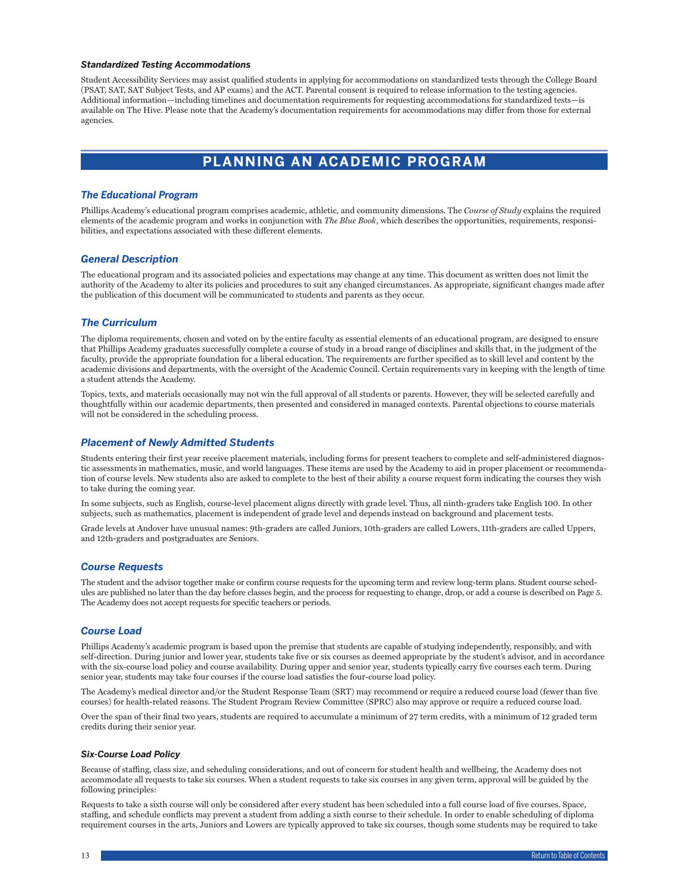### <span id="page-13-0"></span>*Standardized Testing Accommodations*

Student Accessibility Services may assist qualified students in applying for accommodations on standardized tests through the College Board (PSAT, SAT, SAT Subject Tests, and AP exams) and the ACT. Parental consent is required to release information to the testing agencies. Additional information—including timelines and documentation requirements for requesting accommodations for standardized tests—is available on The Hive. Please note that the Academy's documentation requirements for accommodations may differ from those for external agencies.

# **PLANNING AN ACADEMIC PROGRAM**

### *The Educational Program*

Phillips Academy's educational program comprises academic, athletic, and community dimensions. The *Course of Study* explains the required elements of the academic program and works in conjunction with *The Blue Book*, which describes the opportunities, requirements, responsibilities, and expectations associated with these different elements.

### *General Description*

The educational program and its associated policies and expectations may change at any time. This document as written does not limit the authority of the Academy to alter its policies and procedures to suit any changed circumstances. As appropriate, significant changes made after the publication of this document will be communicated to students and parents as they occur.

### *The Curriculum*

The diploma requirements, chosen and voted on by the entire faculty as essential elements of an educational program, are designed to ensure that Phillips Academy graduates successfully complete a course of study in a broad range of disciplines and skills that, in the judgment of the faculty, provide the appropriate foundation for a liberal education. The requirements are further specified as to skill level and content by the academic divisions and departments, with the oversight of the Academic Council. Certain requirements vary in keeping with the length of time a student attends the Academy.

Topics, texts, and materials occasionally may not win the full approval of all students or parents. However, they will be selected carefully and thoughtfully within our academic departments, then presented and considered in managed contexts. Parental objections to course materials will not be considered in the scheduling process.

### *Placement of Newly Admitted Students*

Students entering their first year receive placement materials, including forms for present teachers to complete and self-administered diagnostic assessments in mathematics, music, and world languages. These items are used by the Academy to aid in proper placement or recommendation of course levels. New students also are asked to complete to the best of their ability a course request form indicating the courses they wish to take during the coming year.

In some subjects, such as English, course-level placement aligns directly with grade level. Thus, all ninth-graders take English 100. In other subjects, such as mathematics, placement is independent of grade level and depends instead on background and placement tests.

Grade levels at Andover have unusual names: 9th-graders are called Juniors, 10th-graders are called Lowers, 11th-graders are called Uppers, and 12th-graders and postgraduates are Seniors.

### *Course Requests*

The student and the advisor together make or confirm course requests for the upcoming term and review long-term plans. Student course schedules are published no later than the day before classes begin, and the process for requesting to change, drop, or add a course is described on Page 5. The Academy does not accept requests for specific teachers or periods.

# *Course Load*

Phillips Academy's academic program is based upon the premise that students are capable of studying independently, responsibly, and with self-direction. During junior and lower year, students take five or six courses as deemed appropriate by the student's advisor, and in accordance with the six-course load policy and course availability. During upper and senior year, students typically carry five courses each term. During senior year, students may take four courses if the course load satisfies the four-course load policy.

The Academy's medical director and/or the Student Response Team (SRT) may recommend or require a reduced course load (fewer than five courses) for health-related reasons. The Student Program Review Committee (SPRC) also may approve or require a reduced course load.

Over the span of their final two years, students are required to accumulate a minimum of 27 term credits, with a minimum of 12 graded term credits during their senior year.

### *Six-Course Load Policy*

Because of staffing, class size, and scheduling considerations, and out of concern for student health and wellbeing, the Academy does not accommodate all requests to take six courses. When a student requests to take six courses in any given term, approval will be guided by the following principles:

Requests to take a sixth course will only be considered after every student has been scheduled into a full course load of five courses. Space, staffing, and schedule conflicts may prevent a student from adding a sixth course to their schedule. In order to enable scheduling of diploma requirement courses in the arts, Juniors and Lowers are typically approved to take six courses, though some students may be required to take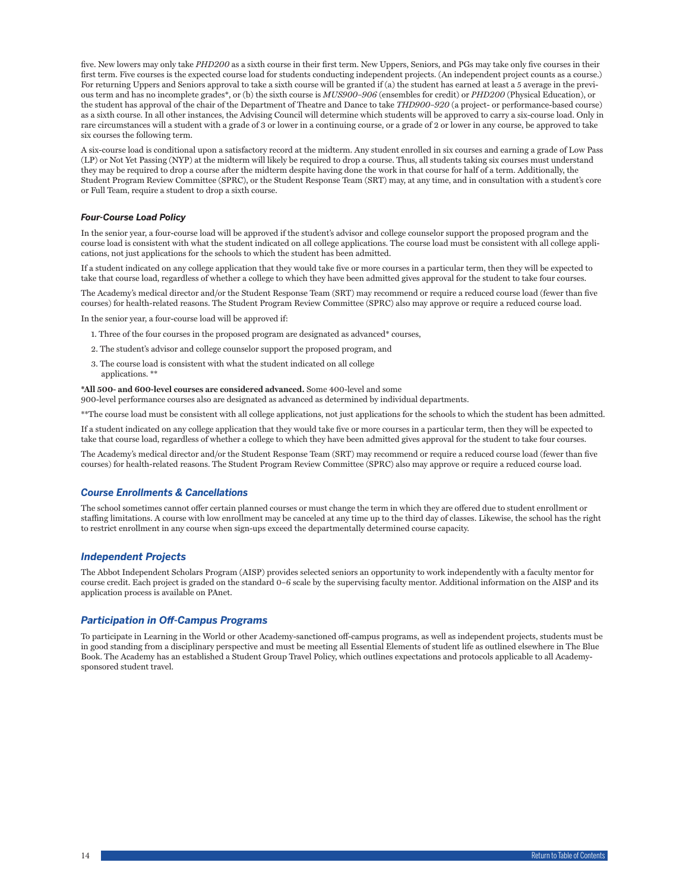<span id="page-14-0"></span>five. New lowers may only take *PHD200* as a sixth course in their first term. New Uppers, Seniors, and PGs may take only five courses in their first term. Five courses is the expected course load for students conducting independent projects. (An independent project counts as a course.) For returning Uppers and Seniors approval to take a sixth course will be granted if (a) the student has earned at least a 5 average in the previous term and has no incomplete grades\*, or (b) the sixth course is *MUS900–906* (ensembles for credit) or *PHD200* (Physical Education), or the student has approval of the chair of the Department of Theatre and Dance to take *THD900–920* (a project- or performance-based course) as a sixth course. In all other instances, the Advising Council will determine which students will be approved to carry a six-course load. Only in rare circumstances will a student with a grade of 3 or lower in a continuing course, or a grade of 2 or lower in any course, be approved to take six courses the following term.

A six-course load is conditional upon a satisfactory record at the midterm. Any student enrolled in six courses and earning a grade of Low Pass (LP) or Not Yet Passing (NYP) at the midterm will likely be required to drop a course. Thus, all students taking six courses must understand they may be required to drop a course after the midterm despite having done the work in that course for half of a term. Additionally, the Student Program Review Committee (SPRC), or the Student Response Team (SRT) may, at any time, and in consultation with a student's core or Full Team, require a student to drop a sixth course.

### *Four-Course Load Policy*

In the senior year, a four-course load will be approved if the student's advisor and college counselor support the proposed program and the course load is consistent with what the student indicated on all college applications. The course load must be consistent with all college applications, not just applications for the schools to which the student has been admitted.

If a student indicated on any college application that they would take five or more courses in a particular term, then they will be expected to take that course load, regardless of whether a college to which they have been admitted gives approval for the student to take four courses.

The Academy's medical director and/or the Student Response Team (SRT) may recommend or require a reduced course load (fewer than five courses) for health-related reasons. The Student Program Review Committee (SPRC) also may approve or require a reduced course load.

In the senior year, a four-course load will be approved if:

- 1. Three of the four courses in the proposed program are designated as advanced\* courses,
- 2. The student's advisor and college counselor support the proposed program, and
- 3. The course load is consistent with what the student indicated on all college applications. \*\*

### **\*All 500- and 600-level courses are considered advanced.** Some 400-level and some

900-level performance courses also are designated as advanced as determined by individual departments.

\*\*The course load must be consistent with all college applications, not just applications for the schools to which the student has been admitted.

If a student indicated on any college application that they would take five or more courses in a particular term, then they will be expected to take that course load, regardless of whether a college to which they have been admitted gives approval for the student to take four courses.

The Academy's medical director and/or the Student Response Team (SRT) may recommend or require a reduced course load (fewer than five courses) for health-related reasons. The Student Program Review Committee (SPRC) also may approve or require a reduced course load.

### *Course Enrollments & Cancellations*

The school sometimes cannot offer certain planned courses or must change the term in which they are offered due to student enrollment or staffing limitations. A course with low enrollment may be canceled at any time up to the third day of classes. Likewise, the school has the right to restrict enrollment in any course when sign-ups exceed the departmentally determined course capacity.

# *Independent Projects*

The Abbot Independent Scholars Program (AISP) provides selected seniors an opportunity to work independently with a faculty mentor for course credit. Each project is graded on the standard 0–6 scale by the supervising faculty mentor. Additional information on the AISP and its application process is available on PAnet.

### *Participation in Off-Campus Programs*

To participate in Learning in the World or other Academy-sanctioned off-campus programs, as well as independent projects, students must be in good standing from a disciplinary perspective and must be meeting all Essential Elements of student life as outlined elsewhere in The Blue Book. The Academy has an established a Student Group Travel Policy, which outlines expectations and protocols applicable to all Academysponsored student travel.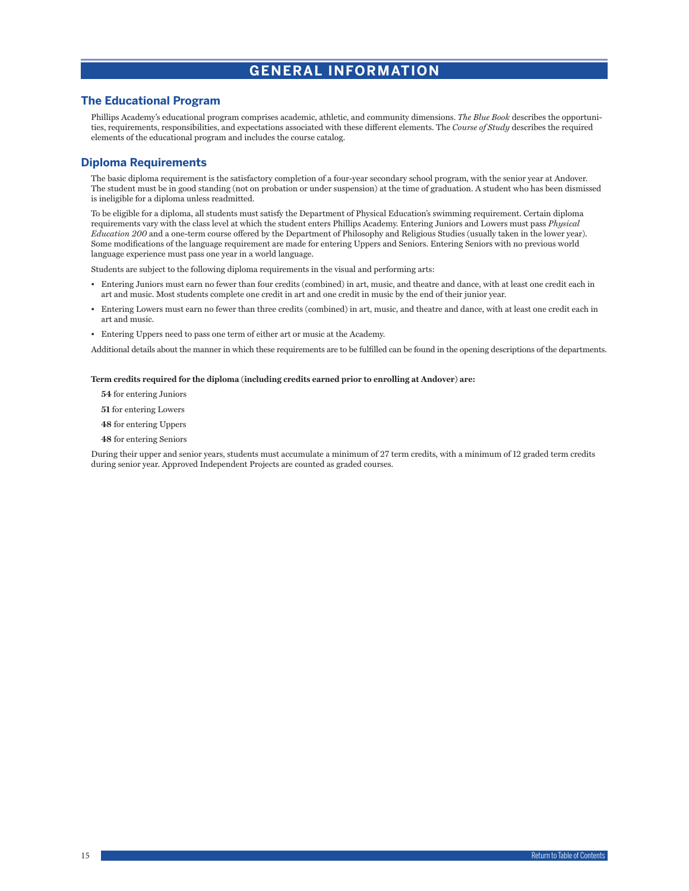# **GENERAL INFORMATION**

# <span id="page-15-0"></span>**The Educational Program**

Phillips Academy's educational program comprises academic, athletic, and community dimensions. *The Blue Book* describes the opportunities, requirements, responsibilities, and expectations associated with these different elements. The *Course of Study* describes the required elements of the educational program and includes the course catalog.

# **Diploma Requirements**

The basic diploma requirement is the satisfactory completion of a four-year secondary school program, with the senior year at Andover. The student must be in good standing (not on probation or under suspension) at the time of graduation. A student who has been dismissed is ineligible for a diploma unless readmitted.

To be eligible for a diploma, all students must satisfy the Department of Physical Education's swimming requirement. Certain diploma requirements vary with the class level at which the student enters Phillips Academy. Entering Juniors and Lowers must pass *Physical Education 200* and a one-term course offered by the Department of Philosophy and Religious Studies (usually taken in the lower year). Some modifications of the language requirement are made for entering Uppers and Seniors. Entering Seniors with no previous world language experience must pass one year in a world language.

Students are subject to the following diploma requirements in the visual and performing arts:

- Entering Juniors must earn no fewer than four credits (combined) in art, music, and theatre and dance, with at least one credit each in art and music. Most students complete one credit in art and one credit in music by the end of their junior year.
- Entering Lowers must earn no fewer than three credits (combined) in art, music, and theatre and dance, with at least one credit each in art and music.
- Entering Uppers need to pass one term of either art or music at the Academy.

Additional details about the manner in which these requirements are to be fulfilled can be found in the opening descriptions of the departments.

### **Term credits required for the diploma (including credits earned prior to enrolling at Andover) are:**

- **54** for entering Juniors
- **51** for entering Lowers
- **48** for entering Uppers
- **48** for entering Seniors

During their upper and senior years, students must accumulate a minimum of 27 term credits, with a minimum of 12 graded term credits during senior year. Approved Independent Projects are counted as graded courses.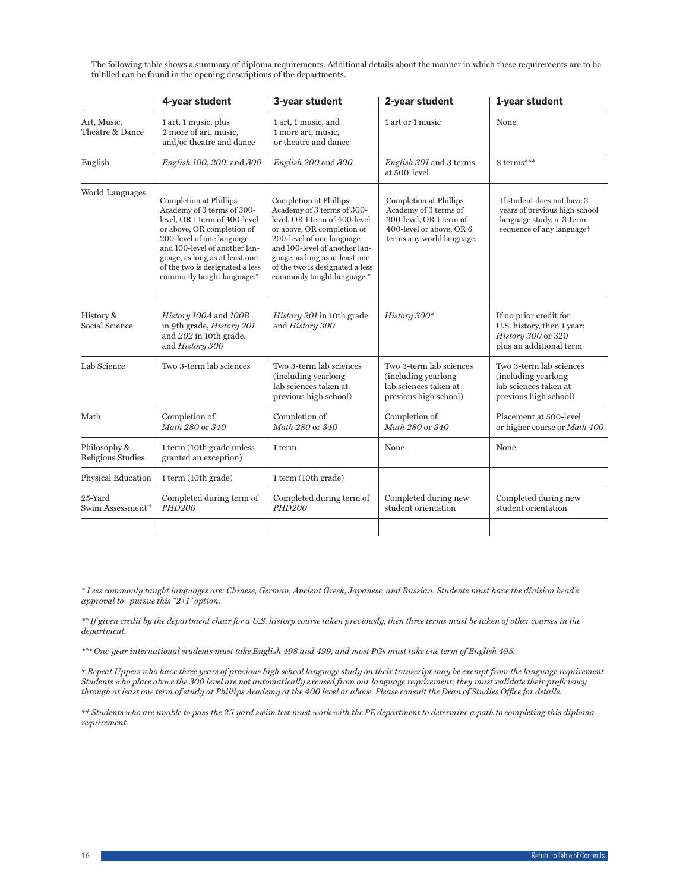| The following table shows a summary of diploma requirements. Additional details about the manner in which these requirements are to be |  |
|----------------------------------------------------------------------------------------------------------------------------------------|--|
| fulfilled can be found in the opening descriptions of the departments.                                                                 |  |

|                                                                                                                                                                                                                                                                                                                                                                                                                                                                                                                                                                                                        | 4-year student                                                                                  | 3-year student                                                                                                                      | 2-year student                                                                                                                   | 1-year student                                                                                        |
|--------------------------------------------------------------------------------------------------------------------------------------------------------------------------------------------------------------------------------------------------------------------------------------------------------------------------------------------------------------------------------------------------------------------------------------------------------------------------------------------------------------------------------------------------------------------------------------------------------|-------------------------------------------------------------------------------------------------|-------------------------------------------------------------------------------------------------------------------------------------|----------------------------------------------------------------------------------------------------------------------------------|-------------------------------------------------------------------------------------------------------|
| Art, Music,<br>Theatre & Dance                                                                                                                                                                                                                                                                                                                                                                                                                                                                                                                                                                         | 1 art, 1 music, plus<br>2 more of art, music,<br>and/or theatre and dance                       | 1 art, 1 music, and<br>1 more art, music,<br>or theatre and dance                                                                   | 1 art or 1 music                                                                                                                 | None                                                                                                  |
| English                                                                                                                                                                                                                                                                                                                                                                                                                                                                                                                                                                                                | English 100, 200, and 300                                                                       | English 200 and 300                                                                                                                 | English 301 and 3 terms<br>at 500-level                                                                                          | $3$ terms***                                                                                          |
| World Languages<br><b>Completion at Phillips</b><br>Completion at Phillips<br>Academy of 3 terms of 300-<br>Academy of 3 terms of 300-<br>level, OR 1 term of 400-level<br>level, OR 1 term of 400-level<br>or above, OR completion of<br>or above, OR completion of<br>200-level of one language<br>200-level of one language<br>and 100-level of another lan-<br>and 100-level of another lan-<br>guage, as long as at least one<br>guage, as long as at least one<br>of the two is designated a less<br>of the two is designated a less<br>commonly taught language.*<br>commonly taught language.* |                                                                                                 | Completion at Phillips<br>Academy of 3 terms of<br>300-level, OR 1 term of<br>400-level or above, OR 6<br>terms any world language. | If student does not have 3<br>years of previous high school<br>language study, a 3-term<br>sequence of any language <sup>+</sup> |                                                                                                       |
| History &<br>Social Science                                                                                                                                                                                                                                                                                                                                                                                                                                                                                                                                                                            | History 100A and 100B<br>in 9th grade, History 201<br>and 202 in 10th grade.<br>and History 300 | History 201 in 10th grade<br>and History 300                                                                                        | History 300*                                                                                                                     | If no prior credit for<br>U.S. history, then 1 year:<br>History 300 or 320<br>plus an additional term |
| Lab Science<br>Two 3-term lab sciences                                                                                                                                                                                                                                                                                                                                                                                                                                                                                                                                                                 |                                                                                                 | Two 3-term lab sciences<br>(including yearlong<br>lab sciences taken at<br>previous high school)                                    | Two 3-term lab sciences<br>(including yearlong)<br>lab sciences taken at<br>previous high school)                                | Two 3-term lab sciences<br>(including yearlong)<br>lab sciences taken at<br>previous high school)     |
| Math                                                                                                                                                                                                                                                                                                                                                                                                                                                                                                                                                                                                   | Completion of<br>Math 280 or 340                                                                | Completion of<br>Math 280 or 340                                                                                                    | Completion of<br>Math 280 or 340                                                                                                 | Placement at 500-level<br>or higher course or Math 400                                                |
| Philosophy &<br>Religious Studies                                                                                                                                                                                                                                                                                                                                                                                                                                                                                                                                                                      | 1 term (10th grade unless<br>granted an exception)                                              | 1 term                                                                                                                              | None                                                                                                                             | None                                                                                                  |
| Physical Education                                                                                                                                                                                                                                                                                                                                                                                                                                                                                                                                                                                     | 1 term (10th grade)                                                                             | 1 term (10th grade)                                                                                                                 |                                                                                                                                  |                                                                                                       |
| 25-Yard<br>Swim Assessment#                                                                                                                                                                                                                                                                                                                                                                                                                                                                                                                                                                            | Completed during term of<br><b>PHD200</b>                                                       | Completed during term of<br><b>PHD200</b>                                                                                           | Completed during new<br>student orientation                                                                                      | Completed during new<br>student orientation                                                           |
|                                                                                                                                                                                                                                                                                                                                                                                                                                                                                                                                                                                                        |                                                                                                 |                                                                                                                                     |                                                                                                                                  |                                                                                                       |

*\* Less commonly taught languages are: Chinese, German, Ancient Greek, Japanese, and Russian. Students must have the division head's approval to pursue this "2+1" option.*

*\*\* If given credit by the department chair for a U.S. history course taken previously, then three terms must be taken of other courses in the department.*

*\*\*\* One-year international students must take English 498 and 499, and most PGs must take one term of English 495.*

*† Repeat Uppers who have three years of previous high school language study on their transcript may be exempt from the language requirement. Students who place above the 300 level are not automatically excused from our language requirement; they must validate their proficiency through at least one term of study at Phillips Academy at the 400 level or above. Please consult the Dean of Studies Office for details.*

*†† Students who are unable to pass the 25-yard swim test must work with the PE department to determine a path to completing this diploma requirement.*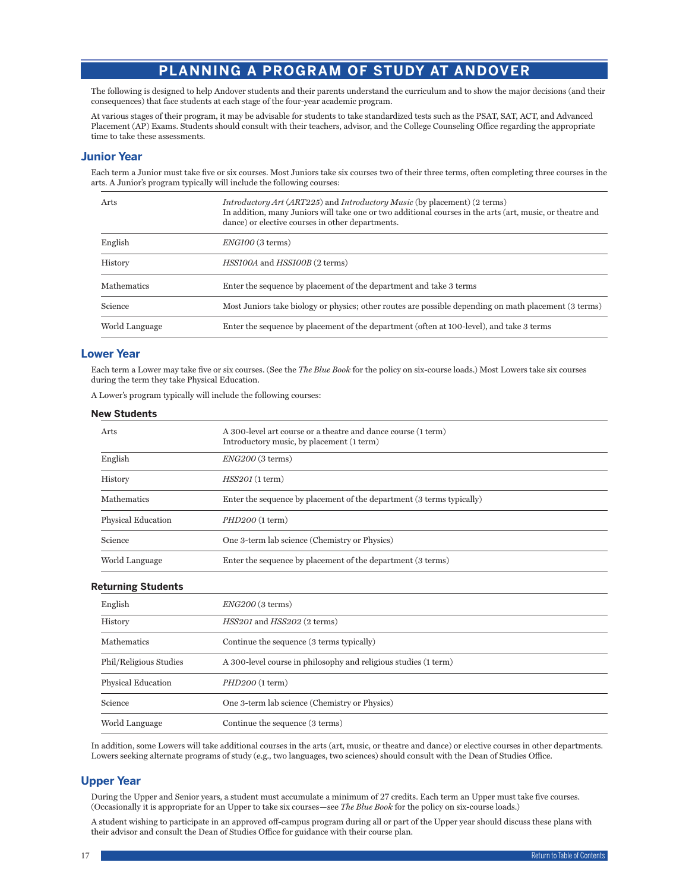# **PLANNING A PROGRAM OF STUDY AT ANDOVER**

<span id="page-17-0"></span>The following is designed to help Andover students and their parents understand the curriculum and to show the major decisions (and their consequences) that face students at each stage of the four-year academic program.

At various stages of their program, it may be advisable for students to take standardized tests such as the PSAT, SAT, ACT, and Advanced Placement (AP) Exams. Students should consult with their teachers, advisor, and the College Counseling Office regarding the appropriate time to take these assessments.

# **Junior Year**

Each term a Junior must take five or six courses. Most Juniors take six courses two of their three terms, often completing three courses in the arts. A Junior's program typically will include the following courses:

| Arts           | <i>Introductory Art (ART225)</i> and <i>Introductory Music</i> (by placement) (2 terms)<br>In addition, many Juniors will take one or two additional courses in the arts (art, music, or theatre and<br>dance) or elective courses in other departments. |  |
|----------------|----------------------------------------------------------------------------------------------------------------------------------------------------------------------------------------------------------------------------------------------------------|--|
| English        | $ENGIOO$ (3 terms)                                                                                                                                                                                                                                       |  |
| History        | HSS100A and HSS100B (2 terms)                                                                                                                                                                                                                            |  |
| Mathematics    | Enter the sequence by placement of the department and take 3 terms                                                                                                                                                                                       |  |
| Science        | Most Juniors take biology or physics; other routes are possible depending on math placement (3 terms)                                                                                                                                                    |  |
| World Language | Enter the sequence by placement of the department (often at 100-level), and take 3 terms                                                                                                                                                                 |  |

# **Lower Year**

Each term a Lower may take five or six courses. (See the *The Blue Book* for the policy on six-course loads.) Most Lowers take six courses during the term they take Physical Education.

A Lower's program typically will include the following courses:

# **New Students**

| Arts               | A 300-level art course or a theatre and dance course (1 term)<br>Introductory music, by placement (1 term) |
|--------------------|------------------------------------------------------------------------------------------------------------|
| English            | $ENG200$ (3 terms)                                                                                         |
| History            | HSS201(1 term)                                                                                             |
| <b>Mathematics</b> | Enter the sequence by placement of the department (3 terms typically)                                      |
| Physical Education | $PHD200$ (1 term)                                                                                          |
| Science            | One 3-term lab science (Chemistry or Physics)                                                              |
| World Language     | Enter the sequence by placement of the department (3 terms)                                                |

# **Returning Students**

| -                      |                                                                 |
|------------------------|-----------------------------------------------------------------|
| English                | $ENG200$ (3 terms)                                              |
| History                | HSS201 and HSS202 (2 terms)                                     |
| Mathematics            | Continue the sequence (3 terms typically)                       |
| Phil/Religious Studies | A 300-level course in philosophy and religious studies (1 term) |
| Physical Education     | $PHD200$ (1 term)                                               |
| Science                | One 3-term lab science (Chemistry or Physics)                   |
| World Language         | Continue the sequence (3 terms)                                 |

In addition, some Lowers will take additional courses in the arts (art, music, or theatre and dance) or elective courses in other departments. Lowers seeking alternate programs of study (e.g., two languages, two sciences) should consult with the Dean of Studies Office.

# **Upper Year**

During the Upper and Senior years, a student must accumulate a minimum of 27 credits. Each term an Upper must take five courses. (Occasionally it is appropriate for an Upper to take six courses—see *The Blue Book* for the policy on six-course loads.)

A student wishing to participate in an approved off-campus program during all or part of the Upper year should discuss these plans with their advisor and consult the Dean of Studies Office for guidance with their course plan.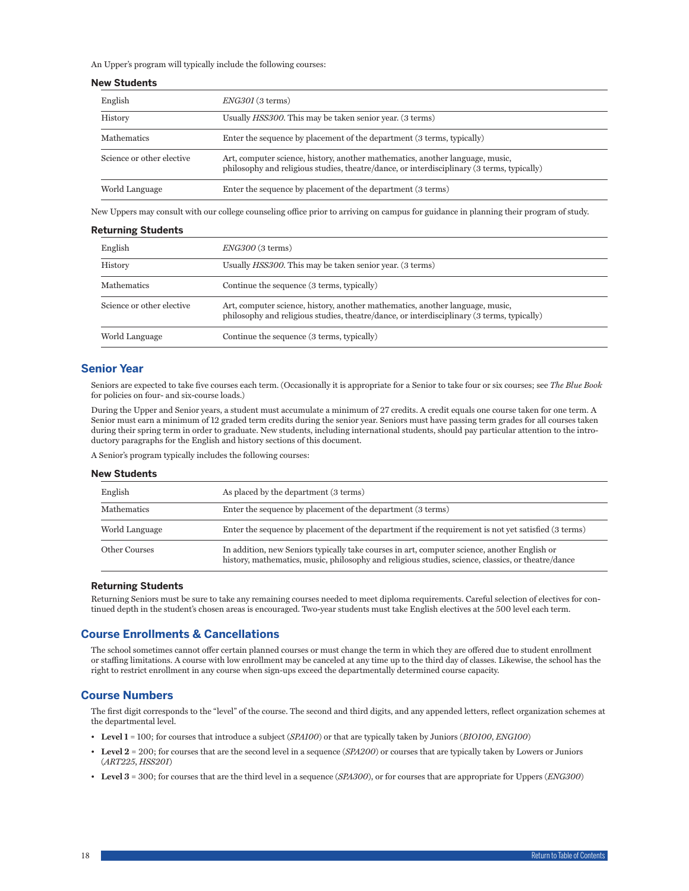<span id="page-18-0"></span>An Upper's program will typically include the following courses:

### **New Students**

| English                   | ENG301(3 terms)                                                                                                                                                             |
|---------------------------|-----------------------------------------------------------------------------------------------------------------------------------------------------------------------------|
| History                   | Usually <i>HSS300</i> . This may be taken senior year. (3 terms)                                                                                                            |
| <b>Mathematics</b>        | Enter the sequence by placement of the department (3 terms, typically)                                                                                                      |
| Science or other elective | Art, computer science, history, another mathematics, another language, music,<br>philosophy and religious studies, theatre/dance, or interdisciplinary (3 terms, typically) |
| World Language            | Enter the sequence by placement of the department (3 terms)                                                                                                                 |

New Uppers may consult with our college counseling office prior to arriving on campus for guidance in planning their program of study.

### **Returning Students**

| English                   | $ENG300$ (3 terms)                                                                                                                                                          |
|---------------------------|-----------------------------------------------------------------------------------------------------------------------------------------------------------------------------|
| History                   | Usually <i>HSS300</i> . This may be taken senior year. (3 terms)                                                                                                            |
| <b>Mathematics</b>        | Continue the sequence (3 terms, typically)                                                                                                                                  |
| Science or other elective | Art, computer science, history, another mathematics, another language, music,<br>philosophy and religious studies, theatre/dance, or interdisciplinary (3 terms, typically) |
| World Language            | Continue the sequence (3 terms, typically)                                                                                                                                  |

# **Senior Year**

Seniors are expected to take five courses each term. (Occasionally it is appropriate for a Senior to take four or six courses; see *The Blue Book* for policies on four- and six-course loads.)

During the Upper and Senior years, a student must accumulate a minimum of 27 credits. A credit equals one course taken for one term. A Senior must earn a minimum of 12 graded term credits during the senior year. Seniors must have passing term grades for all courses taken during their spring term in order to graduate. New students, including international students, should pay particular attention to the introductory paragraphs for the English and history sections of this document.

A Senior's program typically includes the following courses:

#### **New Students**

| English              | As placed by the department (3 terms)                                                                                                                                                              |  |
|----------------------|----------------------------------------------------------------------------------------------------------------------------------------------------------------------------------------------------|--|
| Mathematics          | Enter the sequence by placement of the department (3 terms)                                                                                                                                        |  |
| World Language       | Enter the sequence by placement of the department if the requirement is not yet satisfied (3 terms)                                                                                                |  |
| <b>Other Courses</b> | In addition, new Seniors typically take courses in art, computer science, another English or<br>history, mathematics, music, philosophy and religious studies, science, classics, or theatre/dance |  |

### **Returning Students**

Returning Seniors must be sure to take any remaining courses needed to meet diploma requirements. Careful selection of electives for continued depth in the student's chosen areas is encouraged. Two-year students must take English electives at the 500 level each term.

# **Course Enrollments & Cancellations**

The school sometimes cannot offer certain planned courses or must change the term in which they are offered due to student enrollment or staffing limitations. A course with low enrollment may be canceled at any time up to the third day of classes. Likewise, the school has the right to restrict enrollment in any course when sign-ups exceed the departmentally determined course capacity.

# **Course Numbers**

The first digit corresponds to the "level" of the course. The second and third digits, and any appended letters, reflect organization schemes at the departmental level.

- **Level 1** = 100; for courses that introduce a subject (*SPA100*) or that are typically taken by Juniors (*BIO100*, *ENG100*)
- **Level 2** = 200; for courses that are the second level in a sequence (*SPA200*) or courses that are typically taken by Lowers or Juniors (*ART225*, *HSS201*)
- **Level 3** = 300; for courses that are the third level in a sequence (*SPA300*), or for courses that are appropriate for Uppers (*ENG300*)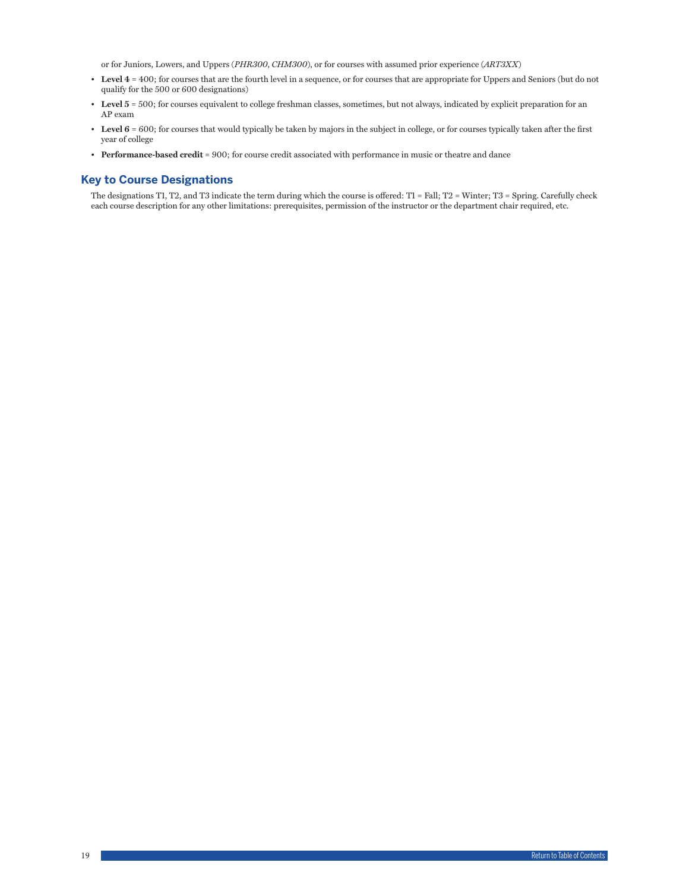or for Juniors, Lowers, and Uppers (*PHR300*, *CHM300*), or for courses with assumed prior experience (*ART3XX*)

- <span id="page-19-0"></span>• **Level 4** = 400; for courses that are the fourth level in a sequence, or for courses that are appropriate for Uppers and Seniors (but do not qualify for the 500 or 600 designations)
- **Level 5** = 500; for courses equivalent to college freshman classes, sometimes, but not always, indicated by explicit preparation for an AP exam
- **Level 6** = 600; for courses that would typically be taken by majors in the subject in college, or for courses typically taken after the first year of college
- **Performance-based credit** = 900; for course credit associated with performance in music or theatre and dance

# **Key to Course Designations**

The designations T1, T2, and T3 indicate the term during which the course is offered: T1 = Fall; T2 = Winter; T3 = Spring. Carefully check each course description for any other limitations: prerequisites, permission of the instructor or the department chair required, etc.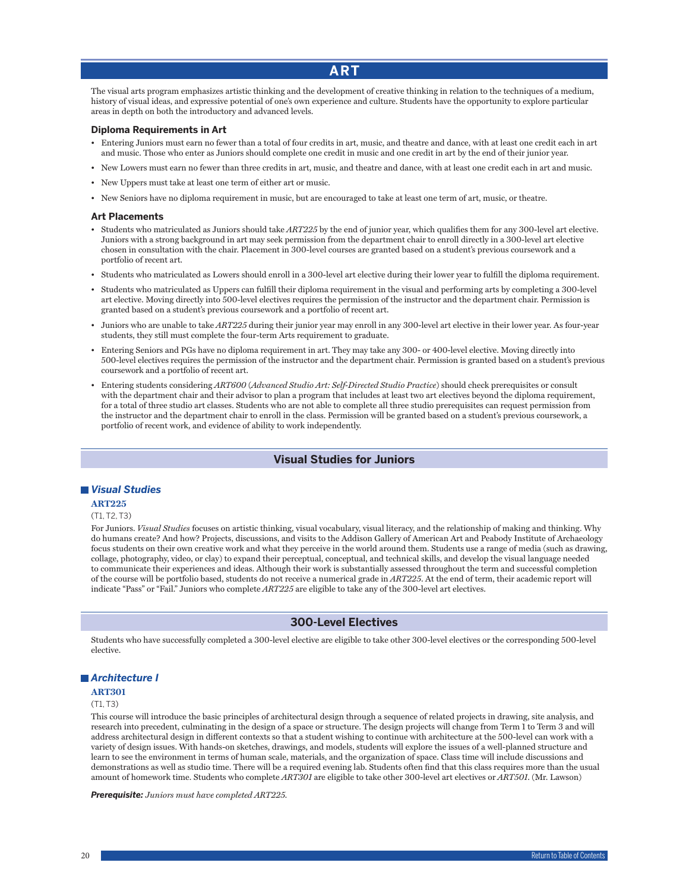# **ART**

<span id="page-20-0"></span>The visual arts program emphasizes artistic thinking and the development of creative thinking in relation to the techniques of a medium, history of visual ideas, and expressive potential of one's own experience and culture. Students have the opportunity to explore particular areas in depth on both the introductory and advanced levels.

### **Diploma Requirements in Art**

- Entering Juniors must earn no fewer than a total of four credits in art, music, and theatre and dance, with at least one credit each in art and music. Those who enter as Juniors should complete one credit in music and one credit in art by the end of their junior year.
- New Lowers must earn no fewer than three credits in art, music, and theatre and dance, with at least one credit each in art and music.
- New Uppers must take at least one term of either art or music.
- New Seniors have no diploma requirement in music, but are encouraged to take at least one term of art, music, or theatre.

### **Art Placements**

- Students who matriculated as Juniors should take *ART225* by the end of junior year, which qualifies them for any 300-level art elective. Juniors with a strong background in art may seek permission from the department chair to enroll directly in a 300-level art elective chosen in consultation with the chair. Placement in 300-level courses are granted based on a student's previous coursework and a portfolio of recent art.
- Students who matriculated as Lowers should enroll in a 300-level art elective during their lower year to fulfill the diploma requirement.
- Students who matriculated as Uppers can fulfill their diploma requirement in the visual and performing arts by completing a 300-level art elective. Moving directly into 500-level electives requires the permission of the instructor and the department chair. Permission is granted based on a student's previous coursework and a portfolio of recent art.
- Juniors who are unable to take *ART225* during their junior year may enroll in any 300-level art elective in their lower year. As four-year students, they still must complete the four-term Arts requirement to graduate.
- Entering Seniors and PGs have no diploma requirement in art. They may take any 300- or 400-level elective. Moving directly into 500-level electives requires the permission of the instructor and the department chair. Permission is granted based on a student's previous coursework and a portfolio of recent art.
- Entering students considering *ART600* (*Advanced Studio Art: Self-Directed Studio Practice*) should check prerequisites or consult with the department chair and their advisor to plan a program that includes at least two art electives beyond the diploma requirement, for a total of three studio art classes. Students who are not able to complete all three studio prerequisites can request permission from the instructor and the department chair to enroll in the class. Permission will be granted based on a student's previous coursework, a portfolio of recent work, and evidence of ability to work independently.

# **Visual Studies for Juniors**

# *Visual Studies*

### **ART225**

#### (T1, T2, T3)

For Juniors. *Visual Studies* focuses on artistic thinking, visual vocabulary, visual literacy, and the relationship of making and thinking. Why do humans create? And how? Projects, discussions, and visits to the Addison Gallery of American Art and Peabody Institute of Archaeology focus students on their own creative work and what they perceive in the world around them. Students use a range of media (such as drawing, collage, photography, video, or clay) to expand their perceptual, conceptual, and technical skills, and develop the visual language needed to communicate their experiences and ideas. Although their work is substantially assessed throughout the term and successful completion of the course will be portfolio based, students do not receive a numerical grade in *ART225*. At the end of term, their academic report will indicate "Pass" or "Fail." Juniors who complete *ART225* are eligible to take any of the 300-level art electives.

### **300-Level Electives**

Students who have successfully completed a 300-level elective are eligible to take other 300-level electives or the corresponding 500-level elective.

### *Architecture I*

### **ART301**

### $(T1, T3)$

This course will introduce the basic principles of architectural design through a sequence of related projects in drawing, site analysis, and research into precedent, culminating in the design of a space or structure. The design projects will change from Term 1 to Term 3 and will address architectural design in different contexts so that a student wishing to continue with architecture at the 500-level can work with a variety of design issues. With hands-on sketches, drawings, and models, students will explore the issues of a well-planned structure and learn to see the environment in terms of human scale, materials, and the organization of space. Class time will include discussions and demonstrations as well as studio time. There will be a required evening lab. Students often find that this class requires more than the usual amount of homework time. Students who complete *ART301* are eligible to take other 300-level art electives or *ART501*. (Mr. Lawson)

*Prerequisite: Juniors must have completed ART225.*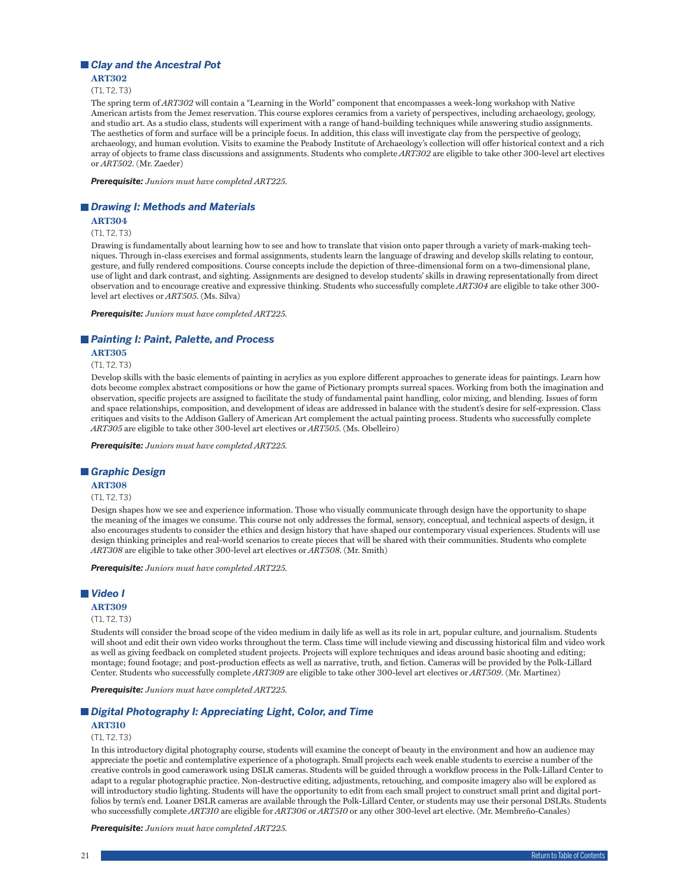# *Clay and the Ancestral Pot*

**ART302** (T1, T2, T3)

The spring term of *ART302* will contain a "Learning in the World" component that encompasses a week-long workshop with Native American artists from the Jemez reservation. This course explores ceramics from a variety of perspectives, including archaeology, geology, and studio art. As a studio class, students will experiment with a range of hand-building techniques while answering studio assignments. The aesthetics of form and surface will be a principle focus. In addition, this class will investigate clay from the perspective of geology, archaeology, and human evolution. Visits to examine the Peabody Institute of Archaeology's collection will offer historical context and a rich array of objects to frame class discussions and assignments. Students who complete *ART302* are eligible to take other 300-level art electives or *ART502*. (Mr. Zaeder)

*Prerequisite: Juniors must have completed ART225.*

### *Drawing I: Methods and Materials*

# **ART304**

(T1, T2, T3)

Drawing is fundamentally about learning how to see and how to translate that vision onto paper through a variety of mark-making techniques. Through in-class exercises and formal assignments, students learn the language of drawing and develop skills relating to contour, gesture, and fully rendered compositions. Course concepts include the depiction of three-dimensional form on a two-dimensional plane, use of light and dark contrast, and sighting. Assignments are designed to develop students' skills in drawing representationally from direct observation and to encourage creative and expressive thinking. Students who successfully complete *ART304* are eligible to take other 300 level art electives or *ART505*. (Ms. Silva)

*Prerequisite: Juniors must have completed ART225.*

### *Painting I: Paint, Palette, and Process*

**ART305**

(T1, T2, T3)

Develop skills with the basic elements of painting in acrylics as you explore different approaches to generate ideas for paintings. Learn how dots become complex abstract compositions or how the game of Pictionary prompts surreal spaces. Working from both the imagination and observation, specific projects are assigned to facilitate the study of fundamental paint handling, color mixing, and blending. Issues of form and space relationships, composition, and development of ideas are addressed in balance with the student's desire for self-expression. Class critiques and visits to the Addison Gallery of American Art complement the actual painting process. Students who successfully complete *ART305* are eligible to take other 300-level art electives or *ART505*. (Ms. Obelleiro)

*Prerequisite: Juniors must have completed ART225.*

### *Graphic Design*

**ART308**

#### (T1, T2, T3)

Design shapes how we see and experience information. Those who visually communicate through design have the opportunity to shape the meaning of the images we consume. This course not only addresses the formal, sensory, conceptual, and technical aspects of design, it also encourages students to consider the ethics and design history that have shaped our contemporary visual experiences. Students will use design thinking principles and real-world scenarios to create pieces that will be shared with their communities. Students who complete *ART308* are eligible to take other 300-level art electives or *ART508*. (Mr. Smith)

*Prerequisite: Juniors must have completed ART225.*

# *Video I*

#### **ART309**

(T1, T2, T3)

Students will consider the broad scope of the video medium in daily life as well as its role in art, popular culture, and journalism. Students will shoot and edit their own video works throughout the term. Class time will include viewing and discussing historical film and video work as well as giving feedback on completed student projects. Projects will explore techniques and ideas around basic shooting and editing; montage; found footage; and post-production effects as well as narrative, truth, and fiction. Cameras will be provided by the Polk-Lillard Center. Students who successfully complete *ART309* are eligible to take other 300-level art electives or *ART509*. (Mr. Martinez)

*Prerequisite: Juniors must have completed ART225.*

### *Digital Photography I: Appreciating Light, Color, and Time*

### **ART310**

### (T1, T2, T3)

In this introductory digital photography course, students will examine the concept of beauty in the environment and how an audience may appreciate the poetic and contemplative experience of a photograph. Small projects each week enable students to exercise a number of the creative controls in good camerawork using DSLR cameras. Students will be guided through a workflow process in the Polk-Lillard Center to adapt to a regular photographic practice. Non-destructive editing, adjustments, retouching, and composite imagery also will be explored as will introductory studio lighting. Students will have the opportunity to edit from each small project to construct small print and digital portfolios by term's end. Loaner DSLR cameras are available through the Polk-Lillard Center, or students may use their personal DSLRs. Students who successfully complete *ART310* are eligible for *ART306* or *ART510* or any other 300-level art elective. (Mr. Membreño-Canales)

*Prerequisite: Juniors must have completed ART225.*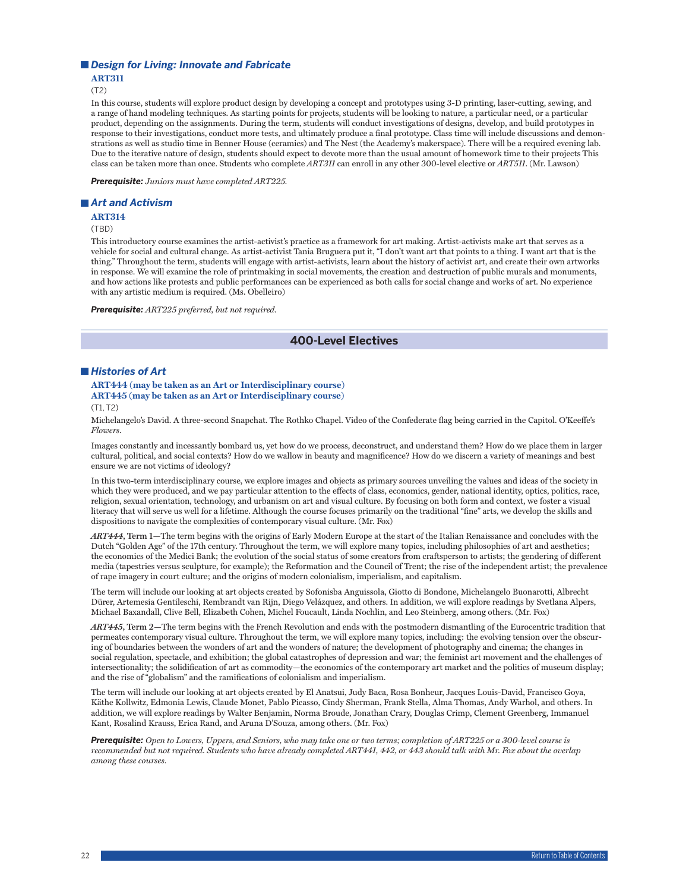### *Design for Living: Innovate and Fabricate*

**ART311**

(T2)

In this course, students will explore product design by developing a concept and prototypes using 3-D printing, laser-cutting, sewing, and a range of hand modeling techniques. As starting points for projects, students will be looking to nature, a particular need, or a particular product, depending on the assignments. During the term, students will conduct investigations of designs, develop, and build prototypes in response to their investigations, conduct more tests, and ultimately produce a final prototype. Class time will include discussions and demonstrations as well as studio time in Benner House (ceramics) and The Nest (the Academy's makerspace). There will be a required evening lab. Due to the iterative nature of design, students should expect to devote more than the usual amount of homework time to their projects This class can be taken more than once. Students who complete *ART311* can enroll in any other 300-level elective or *ART511*. (Mr. Lawson)

*Prerequisite: Juniors must have completed ART225.*

### *Art and Activism*

**ART314**

(TBD)

This introductory course examines the artist-activist's practice as a framework for art making. Artist-activists make art that serves as a vehicle for social and cultural change. As artist-activist Tania Bruguera put it, "I don't want art that points to a thing. I want art that is the thing." Throughout the term, students will engage with artist-activists, learn about the history of activist art, and create their own artworks in response. We will examine the role of printmaking in social movements, the creation and destruction of public murals and monuments, and how actions like protests and public performances can be experienced as both calls for social change and works of art. No experience with any artistic medium is required. (Ms. Obelleiro)

*Prerequisite: ART225 preferred, but not required.*

# **400-Level Electives**

# *Histories of Art*

**ART444 (may be taken as an Art or Interdisciplinary course) ART445 (may be taken as an Art or Interdisciplinary course)**

 $(T1, T2)$ 

Michelangelo's David. A three-second Snapchat. The Rothko Chapel. Video of the Confederate flag being carried in the Capitol. O'Keeffe's *Flowers*.

Images constantly and incessantly bombard us, yet how do we process, deconstruct, and understand them? How do we place them in larger cultural, political, and social contexts? How do we wallow in beauty and magnificence? How do we discern a variety of meanings and best ensure we are not victims of ideology?

In this two-term interdisciplinary course, we explore images and objects as primary sources unveiling the values and ideas of the society in which they were produced, and we pay particular attention to the effects of class, economics, gender, national identity, optics, politics, race, religion, sexual orientation, technology, and urbanism on art and visual culture. By focusing on both form and context, we foster a visual literacy that will serve us well for a lifetime. Although the course focuses primarily on the traditional "fine" arts, we develop the skills and dispositions to navigate the complexities of contemporary visual culture. (Mr. Fox)

*ART444***, Term 1—**The term begins with the origins of Early Modern Europe at the start of the Italian Renaissance and concludes with the Dutch "Golden Age" of the 17th century. Throughout the term, we will explore many topics, including philosophies of art and aesthetics; the economics of the Medici Bank; the evolution of the social status of some creators from craftsperson to artists; the gendering of different media (tapestries versus sculpture, for example); the Reformation and the Council of Trent; the rise of the independent artist; the prevalence of rape imagery in court culture; and the origins of modern colonialism, imperialism, and capitalism.

The term will include our looking at art objects created by Sofonisba Anguissola, Giotto di Bondone, Michelangelo Buonarotti, Albrecht Dürer, Artemesia Gentileschi, Rembrandt van Rijn, Diego Velázquez, and others. In addition, we will explore readings by Svetlana Alpers, Michael Baxandall, Clive Bell, Elizabeth Cohen, Michel Foucault, Linda Nochlin, and Leo Steinberg, among others. (Mr. Fox)

*ART445***, Term 2—**The term begins with the French Revolution and ends with the postmodern dismantling of the Eurocentric tradition that permeates contemporary visual culture. Throughout the term, we will explore many topics, including: the evolving tension over the obscuring of boundaries between the wonders of art and the wonders of nature; the development of photography and cinema; the changes in social regulation, spectacle, and exhibition; the global catastrophes of depression and war; the feminist art movement and the challenges of intersectionality; the solidification of art as commodity—the economics of the contemporary art market and the politics of museum display; and the rise of "globalism" and the ramifications of colonialism and imperialism.

The term will include our looking at art objects created by El Anatsui, Judy Baca, Rosa Bonheur, Jacques Louis-David, Francisco Goya, Käthe Kollwitz, Edmonia Lewis, Claude Monet, Pablo Picasso, Cindy Sherman, Frank Stella, Alma Thomas, Andy Warhol, and others. In addition, we will explore readings by Walter Benjamin, Norma Broude, Jonathan Crary, Douglas Crimp, Clement Greenberg, Immanuel Kant, Rosalind Krauss, Erica Rand, and Aruna D'Souza, among others. (Mr. Fox)

*Prerequisite: Open to Lowers, Uppers, and Seniors, who may take one or two terms; completion of ART225 or a 300-level course is recommended but not required. Students who have already completed ART441, 442, or 443 should talk with Mr. Fox about the overlap among these courses.*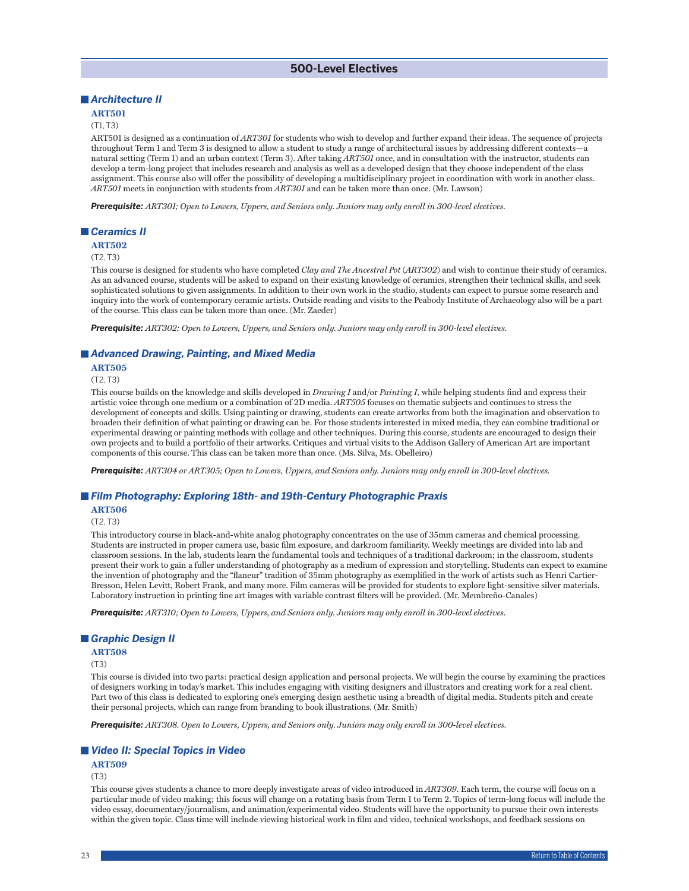# **500-Level Electives**

# *Architecture II*

# **ART501**

# (T1, T3)

ART501 is designed as a continuation of *ART301* for students who wish to develop and further expand their ideas. The sequence of projects throughout Term 1 and Term 3 is designed to allow a student to study a range of architectural issues by addressing different contexts—a natural setting (Term 1) and an urban context (Term 3). After taking *ART501* once, and in consultation with the instructor, students can develop a term-long project that includes research and analysis as well as a developed design that they choose independent of the class assignment. This course also will offer the possibility of developing a multidisciplinary project in coordination with work in another class. *ART501* meets in conjunction with students from *ART301* and can be taken more than once. (Mr. Lawson)

*Prerequisite: ART301; Open to Lowers, Uppers, and Seniors only. Juniors may only enroll in 300-level electives.*

### *Ceramics II*

#### **ART502**

### $(T2, T3)$

This course is designed for students who have completed *Clay and The Ancestral Pot* (*ART302*) and wish to continue their study of ceramics. As an advanced course, students will be asked to expand on their existing knowledge of ceramics, strengthen their technical skills, and seek sophisticated solutions to given assignments. In addition to their own work in the studio, students can expect to pursue some research and inquiry into the work of contemporary ceramic artists. Outside reading and visits to the Peabody Institute of Archaeology also will be a part of the course. This class can be taken more than once. (Mr. Zaeder)

*Prerequisite: ART302; Open to Lowers, Uppers, and Seniors only. Juniors may only enroll in 300-level electives.*

# *Advanced Drawing, Painting, and Mixed Media*

#### **ART505**

(T2, T3)

This course builds on the knowledge and skills developed in *Drawing I* and/or *Painting I*, while helping students find and express their artistic voice through one medium or a combination of 2D media. *ART505* focuses on thematic subjects and continues to stress the development of concepts and skills. Using painting or drawing, students can create artworks from both the imagination and observation to broaden their definition of what painting or drawing can be. For those students interested in mixed media, they can combine traditional or experimental drawing or painting methods with collage and other techniques. During this course, students are encouraged to design their own projects and to build a portfolio of their artworks. Critiques and virtual visits to the Addison Gallery of American Art are important components of this course. This class can be taken more than once. (Ms. Silva, Ms. Obelleiro)

*Prerequisite: ART304 or ART305; Open to Lowers, Uppers, and Seniors only. Juniors may only enroll in 300-level electives.*

### *Film Photography: Exploring 18th- and 19th-Century Photographic Praxis*

### **ART506**

(T2, T3)

This introductory course in black-and-white analog photography concentrates on the use of 35mm cameras and chemical processing. Students are instructed in proper camera use, basic film exposure, and darkroom familiarity. Weekly meetings are divided into lab and classroom sessions. In the lab, students learn the fundamental tools and techniques of a traditional darkroom; in the classroom, students present their work to gain a fuller understanding of photography as a medium of expression and storytelling. Students can expect to examine the invention of photography and the "flaneur" tradition of 35mm photography as exemplified in the work of artists such as Henri Cartier-Bresson, Helen Levitt, Robert Frank, and many more. Film cameras will be provided for students to explore light-sensitive silver materials. Laboratory instruction in printing fine art images with variable contrast filters will be provided. (Mr. Membreño-Canales)

*Prerequisite: ART310; Open to Lowers, Uppers, and Seniors only. Juniors may only enroll in 300-level electives.*

### *Graphic Design II*

### **ART508**

(T3)

This course is divided into two parts: practical design application and personal projects. We will begin the course by examining the practices of designers working in today's market. This includes engaging with visiting designers and illustrators and creating work for a real client. Part two of this class is dedicated to exploring one's emerging design aesthetic using a breadth of digital media. Students pitch and create their personal projects, which can range from branding to book illustrations. (Mr. Smith)

*Prerequisite: ART308. Open to Lowers, Uppers, and Seniors only. Juniors may only enroll in 300-level electives.*

### *Video II: Special Topics in Video*

### **ART509**

(T3)

This course gives students a chance to more deeply investigate areas of video introduced in *ART309*. Each term, the course will focus on a particular mode of video making; this focus will change on a rotating basis from Term 1 to Term 2. Topics of term-long focus will include the video essay, documentary/journalism, and animation/experimental video. Students will have the opportunity to pursue their own interests within the given topic. Class time will include viewing historical work in film and video, technical workshops, and feedback sessions on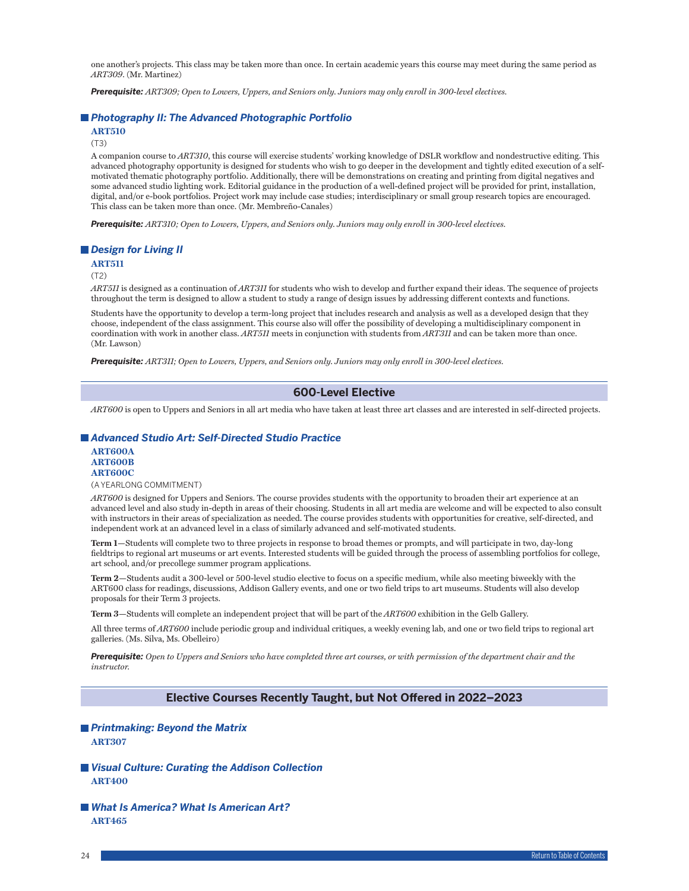one another's projects. This class may be taken more than once. In certain academic years this course may meet during the same period as *ART309*. (Mr. Martinez)

*Prerequisite: ART309; Open to Lowers, Uppers, and Seniors only. Juniors may only enroll in 300-level electives.*

# *Photography II: The Advanced Photographic Portfolio*

**ART510**

(T3)

A companion course to *ART310*, this course will exercise students' working knowledge of DSLR workflow and nondestructive editing. This advanced photography opportunity is designed for students who wish to go deeper in the development and tightly edited execution of a selfmotivated thematic photography portfolio. Additionally, there will be demonstrations on creating and printing from digital negatives and some advanced studio lighting work. Editorial guidance in the production of a well-defined project will be provided for print, installation, digital, and/or e-book portfolios. Project work may include case studies; interdisciplinary or small group research topics are encouraged. This class can be taken more than once. (Mr. Membreño-Canales)

*Prerequisite: ART310; Open to Lowers, Uppers, and Seniors only. Juniors may only enroll in 300-level electives.*

# *Design for Living II*

**ART511**

### (T2)

*ART511* is designed as a continuation of *ART311* for students who wish to develop and further expand their ideas. The sequence of projects throughout the term is designed to allow a student to study a range of design issues by addressing different contexts and functions.

Students have the opportunity to develop a term-long project that includes research and analysis as well as a developed design that they choose, independent of the class assignment. This course also will offer the possibility of developing a multidisciplinary component in coordination with work in another class. *ART511* meets in conjunction with students from *ART311* and can be taken more than once. (Mr. Lawson)

*Prerequisite: ART311; Open to Lowers, Uppers, and Seniors only. Juniors may only enroll in 300-level electives.*

# **600-Level Elective**

*ART600* is open to Uppers and Seniors in all art media who have taken at least three art classes and are interested in self-directed projects.

# *Advanced Studio Art: Self-Directed Studio Practice*

**ART600A ART600B ART600C**

### (A YEARLONG COMMITMENT)

*ART600* is designed for Uppers and Seniors. The course provides students with the opportunity to broaden their art experience at an advanced level and also study in-depth in areas of their choosing. Students in all art media are welcome and will be expected to also consult with instructors in their areas of specialization as needed. The course provides students with opportunities for creative, self-directed, and independent work at an advanced level in a class of similarly advanced and self-motivated students.

**Term 1—**Students will complete two to three projects in response to broad themes or prompts, and will participate in two, day-long fieldtrips to regional art museums or art events. Interested students will be guided through the process of assembling portfolios for college, art school, and/or precollege summer program applications.

**Term 2—**Students audit a 300-level or 500-level studio elective to focus on a specific medium, while also meeting biweekly with the ART600 class for readings, discussions, Addison Gallery events, and one or two field trips to art museums. Students will also develop proposals for their Term 3 projects.

**Term 3—**Students will complete an independent project that will be part of the *ART600* exhibition in the Gelb Gallery.

All three terms of *ART600* include periodic group and individual critiques, a weekly evening lab, and one or two field trips to regional art galleries. (Ms. Silva, Ms. Obelleiro)

*Prerequisite: Open to Uppers and Seniors who have completed three art courses, or with permission of the department chair and the instructor.*

# **Elective Courses Recently Taught, but Not Offered in 2022–2023**

# *Printmaking: Beyond the Matrix* **ART307**

- *Visual Culture: Curating the Addison Collection* **ART400**
- *What Is America? What Is American Art?* **ART465**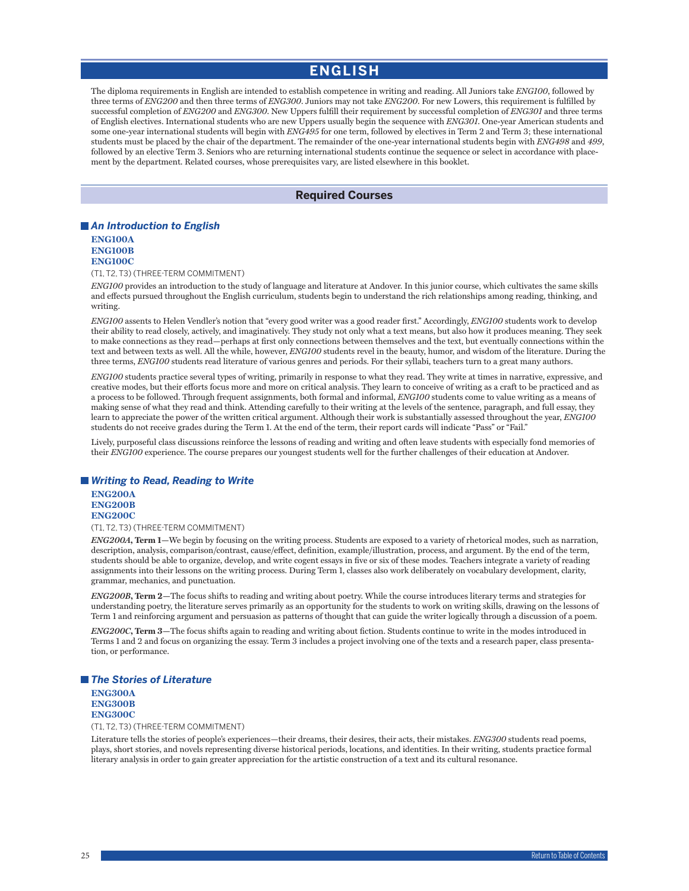# **ENGLISH**

<span id="page-25-0"></span>The diploma requirements in English are intended to establish competence in writing and reading. All Juniors take *ENG100*, followed by three terms of *ENG200* and then three terms of *ENG300*. Juniors may not take *ENG200*. For new Lowers, this requirement is fulfilled by successful completion of *ENG200* and *ENG300*. New Uppers fulfill their requirement by successful completion of *ENG301* and three terms of English electives. International students who are new Uppers usually begin the sequence with *ENG301*. One-year American students and some one-year international students will begin with *ENG495* for one term, followed by electives in Term 2 and Term 3; these international students must be placed by the chair of the department. The remainder of the one-year international students begin with *ENG498* and *499*, followed by an elective Term 3. Seniors who are returning international students continue the sequence or select in accordance with placement by the department. Related courses, whose prerequisites vary, are listed elsewhere in this booklet.

# **Required Courses**

# *An Introduction to English*

**ENG100A ENG100B ENG100C**

(T1, T2, T3) (THREE-TERM COMMITMENT)

*ENG100* provides an introduction to the study of language and literature at Andover. In this junior course, which cultivates the same skills and effects pursued throughout the English curriculum, students begin to understand the rich relationships among reading, thinking, and writing.

*ENG100* assents to Helen Vendler's notion that "every good writer was a good reader first." Accordingly, *ENG100* students work to develop their ability to read closely, actively, and imaginatively. They study not only what a text means, but also how it produces meaning. They seek to make connections as they read—perhaps at first only connections between themselves and the text, but eventually connections within the text and between texts as well. All the while, however, *ENG100* students revel in the beauty, humor, and wisdom of the literature. During the three terms, *ENG100* students read literature of various genres and periods. For their syllabi, teachers turn to a great many authors.

*ENG100* students practice several types of writing, primarily in response to what they read. They write at times in narrative, expressive, and creative modes, but their efforts focus more and more on critical analysis. They learn to conceive of writing as a craft to be practiced and as a process to be followed. Through frequent assignments, both formal and informal, *ENG100* students come to value writing as a means of making sense of what they read and think. Attending carefully to their writing at the levels of the sentence, paragraph, and full essay, they learn to appreciate the power of the written critical argument. Although their work is substantially assessed throughout the year, *ENG100* students do not receive grades during the Term 1. At the end of the term, their report cards will indicate "Pass" or "Fail."

Lively, purposeful class discussions reinforce the lessons of reading and writing and often leave students with especially fond memories of their *ENG100* experience. The course prepares our youngest students well for the further challenges of their education at Andover.

### *Writing to Read, Reading to Write*

**ENG200A ENG200B ENG200C**

(T1, T2, T3) (THREE-TERM COMMITMENT)

*ENG200A***, Term 1—**We begin by focusing on the writing process. Students are exposed to a variety of rhetorical modes, such as narration, description, analysis, comparison/contrast, cause/effect, definition, example/illustration, process, and argument. By the end of the term, students should be able to organize, develop, and write cogent essays in five or six of these modes. Teachers integrate a variety of reading assignments into their lessons on the writing process. During Term 1, classes also work deliberately on vocabulary development, clarity, grammar, mechanics, and punctuation.

*ENG200B***, Term 2—**The focus shifts to reading and writing about poetry. While the course introduces literary terms and strategies for understanding poetry, the literature serves primarily as an opportunity for the students to work on writing skills, drawing on the lessons of Term 1 and reinforcing argument and persuasion as patterns of thought that can guide the writer logically through a discussion of a poem.

*ENG200C***, Term 3—**The focus shifts again to reading and writing about fiction. Students continue to write in the modes introduced in Terms 1 and 2 and focus on organizing the essay. Term 3 includes a project involving one of the texts and a research paper, class presentation, or performance.

### *The Stories of Literature*

**ENG300A ENG300B ENG300C**

(T1, T2, T3) (THREE-TERM COMMITMENT)

Literature tells the stories of people's experiences—their dreams, their desires, their acts, their mistakes. *ENG300* students read poems, plays, short stories, and novels representing diverse historical periods, locations, and identities. In their writing, students practice formal literary analysis in order to gain greater appreciation for the artistic construction of a text and its cultural resonance.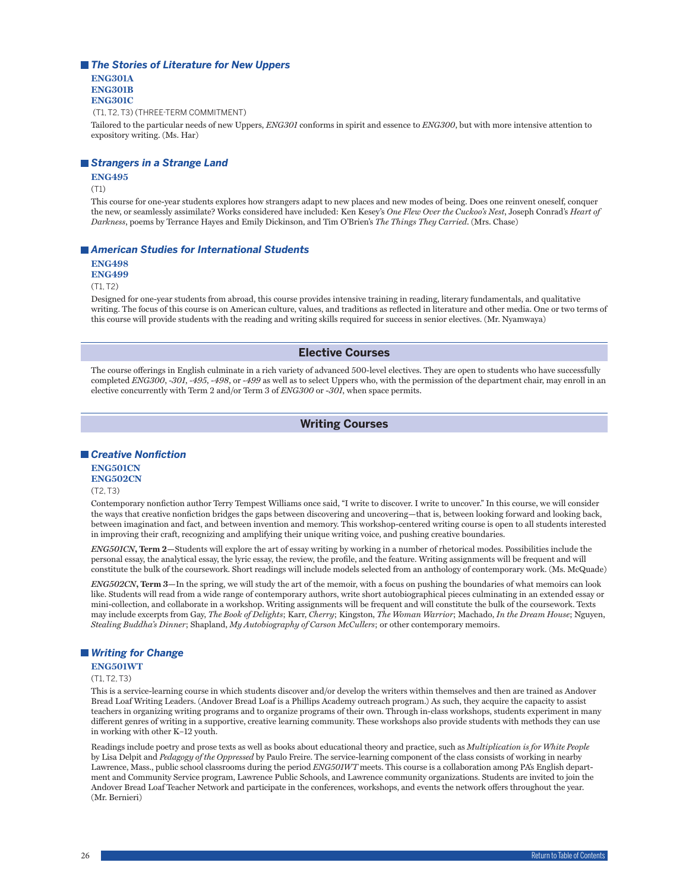### *The Stories of Literature for New Uppers*

**ENG301A ENG301B ENG301C**

(T1, T2, T3) (THREE-TERM COMMITMENT)

Tailored to the particular needs of new Uppers, *ENG301* conforms in spirit and essence to *ENG300*, but with more intensive attention to expository writing. (Ms. Har)

# *Strangers in a Strange Land*

### **ENG495**

(T1)

This course for one-year students explores how strangers adapt to new places and new modes of being. Does one reinvent oneself, conquer the new, or seamlessly assimilate? Works considered have included: Ken Kesey's *One Flew Over the Cuckoo's Nest*, Joseph Conrad's *Heart of Darkness*, poems by Terrance Hayes and Emily Dickinson, and Tim O'Brien's *The Things They Carried*. (Mrs. Chase)

### *American Studies for International Students*

**ENG498**

**ENG499**

(T1, T2)

Designed for one-year students from abroad, this course provides intensive training in reading, literary fundamentals, and qualitative writing. The focus of this course is on American culture, values, and traditions as reflected in literature and other media. One or two terms of this course will provide students with the reading and writing skills required for success in senior electives. (Mr. Nyamwaya)

# **Elective Courses**

The course offerings in English culminate in a rich variety of advanced 500-level electives. They are open to students who have successfully completed *ENG300*, *-301*, *-495*, -*498*, or -*499* as well as to select Uppers who, with the permission of the department chair, may enroll in an elective concurrently with Term 2 and/or Term 3 of *ENG300* or -*301*, when space permits.

# **Writing Courses**

# *Creative Nonfiction*

### **ENG501CN ENG502CN**

(T2, T3)

Contemporary nonfiction author Terry Tempest Williams once said, "I write to discover. I write to uncover." In this course, we will consider the ways that creative nonfiction bridges the gaps between discovering and uncovering—that is, between looking forward and looking back, between imagination and fact, and between invention and memory. This workshop-centered writing course is open to all students interested in improving their craft, recognizing and amplifying their unique writing voice, and pushing creative boundaries.

*ENG501CN***, Term 2—**Students will explore the art of essay writing by working in a number of rhetorical modes. Possibilities include the personal essay, the analytical essay, the lyric essay, the review, the profile, and the feature. Writing assignments will be frequent and will constitute the bulk of the coursework. Short readings will include models selected from an anthology of contemporary work. (Ms. McQuade)

*ENG502CN***, Term 3—**In the spring, we will study the art of the memoir, with a focus on pushing the boundaries of what memoirs can look like. Students will read from a wide range of contemporary authors, write short autobiographical pieces culminating in an extended essay or mini-collection, and collaborate in a workshop. Writing assignments will be frequent and will constitute the bulk of the coursework. Texts may include excerpts from Gay, *The Book of Delights*; Karr, *Cherry*; Kingston, *The Woman Warrior*; Machado, *In the Dream House*; Nguyen, *Stealing Buddha's Dinner*; Shapland, *My Autobiography of Carson McCullers*; or other contemporary memoirs.

# *Writing for Change*

# **ENG501WT**

(T1, T2, T3)

This is a service-learning course in which students discover and/or develop the writers within themselves and then are trained as Andover Bread Loaf Writing Leaders. (Andover Bread Loaf is a Phillips Academy outreach program.) As such, they acquire the capacity to assist teachers in organizing writing programs and to organize programs of their own. Through in-class workshops, students experiment in many different genres of writing in a supportive, creative learning community. These workshops also provide students with methods they can use in working with other K–12 youth.

Readings include poetry and prose texts as well as books about educational theory and practice, such as *Multiplication is for White People* by Lisa Delpit and *Pedagogy of the Oppressed* by Paulo Freire. The service-learning component of the class consists of working in nearby Lawrence, Mass., public school classrooms during the period *ENG501WT* meets. This course is a collaboration among PA's English department and Community Service program, Lawrence Public Schools, and Lawrence community organizations. Students are invited to join the Andover Bread Loaf Teacher Network and participate in the conferences, workshops, and events the network offers throughout the year. (Mr. Bernieri)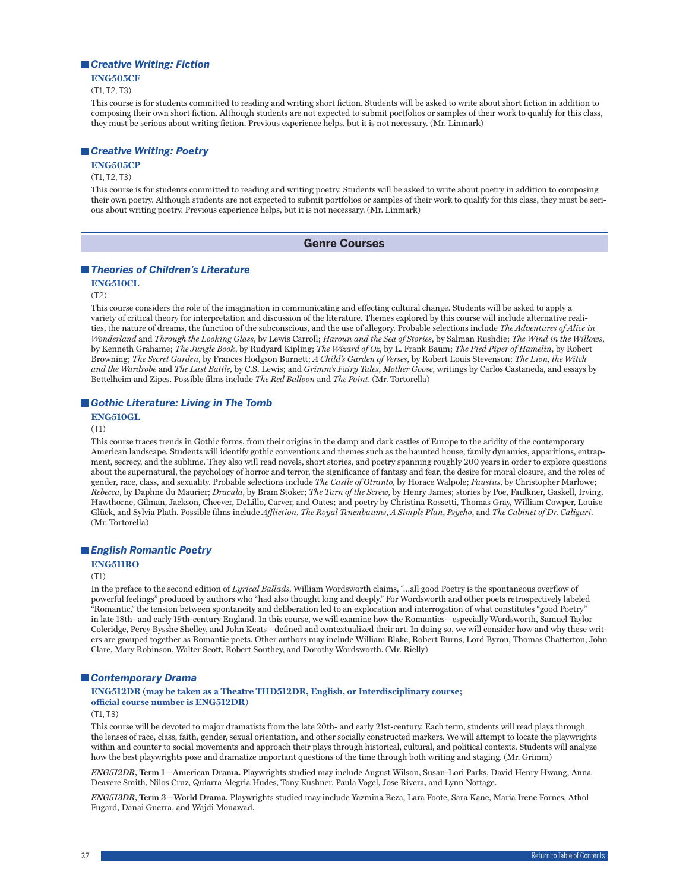# *Creative Writing: Fiction*

**ENG505CF**

(T1, T2, T3)

This course is for students committed to reading and writing short fiction. Students will be asked to write about short fiction in addition to composing their own short fiction. Although students are not expected to submit portfolios or samples of their work to qualify for this class, they must be serious about writing fiction. Previous experience helps, but it is not necessary. (Mr. Linmark)

# *Creative Writing: Poetry*

# **ENG505CP**

### (T1, T2, T3)

This course is for students committed to reading and writing poetry. Students will be asked to write about poetry in addition to composing their own poetry. Although students are not expected to submit portfolios or samples of their work to qualify for this class, they must be serious about writing poetry. Previous experience helps, but it is not necessary. (Mr. Linmark)

### **Genre Courses**

### *Theories of Children's Literature*

# **ENG510CL**

 $(T2)$ 

This course considers the role of the imagination in communicating and effecting cultural change. Students will be asked to apply a variety of critical theory for interpretation and discussion of the literature. Themes explored by this course will include alternative realities, the nature of dreams, the function of the subconscious, and the use of allegory. Probable selections include *The Adventures of Alice in Wonderland* and *Through the Looking Glass*, by Lewis Carroll; *Haroun and the Sea of Stories*, by Salman Rushdie; *The Wind in the Willows*, by Kenneth Grahame; *The Jungle Book*, by Rudyard Kipling; *The Wizard of Oz*, by L. Frank Baum; *The Pied Piper of Hamelin*, by Robert Browning; *The Secret Garden*, by Frances Hodgson Burnett; *A Child's Garden of Verses*, by Robert Louis Stevenson; *The Lion, the Witch and the Wardrobe* and *The Last Battle*, by C.S. Lewis; and *Grimm's Fairy Tales*, *Mother Goose*, writings by Carlos Castaneda, and essays by Bettelheim and Zipes. Possible films include *The Red Balloon* and *The Point*. (Mr. Tortorella)

### ■ Gothic Literature: Living in The Tomb

### **ENG510GL**

(T1)

This course traces trends in Gothic forms, from their origins in the damp and dark castles of Europe to the aridity of the contemporary American landscape. Students will identify gothic conventions and themes such as the haunted house, family dynamics, apparitions, entrapment, secrecy, and the sublime. They also will read novels, short stories, and poetry spanning roughly 200 years in order to explore questions about the supernatural, the psychology of horror and terror, the significance of fantasy and fear, the desire for moral closure, and the roles of gender, race, class, and sexuality. Probable selections include *The Castle of Otranto*, by Horace Walpole; *Faustus*, by Christopher Marlowe; *Rebecca*, by Daphne du Maurier; *Dracula*, by Bram Stoker; *The Turn of the Screw*, by Henry James; stories by Poe, Faulkner, Gaskell, Irving, Hawthorne, Gilman, Jackson, Cheever, DeLillo, Carver, and Oates; and poetry by Christina Rossetti, Thomas Gray, William Cowper, Louise Glück, and Sylvia Plath. Possible films include *Affliction*, *The Royal Tenenbaums*, *A Simple Plan*, *Psycho*, and *The Cabinet of Dr. Caligari*. (Mr. Tortorella)

### *English Romantic Poetry*

### **ENG511RO**

(T1)

In the preface to the second edition of *Lyrical Ballads*, William Wordsworth claims, "…all good Poetry is the spontaneous overflow of powerful feelings" produced by authors who "had also thought long and deeply." For Wordsworth and other poets retrospectively labeled "Romantic," the tension between spontaneity and deliberation led to an exploration and interrogation of what constitutes "good Poetry" in late 18th- and early 19th-century England. In this course, we will examine how the Romantics—especially Wordsworth, Samuel Taylor Coleridge, Percy Bysshe Shelley, and John Keats—defined and contextualized their art. In doing so, we will consider how and why these writers are grouped together as Romantic poets. Other authors may include William Blake, Robert Burns, Lord Byron, Thomas Chatterton, John Clare, Mary Robinson, Walter Scott, Robert Southey, and Dorothy Wordsworth. (Mr. Rielly)

### *Contemporary Drama*

### **ENG512DR (may be taken as a Theatre THD512DR, English, or Interdisciplinary course; official course number is ENG512DR)**

 $(T1, T3)$ 

This course will be devoted to major dramatists from the late 20th- and early 21st-century. Each term, students will read plays through the lenses of race, class, faith, gender, sexual orientation, and other socially constructed markers. We will attempt to locate the playwrights within and counter to social movements and approach their plays through historical, cultural, and political contexts. Students will analyze how the best playwrights pose and dramatize important questions of the time through both writing and staging. (Mr. Grimm)

*ENG512DR***, Term 1—American Drama.** Playwrights studied may include August Wilson, Susan-Lori Parks, David Henry Hwang, Anna Deavere Smith, Nilos Cruz, Quiarra Alegria Hudes, Tony Kushner, Paula Vogel, Jose Rivera, and Lynn Nottage.

*ENG513DR***, Term 3—World Drama.** Playwrights studied may include Yazmina Reza, Lara Foote, Sara Kane, Maria Irene Fornes, Athol Fugard, Danai Guerra, and Wajdi Mouawad.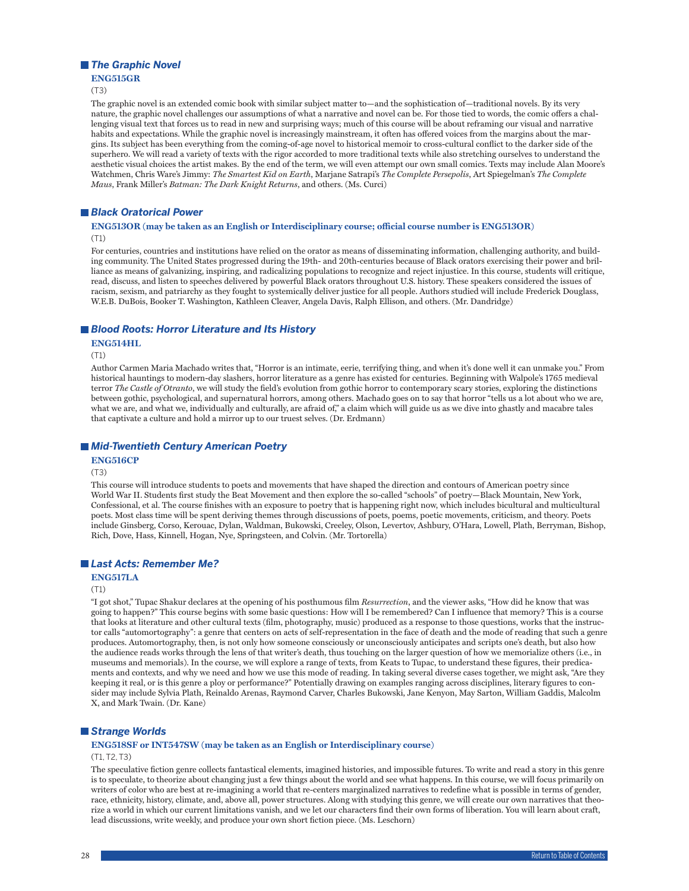### ■ **The Graphic Novel**

### **ENG515GR**

(T3)

The graphic novel is an extended comic book with similar subject matter to—and the sophistication of—traditional novels. By its very nature, the graphic novel challenges our assumptions of what a narrative and novel can be. For those tied to words, the comic offers a challenging visual text that forces us to read in new and surprising ways; much of this course will be about reframing our visual and narrative habits and expectations. While the graphic novel is increasingly mainstream, it often has offered voices from the margins about the margins. Its subject has been everything from the coming-of-age novel to historical memoir to cross-cultural conflict to the darker side of the superhero. We will read a variety of texts with the rigor accorded to more traditional texts while also stretching ourselves to understand the aesthetic visual choices the artist makes. By the end of the term, we will even attempt our own small comics. Texts may include Alan Moore's Watchmen, Chris Ware's Jimmy: *The Smartest Kid on Earth*, Marjane Satrapi's *The Complete Persepolis*, Art Spiegelman's *The Complete Maus*, Frank Miller's *Batman: The Dark Knight Returns*, and others. (Ms. Curci)

# *Black Oratorical Power*

### **ENG513OR (may be taken as an English or Interdisciplinary course; official course number is ENG513OR)** (T1)

For centuries, countries and institutions have relied on the orator as means of disseminating information, challenging authority, and building community. The United States progressed during the 19th- and 20th-centuries because of Black orators exercising their power and brilliance as means of galvanizing, inspiring, and radicalizing populations to recognize and reject injustice. In this course, students will critique, read, discuss, and listen to speeches delivered by powerful Black orators throughout U.S. history. These speakers considered the issues of racism, sexism, and patriarchy as they fought to systemically deliver justice for all people. Authors studied will include Frederick Douglass, W.E.B. DuBois, Booker T. Washington, Kathleen Cleaver, Angela Davis, Ralph Ellison, and others. (Mr. Dandridge)

# *Blood Roots: Horror Literature and Its History*

**ENG514HL**

(T1)

Author Carmen Maria Machado writes that, "Horror is an intimate, eerie, terrifying thing, and when it's done well it can unmake you." From historical hauntings to modern-day slashers, horror literature as a genre has existed for centuries. Beginning with Walpole's 1765 medieval terror *The Castle of Otranto*, we will study the field's evolution from gothic horror to contemporary scary stories, exploring the distinctions between gothic, psychological, and supernatural horrors, among others. Machado goes on to say that horror "tells us a lot about who we are, what we are, and what we, individually and culturally, are afraid of," a claim which will guide us as we dive into ghastly and macabre tales that captivate a culture and hold a mirror up to our truest selves. (Dr. Erdmann)

# *Mid-Twentieth Century American Poetry*

# **ENG516CP**

### (T3)

This course will introduce students to poets and movements that have shaped the direction and contours of American poetry since World War II. Students first study the Beat Movement and then explore the so-called "schools" of poetry—Black Mountain, New York, Confessional, et al. The course finishes with an exposure to poetry that is happening right now, which includes bicultural and multicultural poets. Most class time will be spent deriving themes through discussions of poets, poems, poetic movements, criticism, and theory. Poets include Ginsberg, Corso, Kerouac, Dylan, Waldman, Bukowski, Creeley, Olson, Levertov, Ashbury, O'Hara, Lowell, Plath, Berryman, Bishop, Rich, Dove, Hass, Kinnell, Hogan, Nye, Springsteen, and Colvin. (Mr. Tortorella)

# *Last Acts: Remember Me?*

# **ENG517LA**

### (T1)

"I got shot," Tupac Shakur declares at the opening of his posthumous film *Resurrection*, and the viewer asks, "How did he know that was going to happen?" This course begins with some basic questions: How will I be remembered? Can I influence that memory? This is a course that looks at literature and other cultural texts (film, photography, music) produced as a response to those questions, works that the instructor calls "automortography": a genre that centers on acts of self-representation in the face of death and the mode of reading that such a genre produces. Automortography, then, is not only how someone consciously or unconsciously anticipates and scripts one's death, but also how the audience reads works through the lens of that writer's death, thus touching on the larger question of how we memorialize others (i.e., in museums and memorials). In the course, we will explore a range of texts, from Keats to Tupac, to understand these figures, their predicaments and contexts, and why we need and how we use this mode of reading. In taking several diverse cases together, we might ask, "Are they keeping it real, or is this genre a ploy or performance?" Potentially drawing on examples ranging across disciplines, literary figures to consider may include Sylvia Plath, Reinaldo Arenas, Raymond Carver, Charles Bukowski, Jane Kenyon, May Sarton, William Gaddis, Malcolm X, and Mark Twain. (Dr. Kane)

# *Strange Worlds*

# **ENG518SF or INT547SW (may be taken as an English or Interdisciplinary course)**

# (T1, T2, T3)

The speculative fiction genre collects fantastical elements, imagined histories, and impossible futures. To write and read a story in this genre is to speculate, to theorize about changing just a few things about the world and see what happens. In this course, we will focus primarily on writers of color who are best at re-imagining a world that re-centers marginalized narratives to redefine what is possible in terms of gender, race, ethnicity, history, climate, and, above all, power structures. Along with studying this genre, we will create our own narratives that theorize a world in which our current limitations vanish, and we let our characters find their own forms of liberation. You will learn about craft, lead discussions, write weekly, and produce your own short fiction piece. (Ms. Leschorn)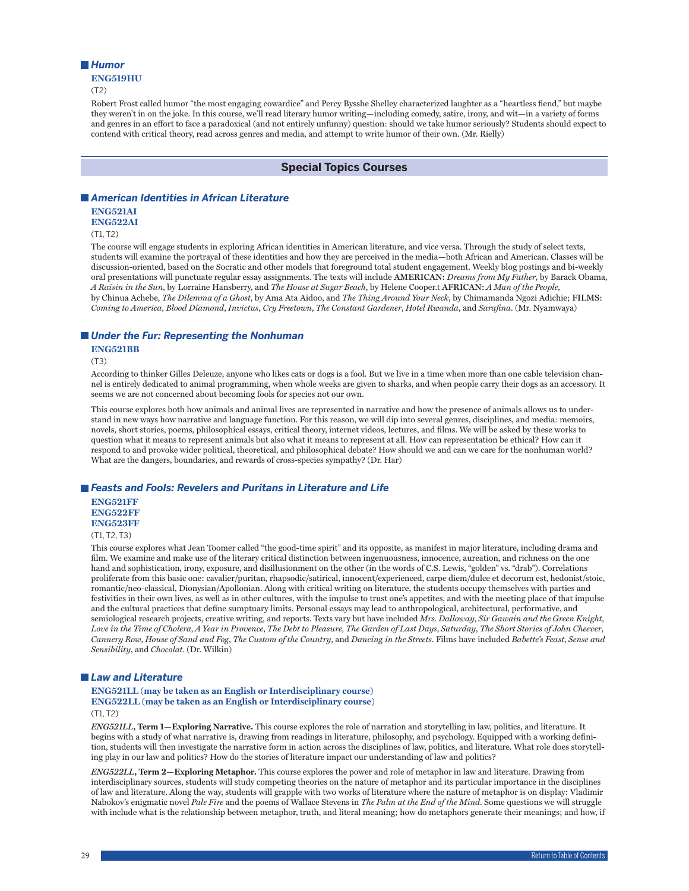### *Humor*

# **ENG519HU**

(T2)

Robert Frost called humor "the most engaging cowardice" and Percy Bysshe Shelley characterized laughter as a "heartless fiend," but maybe they weren't in on the joke. In this course, we'll read literary humor writing—including comedy, satire, irony, and wit—in a variety of forms and genres in an effort to face a paradoxical (and not entirely unfunny) question: should we take humor seriously? Students should expect to contend with critical theory, read across genres and media, and attempt to write humor of their own. (Mr. Rielly)

# **Special Topics Courses**

# *American Identities in African Literature*

# **ENG521AI**

**ENG522AI**

(T1, T2)

The course will engage students in exploring African identities in American literature, and vice versa. Through the study of select texts, students will examine the portrayal of these identities and how they are perceived in the media—both African and American. Classes will be discussion-oriented, based on the Socratic and other models that foreground total student engagement. Weekly blog postings and bi-weekly oral presentations will punctuate regular essay assignments. The texts will include **AMERICAN:** *Dreams from My Father*, by Barack Obama, *A Raisin in the Sun*, by Lorraine Hansberry, and *The House at Sugar Beach*, by Helene Cooper.t **AFRICAN:** *A Man of the People*, by Chinua Achebe, *The Dilemma of a Ghost*, by Ama Ata Aidoo, and *The Thing Around Your Neck*, by Chimamanda Ngozi Adichie; **FILMS:** *Coming to America*, *Blood Diamond*, *Invictus*, *Cry Freetown*, *The Constant Gardener*, *Hotel Rwanda*, and *Sarafina*. (Mr. Nyamwaya)

### *Under the Fur: Representing the Nonhuman*

**ENG521BB**

(T3)

According to thinker Gilles Deleuze, anyone who likes cats or dogs is a fool. But we live in a time when more than one cable television channel is entirely dedicated to animal programming, when whole weeks are given to sharks, and when people carry their dogs as an accessory. It seems we are not concerned about becoming fools for species not our own.

This course explores both how animals and animal lives are represented in narrative and how the presence of animals allows us to understand in new ways how narrative and language function. For this reason, we will dip into several genres, disciplines, and media: memoirs, novels, short stories, poems, philosophical essays, critical theory, internet videos, lectures, and films. We will be asked by these works to question what it means to represent animals but also what it means to represent at all. How can representation be ethical? How can it respond to and provoke wider political, theoretical, and philosophical debate? How should we and can we care for the nonhuman world? What are the dangers, boundaries, and rewards of cross-species sympathy? (Dr. Har)

# *Feasts and Fools: Revelers and Puritans in Literature and Life* **ENG521FF**

# **ENG522FF ENG523FF**

(T1, T2, T3)

This course explores what Jean Toomer called "the good-time spirit" and its opposite, as manifest in major literature, including drama and film. We examine and make use of the literary critical distinction between ingenuousness, innocence, aureation, and richness on the one hand and sophistication, irony, exposure, and disillusionment on the other (in the words of C.S. Lewis, "golden" vs. "drab"). Correlations proliferate from this basic one: cavalier/puritan, rhapsodic/satirical, innocent/experienced, carpe diem/dulce et decorum est, hedonist/stoic, romantic/neo-classical, Dionysian/Apollonian. Along with critical writing on literature, the students occupy themselves with parties and festivities in their own lives, as well as in other cultures, with the impulse to trust one's appetites, and with the meeting place of that impulse and the cultural practices that define sumptuary limits. Personal essays may lead to anthropological, architectural, performative, and semiological research projects, creative writing, and reports. Texts vary but have included *Mrs. Dalloway*, *Sir Gawain and the Green Knight*, *Love in the Time of Cholera*, *A Year in Provence*, *The Debt to Pleasure, The Garden of Last Days*, *Saturday*, *The Short Stories of John Cheever*, *Cannery Row*, *House of Sand and Fog*, *The Custom of the Country*, and *Dancing in the Streets*. Films have included *Babette's Feast*, *Sense and Sensibility*, and *Chocolat*. (Dr. Wilkin)

# *Law and Literature*

### **ENG521LL (may be taken as an English or Interdisciplinary course) ENG522LL (may be taken as an English or Interdisciplinary course)** (T1, T2)

*ENG521LL***, Term 1—Exploring Narrative.** This course explores the role of narration and storytelling in law, politics, and literature. It begins with a study of what narrative is, drawing from readings in literature, philosophy, and psychology. Equipped with a working definition, students will then investigate the narrative form in action across the disciplines of law, politics, and literature. What role does storytelling play in our law and politics? How do the stories of literature impact our understanding of law and politics?

*ENG522LL***, Term 2—Exploring Metaphor.** This course explores the power and role of metaphor in law and literature. Drawing from interdisciplinary sources, students will study competing theories on the nature of metaphor and its particular importance in the disciplines of law and literature. Along the way, students will grapple with two works of literature where the nature of metaphor is on display: Vladimir Nabokov's enigmatic novel *Pale Fire* and the poems of Wallace Stevens in *The Palm at the End of the Mind*. Some questions we will struggle with include what is the relationship between metaphor, truth, and literal meaning; how do metaphors generate their meanings; and how, if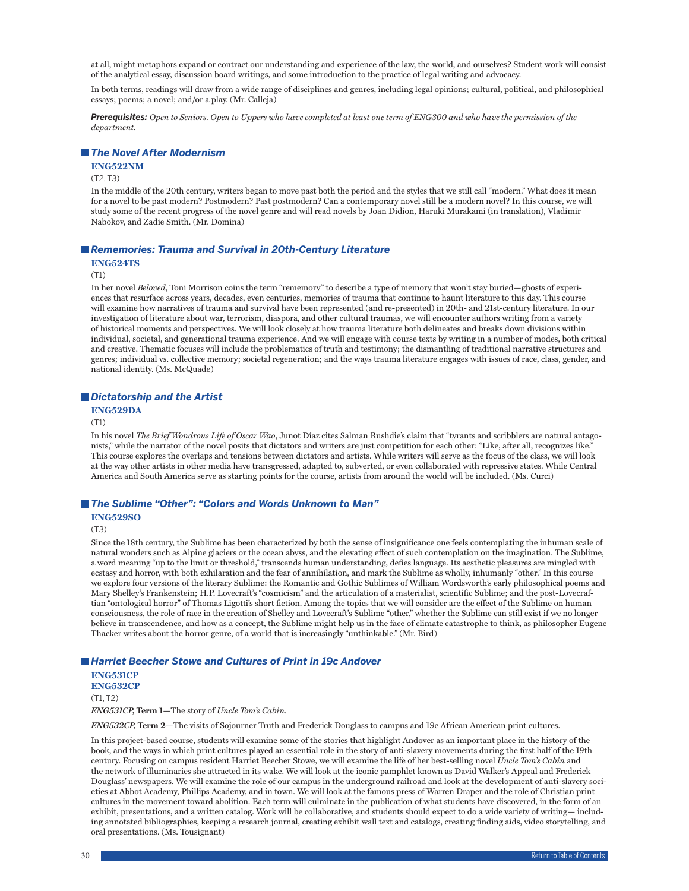at all, might metaphors expand or contract our understanding and experience of the law, the world, and ourselves? Student work will consist of the analytical essay, discussion board writings, and some introduction to the practice of legal writing and advocacy.

In both terms, readings will draw from a wide range of disciplines and genres, including legal opinions; cultural, political, and philosophical essays; poems; a novel; and/or a play. (Mr. Calleja)

*Prerequisites: Open to Seniors. Open to Uppers who have completed at least one term of ENG300 and who have the permission of the department.*

# *The Novel After Modernism*

### **ENG522NM**

### $(T2, T3)$

In the middle of the 20th century, writers began to move past both the period and the styles that we still call "modern." What does it mean for a novel to be past modern? Postmodern? Past postmodern? Can a contemporary novel still be a modern novel? In this course, we will study some of the recent progress of the novel genre and will read novels by Joan Didion, Haruki Murakami (in translation), Vladimir Nabokov, and Zadie Smith. (Mr. Domina)

### *Rememories: Trauma and Survival in 20th-Century Literature*

### **ENG524TS**

#### (T1)

In her novel *Beloved*, Toni Morrison coins the term "rememory" to describe a type of memory that won't stay buried—ghosts of experiences that resurface across years, decades, even centuries, memories of trauma that continue to haunt literature to this day. This course will examine how narratives of trauma and survival have been represented (and re-presented) in 20th- and 21st-century literature. In our investigation of literature about war, terrorism, diaspora, and other cultural traumas, we will encounter authors writing from a variety of historical moments and perspectives. We will look closely at how trauma literature both delineates and breaks down divisions within individual, societal, and generational trauma experience. And we will engage with course texts by writing in a number of modes, both critical and creative. Thematic focuses will include the problematics of truth and testimony; the dismantling of traditional narrative structures and genres; individual vs. collective memory; societal regeneration; and the ways trauma literature engages with issues of race, class, gender, and national identity. (Ms. McQuade)

### *Dictatorship and the Artist*

### **ENG529DA**

#### (T1)

In his novel *The Brief Wondrous Life of Oscar Wao*, Junot Díaz cites Salman Rushdie's claim that "tyrants and scribblers are natural antagonists," while the narrator of the novel posits that dictators and writers are just competition for each other: "Like, after all, recognizes like." This course explores the overlaps and tensions between dictators and artists. While writers will serve as the focus of the class, we will look at the way other artists in other media have transgressed, adapted to, subverted, or even collaborated with repressive states. While Central America and South America serve as starting points for the course, artists from around the world will be included. (Ms. Curci)

### *The Sublime "Other": "Colors and Words Unknown to Man"*

# **ENG529SO**

(T3)

Since the 18th century, the Sublime has been characterized by both the sense of insignificance one feels contemplating the inhuman scale of natural wonders such as Alpine glaciers or the ocean abyss, and the elevating effect of such contemplation on the imagination. The Sublime, a word meaning "up to the limit or threshold," transcends human understanding, defies language. Its aesthetic pleasures are mingled with ecstasy and horror, with both exhilaration and the fear of annihilation, and mark the Sublime as wholly, inhumanly "other." In this course we explore four versions of the literary Sublime: the Romantic and Gothic Sublimes of William Wordsworth's early philosophical poems and Mary Shelley's Frankenstein; H.P. Lovecraft's "cosmicism" and the articulation of a materialist, scientific Sublime; and the post-Lovecraftian "ontological horror" of Thomas Ligotti's short fiction. Among the topics that we will consider are the effect of the Sublime on human consciousness, the role of race in the creation of Shelley and Lovecraft's Sublime "other," whether the Sublime can still exist if we no longer believe in transcendence, and how as a concept, the Sublime might help us in the face of climate catastrophe to think, as philosopher Eugene Thacker writes about the horror genre, of a world that is increasingly "unthinkable." (Mr. Bird)

# *Harriet Beecher Stowe and Cultures of Print in 19c Andover*

**ENG531CP ENG532CP**

 $(T1, T2)$ 

*ENG531CP,* **Term 1—**The story of *Uncle Tom's Cabin.*

*ENG532CP,* **Term 2—**The visits of Sojourner Truth and Frederick Douglass to campus and 19c African American print cultures.

In this project-based course, students will examine some of the stories that highlight Andover as an important place in the history of the book, and the ways in which print cultures played an essential role in the story of anti-slavery movements during the first half of the 19th century. Focusing on campus resident Harriet Beecher Stowe, we will examine the life of her best-selling novel *Uncle Tom's Cabin* and the network of illuminaries she attracted in its wake. We will look at the iconic pamphlet known as David Walker's Appeal and Frederick Douglass' newspapers. We will examine the role of our campus in the underground railroad and look at the development of anti-slavery societies at Abbot Academy, Phillips Academy, and in town. We will look at the famous press of Warren Draper and the role of Christian print cultures in the movement toward abolition. Each term will culminate in the publication of what students have discovered, in the form of an exhibit, presentations, and a written catalog. Work will be collaborative, and students should expect to do a wide variety of writing— including annotated bibliographies, keeping a research journal, creating exhibit wall text and catalogs, creating finding aids, video storytelling, and oral presentations. (Ms. Tousignant)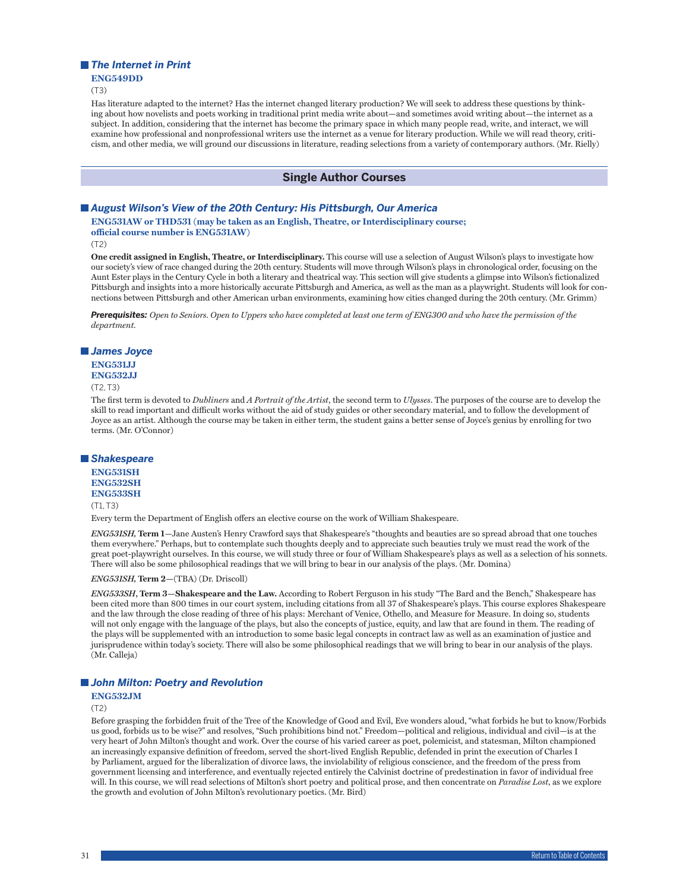### *The Internet in Print*

### **ENG549DD**

(T3)

Has literature adapted to the internet? Has the internet changed literary production? We will seek to address these questions by thinking about how novelists and poets working in traditional print media write about—and sometimes avoid writing about—the internet as a subject. In addition, considering that the internet has become the primary space in which many people read, write, and interact, we will examine how professional and nonprofessional writers use the internet as a venue for literary production. While we will read theory, criticism, and other media, we will ground our discussions in literature, reading selections from a variety of contemporary authors. (Mr. Rielly)

# **Single Author Courses**

# *August Wilson's View of the 20th Century: His Pittsburgh, Our America*

**ENG531AW or THD531 (may be taken as an English, Theatre, or Interdisciplinary course; official course number is ENG531AW)**

(T2)

**One credit assigned in English, Theatre, or Interdisciplinary.** This course will use a selection of August Wilson's plays to investigate how our society's view of race changed during the 20th century. Students will move through Wilson's plays in chronological order, focusing on the Aunt Ester plays in the Century Cycle in both a literary and theatrical way. This section will give students a glimpse into Wilson's fictionalized Pittsburgh and insights into a more historically accurate Pittsburgh and America, as well as the man as a playwright. Students will look for connections between Pittsburgh and other American urban environments, examining how cities changed during the 20th century. (Mr. Grimm)

*Prerequisites: Open to Seniors. Open to Uppers who have completed at least one term of ENG300 and who have the permission of the department.*

# *James Joyce*

### **ENG531JJ ENG532JJ**

### $(T2, T3)$

The first term is devoted to *Dubliners* and *A Portrait of the Artist*, the second term to *Ulysses*. The purposes of the course are to develop the skill to read important and difficult works without the aid of study guides or other secondary material, and to follow the development of Joyce as an artist. Although the course may be taken in either term, the student gains a better sense of Joyce's genius by enrolling for two terms. (Mr. O'Connor)

### *Shakespeare*

### **ENG531SH ENG532SH ENG533SH**  $(T1, T3)$

Every term the Department of English offers an elective course on the work of William Shakespeare.

*ENG531SH,* **Term 1***—*Jane Austen's Henry Crawford says that Shakespeare's "thoughts and beauties are so spread abroad that one touches them everywhere." Perhaps, but to contemplate such thoughts deeply and to appreciate such beauties truly we must read the work of the great poet-playwright ourselves. In this course, we will study three or four of William Shakespeare's plays as well as a selection of his sonnets. There will also be some philosophical readings that we will bring to bear in our analysis of the plays. (Mr. Domina)

#### *ENG531SH,* **Term 2—**(TBA) (Dr. Driscoll)

*ENG533SH***, Term 3—Shakespeare and the Law.** According to Robert Ferguson in his study "The Bard and the Bench," Shakespeare has been cited more than 800 times in our court system, including citations from all 37 of Shakespeare's plays. This course explores Shakespeare and the law through the close reading of three of his plays: Merchant of Venice, Othello, and Measure for Measure. In doing so, students will not only engage with the language of the plays, but also the concepts of justice, equity, and law that are found in them. The reading of the plays will be supplemented with an introduction to some basic legal concepts in contract law as well as an examination of justice and jurisprudence within today's society. There will also be some philosophical readings that we will bring to bear in our analysis of the plays. (Mr. Calleja)

### *John Milton: Poetry and Revolution*

### **ENG532JM**

(T2)

Before grasping the forbidden fruit of the Tree of the Knowledge of Good and Evil, Eve wonders aloud, "what forbids he but to know/Forbids us good, forbids us to be wise?" and resolves, "Such prohibitions bind not." Freedom—political and religious, individual and civil—is at the very heart of John Milton's thought and work. Over the course of his varied career as poet, polemicist, and statesman, Milton championed an increasingly expansive definition of freedom, served the short-lived English Republic, defended in print the execution of Charles I by Parliament, argued for the liberalization of divorce laws, the inviolability of religious conscience, and the freedom of the press from government licensing and interference, and eventually rejected entirely the Calvinist doctrine of predestination in favor of individual free will. In this course, we will read selections of Milton's short poetry and political prose, and then concentrate on *Paradise Lost*, as we explore the growth and evolution of John Milton's revolutionary poetics. (Mr. Bird)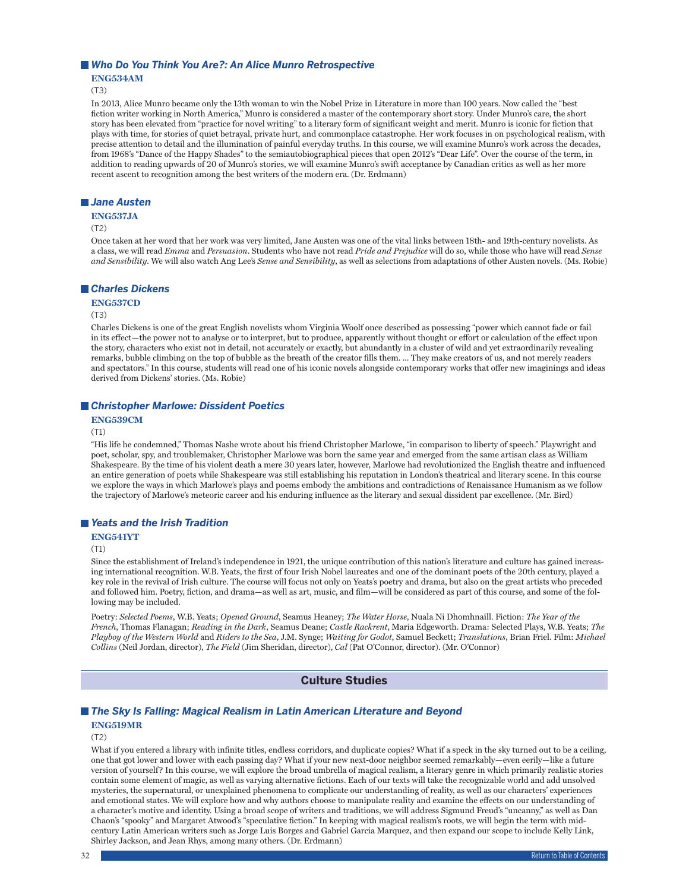### ■ Who Do You Think You Are?: An Alice Munro Retrospective

**ENG534AM**

(T3)

In 2013, Alice Munro became only the 13th woman to win the Nobel Prize in Literature in more than 100 years. Now called the "best fiction writer working in North America," Munro is considered a master of the contemporary short story. Under Munro's care, the short story has been elevated from "practice for novel writing" to a literary form of significant weight and merit. Munro is iconic for fiction that plays with time, for stories of quiet betrayal, private hurt, and commonplace catastrophe. Her work focuses in on psychological realism, with precise attention to detail and the illumination of painful everyday truths. In this course, we will examine Munro's work across the decades, from 1968's "Dance of the Happy Shades" to the semiautobiographical pieces that open 2012's "Dear Life". Over the course of the term, in addition to reading upwards of 20 of Munro's stories, we will examine Munro's swift acceptance by Canadian critics as well as her more recent ascent to recognition among the best writers of the modern era. (Dr. Erdmann)

## *Jane Austen*

### **ENG537JA**

(T2)

Once taken at her word that her work was very limited, Jane Austen was one of the vital links between 18th- and 19th-century novelists. As a class, we will read *Emma* and *Persuasion*. Students who have not read *Pride and Prejudice* will do so, while those who have will read *Sense and Sensibility*. We will also watch Ang Lee's *Sense and Sensibility*, as well as selections from adaptations of other Austen novels. (Ms. Robie)

# *Charles Dickens*

# **ENG537CD**

(T3)

Charles Dickens is one of the great English novelists whom Virginia Woolf once described as possessing "power which cannot fade or fail in its effect—the power not to analyse or to interpret, but to produce, apparently without thought or effort or calculation of the effect upon the story, characters who exist not in detail, not accurately or exactly, but abundantly in a cluster of wild and yet extraordinarily revealing remarks, bubble climbing on the top of bubble as the breath of the creator fills them. ... They make creators of us, and not merely readers and spectators." In this course, students will read one of his iconic novels alongside contemporary works that offer new imaginings and ideas derived from Dickens' stories. (Ms. Robie)

# *Christopher Marlowe: Dissident Poetics*

**ENG539CM**

 $(T1)$ 

"His life he condemned," Thomas Nashe wrote about his friend Christopher Marlowe, "in comparison to liberty of speech." Playwright and poet, scholar, spy, and troublemaker, Christopher Marlowe was born the same year and emerged from the same artisan class as William Shakespeare. By the time of his violent death a mere 30 years later, however, Marlowe had revolutionized the English theatre and influenced an entire generation of poets while Shakespeare was still establishing his reputation in London's theatrical and literary scene. In this course we explore the ways in which Marlowe's plays and poems embody the ambitions and contradictions of Renaissance Humanism as we follow the trajectory of Marlowe's meteoric career and his enduring influence as the literary and sexual dissident par excellence. (Mr. Bird)

# *Yeats and the Irish Tradition*

**ENG541YT**

(T1)

Since the establishment of Ireland's independence in 1921, the unique contribution of this nation's literature and culture has gained increasing international recognition. W.B. Yeats, the first of four Irish Nobel laureates and one of the dominant poets of the 20th century, played a key role in the revival of Irish culture. The course will focus not only on Yeats's poetry and drama, but also on the great artists who preceded and followed him. Poetry, fiction, and drama—as well as art, music, and film—will be considered as part of this course, and some of the following may be included.

Poetry: *Selected Poems*, W.B. Yeats; *Opened Ground*, Seamus Heaney; *The Water Horse*, Nuala Ni Dhomhnaill. Fiction: *The Year of the French*, Thomas Flanagan; *Reading in the Dark*, Seamus Deane; *Castle Rackrent*, Maria Edgeworth. Drama: Selected Plays, W.B. Yeats; *The Playboy of the Western World* and *Riders to the Sea*, J.M. Synge; *Waiting for Godot*, Samuel Beckett; *Translations*, Brian Friel. Film: *Michael Collins* (Neil Jordan, director), *The Field* (Jim Sheridan, director), *Cal* (Pat O'Connor, director). (Mr. O'Connor)

# **Culture Studies**

# *The Sky Is Falling: Magical Realism in Latin American Literature and Beyond*

# **ENG519MR**

(T2)

What if you entered a library with infinite titles, endless corridors, and duplicate copies? What if a speck in the sky turned out to be a ceiling, one that got lower and lower with each passing day? What if your new next-door neighbor seemed remarkably—even eerily—like a future version of yourself? In this course, we will explore the broad umbrella of magical realism, a literary genre in which primarily realistic stories contain some element of magic, as well as varying alternative fictions. Each of our texts will take the recognizable world and add unsolved mysteries, the supernatural, or unexplained phenomena to complicate our understanding of reality, as well as our characters' experiences and emotional states. We will explore how and why authors choose to manipulate reality and examine the effects on our understanding of a character's motive and identity. Using a broad scope of writers and traditions, we will address Sigmund Freud's "uncanny," as well as Dan Chaon's "spooky" and Margaret Atwood's "speculative fiction." In keeping with magical realism's roots, we will begin the term with midcentury Latin American writers such as Jorge Luis Borges and Gabriel Garcia Marquez, and then expand our scope to include Kelly Link, Shirley Jackson, and Jean Rhys, among many others. (Dr. Erdmann)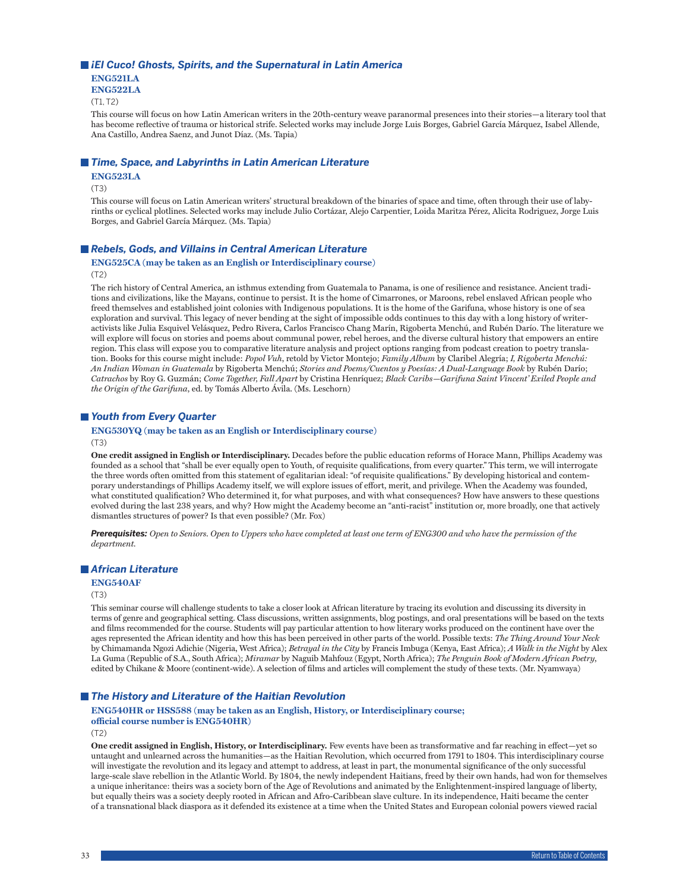# ■ *iEl Cuco! Ghosts, Spirits, and the Supernatural in Latin America*

**ENG521LA**

**ENG522LA**

 $(T1, T2)$ 

This course will focus on how Latin American writers in the 20th-century weave paranormal presences into their stories—a literary tool that has become reflective of trauma or historical strife. Selected works may include Jorge Luis Borges, Gabriel García Márquez, Isabel Allende, Ana Castillo, Andrea Saenz, and Junot Díaz. (Ms. Tapia)

### ■ *Time, Space, and Labyrinths in Latin American Literature*

# **ENG523LA**

(T3)

This course will focus on Latin American writers' structural breakdown of the binaries of space and time, often through their use of labyrinths or cyclical plotlines. Selected works may include Julio Cortázar, Alejo Carpentier, Loida Maritza Pérez, Alicita Rodriguez, Jorge Luis Borges, and Gabriel García Márquez. (Ms. Tapia)

### ■ Rebels, Gods, and Villains in Central American Literature

### **ENG525CA (may be taken as an English or Interdisciplinary course)** (T2)

The rich history of Central America, an isthmus extending from Guatemala to Panama, is one of resilience and resistance. Ancient traditions and civilizations, like the Mayans, continue to persist. It is the home of Cimarrones, or Maroons, rebel enslaved African people who freed themselves and established joint colonies with Indigenous populations. It is the home of the Garifuna, whose history is one of sea exploration and survival. This legacy of never bending at the sight of impossible odds continues to this day with a long history of writeractivists like Julia Esquivel Velásquez, Pedro Rivera, Carlos Francisco Chang Marín, Rigoberta Menchú, and Rubén Darío. The literature we will explore will focus on stories and poems about communal power, rebel heroes, and the diverse cultural history that empowers an entire region. This class will expose you to comparative literature analysis and project options ranging from podcast creation to poetry translation. Books for this course might include: *Popol Vuh*, retold by Victor Montejo; *Family Album* by Claribel Alegría; *I, Rigoberta Menchú: An Indian Woman in Guatemala* by Rigoberta Menchú; *Stories and Poems/Cuentos y Poesías: A Dual-Language Book* by Rubén Darío; *Catrachos* by Roy G. Guzmán; *Come Together, Fall Apart* by Cristina Henríquez; *Black Caribs—Garifuna Saint Vincent' Exiled People and the Origin of the Garifuna*, ed. by Tomás Alberto Ávila. (Ms. Leschorn)

# *Youth from Every Quarter*

# **ENG530YQ (may be taken as an English or Interdisciplinary course)**

(T3)

**One credit assigned in English or Interdisciplinary.** Decades before the public education reforms of Horace Mann, Phillips Academy was founded as a school that "shall be ever equally open to Youth, of requisite qualifications, from every quarter." This term, we will interrogate the three words often omitted from this statement of egalitarian ideal: "of requisite qualifications." By developing historical and contemporary understandings of Phillips Academy itself, we will explore issues of effort, merit, and privilege. When the Academy was founded, what constituted qualification? Who determined it, for what purposes, and with what consequences? How have answers to these questions evolved during the last 238 years, and why? How might the Academy become an "anti-racist" institution or, more broadly, one that actively dismantles structures of power? Is that even possible? (Mr. Fox)

*Prerequisites: Open to Seniors. Open to Uppers who have completed at least one term of ENG300 and who have the permission of the department.*

# *African Literature*

### **ENG540AF**

(T3)

This seminar course will challenge students to take a closer look at African literature by tracing its evolution and discussing its diversity in terms of genre and geographical setting. Class discussions, written assignments, blog postings, and oral presentations will be based on the texts and films recommended for the course. Students will pay particular attention to how literary works produced on the continent have over the ages represented the African identity and how this has been perceived in other parts of the world. Possible texts: *The Thing Around Your Neck* by Chimamanda Ngozi Adichie (Nigeria, West Africa); *Betrayal in the City* by Francis Imbuga (Kenya, East Africa); *A Walk in the Night* by Alex La Guma (Republic of S.A., South Africa); *Miramar* by Naguib Mahfouz (Egypt, North Africa); *The Penguin Book of Modern African Poetry*, edited by Chikane & Moore (continent-wide). A selection of films and articles will complement the study of these texts. (Mr. Nyamwaya)

### ■ The History and Literature of the Haitian Revolution

# **ENG540HR or HSS588 (may be taken as an English, History, or Interdisciplinary course; official course number is ENG540HR)**

(T2)

**One credit assigned in English, History, or Interdisciplinary.** Few events have been as transformative and far reaching in effect—yet so untaught and unlearned across the humanities—as the Haitian Revolution, which occurred from 1791 to 1804. This interdisciplinary course will investigate the revolution and its legacy and attempt to address, at least in part, the monumental significance of the only successful large-scale slave rebellion in the Atlantic World. By 1804, the newly independent Haitians, freed by their own hands, had won for themselves a unique inheritance: theirs was a society born of the Age of Revolutions and animated by the Enlightenment-inspired language of liberty, but equally theirs was a society deeply rooted in African and Afro-Caribbean slave culture. In its independence, Haiti became the center of a transnational black diaspora as it defended its existence at a time when the United States and European colonial powers viewed racial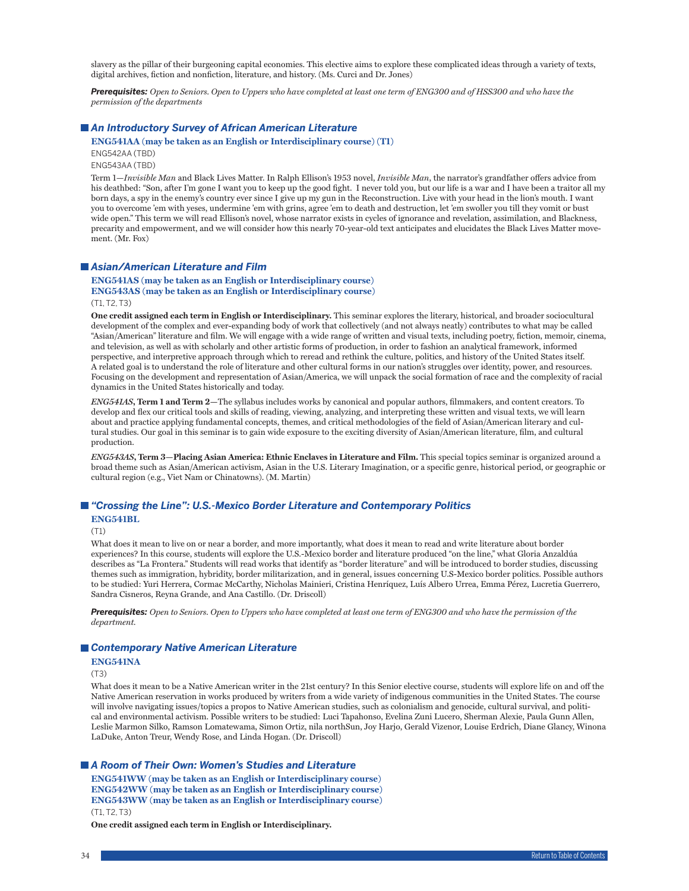slavery as the pillar of their burgeoning capital economies. This elective aims to explore these complicated ideas through a variety of texts, digital archives, fiction and nonfiction, literature, and history. (Ms. Curci and Dr. Jones)

*Prerequisites: Open to Seniors. Open to Uppers who have completed at least one term of ENG300 and of HSS300 and who have the permission of the departments*

# *An Introductory Survey of African American Literature*

**ENG541AA (may be taken as an English or Interdisciplinary course) (T1)**

ENG542AA (TBD)

ENG543AA (TBD)

Term 1—*Invisible Man* and Black Lives Matter. In Ralph Ellison's 1953 novel, *Invisible Man*, the narrator's grandfather offers advice from his deathbed: "Son, after I'm gone I want you to keep up the good fight. I never told you, but our life is a war and I have been a traitor all my born days, a spy in the enemy's country ever since I give up my gun in the Reconstruction. Live with your head in the lion's mouth. I want you to overcome 'em with yeses, undermine 'em with grins, agree 'em to death and destruction, let 'em swoller you till they vomit or bust wide open." This term we will read Ellison's novel, whose narrator exists in cycles of ignorance and revelation, assimilation, and Blackness, precarity and empowerment, and we will consider how this nearly 70-year-old text anticipates and elucidates the Black Lives Matter movement. (Mr. Fox)

# *Asian/American Literature and Film*

**ENG541AS (may be taken as an English or Interdisciplinary course) ENG543AS (may be taken as an English or Interdisciplinary course)** (T1, T2, T3)

**One credit assigned each term in English or Interdisciplinary.** This seminar explores the literary, historical, and broader sociocultural development of the complex and ever-expanding body of work that collectively (and not always neatly) contributes to what may be called "Asian/American" literature and film. We will engage with a wide range of written and visual texts, including poetry, fiction, memoir, cinema, and television, as well as with scholarly and other artistic forms of production, in order to fashion an analytical framework, informed perspective, and interpretive approach through which to reread and rethink the culture, politics, and history of the United States itself. A related goal is to understand the role of literature and other cultural forms in our nation's struggles over identity, power, and resources. Focusing on the development and representation of Asian/America, we will unpack the social formation of race and the complexity of racial dynamics in the United States historically and today.

*ENG541AS***, Term 1 and Term 2—**The syllabus includes works by canonical and popular authors, filmmakers, and content creators. To develop and flex our critical tools and skills of reading, viewing, analyzing, and interpreting these written and visual texts, we will learn about and practice applying fundamental concepts, themes, and critical methodologies of the field of Asian/American literary and cultural studies. Our goal in this seminar is to gain wide exposure to the exciting diversity of Asian/American literature, film, and cultural production.

*ENG543AS***, Term 3—Placing Asian America: Ethnic Enclaves in Literature and Film.** This special topics seminar is organized around a broad theme such as Asian/American activism, Asian in the U.S. Literary Imagination, or a specific genre, historical period, or geographic or cultural region (e.g., Viet Nam or Chinatowns). (M. Martin)

# *"Crossing the Line": U.S.-Mexico Border Literature and Contemporary Politics* **ENG541BL**

(T1)

What does it mean to live on or near a border, and more importantly, what does it mean to read and write literature about border experiences? In this course, students will explore the U.S.-Mexico border and literature produced "on the line," what Gloria Anzaldúa describes as "La Frontera." Students will read works that identify as "border literature" and will be introduced to border studies, discussing themes such as immigration, hybridity, border militarization, and in general, issues concerning U.S-Mexico border politics. Possible authors to be studied: Yuri Herrera, Cormac McCarthy, Nicholas Mainieri, Cristina Henríquez, Luís Albero Urrea, Emma Pérez, Lucretia Guerrero, Sandra Cisneros, Reyna Grande, and Ana Castillo. (Dr. Driscoll)

*Prerequisites: Open to Seniors. Open to Uppers who have completed at least one term of ENG300 and who have the permission of the department.*

# *Contemporary Native American Literature*

### **ENG541NA**

(T3)

What does it mean to be a Native American writer in the 21st century? In this Senior elective course, students will explore life on and off the Native American reservation in works produced by writers from a wide variety of indigenous communities in the United States. The course will involve navigating issues/topics a propos to Native American studies, such as colonialism and genocide, cultural survival, and political and environmental activism. Possible writers to be studied: Luci Tapahonso, Evelina Zuni Lucero, Sherman Alexie, Paula Gunn Allen, Leslie Marmon Silko, Ramson Lomatewama, Simon Ortiz, nila northSun, Joy Harjo, Gerald Vizenor, Louise Erdrich, Diane Glancy, Winona LaDuke, Anton Treur, Wendy Rose, and Linda Hogan. (Dr. Driscoll)

### *A Room of Their Own: Women's Studies and Literature*

**ENG541WW (may be taken as an English or Interdisciplinary course) ENG542WW (may be taken as an English or Interdisciplinary course) ENG543WW (may be taken as an English or Interdisciplinary course)** (T1, T2, T3)

**One credit assigned each term in English or Interdisciplinary.**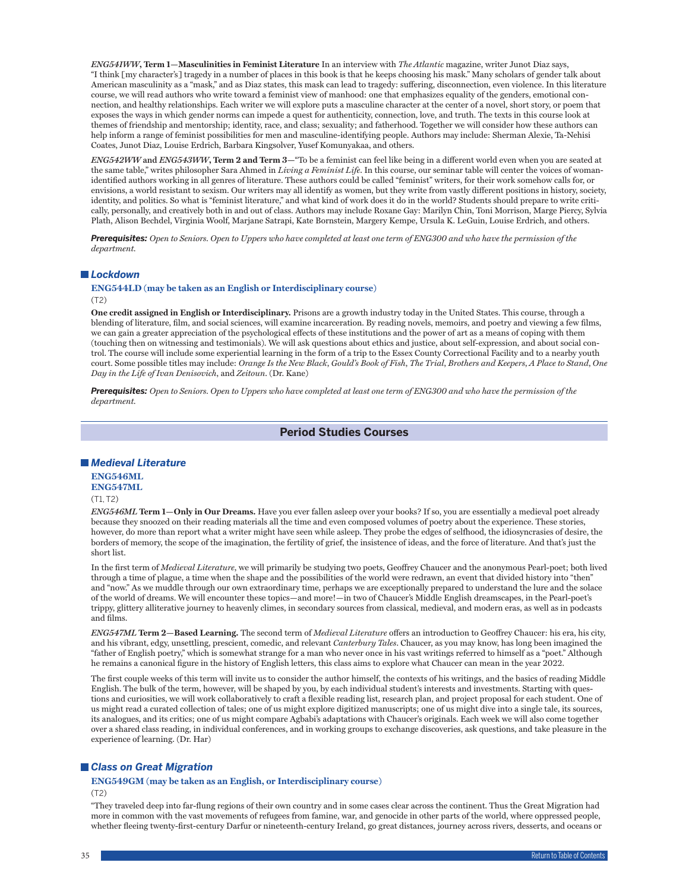*ENG541WW***, Term 1—Masculinities in Feminist Literature** In an interview with *The Atlantic* magazine, writer Junot Diaz says, "I think [my character's] tragedy in a number of places in this book is that he keeps choosing his mask." Many scholars of gender talk about American masculinity as a "mask," and as Diaz states, this mask can lead to tragedy: suffering, disconnection, even violence. In this literature course, we will read authors who write toward a feminist view of manhood: one that emphasizes equality of the genders, emotional connection, and healthy relationships. Each writer we will explore puts a masculine character at the center of a novel, short story, or poem that exposes the ways in which gender norms can impede a quest for authenticity, connection, love, and truth. The texts in this course look at themes of friendship and mentorship; identity, race, and class; sexuality; and fatherhood. Together we will consider how these authors can help inform a range of feminist possibilities for men and masculine-identifying people. Authors may include: Sherman Alexie, Ta-Nehisi Coates, Junot Diaz, Louise Erdrich, Barbara Kingsolver, Yusef Komunyakaa, and others.

*ENG542WW* **and** *ENG543WW***, Term 2 and Term 3—**"To be a feminist can feel like being in a different world even when you are seated at the same table," writes philosopher Sara Ahmed in *Living a Feminist Life*. In this course, our seminar table will center the voices of womanidentified authors working in all genres of literature. These authors could be called "feminist" writers, for their work somehow calls for, or envisions, a world resistant to sexism. Our writers may all identify as women, but they write from vastly different positions in history, society, identity, and politics. So what is "feminist literature," and what kind of work does it do in the world? Students should prepare to write critically, personally, and creatively both in and out of class. Authors may include Roxane Gay: Marilyn Chin, Toni Morrison, Marge Piercy, Sylvia Plath, Alison Bechdel, Virginia Woolf, Marjane Satrapi, Kate Bornstein, Margery Kempe, Ursula K. LeGuin, Louise Erdrich, and others.

*Prerequisites: Open to Seniors. Open to Uppers who have completed at least one term of ENG300 and who have the permission of the department.*

### *Lockdown*

### **ENG544LD (may be taken as an English or Interdisciplinary course)** (T2)

**One credit assigned in English or Interdisciplinary.** Prisons are a growth industry today in the United States. This course, through a blending of literature, film, and social sciences, will examine incarceration. By reading novels, memoirs, and poetry and viewing a few films, we can gain a greater appreciation of the psychological effects of these institutions and the power of art as a means of coping with them (touching then on witnessing and testimonials). We will ask questions about ethics and justice, about self-expression, and about social control. The course will include some experiential learning in the form of a trip to the Essex County Correctional Facility and to a nearby youth court. Some possible titles may include: *Orange Is the New Black*, *Gould's Book of Fish*, *The Trial*, *Brothers and Keepers*, *A Place to Stand*, *One Day in the Life of Ivan Denisovich*, and *Zeitoun*. (Dr. Kane)

*Prerequisites: Open to Seniors. Open to Uppers who have completed at least one term of ENG300 and who have the permission of the department.*

# **Period Studies Courses**

### *Medieval Literature*

### **ENG546ML ENG547ML**

 $(T1, T2)$ 

*ENG546ML* **Term 1—Only in Our Dreams.** Have you ever fallen asleep over your books? If so, you are essentially a medieval poet already because they snoozed on their reading materials all the time and even composed volumes of poetry about the experience. These stories, however, do more than report what a writer might have seen while asleep. They probe the edges of selfhood, the idiosyncrasies of desire, the borders of memory, the scope of the imagination, the fertility of grief, the insistence of ideas, and the force of literature. And that's just the short list.

In the first term of *Medieval Literature*, we will primarily be studying two poets, Geoffrey Chaucer and the anonymous Pearl-poet; both lived through a time of plague, a time when the shape and the possibilities of the world were redrawn, an event that divided history into "then" and "now." As we muddle through our own extraordinary time, perhaps we are exceptionally prepared to understand the lure and the solace of the world of dreams. We will encounter these topics—and more!—in two of Chaucer's Middle English dreamscapes, in the Pearl-poet's trippy, glittery alliterative journey to heavenly climes, in secondary sources from classical, medieval, and modern eras, as well as in podcasts and films.

*ENG547ML* **Term 2—Based Learning.** The second term of *Medieval Literature* offers an introduction to Geoffrey Chaucer: his era, his city, and his vibrant, edgy, unsettling, prescient, comedic, and relevant *Canterbury Tales*. Chaucer, as you may know, has long been imagined the "father of English poetry," which is somewhat strange for a man who never once in his vast writings referred to himself as a "poet." Although he remains a canonical figure in the history of English letters, this class aims to explore what Chaucer can mean in the year 2022.

The first couple weeks of this term will invite us to consider the author himself, the contexts of his writings, and the basics of reading Middle English. The bulk of the term, however, will be shaped by you, by each individual student's interests and investments. Starting with questions and curiosities, we will work collaboratively to craft a flexible reading list, research plan, and project proposal for each student. One of us might read a curated collection of tales; one of us might explore digitized manuscripts; one of us might dive into a single tale, its sources, its analogues, and its critics; one of us might compare Agbabi's adaptations with Chaucer's originals. Each week we will also come together over a shared class reading, in individual conferences, and in working groups to exchange discoveries, ask questions, and take pleasure in the experience of learning. (Dr. Har)

# *Class on Great Migration*

**ENG549GM (may be taken as an English, or Interdisciplinary course)** (T2)

"They traveled deep into far-flung regions of their own country and in some cases clear across the continent. Thus the Great Migration had more in common with the vast movements of refugees from famine, war, and genocide in other parts of the world, where oppressed people, whether fleeing twenty-first-century Darfur or nineteenth-century Ireland, go great distances, journey across rivers, desserts, and oceans or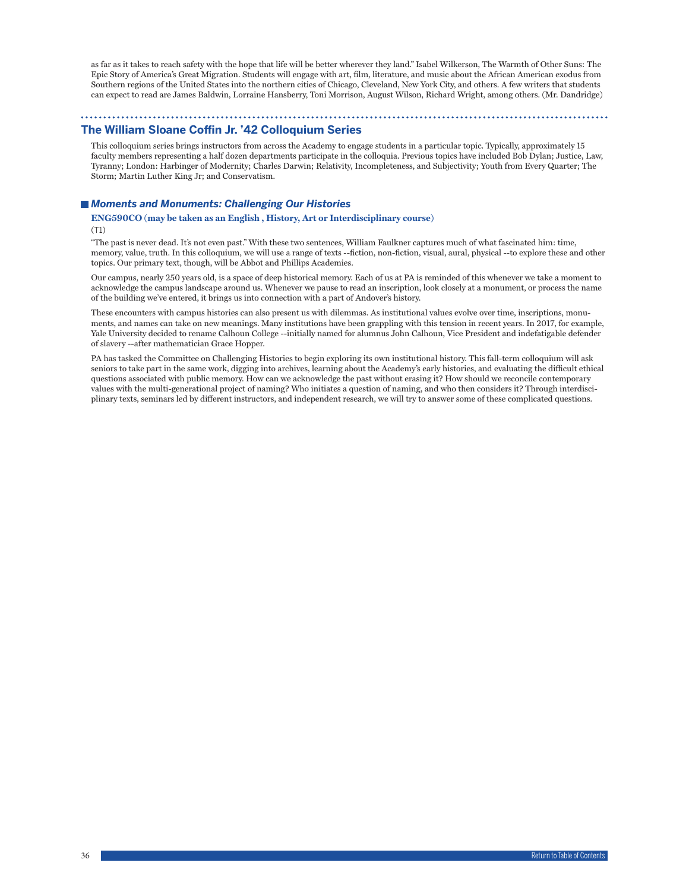as far as it takes to reach safety with the hope that life will be better wherever they land." Isabel Wilkerson, The Warmth of Other Suns: The Epic Story of America's Great Migration. Students will engage with art, film, literature, and music about the African American exodus from Southern regions of the United States into the northern cities of Chicago, Cleveland, New York City, and others. A few writers that students can expect to read are James Baldwin, Lorraine Hansberry, Toni Morrison, August Wilson, Richard Wright, among others. (Mr. Dandridge)

# **The William Sloane Coffin Jr. '42 Colloquium Series**

This colloquium series brings instructors from across the Academy to engage students in a particular topic. Typically, approximately 15 faculty members representing a half dozen departments participate in the colloquia. Previous topics have included Bob Dylan; Justice, Law, Tyranny; London: Harbinger of Modernity; Charles Darwin; Relativity, Incompleteness, and Subjectivity; Youth from Every Quarter; The Storm; Martin Luther King Jr; and Conservatism.

### *Moments and Monuments: Challenging Our Histories*

#### **ENG590CO (may be taken as an English , History, Art or Interdisciplinary course)** (T1)

"The past is never dead. It's not even past." With these two sentences, William Faulkner captures much of what fascinated him: time, memory, value, truth. In this colloquium, we will use a range of texts --fiction, non-fiction, visual, aural, physical --to explore these and other topics. Our primary text, though, will be Abbot and Phillips Academies.

Our campus, nearly 250 years old, is a space of deep historical memory. Each of us at PA is reminded of this whenever we take a moment to acknowledge the campus landscape around us. Whenever we pause to read an inscription, look closely at a monument, or process the name of the building we've entered, it brings us into connection with a part of Andover's history.

These encounters with campus histories can also present us with dilemmas. As institutional values evolve over time, inscriptions, monuments, and names can take on new meanings. Many institutions have been grappling with this tension in recent years. In 2017, for example, Yale University decided to rename Calhoun College --initially named for alumnus John Calhoun, Vice President and indefatigable defender of slavery --after mathematician Grace Hopper.

PA has tasked the Committee on Challenging Histories to begin exploring its own institutional history. This fall-term colloquium will ask seniors to take part in the same work, digging into archives, learning about the Academy's early histories, and evaluating the difficult ethical questions associated with public memory. How can we acknowledge the past without erasing it? How should we reconcile contemporary values with the multi-generational project of naming? Who initiates a question of naming, and who then considers it? Through interdisciplinary texts, seminars led by different instructors, and independent research, we will try to answer some of these complicated questions.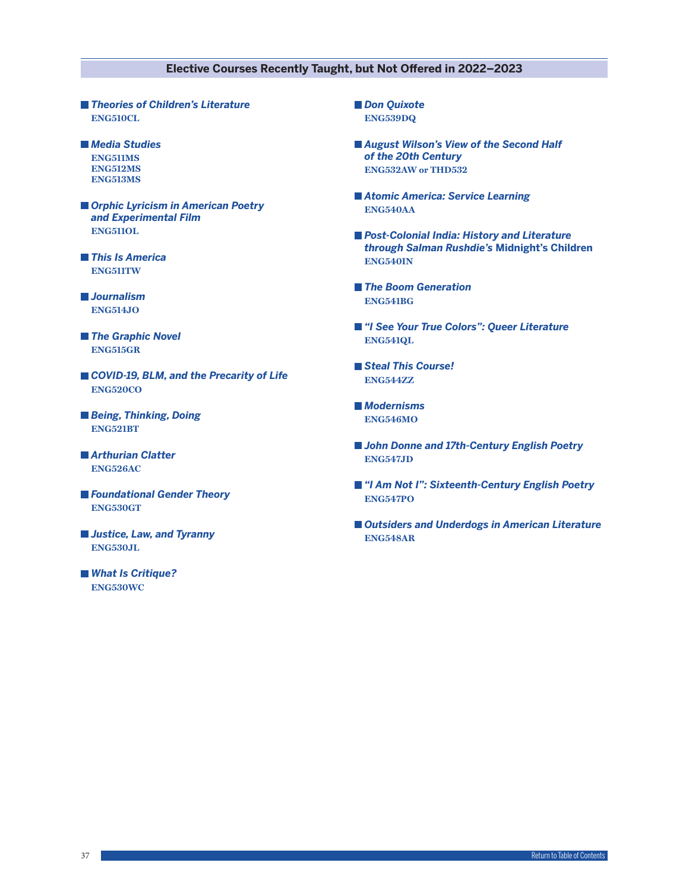### **Elective Courses Recently Taught, but Not Offered in 2022–2023**

- *Theories of Children's Literature* **ENG510CL**
- *Media Studies* **ENG511MS ENG512MS ENG513MS**
- *Orphic Lyricism in American Poetry and Experimental Film* **ENG511OL**
- *This Is America* **ENG511TW**
- *Journalism* **ENG514JO**
- *The Graphic Novel* **ENG515GR**
- *COVID-19, BLM, and the Precarity of Life* **ENG520CO**
- *Being, Thinking, Doing* **ENG521BT**
- *Arthurian Clatter* **ENG526AC**
- *Foundational Gender Theory* **ENG530GT**
- *Justice, Law, and Tyranny* **ENG530JL**
- *What Is Critique?* **ENG530WC**
- **Don Quixote ENG539DQ**
- *August Wilson's View of the Second Half of the 20th Century* **ENG532AW or THD532**
- *Atomic America: Service Learning* **ENG540AA**
- Post-Colonial India: History and Literature *through Salman Rushdie's* **Midnight's Children ENG540IN**
- *The Boom Generation* **ENG541BG**
- *"I See Your True Colors": Queer Literature* **ENG541QL**
- *Steal This Course!* **ENG544ZZ**
- *Modernisms* **ENG546MO**
- *John Donne and 17th-Century English Poetry* **ENG547JD**
- *"I Am Not I": Sixteenth-Century English Poetry* **ENG547PO**
- Outsiders and Underdogs in American Literature **ENG548AR**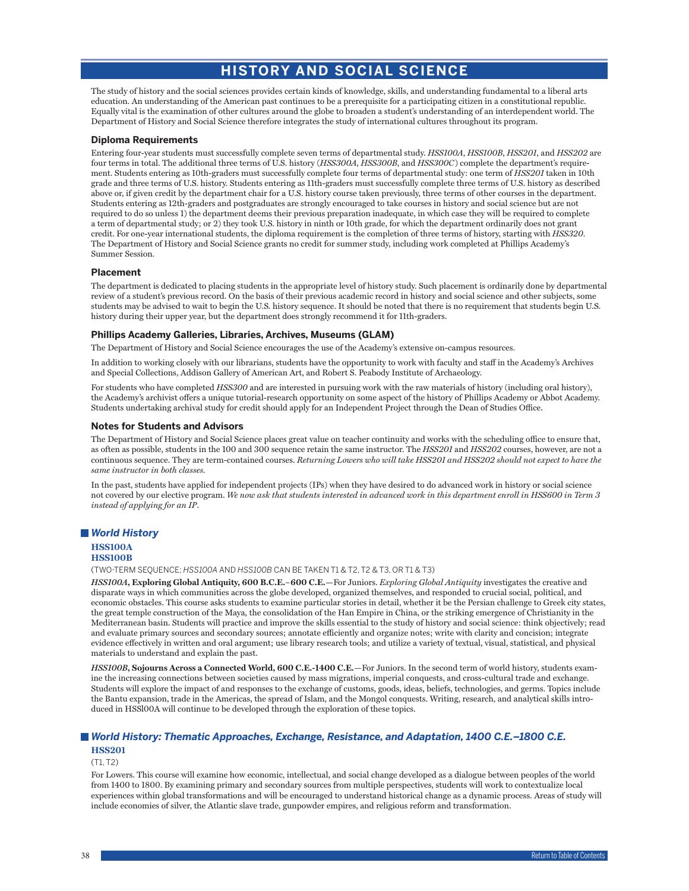# **HISTORY AND SOCIAL SCIENCE**

The study of history and the social sciences provides certain kinds of knowledge, skills, and understanding fundamental to a liberal arts education. An understanding of the American past continues to be a prerequisite for a participating citizen in a constitutional republic. Equally vital is the examination of other cultures around the globe to broaden a student's understanding of an interdependent world. The Department of History and Social Science therefore integrates the study of international cultures throughout its program.

#### **Diploma Requirements**

Entering four-year students must successfully complete seven terms of departmental study. *HSS100A*, *HSS100B*, *HSS201*, and *HSS202* are four terms in total. The additional three terms of U.S. history (*HSS300A*, *HSS300B*, and *HSS300C*) complete the department's requirement. Students entering as 10th-graders must successfully complete four terms of departmental study: one term of *HSS201* taken in 10th grade and three terms of U.S. history. Students entering as 11th-graders must successfully complete three terms of U.S. history as described above or, if given credit by the department chair for a U.S. history course taken previously, three terms of other courses in the department. Students entering as 12th-graders and postgraduates are strongly encouraged to take courses in history and social science but are not required to do so unless 1) the department deems their previous preparation inadequate, in which case they will be required to complete a term of departmental study; or 2) they took U.S. history in ninth or 10th grade, for which the department ordinarily does not grant credit. For one-year international students, the diploma requirement is the completion of three terms of history, starting with *HSS320*. The Department of History and Social Science grants no credit for summer study, including work completed at Phillips Academy's Summer Session.

#### **Placement**

The department is dedicated to placing students in the appropriate level of history study. Such placement is ordinarily done by departmental review of a student's previous record. On the basis of their previous academic record in history and social science and other subjects, some students may be advised to wait to begin the U.S. history sequence. It should be noted that there is no requirement that students begin U.S. history during their upper year, but the department does strongly recommend it for 11th-graders.

### **Phillips Academy Galleries, Libraries, Archives, Museums (GLAM)**

The Department of History and Social Science encourages the use of the Academy's extensive on-campus resources.

In addition to working closely with our librarians, students have the opportunity to work with faculty and staff in the Academy's Archives and Special Collections, Addison Gallery of American Art, and Robert S. Peabody Institute of Archaeology.

For students who have completed *HSS300* and are interested in pursuing work with the raw materials of history (including oral history), the Academy's archivist offers a unique tutorial-research opportunity on some aspect of the history of Phillips Academy or Abbot Academy. Students undertaking archival study for credit should apply for an Independent Project through the Dean of Studies Office.

#### **Notes for Students and Advisors**

The Department of History and Social Science places great value on teacher continuity and works with the scheduling office to ensure that, as often as possible, students in the 100 and 300 sequence retain the same instructor. The *HSS201* and *HSS202* courses, however, are not a continuous sequence. They are term-contained courses. *Returning Lowers who will take HSS201 and HSS202 should not expect to have the same instructor in both classes.*

In the past, students have applied for independent projects (IPs) when they have desired to do advanced work in history or social science not covered by our elective program. *We now ask that students interested in advanced work in this department enroll in HSS600 in Term 3 instead of applying for an IP*.

### *World History*

### **HSS100B**

(TWO-TERM SEQUENCE; *HSS100A* AND *HSS100B* CAN BE TAKEN T1 & T2, T2 & T3, OR T1 & T3)

*HSS100A***, Exploring Global Antiquity, 600 B.C.E.–600 C.E.—**For Juniors. *Exploring Global Antiquity* investigates the creative and disparate ways in which communities across the globe developed, organized themselves, and responded to crucial social, political, and economic obstacles. This course asks students to examine particular stories in detail, whether it be the Persian challenge to Greek city states, the great temple construction of the Maya, the consolidation of the Han Empire in China, or the striking emergence of Christianity in the Mediterranean basin. Students will practice and improve the skills essential to the study of history and social science: think objectively; read and evaluate primary sources and secondary sources; annotate efficiently and organize notes; write with clarity and concision; integrate evidence effectively in written and oral argument; use library research tools; and utilize a variety of textual, visual, statistical, and physical materials to understand and explain the past.

*HSS100B***, Sojourns Across a Connected World, 600 C.E.-1400 C.E.**—For Juniors. In the second term of world history, students examine the increasing connections between societies caused by mass migrations, imperial conquests, and cross-cultural trade and exchange. Students will explore the impact of and responses to the exchange of customs, goods, ideas, beliefs, technologies, and germs. Topics include the Bantu expansion, trade in the Americas, the spread of Islam, and the Mongol conquests. Writing, research, and analytical skills introduced in HSSl00A will continue to be developed through the exploration of these topics.

### *World History: Thematic Approaches, Exchange, Resistance, and Adaptation, 1400 C.E.–1800 C.E.* **HSS201**

### (T1, T2)

For Lowers. This course will examine how economic, intellectual, and social change developed as a dialogue between peoples of the world from 1400 to 1800. By examining primary and secondary sources from multiple perspectives, students will work to contextualize local experiences within global transformations and will be encouraged to understand historical change as a dynamic process. Areas of study will include economies of silver, the Atlantic slave trade, gunpowder empires, and religious reform and transformation.

**HSS100A**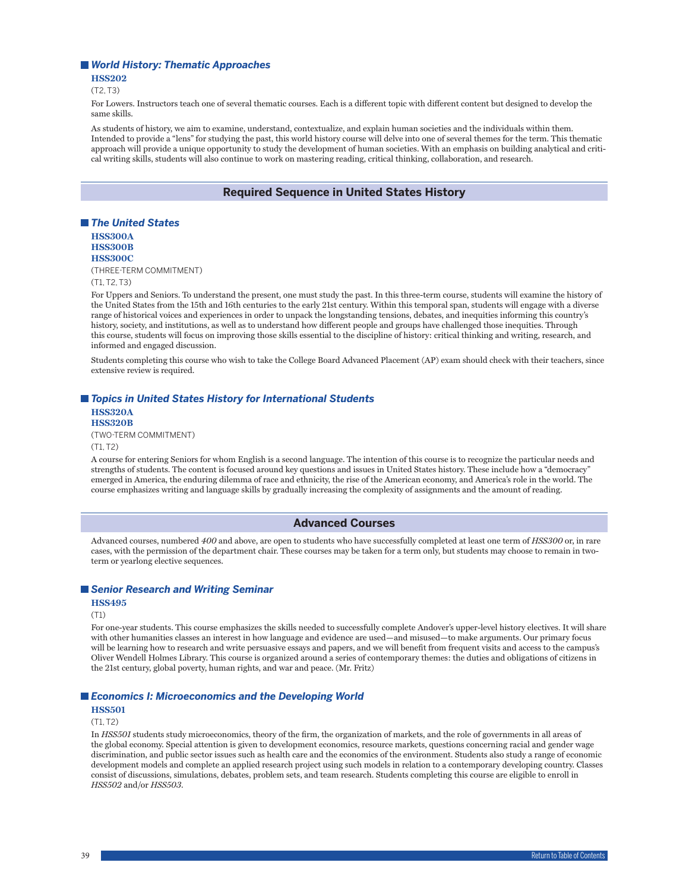#### *World History: Thematic Approaches*

**HSS202**

 $(T2, T3)$ 

For Lowers. Instructors teach one of several thematic courses. Each is a different topic with different content but designed to develop the same skills.

As students of history, we aim to examine, understand, contextualize, and explain human societies and the individuals within them. Intended to provide a "lens" for studying the past, this world history course will delve into one of several themes for the term. This thematic approach will provide a unique opportunity to study the development of human societies. With an emphasis on building analytical and critical writing skills, students will also continue to work on mastering reading, critical thinking, collaboration, and research.

### **Required Sequence in United States History**



(T1, T2, T3)

For Uppers and Seniors. To understand the present, one must study the past. In this three-term course, students will examine the history of the United States from the 15th and 16th centuries to the early 21st century. Within this temporal span, students will engage with a diverse range of historical voices and experiences in order to unpack the longstanding tensions, debates, and inequities informing this country's history, society, and institutions, as well as to understand how different people and groups have challenged those inequities. Through this course, students will focus on improving those skills essential to the discipline of history: critical thinking and writing, research, and informed and engaged discussion.

Students completing this course who wish to take the College Board Advanced Placement (AP) exam should check with their teachers, since extensive review is required.

### ■ *Topics in United States History for International Students*

**HSS320A HSS320B** (TWO-TERM COMMITMENT) (T1, T2)

A course for entering Seniors for whom English is a second language. The intention of this course is to recognize the particular needs and strengths of students. The content is focused around key questions and issues in United States history. These include how a "democracy" emerged in America, the enduring dilemma of race and ethnicity, the rise of the American economy, and America's role in the world. The course emphasizes writing and language skills by gradually increasing the complexity of assignments and the amount of reading.

### **Advanced Courses**

Advanced courses, numbered *400* and above, are open to students who have successfully completed at least one term of *HSS300* or, in rare cases, with the permission of the department chair. These courses may be taken for a term only, but students may choose to remain in twoterm or yearlong elective sequences.

#### *Senior Research and Writing Seminar*

**HSS495**

(T1)

For one-year students. This course emphasizes the skills needed to successfully complete Andover's upper-level history electives. It will share with other humanities classes an interest in how language and evidence are used—and misused—to make arguments. Our primary focus will be learning how to research and write persuasive essays and papers, and we will benefit from frequent visits and access to the campus's Oliver Wendell Holmes Library. This course is organized around a series of contemporary themes: the duties and obligations of citizens in the 21st century, global poverty, human rights, and war and peace. (Mr. Fritz)

#### *Economics I: Microeconomics and the Developing World*

### **HSS501**

 $(T1, T2)$ 

In *HSS501* students study microeconomics, theory of the firm, the organization of markets, and the role of governments in all areas of the global economy. Special attention is given to development economics, resource markets, questions concerning racial and gender wage discrimination, and public sector issues such as health care and the economics of the environment. Students also study a range of economic development models and complete an applied research project using such models in relation to a contemporary developing country. Classes consist of discussions, simulations, debates, problem sets, and team research. Students completing this course are eligible to enroll in *HSS502* and/or *HSS503*.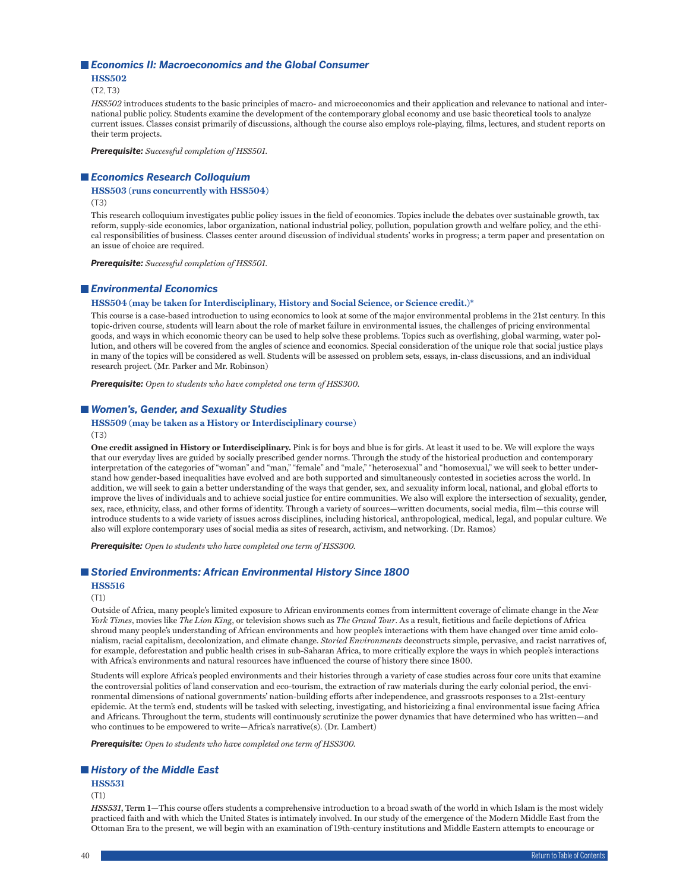#### *Economics II: Macroeconomics and the Global Consumer*

**HSS502**

 $(T2, T3)$ 

*HSS502* introduces students to the basic principles of macro- and microeconomics and their application and relevance to national and international public policy. Students examine the development of the contemporary global economy and use basic theoretical tools to analyze current issues. Classes consist primarily of discussions, although the course also employs role-playing, films, lectures, and student reports on their term projects.

*Prerequisite: Successful completion of HSS501.*

#### *Economics Research Colloquium*

#### **HSS503 (runs concurrently with HSS504)**

(T3)

This research colloquium investigates public policy issues in the field of economics. Topics include the debates over sustainable growth, tax reform, supply-side economics, labor organization, national industrial policy, pollution, population growth and welfare policy, and the ethical responsibilities of business. Classes center around discussion of individual students' works in progress; a term paper and presentation on an issue of choice are required.

*Prerequisite: Successful completion of HSS501.*

#### *Environmental Economics*

#### **HSS504 (may be taken for Interdisciplinary, History and Social Science, or Science credit.)\***

This course is a case-based introduction to using economics to look at some of the major environmental problems in the 21st century. In this topic-driven course, students will learn about the role of market failure in environmental issues, the challenges of pricing environmental goods, and ways in which economic theory can be used to help solve these problems. Topics such as overfishing, global warming, water pollution, and others will be covered from the angles of science and economics. Special consideration of the unique role that social justice plays in many of the topics will be considered as well. Students will be assessed on problem sets, essays, in-class discussions, and an individual research project. (Mr. Parker and Mr. Robinson)

*Prerequisite: Open to students who have completed one term of HSS300.*

#### *Women's, Gender, and Sexuality Studies*

### **HSS509 (may be taken as a History or Interdisciplinary course)**

(T3)

**One credit assigned in History or Interdisciplinary.** Pink is for boys and blue is for girls. At least it used to be. We will explore the ways that our everyday lives are guided by socially prescribed gender norms. Through the study of the historical production and contemporary interpretation of the categories of "woman" and "man," "female" and "male," "heterosexual" and "homosexual," we will seek to better understand how gender-based inequalities have evolved and are both supported and simultaneously contested in societies across the world. In addition, we will seek to gain a better understanding of the ways that gender, sex, and sexuality inform local, national, and global efforts to improve the lives of individuals and to achieve social justice for entire communities. We also will explore the intersection of sexuality, gender, sex, race, ethnicity, class, and other forms of identity. Through a variety of sources—written documents, social media, film—this course will introduce students to a wide variety of issues across disciplines, including historical, anthropological, medical, legal, and popular culture. We also will explore contemporary uses of social media as sites of research, activism, and networking. (Dr. Ramos)

*Prerequisite: Open to students who have completed one term of HSS300.*

#### *Storied Environments: African Environmental History Since 1800*

#### **HSS516**

(T1)

Outside of Africa, many people's limited exposure to African environments comes from intermittent coverage of climate change in the *New York Times*, movies like *The Lion King*, or television shows such as *The Grand Tour*. As a result, fictitious and facile depictions of Africa shroud many people's understanding of African environments and how people's interactions with them have changed over time amid colonialism, racial capitalism, decolonization, and climate change. *Storied Environments* deconstructs simple, pervasive, and racist narratives of, for example, deforestation and public health crises in sub-Saharan Africa, to more critically explore the ways in which people's interactions with Africa's environments and natural resources have influenced the course of history there since 1800.

Students will explore Africa's peopled environments and their histories through a variety of case studies across four core units that examine the controversial politics of land conservation and eco-tourism, the extraction of raw materials during the early colonial period, the environmental dimensions of national governments' nation-building efforts after independence, and grassroots responses to a 21st-century epidemic. At the term's end, students will be tasked with selecting, investigating, and historicizing a final environmental issue facing Africa and Africans. Throughout the term, students will continuously scrutinize the power dynamics that have determined who has written—and who continues to be empowered to write—Africa's narrative(s). (Dr. Lambert)

*Prerequisite: Open to students who have completed one term of HSS300.*

### *History of the Middle East*

**HSS531**

#### (T1)

*HSS531***, Term 1—**This course offers students a comprehensive introduction to a broad swath of the world in which Islam is the most widely practiced faith and with which the United States is intimately involved. In our study of the emergence of the Modern Middle East from the Ottoman Era to the present, we will begin with an examination of 19th-century institutions and Middle Eastern attempts to encourage or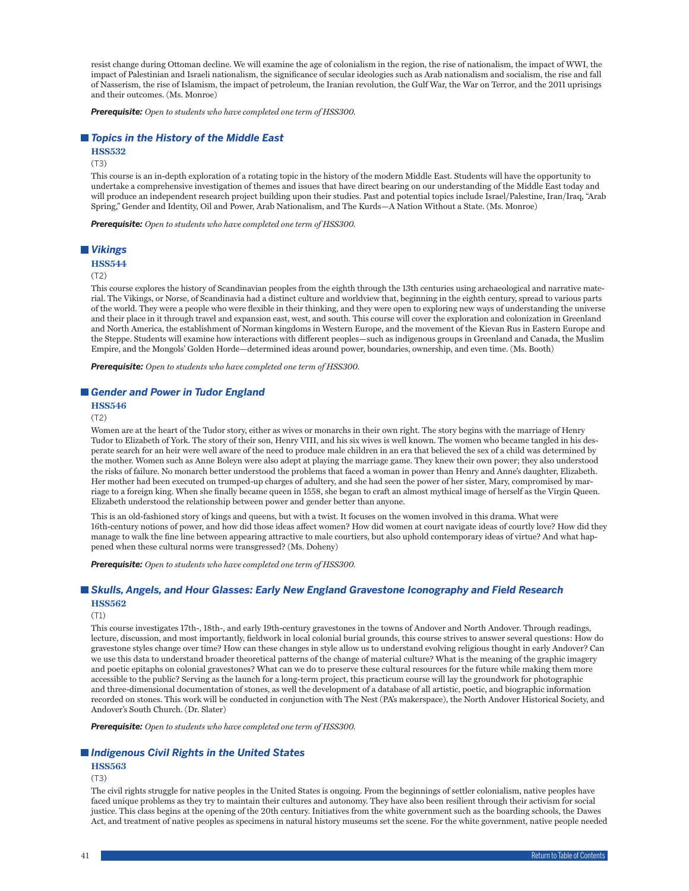resist change during Ottoman decline. We will examine the age of colonialism in the region, the rise of nationalism, the impact of WWI, the impact of Palestinian and Israeli nationalism, the significance of secular ideologies such as Arab nationalism and socialism, the rise and fall of Nasserism, the rise of Islamism, the impact of petroleum, the Iranian revolution, the Gulf War, the War on Terror, and the 2011 uprisings and their outcomes. (Ms. Monroe)

*Prerequisite: Open to students who have completed one term of HSS300.*

#### *Topics in the History of the Middle East*

### **HSS532**

(T3)

This course is an in-depth exploration of a rotating topic in the history of the modern Middle East. Students will have the opportunity to undertake a comprehensive investigation of themes and issues that have direct bearing on our understanding of the Middle East today and will produce an independent research project building upon their studies. Past and potential topics include Israel/Palestine, Iran/Iraq, "Arab Spring," Gender and Identity, Oil and Power, Arab Nationalism, and The Kurds—A Nation Without a State. (Ms. Monroe)

*Prerequisite: Open to students who have completed one term of HSS300.*

#### *Vikings*

#### **HSS544**

(T2)

This course explores the history of Scandinavian peoples from the eighth through the 13th centuries using archaeological and narrative material. The Vikings, or Norse, of Scandinavia had a distinct culture and worldview that, beginning in the eighth century, spread to various parts of the world. They were a people who were flexible in their thinking, and they were open to exploring new ways of understanding the universe and their place in it through travel and expansion east, west, and south. This course will cover the exploration and colonization in Greenland and North America, the establishment of Norman kingdoms in Western Europe, and the movement of the Kievan Rus in Eastern Europe and the Steppe. Students will examine how interactions with different peoples—such as indigenous groups in Greenland and Canada, the Muslim Empire, and the Mongols' Golden Horde—determined ideas around power, boundaries, ownership, and even time. (Ms. Booth)

*Prerequisite: Open to students who have completed one term of HSS300.*

### *Gender and Power in Tudor England*

**HSS546**

(T2)

Women are at the heart of the Tudor story, either as wives or monarchs in their own right. The story begins with the marriage of Henry Tudor to Elizabeth of York. The story of their son, Henry VIII, and his six wives is well known. The women who became tangled in his desperate search for an heir were well aware of the need to produce male children in an era that believed the sex of a child was determined by the mother. Women such as Anne Boleyn were also adept at playing the marriage game. They knew their own power; they also understood the risks of failure. No monarch better understood the problems that faced a woman in power than Henry and Anne's daughter, Elizabeth. Her mother had been executed on trumped-up charges of adultery, and she had seen the power of her sister, Mary, compromised by marriage to a foreign king. When she finally became queen in 1558, she began to craft an almost mythical image of herself as the Virgin Queen. Elizabeth understood the relationship between power and gender better than anyone.

This is an old-fashioned story of kings and queens, but with a twist. It focuses on the women involved in this drama. What were 16th-century notions of power, and how did those ideas affect women? How did women at court navigate ideas of courtly love? How did they manage to walk the fine line between appearing attractive to male courtiers, but also uphold contemporary ideas of virtue? And what happened when these cultural norms were transgressed? (Ms. Doheny)

*Prerequisite: Open to students who have completed one term of HSS300.*

#### *Skulls, Angels, and Hour Glasses: Early New England Gravestone Iconography and Field Research* **HSS562**

### (T1)

This course investigates 17th-, 18th-, and early 19th-century gravestones in the towns of Andover and North Andover. Through readings, lecture, discussion, and most importantly, fieldwork in local colonial burial grounds, this course strives to answer several questions: How do gravestone styles change over time? How can these changes in style allow us to understand evolving religious thought in early Andover? Can we use this data to understand broader theoretical patterns of the change of material culture? What is the meaning of the graphic imagery and poetic epitaphs on colonial gravestones? What can we do to preserve these cultural resources for the future while making them more accessible to the public? Serving as the launch for a long-term project, this practicum course will lay the groundwork for photographic and three-dimensional documentation of stones, as well the development of a database of all artistic, poetic, and biographic information recorded on stones. This work will be conducted in conjunction with The Nest (PA's makerspace), the North Andover Historical Society, and Andover's South Church. (Dr. Slater)

*Prerequisite: Open to students who have completed one term of HSS300.*

#### *Indigenous Civil Rights in the United States*

### **HSS563**

(T3)

The civil rights struggle for native peoples in the United States is ongoing. From the beginnings of settler colonialism, native peoples have faced unique problems as they try to maintain their cultures and autonomy. They have also been resilient through their activism for social justice. This class begins at the opening of the 20th century. Initiatives from the white government such as the boarding schools, the Dawes Act, and treatment of native peoples as specimens in natural history museums set the scene. For the white government, native people needed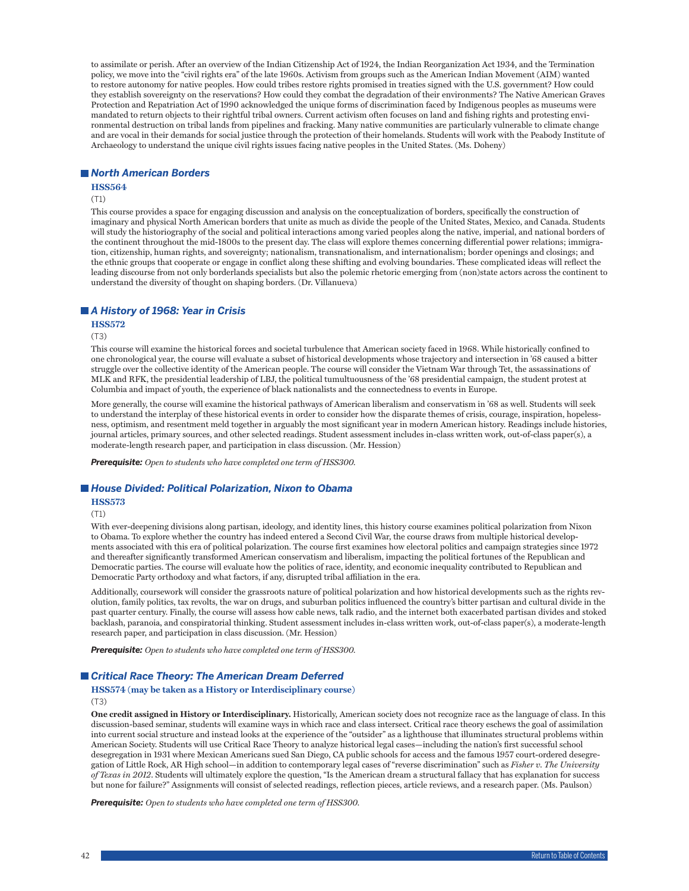to assimilate or perish. After an overview of the Indian Citizenship Act of 1924, the Indian Reorganization Act 1934, and the Termination policy, we move into the "civil rights era" of the late 1960s. Activism from groups such as the American Indian Movement (AIM) wanted to restore autonomy for native peoples. How could tribes restore rights promised in treaties signed with the U.S. government? How could they establish sovereignty on the reservations? How could they combat the degradation of their environments? The Native American Graves Protection and Repatriation Act of 1990 acknowledged the unique forms of discrimination faced by Indigenous peoples as museums were mandated to return objects to their rightful tribal owners. Current activism often focuses on land and fishing rights and protesting environmental destruction on tribal lands from pipelines and fracking. Many native communities are particularly vulnerable to climate change and are vocal in their demands for social justice through the protection of their homelands. Students will work with the Peabody Institute of Archaeology to understand the unique civil rights issues facing native peoples in the United States. (Ms. Doheny)

#### *North American Borders*

#### **HSS564**

#### (T1)

This course provides a space for engaging discussion and analysis on the conceptualization of borders, specifically the construction of imaginary and physical North American borders that unite as much as divide the people of the United States, Mexico, and Canada. Students will study the historiography of the social and political interactions among varied peoples along the native, imperial, and national borders of the continent throughout the mid-1800s to the present day. The class will explore themes concerning differential power relations; immigration, citizenship, human rights, and sovereignty; nationalism, transnationalism, and internationalism; border openings and closings; and the ethnic groups that cooperate or engage in conflict along these shifting and evolving boundaries. These complicated ideas will reflect the leading discourse from not only borderlands specialists but also the polemic rhetoric emerging from (non)state actors across the continent to understand the diversity of thought on shaping borders. (Dr. Villanueva)

### *A History of 1968: Year in Crisis*

#### **HSS572**

(T3)

This course will examine the historical forces and societal turbulence that American society faced in 1968. While historically confined to one chronological year, the course will evaluate a subset of historical developments whose trajectory and intersection in '68 caused a bitter struggle over the collective identity of the American people. The course will consider the Vietnam War through Tet, the assassinations of MLK and RFK, the presidential leadership of LBJ, the political tumultuousness of the '68 presidential campaign, the student protest at Columbia and impact of youth, the experience of black nationalists and the connectedness to events in Europe.

More generally, the course will examine the historical pathways of American liberalism and conservatism in '68 as well. Students will seek to understand the interplay of these historical events in order to consider how the disparate themes of crisis, courage, inspiration, hopelessness, optimism, and resentment meld together in arguably the most significant year in modern American history. Readings include histories, journal articles, primary sources, and other selected readings. Student assessment includes in-class written work, out-of-class paper(s), a moderate-length research paper, and participation in class discussion. (Mr. Hession)

*Prerequisite: Open to students who have completed one term of HSS300.*

#### *House Divided: Political Polarization, Nixon to Obama*

#### **HSS573**

(T1)

With ever-deepening divisions along partisan, ideology, and identity lines, this history course examines political polarization from Nixon to Obama. To explore whether the country has indeed entered a Second Civil War, the course draws from multiple historical developments associated with this era of political polarization. The course first examines how electoral politics and campaign strategies since 1972 and thereafter significantly transformed American conservatism and liberalism, impacting the political fortunes of the Republican and Democratic parties. The course will evaluate how the politics of race, identity, and economic inequality contributed to Republican and Democratic Party orthodoxy and what factors, if any, disrupted tribal affiliation in the era.

Additionally, coursework will consider the grassroots nature of political polarization and how historical developments such as the rights revolution, family politics, tax revolts, the war on drugs, and suburban politics influenced the country's bitter partisan and cultural divide in the past quarter century. Finally, the course will assess how cable news, talk radio, and the internet both exacerbated partisan divides and stoked backlash, paranoia, and conspiratorial thinking. Student assessment includes in-class written work, out-of-class paper(s), a moderate-length research paper, and participation in class discussion. (Mr. Hession)

*Prerequisite: Open to students who have completed one term of HSS300.*

#### *Critical Race Theory: The American Dream Deferred*

#### **HSS574 (may be taken as a History or Interdisciplinary course)** (T3)

**One credit assigned in History or Interdisciplinary.** Historically, American society does not recognize race as the language of class. In this discussion-based seminar, students will examine ways in which race and class intersect. Critical race theory eschews the goal of assimilation into current social structure and instead looks at the experience of the "outsider" as a lighthouse that illuminates structural problems within American Society. Students will use Critical Race Theory to analyze historical legal cases—including the nation's first successful school desegregation in 1931 where Mexican Americans sued San Diego, CA public schools for access and the famous 1957 court-ordered desegregation of Little Rock, AR High school—in addition to contemporary legal cases of "reverse discrimination" such as *Fisher v. The University of Texas in 2012*. Students will ultimately explore the question, "Is the American dream a structural fallacy that has explanation for success but none for failure?" Assignments will consist of selected readings, reflection pieces, article reviews, and a research paper. (Ms. Paulson)

*Prerequisite: Open to students who have completed one term of HSS300.*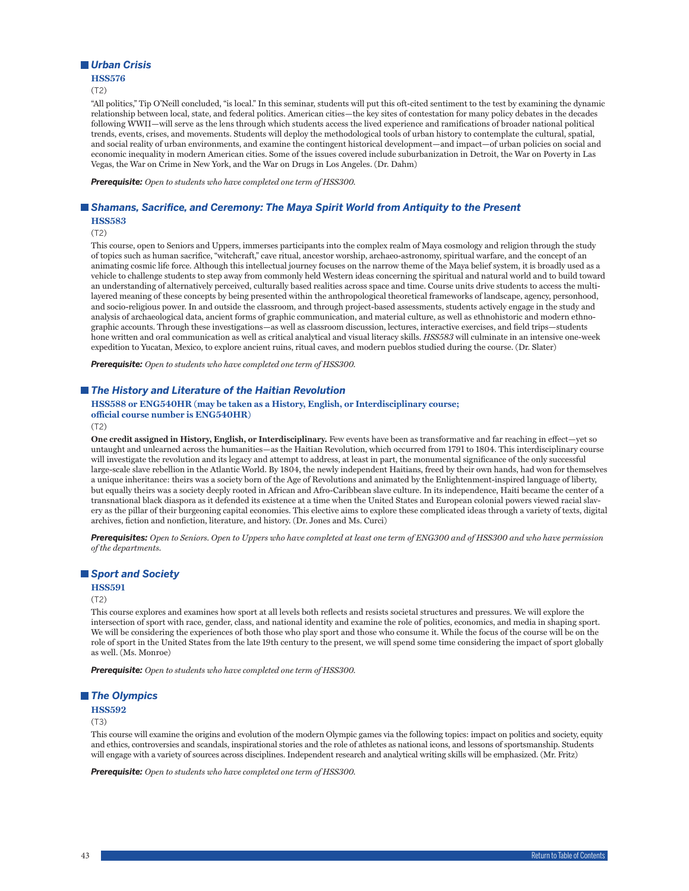### *Urban Crisis*

#### **HSS576**

(T2)

"All politics," Tip O'Neill concluded, "is local." In this seminar, students will put this oft-cited sentiment to the test by examining the dynamic relationship between local, state, and federal politics. American cities—the key sites of contestation for many policy debates in the decades following WWII—will serve as the lens through which students access the lived experience and ramifications of broader national political trends, events, crises, and movements. Students will deploy the methodological tools of urban history to contemplate the cultural, spatial, and social reality of urban environments, and examine the contingent historical development—and impact—of urban policies on social and economic inequality in modern American cities. Some of the issues covered include suburbanization in Detroit, the War on Poverty in Las Vegas, the War on Crime in New York, and the War on Drugs in Los Angeles. (Dr. Dahm)

*Prerequisite: Open to students who have completed one term of HSS300.*

## *Shamans, Sacrifice, and Ceremony: The Maya Spirit World from Antiquity to the Present*

**HSS583**

(T2)

This course, open to Seniors and Uppers, immerses participants into the complex realm of Maya cosmology and religion through the study of topics such as human sacrifice, "witchcraft," cave ritual, ancestor worship, archaeo-astronomy, spiritual warfare, and the concept of an animating cosmic life force. Although this intellectual journey focuses on the narrow theme of the Maya belief system, it is broadly used as a vehicle to challenge students to step away from commonly held Western ideas concerning the spiritual and natural world and to build toward an understanding of alternatively perceived, culturally based realities across space and time. Course units drive students to access the multilayered meaning of these concepts by being presented within the anthropological theoretical frameworks of landscape, agency, personhood, and socio-religious power. In and outside the classroom, and through project-based assessments, students actively engage in the study and analysis of archaeological data, ancient forms of graphic communication, and material culture, as well as ethnohistoric and modern ethnographic accounts. Through these investigations—as well as classroom discussion, lectures, interactive exercises, and field trips—students hone written and oral communication as well as critical analytical and visual literacy skills. *HSS583* will culminate in an intensive one-week expedition to Yucatan, Mexico, to explore ancient ruins, ritual caves, and modern pueblos studied during the course. (Dr. Slater)

*Prerequisite: Open to students who have completed one term of HSS300.*

#### *The History and Literature of the Haitian Revolution*

### **HSS588 or ENG540HR (may be taken as a History, English, or Interdisciplinary course; official course number is ENG540HR)**

(T2)

**One credit assigned in History, English, or Interdisciplinary.** Few events have been as transformative and far reaching in effect—yet so untaught and unlearned across the humanities—as the Haitian Revolution, which occurred from 1791 to 1804. This interdisciplinary course will investigate the revolution and its legacy and attempt to address, at least in part, the monumental significance of the only successful large-scale slave rebellion in the Atlantic World. By 1804, the newly independent Haitians, freed by their own hands, had won for themselves a unique inheritance: theirs was a society born of the Age of Revolutions and animated by the Enlightenment-inspired language of liberty, but equally theirs was a society deeply rooted in African and Afro-Caribbean slave culture. In its independence, Haiti became the center of a transnational black diaspora as it defended its existence at a time when the United States and European colonial powers viewed racial slavery as the pillar of their burgeoning capital economies. This elective aims to explore these complicated ideas through a variety of texts, digital archives, fiction and nonfiction, literature, and history. (Dr. Jones and Ms. Curci)

*Prerequisites: Open to Seniors. Open to Uppers who have completed at least one term of ENG300 and of HSS300 and who have permission of the departments.*

### *Sport and Society*

#### **HSS591**

(T2)

This course explores and examines how sport at all levels both reflects and resists societal structures and pressures. We will explore the intersection of sport with race, gender, class, and national identity and examine the role of politics, economics, and media in shaping sport. We will be considering the experiences of both those who play sport and those who consume it. While the focus of the course will be on the role of sport in the United States from the late 19th century to the present, we will spend some time considering the impact of sport globally as well. (Ms. Monroe)

*Prerequisite: Open to students who have completed one term of HSS300.*

### *The Olympics*

**HSS592**

(T3)

This course will examine the origins and evolution of the modern Olympic games via the following topics: impact on politics and society, equity and ethics, controversies and scandals, inspirational stories and the role of athletes as national icons, and lessons of sportsmanship. Students will engage with a variety of sources across disciplines. Independent research and analytical writing skills will be emphasized. (Mr. Fritz)

*Prerequisite: Open to students who have completed one term of HSS300.*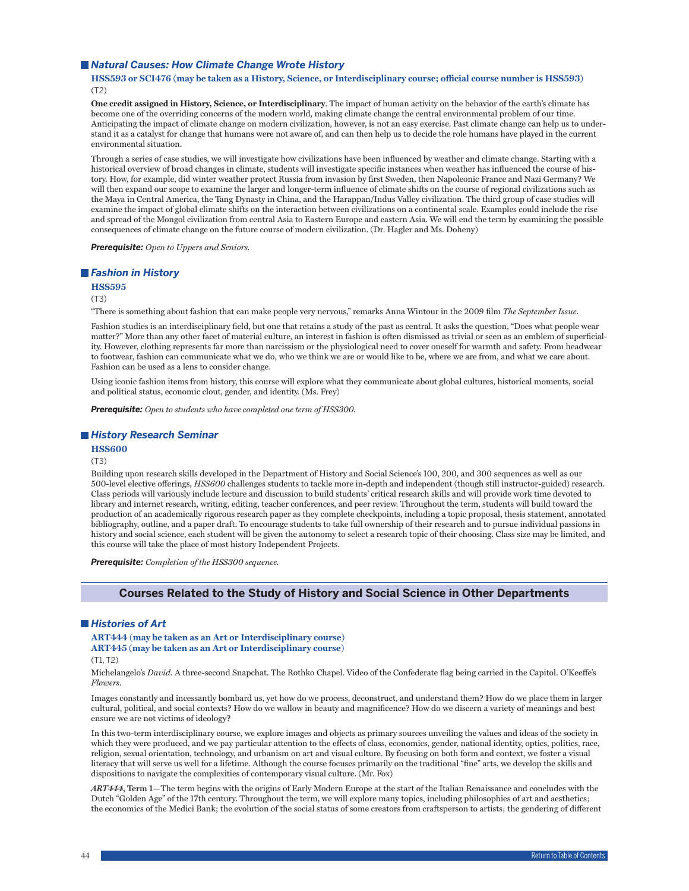#### ■ *Natural Causes: How Climate Change Wrote History*

### **HSS593 or SCI476 (may be taken as a History, Science, or Interdisciplinary course; official course number is HSS593)** (T2)

**One credit assigned in History, Science, or Interdisciplinary**. The impact of human activity on the behavior of the earth's climate has become one of the overriding concerns of the modern world, making climate change the central environmental problem of our time. Anticipating the impact of climate change on modern civilization, however, is not an easy exercise. Past climate change can help us to understand it as a catalyst for change that humans were not aware of, and can then help us to decide the role humans have played in the current environmental situation.

Through a series of case studies, we will investigate how civilizations have been influenced by weather and climate change. Starting with a historical overview of broad changes in climate, students will investigate specific instances when weather has influenced the course of history. How, for example, did winter weather protect Russia from invasion by first Sweden, then Napoleonic France and Nazi Germany? We will then expand our scope to examine the larger and longer-term influence of climate shifts on the course of regional civilizations such as the Maya in Central America, the Tang Dynasty in China, and the Harappan/Indus Valley civilization. The third group of case studies will examine the impact of global climate shifts on the interaction between civilizations on a continental scale. Examples could include the rise and spread of the Mongol civilization from central Asia to Eastern Europe and eastern Asia. We will end the term by examining the possible consequences of climate change on the future course of modern civilization. (Dr. Hagler and Ms. Doheny)

*Prerequisite: Open to Uppers and Seniors.*

### *Fashion in History*

### **HSS595**

#### (T3)

"There is something about fashion that can make people very nervous," remarks Anna Wintour in the 2009 film *The September Issue*.

Fashion studies is an interdisciplinary field, but one that retains a study of the past as central. It asks the question, "Does what people wear matter?" More than any other facet of material culture, an interest in fashion is often dismissed as trivial or seen as an emblem of superficiality. However, clothing represents far more than narcissism or the physiological need to cover oneself for warmth and safety. From headwear to footwear, fashion can communicate what we do, who we think we are or would like to be, where we are from, and what we care about. Fashion can be used as a lens to consider change.

Using iconic fashion items from history, this course will explore what they communicate about global cultures, historical moments, social and political status, economic clout, gender, and identity. (Ms. Frey)

*Prerequisite: Open to students who have completed one term of HSS300.*

#### *History Research Seminar*

#### **HSS600**

### (T3)

Building upon research skills developed in the Department of History and Social Science's 100, 200, and 300 sequences as well as our 500-level elective offerings, *HSS600* challenges students to tackle more in-depth and independent (though still instructor-guided) research. Class periods will variously include lecture and discussion to build students' critical research skills and will provide work time devoted to library and internet research, writing, editing, teacher conferences, and peer review. Throughout the term, students will build toward the production of an academically rigorous research paper as they complete checkpoints, including a topic proposal, thesis statement, annotated bibliography, outline, and a paper draft. To encourage students to take full ownership of their research and to pursue individual passions in history and social science, each student will be given the autonomy to select a research topic of their choosing. Class size may be limited, and this course will take the place of most history Independent Projects.

*Prerequisite: Completion of the HSS300 sequence.*

#### **Courses Related to the Study of History and Social Science in Other Departments**

#### *Histories of Art*

### **ART444 (may be taken as an Art or Interdisciplinary course)**

### **ART445 (may be taken as an Art or Interdisciplinary course)**

#### $(T1, T2)$

Michelangelo's *David*. A three-second Snapchat. The Rothko Chapel. Video of the Confederate flag being carried in the Capitol. O'Keeffe's *Flowers*.

Images constantly and incessantly bombard us, yet how do we process, deconstruct, and understand them? How do we place them in larger cultural, political, and social contexts? How do we wallow in beauty and magnificence? How do we discern a variety of meanings and best ensure we are not victims of ideology?

In this two-term interdisciplinary course, we explore images and objects as primary sources unveiling the values and ideas of the society in which they were produced, and we pay particular attention to the effects of class, economics, gender, national identity, optics, politics, race, religion, sexual orientation, technology, and urbanism on art and visual culture. By focusing on both form and context, we foster a visual literacy that will serve us well for a lifetime. Although the course focuses primarily on the traditional "fine" arts, we develop the skills and dispositions to navigate the complexities of contemporary visual culture. (Mr. Fox)

*ART444***, Term 1—**The term begins with the origins of Early Modern Europe at the start of the Italian Renaissance and concludes with the Dutch "Golden Age" of the 17th century. Throughout the term, we will explore many topics, including philosophies of art and aesthetics; the economics of the Medici Bank; the evolution of the social status of some creators from craftsperson to artists; the gendering of different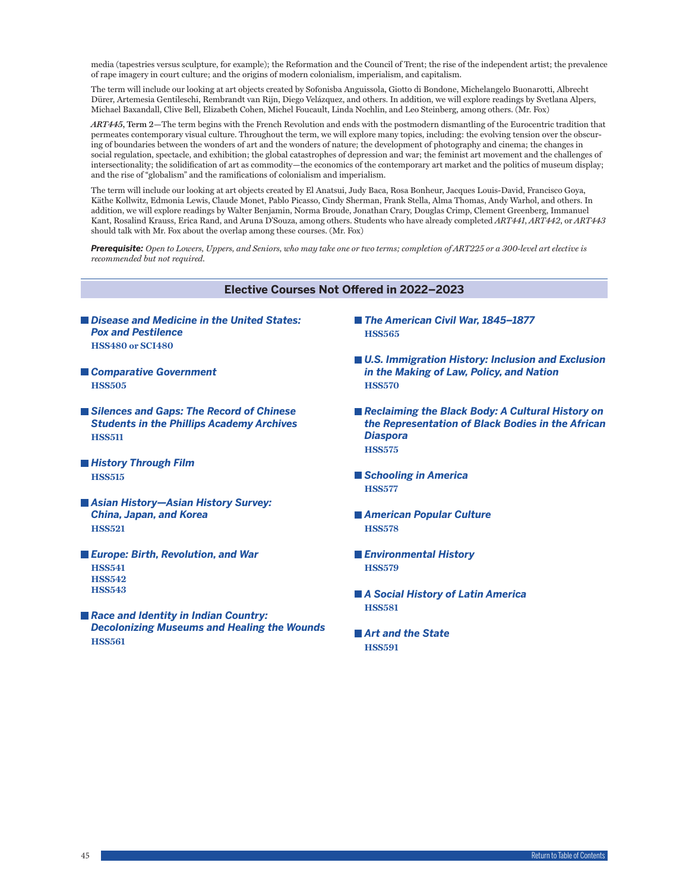media (tapestries versus sculpture, for example); the Reformation and the Council of Trent; the rise of the independent artist; the prevalence of rape imagery in court culture; and the origins of modern colonialism, imperialism, and capitalism.

The term will include our looking at art objects created by Sofonisba Anguissola, Giotto di Bondone, Michelangelo Buonarotti, Albrecht Dürer, Artemesia Gentileschi, Rembrandt van Rijn, Diego Velázquez, and others. In addition, we will explore readings by Svetlana Alpers, Michael Baxandall, Clive Bell, Elizabeth Cohen, Michel Foucault, Linda Nochlin, and Leo Steinberg, among others. (Mr. Fox)

*ART445***, Term 2—**The term begins with the French Revolution and ends with the postmodern dismantling of the Eurocentric tradition that permeates contemporary visual culture. Throughout the term, we will explore many topics, including: the evolving tension over the obscuring of boundaries between the wonders of art and the wonders of nature; the development of photography and cinema; the changes in social regulation, spectacle, and exhibition; the global catastrophes of depression and war; the feminist art movement and the challenges of intersectionality; the solidification of art as commodity—the economics of the contemporary art market and the politics of museum display; and the rise of "globalism" and the ramifications of colonialism and imperialism.

The term will include our looking at art objects created by El Anatsui, Judy Baca, Rosa Bonheur, Jacques Louis-David, Francisco Goya, Käthe Kollwitz, Edmonia Lewis, Claude Monet, Pablo Picasso, Cindy Sherman, Frank Stella, Alma Thomas, Andy Warhol, and others. In addition, we will explore readings by Walter Benjamin, Norma Broude, Jonathan Crary, Douglas Crimp, Clement Greenberg, Immanuel Kant, Rosalind Krauss, Erica Rand, and Aruna D'Souza, among others. Students who have already completed *ART441*, *ART442*, or *ART443* should talk with Mr. Fox about the overlap among these courses. (Mr. Fox)

*Prerequisite: Open to Lowers, Uppers, and Seniors, who may take one or two terms; completion of ART225 or a 300-level art elective is recommended but not required.*

### **Elective Courses Not Offered in 2022–2023**

- *Disease and Medicine in the United States: Pox and Pestilence* **HSS480 or SCI480**
- *Comparative Government* **HSS505**
- Silences and Gaps: The Record of Chinese *Students in the Phillips Academy Archives* **HSS511**
- *History Through Film* **HSS515**
- *Asian History—Asian History Survey: China, Japan, and Korea* **HSS521**
- *Europe: Birth, Revolution, and War* **HSS541 HSS542 HSS543**
- *Race and Identity in Indian Country: Decolonizing Museums and Healing the Wounds* **HSS561**
- *The American Civil War, 1845–1877* **HSS565**
- U.S. Immigration History: Inclusion and Exclusion *in the Making of Law, Policy, and Nation* **HSS570**
- Reclaiming the Black Body: A Cultural History on *the Representation of Black Bodies in the African Diaspora* **HSS575**
- *Schooling in America* **HSS577**
- *American Popular Culture* **HSS578**
- *Environmental History* **HSS579**
- *A Social History of Latin America*  **HSS581**
- *Art and the State* **HSS591**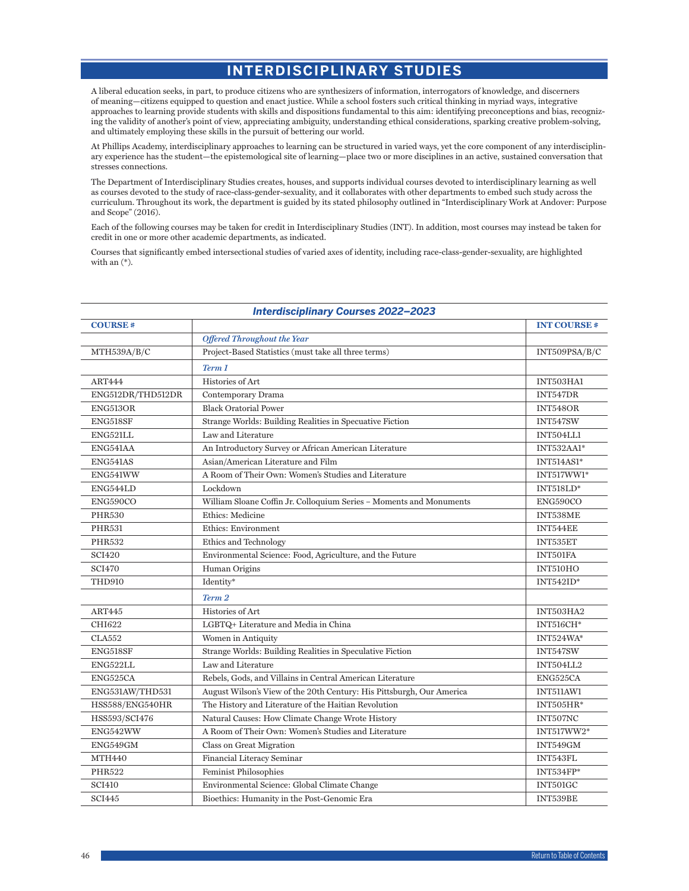# **INTERDISCIPLINARY STUDIES**

A liberal education seeks, in part, to produce citizens who are synthesizers of information, interrogators of knowledge, and discerners of meaning—citizens equipped to question and enact justice. While a school fosters such critical thinking in myriad ways, integrative approaches to learning provide students with skills and dispositions fundamental to this aim: identifying preconceptions and bias, recognizing the validity of another's point of view, appreciating ambiguity, understanding ethical considerations, sparking creative problem-solving, and ultimately employing these skills in the pursuit of bettering our world.

At Phillips Academy, interdisciplinary approaches to learning can be structured in varied ways, yet the core component of any interdisciplinary experience has the student—the epistemological site of learning—place two or more disciplines in an active, sustained conversation that stresses connections.

The Department of Interdisciplinary Studies creates, houses, and supports individual courses devoted to interdisciplinary learning as well as courses devoted to the study of race-class-gender-sexuality, and it collaborates with other departments to embed such study across the curriculum. Throughout its work, the department is guided by its stated philosophy outlined in "Interdisciplinary Work at Andover: Purpose and Scope" (2016).

Each of the following courses may be taken for credit in Interdisciplinary Studies (INT). In addition, most courses may instead be taken for credit in one or more other academic departments, as indicated.

Courses that significantly embed intersectional studies of varied axes of identity, including race-class-gender-sexuality, are highlighted with an (\*).

| <b>Interdisciplinary Courses 2022-2023</b> |                                                                       |                    |
|--------------------------------------------|-----------------------------------------------------------------------|--------------------|
| <b>COURSE#</b>                             |                                                                       | <b>INT COURSE#</b> |
|                                            | <b>Offered Throughout the Year</b>                                    |                    |
| MTH539A/B/C                                | Project-Based Statistics (must take all three terms)                  | INT509PSA/B/C      |
|                                            | Term 1                                                                |                    |
| <b>ART444</b>                              | Histories of Art                                                      | INT503HA1          |
| ENG512DR/THD512DR                          | Contemporary Drama                                                    | INT547DR           |
| ENG513OR                                   | <b>Black Oratorial Power</b>                                          | INT548OR           |
| ENG518SF                                   | Strange Worlds: Building Realities in Specuative Fiction              | INT547SW           |
| ENG521LL                                   | Law and Literature                                                    | INT504LL1          |
| ENG541AA                                   | An Introductory Survey or African American Literature                 | INT532AA1*         |
| ENG541AS                                   | Asian/American Literature and Film                                    | <b>INT514AS1*</b>  |
| ENG541WW                                   | A Room of Their Own: Women's Studies and Literature                   | INT517WW1*         |
| ENG544LD                                   | Lockdown                                                              | $INT518LD*$        |
| ENG590CO                                   | William Sloane Coffin Jr. Colloquium Series - Moments and Monuments   | ENG590CO           |
| <b>PHR530</b>                              | Ethics: Medicine                                                      | INT538ME           |
| <b>PHR531</b>                              | Ethics: Environment                                                   | INT544EE           |
| <b>PHR532</b>                              | Ethics and Technology                                                 | INT535ET           |
| <b>SCI420</b>                              | Environmental Science: Food, Agriculture, and the Future              | INT501FA           |
| <b>SCI470</b>                              | Human Origins                                                         | INT510HO           |
| <b>THD910</b>                              | Identity*                                                             | $INT542ID*$        |
|                                            | Term 2                                                                |                    |
| ART445                                     | Histories of Art                                                      | INT503HA2          |
| CHI622                                     | LGBTQ+ Literature and Media in China                                  | <b>INT516CH*</b>   |
| <b>CLA552</b>                              | Women in Antiquity                                                    | INT524WA*          |
| <b>ENG518SF</b>                            | Strange Worlds: Building Realities in Speculative Fiction             | INT547SW           |
| ENG522LL                                   | Law and Literature                                                    | INT504LL2          |
| ENG525CA                                   | Rebels, Gods, and Villains in Central American Literature             | ENG525CA           |
| ENG531AW/THD531                            | August Wilson's View of the 20th Century: His Pittsburgh, Our America | INT511AW1          |
| HSS588/ENG540HR                            | The History and Literature of the Haitian Revolution                  | $INT505HR*$        |
| HSS593/SCI476                              | Natural Causes: How Climate Change Wrote History                      | INT507NC           |
| ENG542WW                                   | A Room of Their Own: Women's Studies and Literature                   | INT517WW2*         |
| ENG549GM                                   | Class on Great Migration                                              | INT549GM           |
| <b>MTH440</b>                              | Financial Literacy Seminar                                            | INT543FL           |
| <b>PHR522</b>                              | <b>Feminist Philosophies</b>                                          | INT534FP*          |
| <b>SCI410</b>                              | Environmental Science: Global Climate Change                          | <b>INT501GC</b>    |
| <b>SCI445</b>                              | Bioethics: Humanity in the Post-Genomic Era                           | INT539BE           |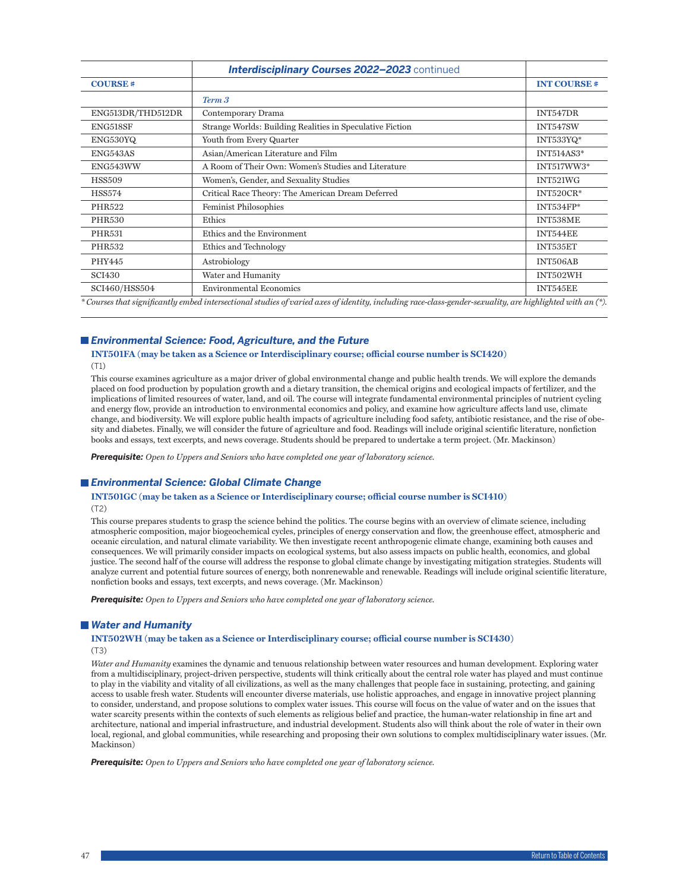|                   | <b>Interdisciplinary Courses 2022-2023</b> continued                                                                                                         |                    |
|-------------------|--------------------------------------------------------------------------------------------------------------------------------------------------------------|--------------------|
| <b>COURSE#</b>    |                                                                                                                                                              | <b>INT COURSE#</b> |
|                   | Term 3                                                                                                                                                       |                    |
| ENG513DR/THD512DR | Contemporary Drama                                                                                                                                           | INT547DR           |
| ENG518SF          | Strange Worlds: Building Realities in Speculative Fiction                                                                                                    | INT547SW           |
| ENG530YQ          | Youth from Every Quarter                                                                                                                                     | INT533YQ*          |
| ENG543AS          | Asian/American Literature and Film                                                                                                                           | <b>INT514AS3*</b>  |
| ENG543WW          | A Room of Their Own: Women's Studies and Literature                                                                                                          | INT517WW3*         |
| <b>HSS509</b>     | Women's, Gender, and Sexuality Studies                                                                                                                       | INT521WG           |
| <b>HSS574</b>     | Critical Race Theory: The American Dream Deferred                                                                                                            | INT520CR*          |
| <b>PHR522</b>     | <b>Feminist Philosophies</b>                                                                                                                                 | $INT534FP*$        |
| <b>PHR530</b>     | Ethics                                                                                                                                                       | INT538ME           |
| <b>PHR531</b>     | Ethics and the Environment                                                                                                                                   | INT544EE           |
| <b>PHR532</b>     | Ethics and Technology                                                                                                                                        | INT535ET           |
| PHY445            | Astrobiology                                                                                                                                                 | INT506AB           |
| <b>SCI430</b>     | Water and Humanity                                                                                                                                           | INT502WH           |
| SCI460/HSS504     | <b>Environmental Economics</b>                                                                                                                               | INT545EE           |
|                   | $^*$ Courses that significantly embed intersectional studies of varied axes of identity, including race-class-gender-sexuality, are highlighted with an (*). |                    |

### *Environmental Science: Food, Agriculture, and the Future*

### **INT501FA (may be taken as a Science or Interdisciplinary course; official course number is SCI420)** (T1)

This course examines agriculture as a major driver of global environmental change and public health trends. We will explore the demands placed on food production by population growth and a dietary transition, the chemical origins and ecological impacts of fertilizer, and the implications of limited resources of water, land, and oil. The course will integrate fundamental environmental principles of nutrient cycling and energy flow, provide an introduction to environmental economics and policy, and examine how agriculture affects land use, climate change, and biodiversity. We will explore public health impacts of agriculture including food safety, antibiotic resistance, and the rise of obesity and diabetes. Finally, we will consider the future of agriculture and food. Readings will include original scientific literature, nonfiction books and essays, text excerpts, and news coverage. Students should be prepared to undertake a term project. (Mr. Mackinson)

*Prerequisite: Open to Uppers and Seniors who have completed one year of laboratory science.*

### *Environmental Science: Global Climate Change*

### **INT501GC (may be taken as a Science or Interdisciplinary course; official course number is SCI410)** (T2)

This course prepares students to grasp the science behind the politics. The course begins with an overview of climate science, including atmospheric composition, major biogeochemical cycles, principles of energy conservation and flow, the greenhouse effect, atmospheric and oceanic circulation, and natural climate variability. We then investigate recent anthropogenic climate change, examining both causes and consequences. We will primarily consider impacts on ecological systems, but also assess impacts on public health, economics, and global justice. The second half of the course will address the response to global climate change by investigating mitigation strategies. Students will analyze current and potential future sources of energy, both nonrenewable and renewable. Readings will include original scientific literature, nonfiction books and essays, text excerpts, and news coverage. (Mr. Mackinson)

*Prerequisite: Open to Uppers and Seniors who have completed one year of laboratory science.*

### *Water and Humanity*

#### **INT502WH (may be taken as a Science or Interdisciplinary course; official course number is SCI430)** (T3)

*Water and Humanity* examines the dynamic and tenuous relationship between water resources and human development. Exploring water from a multidisciplinary, project-driven perspective, students will think critically about the central role water has played and must continue to play in the viability and vitality of all civilizations, as well as the many challenges that people face in sustaining, protecting, and gaining access to usable fresh water. Students will encounter diverse materials, use holistic approaches, and engage in innovative project planning to consider, understand, and propose solutions to complex water issues. This course will focus on the value of water and on the issues that water scarcity presents within the contexts of such elements as religious belief and practice, the human-water relationship in fine art and architecture, national and imperial infrastructure, and industrial development. Students also will think about the role of water in their own local, regional, and global communities, while researching and proposing their own solutions to complex multidisciplinary water issues. (Mr. Mackinson)

*Prerequisite: Open to Uppers and Seniors who have completed one year of laboratory science.*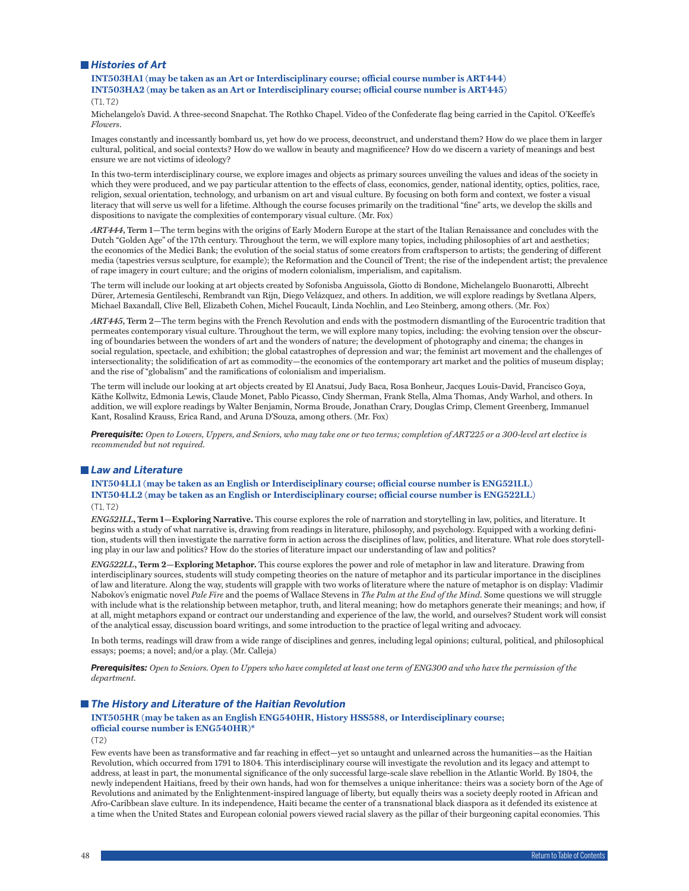### *Histories of Art*

**INT503HA1 (may be taken as an Art or Interdisciplinary course; official course number is ART444) INT503HA2 (may be taken as an Art or Interdisciplinary course; official course number is ART445)**

(T1, T2)

Michelangelo's David. A three-second Snapchat. The Rothko Chapel. Video of the Confederate flag being carried in the Capitol. O'Keeffe's *Flowers*.

Images constantly and incessantly bombard us, yet how do we process, deconstruct, and understand them? How do we place them in larger cultural, political, and social contexts? How do we wallow in beauty and magnificence? How do we discern a variety of meanings and best ensure we are not victims of ideology?

In this two-term interdisciplinary course, we explore images and objects as primary sources unveiling the values and ideas of the society in which they were produced, and we pay particular attention to the effects of class, economics, gender, national identity, optics, politics, race, religion, sexual orientation, technology, and urbanism on art and visual culture. By focusing on both form and context, we foster a visual literacy that will serve us well for a lifetime. Although the course focuses primarily on the traditional "fine" arts, we develop the skills and dispositions to navigate the complexities of contemporary visual culture. (Mr. Fox)

*ART444***, Term 1—**The term begins with the origins of Early Modern Europe at the start of the Italian Renaissance and concludes with the Dutch "Golden Age" of the 17th century. Throughout the term, we will explore many topics, including philosophies of art and aesthetics; the economics of the Medici Bank; the evolution of the social status of some creators from craftsperson to artists; the gendering of different media (tapestries versus sculpture, for example); the Reformation and the Council of Trent; the rise of the independent artist; the prevalence of rape imagery in court culture; and the origins of modern colonialism, imperialism, and capitalism.

The term will include our looking at art objects created by Sofonisba Anguissola, Giotto di Bondone, Michelangelo Buonarotti, Albrecht Dürer, Artemesia Gentileschi, Rembrandt van Rijn, Diego Velázquez, and others. In addition, we will explore readings by Svetlana Alpers, Michael Baxandall, Clive Bell, Elizabeth Cohen, Michel Foucault, Linda Nochlin, and Leo Steinberg, among others. (Mr. Fox)

*ART445***, Term 2—**The term begins with the French Revolution and ends with the postmodern dismantling of the Eurocentric tradition that permeates contemporary visual culture. Throughout the term, we will explore many topics, including: the evolving tension over the obscuring of boundaries between the wonders of art and the wonders of nature; the development of photography and cinema; the changes in social regulation, spectacle, and exhibition; the global catastrophes of depression and war; the feminist art movement and the challenges of intersectionality; the solidification of art as commodity—the economics of the contemporary art market and the politics of museum display; and the rise of "globalism" and the ramifications of colonialism and imperialism.

The term will include our looking at art objects created by El Anatsui, Judy Baca, Rosa Bonheur, Jacques Louis-David, Francisco Goya, Käthe Kollwitz, Edmonia Lewis, Claude Monet, Pablo Picasso, Cindy Sherman, Frank Stella, Alma Thomas, Andy Warhol, and others. In addition, we will explore readings by Walter Benjamin, Norma Broude, Jonathan Crary, Douglas Crimp, Clement Greenberg, Immanuel Kant, Rosalind Krauss, Erica Rand, and Aruna D'Souza, among others. (Mr. Fox)

*Prerequisite: Open to Lowers, Uppers, and Seniors, who may take one or two terms; completion of ART225 or a 300-level art elective is recommended but not required.*

#### *Law and Literature*

**INT504LL1 (may be taken as an English or Interdisciplinary course; official course number is ENG521LL) INT504LL2 (may be taken as an English or Interdisciplinary course; official course number is ENG522LL)** (T1, T2)

*ENG521LL***, Term 1—Exploring Narrative.** This course explores the role of narration and storytelling in law, politics, and literature. It begins with a study of what narrative is, drawing from readings in literature, philosophy, and psychology. Equipped with a working definition, students will then investigate the narrative form in action across the disciplines of law, politics, and literature. What role does storytelling play in our law and politics? How do the stories of literature impact our understanding of law and politics?

*ENG522LL***, Term 2—Exploring Metaphor.** This course explores the power and role of metaphor in law and literature. Drawing from interdisciplinary sources, students will study competing theories on the nature of metaphor and its particular importance in the disciplines of law and literature. Along the way, students will grapple with two works of literature where the nature of metaphor is on display: Vladimir Nabokov's enigmatic novel *Pale Fire* and the poems of Wallace Stevens in *The Palm at the End of the Mind*. Some questions we will struggle with include what is the relationship between metaphor, truth, and literal meaning; how do metaphors generate their meanings; and how, if at all, might metaphors expand or contract our understanding and experience of the law, the world, and ourselves? Student work will consist of the analytical essay, discussion board writings, and some introduction to the practice of legal writing and advocacy.

In both terms, readings will draw from a wide range of disciplines and genres, including legal opinions; cultural, political, and philosophical essays; poems; a novel; and/or a play. (Mr. Calleja)

*Prerequisites: Open to Seniors. Open to Uppers who have completed at least one term of ENG300 and who have the permission of the department.*

#### *The History and Literature of the Haitian Revolution*

#### **INT505HR (may be taken as an English ENG540HR, History HSS588, or Interdisciplinary course; official course number is ENG540HR)\***

(T2)

Few events have been as transformative and far reaching in effect—yet so untaught and unlearned across the humanities—as the Haitian Revolution, which occurred from 1791 to 1804. This interdisciplinary course will investigate the revolution and its legacy and attempt to address, at least in part, the monumental significance of the only successful large-scale slave rebellion in the Atlantic World. By 1804, the newly independent Haitians, freed by their own hands, had won for themselves a unique inheritance: theirs was a society born of the Age of Revolutions and animated by the Enlightenment-inspired language of liberty, but equally theirs was a society deeply rooted in African and Afro-Caribbean slave culture. In its independence, Haiti became the center of a transnational black diaspora as it defended its existence at a time when the United States and European colonial powers viewed racial slavery as the pillar of their burgeoning capital economies. This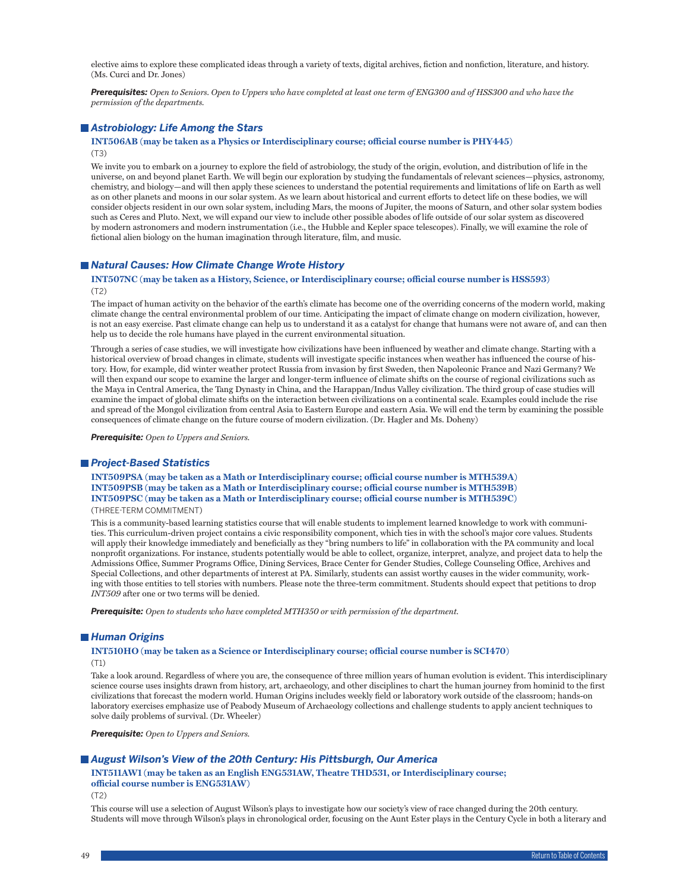elective aims to explore these complicated ideas through a variety of texts, digital archives, fiction and nonfiction, literature, and history. (Ms. Curci and Dr. Jones)

*Prerequisites: Open to Seniors. Open to Uppers who have completed at least one term of ENG300 and of HSS300 and who have the permission of the departments.*

### *Astrobiology: Life Among the Stars*

**INT506AB (may be taken as a Physics or Interdisciplinary course; official course number is PHY445)** (T3)

We invite you to embark on a journey to explore the field of astrobiology, the study of the origin, evolution, and distribution of life in the universe, on and beyond planet Earth. We will begin our exploration by studying the fundamentals of relevant sciences—physics, astronomy, chemistry, and biology—and will then apply these sciences to understand the potential requirements and limitations of life on Earth as well as on other planets and moons in our solar system. As we learn about historical and current efforts to detect life on these bodies, we will consider objects resident in our own solar system, including Mars, the moons of Jupiter, the moons of Saturn, and other solar system bodies such as Ceres and Pluto. Next, we will expand our view to include other possible abodes of life outside of our solar system as discovered by modern astronomers and modern instrumentation (i.e., the Hubble and Kepler space telescopes). Finally, we will examine the role of fictional alien biology on the human imagination through literature, film, and music.

### *Natural Causes: How Climate Change Wrote History*

#### **INT507NC (may be taken as a History, Science, or Interdisciplinary course; official course number is HSS593)** (T2)

The impact of human activity on the behavior of the earth's climate has become one of the overriding concerns of the modern world, making climate change the central environmental problem of our time. Anticipating the impact of climate change on modern civilization, however, is not an easy exercise. Past climate change can help us to understand it as a catalyst for change that humans were not aware of, and can then help us to decide the role humans have played in the current environmental situation.

Through a series of case studies, we will investigate how civilizations have been influenced by weather and climate change. Starting with a historical overview of broad changes in climate, students will investigate specific instances when weather has influenced the course of history. How, for example, did winter weather protect Russia from invasion by first Sweden, then Napoleonic France and Nazi Germany? We will then expand our scope to examine the larger and longer-term influence of climate shifts on the course of regional civilizations such as the Maya in Central America, the Tang Dynasty in China, and the Harappan/Indus Valley civilization. The third group of case studies will examine the impact of global climate shifts on the interaction between civilizations on a continental scale. Examples could include the rise and spread of the Mongol civilization from central Asia to Eastern Europe and eastern Asia. We will end the term by examining the possible consequences of climate change on the future course of modern civilization. (Dr. Hagler and Ms. Doheny)

*Prerequisite: Open to Uppers and Seniors.*

#### *Project-Based Statistics*

#### **INT509PSA (may be taken as a Math or Interdisciplinary course; official course number is MTH539A) INT509PSB (may be taken as a Math or Interdisciplinary course; official course number is MTH539B) INT509PSC (may be taken as a Math or Interdisciplinary course; official course number is MTH539C)** (THREE-TERM COMMITMENT)

This is a community-based learning statistics course that will enable students to implement learned knowledge to work with communities. This curriculum-driven project contains a civic responsibility component, which ties in with the school's major core values. Students will apply their knowledge immediately and beneficially as they "bring numbers to life" in collaboration with the PA community and local nonprofit organizations. For instance, students potentially would be able to collect, organize, interpret, analyze, and project data to help the Admissions Office, Summer Programs Office, Dining Services, Brace Center for Gender Studies, College Counseling Office, Archives and Special Collections, and other departments of interest at PA. Similarly, students can assist worthy causes in the wider community, working with those entities to tell stories with numbers. Please note the three-term commitment. Students should expect that petitions to drop *INT509* after one or two terms will be denied.

*Prerequisite: Open to students who have completed MTH350 or with permission of the department.*

#### *Human Origins*

#### **INT510HO (may be taken as a Science or Interdisciplinary course; official course number is SCI470)** (T1)

Take a look around. Regardless of where you are, the consequence of three million years of human evolution is evident. This interdisciplinary science course uses insights drawn from history, art, archaeology, and other disciplines to chart the human journey from hominid to the first civilizations that forecast the modern world. Human Origins includes weekly field or laboratory work outside of the classroom; hands-on laboratory exercises emphasize use of Peabody Museum of Archaeology collections and challenge students to apply ancient techniques to solve daily problems of survival. (Dr. Wheeler)

*Prerequisite: Open to Uppers and Seniors.*

### *August Wilson's View of the 20th Century: His Pittsburgh, Our America*

### **INT511AW1 (may be taken as an English ENG531AW, Theatre THD531, or Interdisciplinary course; official course number is ENG531AW)**

(T2)

This course will use a selection of August Wilson's plays to investigate how our society's view of race changed during the 20th century. Students will move through Wilson's plays in chronological order, focusing on the Aunt Ester plays in the Century Cycle in both a literary and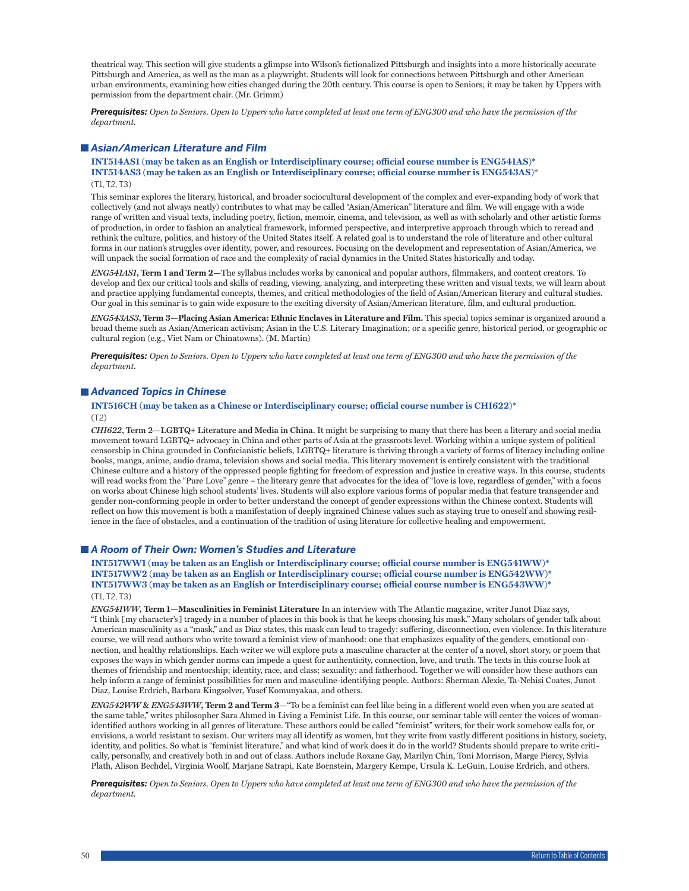theatrical way. This section will give students a glimpse into Wilson's fictionalized Pittsburgh and insights into a more historically accurate Pittsburgh and America, as well as the man as a playwright. Students will look for connections between Pittsburgh and other American urban environments, examining how cities changed during the 20th century. This course is open to Seniors; it may be taken by Uppers with permission from the department chair. (Mr. Grimm)

*Prerequisites: Open to Seniors. Open to Uppers who have completed at least one term of ENG300 and who have the permission of the department.*

### *Asian/American Literature and Film*

### **INT514AS1 (may be taken as an English or Interdisciplinary course; official course number is ENG541AS)\* INT514AS3 (may be taken as an English or Interdisciplinary course; official course number is ENG543AS)\***  $(T1, T2, T3)$

This seminar explores the literary, historical, and broader sociocultural development of the complex and ever-expanding body of work that collectively (and not always neatly) contributes to what may be called "Asian/American" literature and film. We will engage with a wide range of written and visual texts, including poetry, fiction, memoir, cinema, and television, as well as with scholarly and other artistic forms of production, in order to fashion an analytical framework, informed perspective, and interpretive approach through which to reread and rethink the culture, politics, and history of the United States itself. A related goal is to understand the role of literature and other cultural forms in our nation's struggles over identity, power, and resources. Focusing on the development and representation of Asian/America, we will unpack the social formation of race and the complexity of racial dynamics in the United States historically and today.

*ENG541AS1***, Term 1 and Term 2—**The syllabus includes works by canonical and popular authors, filmmakers, and content creators. To develop and flex our critical tools and skills of reading, viewing, analyzing, and interpreting these written and visual texts, we will learn about and practice applying fundamental concepts, themes, and critical methodologies of the field of Asian/American literary and cultural studies. Our goal in this seminar is to gain wide exposure to the exciting diversity of Asian/American literature, film, and cultural production.

*ENG543AS3***, Term 3—Placing Asian America: Ethnic Enclaves in Literature and Film.** This special topics seminar is organized around a broad theme such as Asian/American activism; Asian in the U.S. Literary Imagination; or a specific genre, historical period, or geographic or cultural region (e.g., Viet Nam or Chinatowns). (M. Martin)

*Prerequisites: Open to Seniors. Open to Uppers who have completed at least one term of ENG300 and who have the permission of the department.*

### *Advanced Topics in Chinese*

**INT516CH (may be taken as a Chinese or Interdisciplinary course; official course number is CHI622)\***

(T2)

*CHI622***, Term 2—LGBTQ+ Literature and Media in China.** It might be surprising to many that there has been a literary and social media movement toward LGBTQ+ advocacy in China and other parts of Asia at the grassroots level. Working within a unique system of political censorship in China grounded in Confucianistic beliefs, LGBTQ+ literature is thriving through a variety of forms of literacy including online books, manga, anime, audio drama, television shows and social media. This literary movement is entirely consistent with the traditional Chinese culture and a history of the oppressed people fighting for freedom of expression and justice in creative ways. In this course, students will read works from the "Pure Love" genre – the literary genre that advocates for the idea of "love is love, regardless of gender," with a focus on works about Chinese high school students' lives. Students will also explore various forms of popular media that feature transgender and gender non-conforming people in order to better understand the concept of gender expressions within the Chinese context. Students will reflect on how this movement is both a manifestation of deeply ingrained Chinese values such as staying true to oneself and showing resilience in the face of obstacles, and a continuation of the tradition of using literature for collective healing and empowerment.

#### *A Room of Their Own: Women's Studies and Literature*

**INT517WW1 (may be taken as an English or Interdisciplinary course; official course number is ENG541WW)\* INT517WW2 (may be taken as an English or Interdisciplinary course; official course number is ENG542WW)\* INT517WW3 (may be taken as an English or Interdisciplinary course; official course number is ENG543WW)\*** (T1, T2, T3)

*ENG541WW***, Term 1—Masculinities in Feminist Literature** In an interview with The Atlantic magazine, writer Junot Diaz says, "I think [my character's] tragedy in a number of places in this book is that he keeps choosing his mask." Many scholars of gender talk about American masculinity as a "mask," and as Diaz states, this mask can lead to tragedy: suffering, disconnection, even violence. In this literature course, we will read authors who write toward a feminist view of manhood: one that emphasizes equality of the genders, emotional connection, and healthy relationships. Each writer we will explore puts a masculine character at the center of a novel, short story, or poem that exposes the ways in which gender norms can impede a quest for authenticity, connection, love, and truth. The texts in this course look at themes of friendship and mentorship; identity, race, and class; sexuality; and fatherhood. Together we will consider how these authors can help inform a range of feminist possibilities for men and masculine-identifying people. Authors: Sherman Alexie, Ta-Nehisi Coates, Junot Diaz, Louise Erdrich, Barbara Kingsolver, Yusef Komunyakaa, and others.

*ENG542WW* **&** *ENG543WW***, Term 2 and Term 3—**"To be a feminist can feel like being in a different world even when you are seated at the same table," writes philosopher Sara Ahmed in Living a Feminist Life. In this course, our seminar table will center the voices of womanidentified authors working in all genres of literature. These authors could be called "feminist" writers, for their work somehow calls for, or envisions, a world resistant to sexism. Our writers may all identify as women, but they write from vastly different positions in history, society, identity, and politics. So what is "feminist literature," and what kind of work does it do in the world? Students should prepare to write critically, personally, and creatively both in and out of class. Authors include Roxane Gay, Marilyn Chin, Toni Morrison, Marge Piercy, Sylvia Plath, Alison Bechdel, Virginia Woolf, Marjane Satrapi, Kate Bornstein, Margery Kempe, Ursula K. LeGuin, Louise Erdrich, and others.

*Prerequisites: Open to Seniors. Open to Uppers who have completed at least one term of ENG300 and who have the permission of the department.*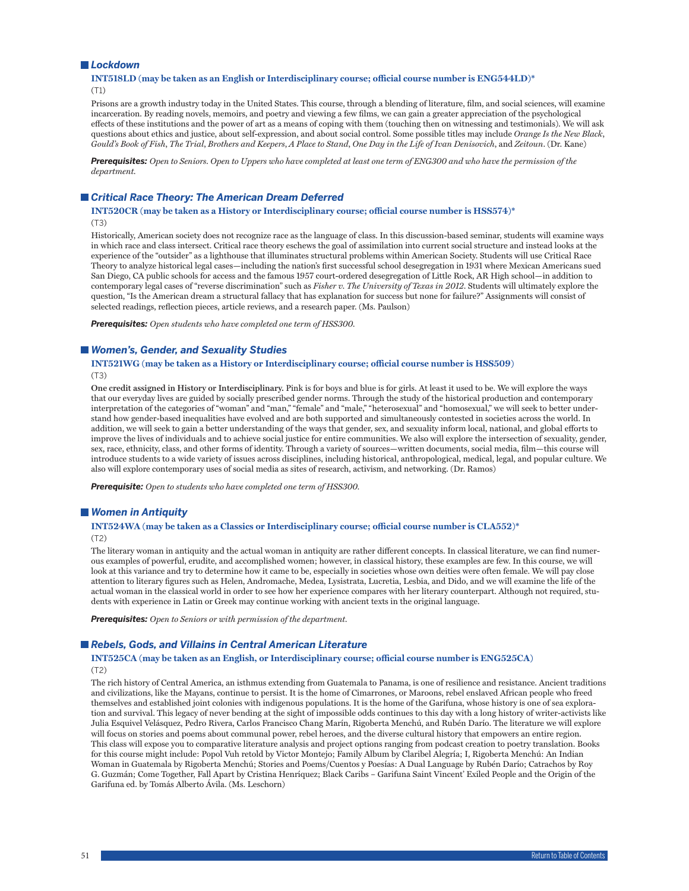#### *Lockdown*

### **INT518LD (may be taken as an English or Interdisciplinary course; official course number is ENG544LD)\*** (T1)

Prisons are a growth industry today in the United States. This course, through a blending of literature, film, and social sciences, will examine incarceration. By reading novels, memoirs, and poetry and viewing a few films, we can gain a greater appreciation of the psychological effects of these institutions and the power of art as a means of coping with them (touching then on witnessing and testimonials). We will ask questions about ethics and justice, about self-expression, and about social control. Some possible titles may include *Orange Is the New Black*, *Gould's Book of Fish*, *The Trial*, *Brothers and Keepers*, *A Place to Stand*, *One Day in the Life of Ivan Denisovich*, and *Zeitoun*. (Dr. Kane)

*Prerequisites: Open to Seniors. Open to Uppers who have completed at least one term of ENG300 and who have the permission of the department.*

### *Critical Race Theory: The American Dream Deferred*

**INT520CR (may be taken as a History or Interdisciplinary course; official course number is HSS574)\*** (T3)

Historically, American society does not recognize race as the language of class. In this discussion-based seminar, students will examine ways in which race and class intersect. Critical race theory eschews the goal of assimilation into current social structure and instead looks at the experience of the "outsider" as a lighthouse that illuminates structural problems within American Society. Students will use Critical Race Theory to analyze historical legal cases—including the nation's first successful school desegregation in 1931 where Mexican Americans sued San Diego, CA public schools for access and the famous 1957 court-ordered desegregation of Little Rock, AR High school—in addition to contemporary legal cases of "reverse discrimination" such as *Fisher v. The University of Texas in 2012*. Students will ultimately explore the question, "Is the American dream a structural fallacy that has explanation for success but none for failure?" Assignments will consist of selected readings, reflection pieces, article reviews, and a research paper. (Ms. Paulson)

*Prerequisites: Open students who have completed one term of HSS300.*

#### *Women's, Gender, and Sexuality Studies*

**INT521WG (may be taken as a History or Interdisciplinary course; official course number is HSS509)** (T3)

**One credit assigned in History or Interdisciplinary.** Pink is for boys and blue is for girls. At least it used to be. We will explore the ways that our everyday lives are guided by socially prescribed gender norms. Through the study of the historical production and contemporary interpretation of the categories of "woman" and "man," "female" and "male," "heterosexual" and "homosexual," we will seek to better understand how gender-based inequalities have evolved and are both supported and simultaneously contested in societies across the world. In addition, we will seek to gain a better understanding of the ways that gender, sex, and sexuality inform local, national, and global efforts to improve the lives of individuals and to achieve social justice for entire communities. We also will explore the intersection of sexuality, gender, sex, race, ethnicity, class, and other forms of identity. Through a variety of sources—written documents, social media, film—this course will introduce students to a wide variety of issues across disciplines, including historical, anthropological, medical, legal, and popular culture. We also will explore contemporary uses of social media as sites of research, activism, and networking. (Dr. Ramos)

*Prerequisite: Open to students who have completed one term of HSS300.*

#### *Women in Antiquity*

# **INT524WA (may be taken as a Classics or Interdisciplinary course; official course number is CLA552)\***

(T2)

The literary woman in antiquity and the actual woman in antiquity are rather different concepts. In classical literature, we can find numerous examples of powerful, erudite, and accomplished women; however, in classical history, these examples are few. In this course, we will look at this variance and try to determine how it came to be, especially in societies whose own deities were often female. We will pay close attention to literary figures such as Helen, Andromache, Medea, Lysistrata, Lucretia, Lesbia, and Dido, and we will examine the life of the actual woman in the classical world in order to see how her experience compares with her literary counterpart. Although not required, students with experience in Latin or Greek may continue working with ancient texts in the original language.

*Prerequisites: Open to Seniors or with permission of the department.*

### ■ Rebels, Gods, and Villains in Central American Literature

#### **INT525CA (may be taken as an English, or Interdisciplinary course; official course number is ENG525CA)** (T2)

The rich history of Central America, an isthmus extending from Guatemala to Panama, is one of resilience and resistance. Ancient traditions and civilizations, like the Mayans, continue to persist. It is the home of Cimarrones, or Maroons, rebel enslaved African people who freed themselves and established joint colonies with indigenous populations. It is the home of the Garifuna, whose history is one of sea exploration and survival. This legacy of never bending at the sight of impossible odds continues to this day with a long history of writer-activists like Julia Esquivel Velásquez, Pedro Rivera, Carlos Francisco Chang Marín, Rigoberta Menchú, and Rubén Darío. The literature we will explore will focus on stories and poems about communal power, rebel heroes, and the diverse cultural history that empowers an entire region. This class will expose you to comparative literature analysis and project options ranging from podcast creation to poetry translation. Books for this course might include: Popol Vuh retold by Victor Montejo; Family Album by Claribel Alegría; I, Rigoberta Menchú: An Indian Woman in Guatemala by Rigoberta Menchú; Stories and Poems/Cuentos y Poesías: A Dual Language by Rubén Darío; Catrachos by Roy G. Guzmán; Come Together, Fall Apart by Cristina Henríquez; Black Caribs – Garifuna Saint Vincent' Exiled People and the Origin of the Garifuna ed. by Tomás Alberto Ávila. (Ms. Leschorn)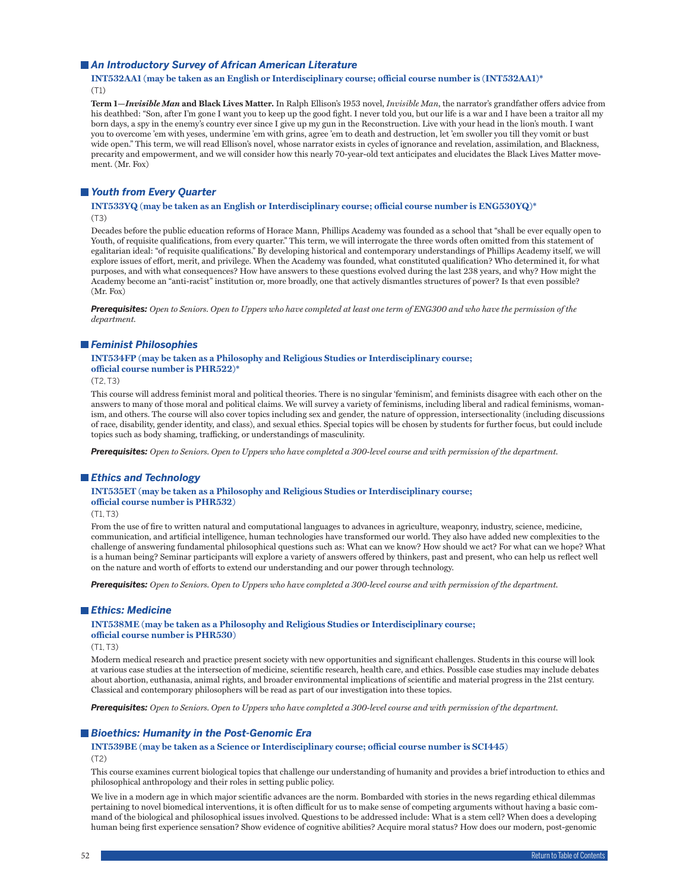#### *An Introductory Survey of African American Literature*

#### **INT532AA1 (may be taken as an English or Interdisciplinary course; official course number is (INT532AA1)\*** (T1)

**Term 1—***Invisible Man* **and Black Lives Matter.** In Ralph Ellison's 1953 novel, *Invisible Man*, the narrator's grandfather offers advice from his deathbed: "Son, after I'm gone I want you to keep up the good fight. I never told you, but our life is a war and I have been a traitor all my born days, a spy in the enemy's country ever since I give up my gun in the Reconstruction. Live with your head in the lion's mouth. I want you to overcome 'em with yeses, undermine 'em with grins, agree 'em to death and destruction, let 'em swoller you till they vomit or bust wide open." This term, we will read Ellison's novel, whose narrator exists in cycles of ignorance and revelation, assimilation, and Blackness, precarity and empowerment, and we will consider how this nearly 70-year-old text anticipates and elucidates the Black Lives Matter movement. (Mr. Fox)

### *Youth from Every Quarter*

#### **INT533YQ (may be taken as an English or Interdisciplinary course; official course number is ENG530YQ)\*** (T3)

Decades before the public education reforms of Horace Mann, Phillips Academy was founded as a school that "shall be ever equally open to Youth, of requisite qualifications, from every quarter." This term, we will interrogate the three words often omitted from this statement of egalitarian ideal: "of requisite qualifications." By developing historical and contemporary understandings of Phillips Academy itself, we will explore issues of effort, merit, and privilege. When the Academy was founded, what constituted qualification? Who determined it, for what purposes, and with what consequences? How have answers to these questions evolved during the last 238 years, and why? How might the Academy become an "anti-racist" institution or, more broadly, one that actively dismantles structures of power? Is that even possible? (Mr. Fox)

*Prerequisites: Open to Seniors. Open to Uppers who have completed at least one term of ENG300 and who have the permission of the department.*

#### *Feminist Philosophies*

#### **INT534FP (may be taken as a Philosophy and Religious Studies or Interdisciplinary course; official course number is PHR522)\***

 $(T2, T3)$ 

This course will address feminist moral and political theories. There is no singular 'feminism', and feminists disagree with each other on the answers to many of those moral and political claims. We will survey a variety of feminisms, including liberal and radical feminisms, womanism, and others. The course will also cover topics including sex and gender, the nature of oppression, intersectionality (including discussions of race, disability, gender identity, and class), and sexual ethics. Special topics will be chosen by students for further focus, but could include topics such as body shaming, trafficking, or understandings of masculinity.

*Prerequisites: Open to Seniors. Open to Uppers who have completed a 300-level course and with permission of the department.*

#### *Ethics and Technology*

### **INT535ET (may be taken as a Philosophy and Religious Studies or Interdisciplinary course; official course number is PHR532)**

 $(T1, T3)$ 

From the use of fire to written natural and computational languages to advances in agriculture, weaponry, industry, science, medicine, communication, and artificial intelligence, human technologies have transformed our world. They also have added new complexities to the challenge of answering fundamental philosophical questions such as: What can we know? How should we act? For what can we hope? What is a human being? Seminar participants will explore a variety of answers offered by thinkers, past and present, who can help us reflect well on the nature and worth of efforts to extend our understanding and our power through technology.

*Prerequisites: Open to Seniors. Open to Uppers who have completed a 300-level course and with permission of the department.*

#### *Ethics: Medicine*

**INT538ME (may be taken as a Philosophy and Religious Studies or Interdisciplinary course; official course number is PHR530)**

(T1, T3)

Modern medical research and practice present society with new opportunities and significant challenges. Students in this course will look at various case studies at the intersection of medicine, scientific research, health care, and ethics. Possible case studies may include debates about abortion, euthanasia, animal rights, and broader environmental implications of scientific and material progress in the 21st century. Classical and contemporary philosophers will be read as part of our investigation into these topics.

*Prerequisites: Open to Seniors. Open to Uppers who have completed a 300-level course and with permission of the department.*

#### *Bioethics: Humanity in the Post-Genomic Era*

# **INT539BE (may be taken as a Science or Interdisciplinary course; official course number is SCI445)**

(T2)

This course examines current biological topics that challenge our understanding of humanity and provides a brief introduction to ethics and philosophical anthropology and their roles in setting public policy.

We live in a modern age in which major scientific advances are the norm. Bombarded with stories in the news regarding ethical dilemmas pertaining to novel biomedical interventions, it is often difficult for us to make sense of competing arguments without having a basic command of the biological and philosophical issues involved. Questions to be addressed include: What is a stem cell? When does a developing human being first experience sensation? Show evidence of cognitive abilities? Acquire moral status? How does our modern, post-genomic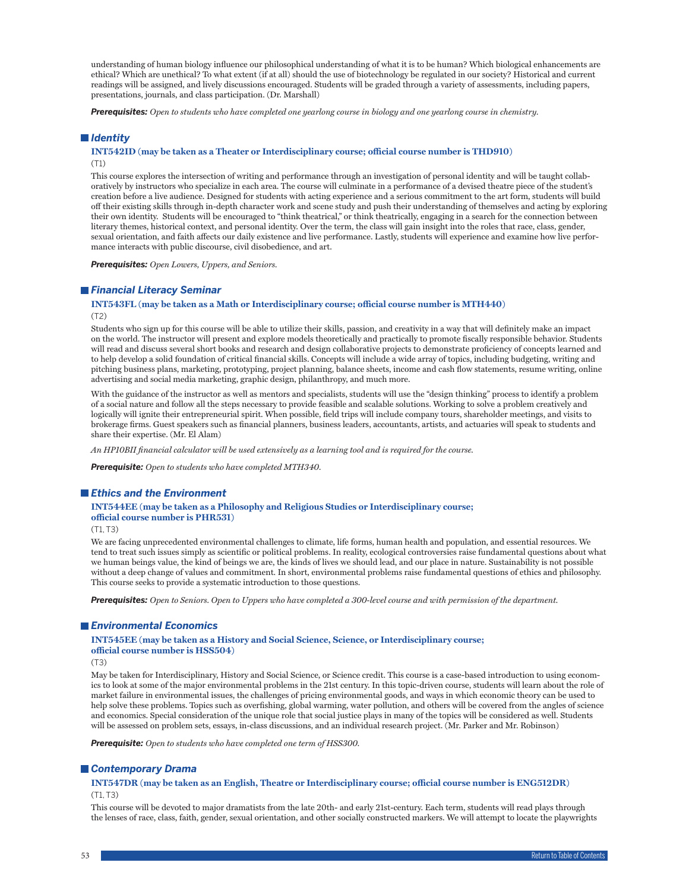understanding of human biology influence our philosophical understanding of what it is to be human? Which biological enhancements are ethical? Which are unethical? To what extent (if at all) should the use of biotechnology be regulated in our society? Historical and current readings will be assigned, and lively discussions encouraged. Students will be graded through a variety of assessments, including papers, presentations, journals, and class participation. (Dr. Marshall)

*Prerequisites: Open to students who have completed one yearlong course in biology and one yearlong course in chemistry.*

### *Identity*

#### **INT542ID (may be taken as a Theater or Interdisciplinary course; official course number is THD910)** (T1)

This course explores the intersection of writing and performance through an investigation of personal identity and will be taught collaboratively by instructors who specialize in each area. The course will culminate in a performance of a devised theatre piece of the student's creation before a live audience. Designed for students with acting experience and a serious commitment to the art form, students will build off their existing skills through in-depth character work and scene study and push their understanding of themselves and acting by exploring their own identity. Students will be encouraged to "think theatrical," or think theatrically, engaging in a search for the connection between literary themes, historical context, and personal identity. Over the term, the class will gain insight into the roles that race, class, gender, sexual orientation, and faith affects our daily existence and live performance. Lastly, students will experience and examine how live performance interacts with public discourse, civil disobedience, and art.

*Prerequisites: Open Lowers, Uppers, and Seniors.*

#### *Financial Literacy Seminar*

#### **INT543FL (may be taken as a Math or Interdisciplinary course; official course number is MTH440)** (T2)

Students who sign up for this course will be able to utilize their skills, passion, and creativity in a way that will definitely make an impact on the world. The instructor will present and explore models theoretically and practically to promote fiscally responsible behavior. Students will read and discuss several short books and research and design collaborative projects to demonstrate proficiency of concepts learned and to help develop a solid foundation of critical financial skills. Concepts will include a wide array of topics, including budgeting, writing and pitching business plans, marketing, prototyping, project planning, balance sheets, income and cash flow statements, resume writing, online advertising and social media marketing, graphic design, philanthropy, and much more.

With the guidance of the instructor as well as mentors and specialists, students will use the "design thinking" process to identify a problem of a social nature and follow all the steps necessary to provide feasible and scalable solutions. Working to solve a problem creatively and logically will ignite their entrepreneurial spirit. When possible, field trips will include company tours, shareholder meetings, and visits to brokerage firms. Guest speakers such as financial planners, business leaders, accountants, artists, and actuaries will speak to students and share their expertise. (Mr. El Alam)

*An HP10BII financial calculator will be used extensively as a learning tool and is required for the course.*

*Prerequisite: Open to students who have completed MTH340.*

#### *Ethics and the Environment*

### **INT544EE (may be taken as a Philosophy and Religious Studies or Interdisciplinary course; official course number is PHR531)**

(T1, T3)

We are facing unprecedented environmental challenges to climate, life forms, human health and population, and essential resources. We tend to treat such issues simply as scientific or political problems. In reality, ecological controversies raise fundamental questions about what we human beings value, the kind of beings we are, the kinds of lives we should lead, and our place in nature. Sustainability is not possible without a deep change of values and commitment. In short, environmental problems raise fundamental questions of ethics and philosophy. This course seeks to provide a systematic introduction to those questions.

*Prerequisites: Open to Seniors. Open to Uppers who have completed a 300-level course and with permission of the department.*

#### *Environmental Economics*

**INT545EE (may be taken as a History and Social Science, Science, or Interdisciplinary course; official course number is HSS504)**

(T3)

May be taken for Interdisciplinary, History and Social Science, or Science credit. This course is a case-based introduction to using economics to look at some of the major environmental problems in the 21st century. In this topic-driven course, students will learn about the role of market failure in environmental issues, the challenges of pricing environmental goods, and ways in which economic theory can be used to help solve these problems. Topics such as overfishing, global warming, water pollution, and others will be covered from the angles of science and economics. Special consideration of the unique role that social justice plays in many of the topics will be considered as well. Students will be assessed on problem sets, essays, in-class discussions, and an individual research project. (Mr. Parker and Mr. Robinson)

*Prerequisite: Open to students who have completed one term of HSS300.*

#### *Contemporary Drama*

**INT547DR (may be taken as an English, Theatre or Interdisciplinary course; official course number is ENG512DR)** (T1, T3)

This course will be devoted to major dramatists from the late 20th- and early 21st-century. Each term, students will read plays through the lenses of race, class, faith, gender, sexual orientation, and other socially constructed markers. We will attempt to locate the playwrights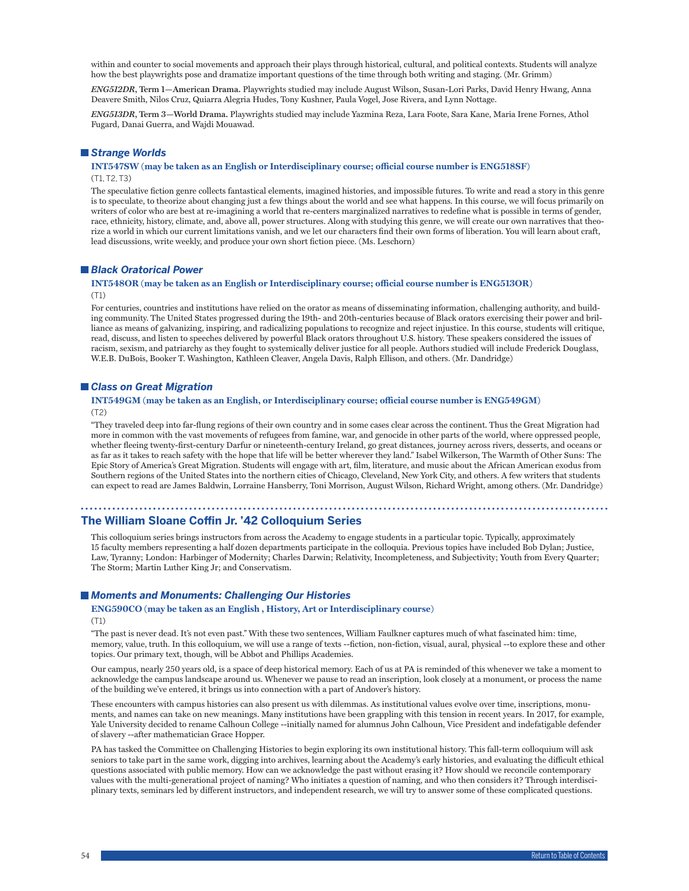within and counter to social movements and approach their plays through historical, cultural, and political contexts. Students will analyze how the best playwrights pose and dramatize important questions of the time through both writing and staging. (Mr. Grimm)

*ENG512DR***, Term 1—American Drama.** Playwrights studied may include August Wilson, Susan-Lori Parks, David Henry Hwang, Anna Deavere Smith, Nilos Cruz, Quiarra Alegria Hudes, Tony Kushner, Paula Vogel, Jose Rivera, and Lynn Nottage.

*ENG513DR***, Term 3—World Drama.** Playwrights studied may include Yazmina Reza, Lara Foote, Sara Kane, Maria Irene Fornes, Athol Fugard, Danai Guerra, and Wajdi Mouawad.

### *Strange Worlds*

**INT547SW (may be taken as an English or Interdisciplinary course; official course number is ENG518SF)** (T1, T2, T3)

The speculative fiction genre collects fantastical elements, imagined histories, and impossible futures. To write and read a story in this genre is to speculate, to theorize about changing just a few things about the world and see what happens. In this course, we will focus primarily on writers of color who are best at re-imagining a world that re-centers marginalized narratives to redefine what is possible in terms of gender, race, ethnicity, history, climate, and, above all, power structures. Along with studying this genre, we will create our own narratives that theorize a world in which our current limitations vanish, and we let our characters find their own forms of liberation. You will learn about craft, lead discussions, write weekly, and produce your own short fiction piece. (Ms. Leschorn)

#### *Black Oratorical Power*

#### **INT548OR (may be taken as an English or Interdisciplinary course; official course number is ENG513OR)** (T1)

For centuries, countries and institutions have relied on the orator as means of disseminating information, challenging authority, and building community. The United States progressed during the 19th- and 20th-centuries because of Black orators exercising their power and brilliance as means of galvanizing, inspiring, and radicalizing populations to recognize and reject injustice. In this course, students will critique, read, discuss, and listen to speeches delivered by powerful Black orators throughout U.S. history. These speakers considered the issues of racism, sexism, and patriarchy as they fought to systemically deliver justice for all people. Authors studied will include Frederick Douglass, W.E.B. DuBois, Booker T. Washington, Kathleen Cleaver, Angela Davis, Ralph Ellison, and others. (Mr. Dandridge)

#### *Class on Great Migration*

#### **INT549GM (may be taken as an English, or Interdisciplinary course; official course number is ENG549GM)** (T2)

"They traveled deep into far-flung regions of their own country and in some cases clear across the continent. Thus the Great Migration had more in common with the vast movements of refugees from famine, war, and genocide in other parts of the world, where oppressed people, whether fleeing twenty-first-century Darfur or nineteenth-century Ireland, go great distances, journey across rivers, desserts, and oceans or as far as it takes to reach safety with the hope that life will be better wherever they land." Isabel Wilkerson, The Warmth of Other Suns: The Epic Story of America's Great Migration. Students will engage with art, film, literature, and music about the African American exodus from Southern regions of the United States into the northern cities of Chicago, Cleveland, New York City, and others. A few writers that students can expect to read are James Baldwin, Lorraine Hansberry, Toni Morrison, August Wilson, Richard Wright, among others. (Mr. Dandridge)

## **The William Sloane Coffin Jr. '42 Colloquium Series**

This colloquium series brings instructors from across the Academy to engage students in a particular topic. Typically, approximately 15 faculty members representing a half dozen departments participate in the colloquia. Previous topics have included Bob Dylan; Justice, Law, Tyranny; London: Harbinger of Modernity; Charles Darwin; Relativity, Incompleteness, and Subjectivity; Youth from Every Quarter; The Storm; Martin Luther King Jr; and Conservatism.

#### ■ Moments and Monuments: Challenging Our Histories

#### **ENG590CO (may be taken as an English , History, Art or Interdisciplinary course)** (T1)

"The past is never dead. It's not even past." With these two sentences, William Faulkner captures much of what fascinated him: time, memory, value, truth. In this colloquium, we will use a range of texts --fiction, non-fiction, visual, aural, physical --to explore these and other topics. Our primary text, though, will be Abbot and Phillips Academies.

Our campus, nearly 250 years old, is a space of deep historical memory. Each of us at PA is reminded of this whenever we take a moment to acknowledge the campus landscape around us. Whenever we pause to read an inscription, look closely at a monument, or process the name of the building we've entered, it brings us into connection with a part of Andover's history.

These encounters with campus histories can also present us with dilemmas. As institutional values evolve over time, inscriptions, monuments, and names can take on new meanings. Many institutions have been grappling with this tension in recent years. In 2017, for example, Yale University decided to rename Calhoun College --initially named for alumnus John Calhoun, Vice President and indefatigable defender of slavery --after mathematician Grace Hopper.

PA has tasked the Committee on Challenging Histories to begin exploring its own institutional history. This fall-term colloquium will ask seniors to take part in the same work, digging into archives, learning about the Academy's early histories, and evaluating the difficult ethical questions associated with public memory. How can we acknowledge the past without erasing it? How should we reconcile contemporary values with the multi-generational project of naming? Who initiates a question of naming, and who then considers it? Through interdisciplinary texts, seminars led by different instructors, and independent research, we will try to answer some of these complicated questions.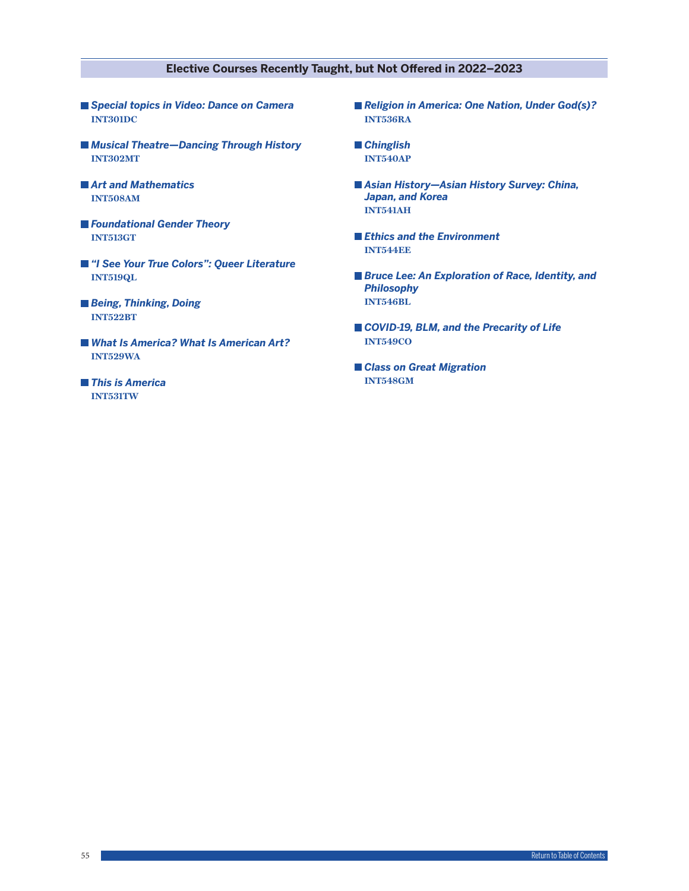### **Elective Courses Recently Taught, but Not Offered in 2022–2023**

- *Special topics in Video: Dance on Camera*  **INT301DC**
- *Musical Theatre—Dancing Through History* **INT302MT**
- *Art and Mathematics* **INT508AM**
- *Foundational Gender Theory* **INT513GT**
- *"I See Your True Colors": Queer Literature* **INT519QL**
- *Being, Thinking, Doing* **INT522BT**
- *What Is America? What Is American Art?* **INT529WA**
- *This is America* **INT531TW**
- *Religion in America: One Nation, Under God(s)?* **INT536RA**
- *Chinglish* **INT540AP**
- *Asian History—Asian History Survey: China, Japan, and Korea* **INT541AH**
- *Ethics and the Environment* **INT544EE**
- *Bruce Lee: An Exploration of Race, Identity, and Philosophy* **INT546BL**
- *COVID-19, BLM, and the Precarity of Life* **INT549CO**
- *Class on Great Migration* **INT548GM**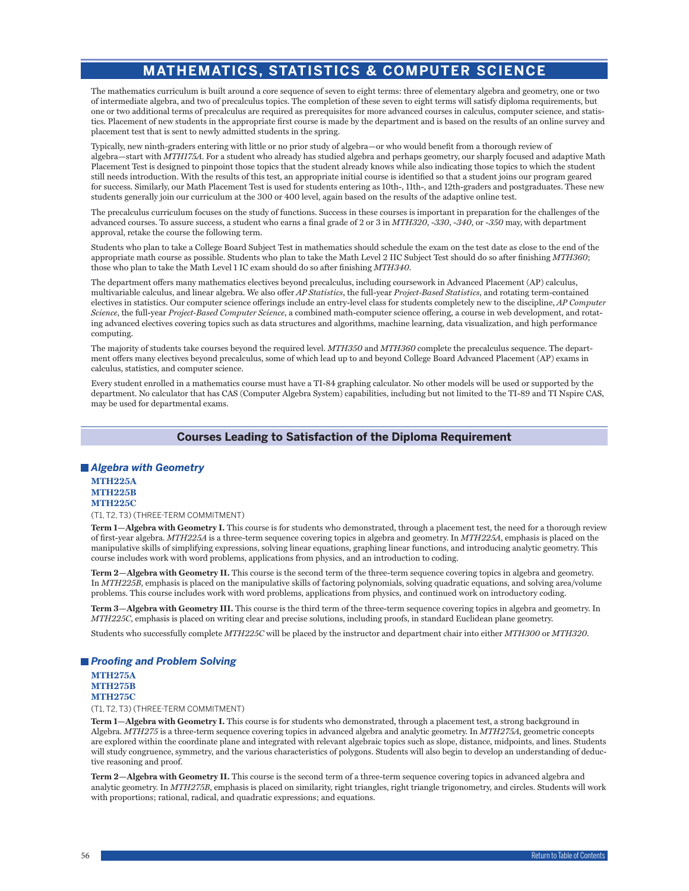# **MATHEMATICS, STATISTICS & COMPUTER SCIENCE**

The mathematics curriculum is built around a core sequence of seven to eight terms: three of elementary algebra and geometry, one or two of intermediate algebra, and two of precalculus topics. The completion of these seven to eight terms will satisfy diploma requirements, but one or two additional terms of precalculus are required as prerequisites for more advanced courses in calculus, computer science, and statistics. Placement of new students in the appropriate first course is made by the department and is based on the results of an online survey and placement test that is sent to newly admitted students in the spring.

Typically, new ninth-graders entering with little or no prior study of algebra—or who would benefit from a thorough review of algebra—start with *MTH175A*. For a student who already has studied algebra and perhaps geometry, our sharply focused and adaptive Math Placement Test is designed to pinpoint those topics that the student already knows while also indicating those topics to which the student still needs introduction. With the results of this test, an appropriate initial course is identified so that a student joins our program geared for success. Similarly, our Math Placement Test is used for students entering as 10th-, 11th-, and 12th-graders and postgraduates. These new students generally join our curriculum at the 300 or 400 level, again based on the results of the adaptive online test.

The precalculus curriculum focuses on the study of functions. Success in these courses is important in preparation for the challenges of the advanced courses. To assure success, a student who earns a final grade of 2 or 3 in *MTH320*, -*330*, -*340*, or -*350* may, with department approval, retake the course the following term.

Students who plan to take a College Board Subject Test in mathematics should schedule the exam on the test date as close to the end of the appropriate math course as possible. Students who plan to take the Math Level 2 IIC Subject Test should do so after finishing *MTH360*; those who plan to take the Math Level 1 IC exam should do so after finishing *MTH340*.

The department offers many mathematics electives beyond precalculus, including coursework in Advanced Placement (AP) calculus, multivariable calculus, and linear algebra. We also offer *AP Statistics*, the full-year *Project-Based Statistics*, and rotating term-contained electives in statistics. Our computer science offerings include an entry-level class for students completely new to the discipline, *AP Computer Science*, the full-year *Project-Based Computer Science*, a combined math-computer science offering, a course in web development, and rotating advanced electives covering topics such as data structures and algorithms, machine learning, data visualization, and high performance computing.

The majority of students take courses beyond the required level. *MTH350* and *MTH360* complete the precalculus sequence. The department offers many electives beyond precalculus, some of which lead up to and beyond College Board Advanced Placement (AP) exams in calculus, statistics, and computer science.

Every student enrolled in a mathematics course must have a TI-84 graphing calculator. No other models will be used or supported by the department. No calculator that has CAS (Computer Algebra System) capabilities, including but not limited to the TI-89 and TI Nspire CAS, may be used for departmental exams.

### **Courses Leading to Satisfaction of the Diploma Requirement**

### *Algebra with Geometry*

**MTH225A MTH225B MTH225C**

#### (T1, T2, T3) (THREE-TERM COMMITMENT)

**Term 1—Algebra with Geometry I.** This course is for students who demonstrated, through a placement test, the need for a thorough review of first-year algebra. *MTH225A* is a three-term sequence covering topics in algebra and geometry. In *MTH225A*, emphasis is placed on the manipulative skills of simplifying expressions, solving linear equations, graphing linear functions, and introducing analytic geometry. This course includes work with word problems, applications from physics, and an introduction to coding.

**Term 2—Algebra with Geometry II.** This course is the second term of the three-term sequence covering topics in algebra and geometry. In *MTH225B*, emphasis is placed on the manipulative skills of factoring polynomials, solving quadratic equations, and solving area/volume problems. This course includes work with word problems, applications from physics, and continued work on introductory coding.

**Term 3—Algebra with Geometry III.** This course is the third term of the three-term sequence covering topics in algebra and geometry. In *MTH225C*, emphasis is placed on writing clear and precise solutions, including proofs, in standard Euclidean plane geometry.

Students who successfully complete *MTH225C* will be placed by the instructor and department chair into either *MTH300* or *MTH320*.

### *Proofing and Problem Solving*

**MTH275A MTH275B MTH275C**

(T1, T2, T3) (THREE-TERM COMMITMENT)

**Term 1—Algebra with Geometry I.** This course is for students who demonstrated, through a placement test, a strong background in Algebra. *MTH275* is a three-term sequence covering topics in advanced algebra and analytic geometry. In *MTH275A*, geometric concepts are explored within the coordinate plane and integrated with relevant algebraic topics such as slope, distance, midpoints, and lines. Students will study congruence, symmetry, and the various characteristics of polygons. Students will also begin to develop an understanding of deductive reasoning and proof.

**Term 2—Algebra with Geometry II.** This course is the second term of a three-term sequence covering topics in advanced algebra and analytic geometry. In *MTH275B*, emphasis is placed on similarity, right triangles, right triangle trigonometry, and circles. Students will work with proportions; rational, radical, and quadratic expressions; and equations.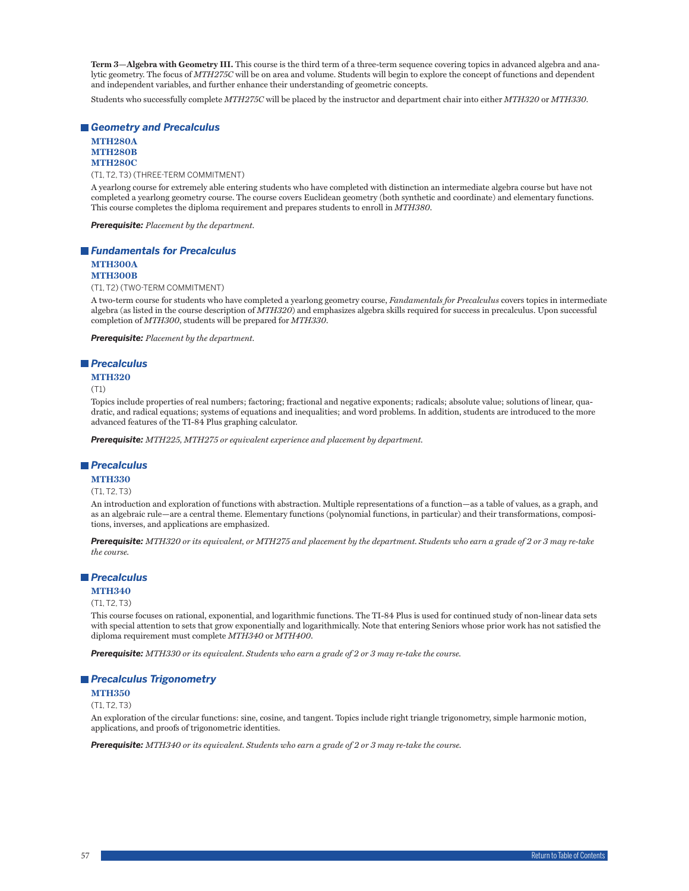**Term 3—Algebra with Geometry III.** This course is the third term of a three-term sequence covering topics in advanced algebra and analytic geometry. The focus of *MTH275C* will be on area and volume. Students will begin to explore the concept of functions and dependent and independent variables, and further enhance their understanding of geometric concepts.

Students who successfully complete *MTH275C* will be placed by the instructor and department chair into either *MTH320* or *MTH330*.

### *Geometry and Precalculus*

### **MTH280A MTH280B MTH280C**

(T1, T2, T3) (THREE-TERM COMMITMENT)

A yearlong course for extremely able entering students who have completed with distinction an intermediate algebra course but have not completed a yearlong geometry course. The course covers Euclidean geometry (both synthetic and coordinate) and elementary functions. This course completes the diploma requirement and prepares students to enroll in *MTH380*.

*Prerequisite: Placement by the department.*

### *Fundamentals for Precalculus* **MTH300A**

#### **MTH300B**

(T1, T2) (TWO-TERM COMMITMENT)

A two-term course for students who have completed a yearlong geometry course, *Fandamentals for Precalculus* covers topics in intermediate algebra (as listed in the course description of *MTH320*) and emphasizes algebra skills required for success in precalculus. Upon successful completion of *MTH300*, students will be prepared for *MTH330*.

*Prerequisite: Placement by the department.*

#### *Precalculus*

#### **MTH320**

(T1)

Topics include properties of real numbers; factoring; fractional and negative exponents; radicals; absolute value; solutions of linear, quadratic, and radical equations; systems of equations and inequalities; and word problems. In addition, students are introduced to the more advanced features of the TI-84 Plus graphing calculator.

*Prerequisite: MTH225, MTH275 or equivalent experience and placement by department.*

#### *Precalculus*

#### **MTH330**

#### (T1, T2, T3)

An introduction and exploration of functions with abstraction. Multiple representations of a function—as a table of values, as a graph, and as an algebraic rule—are a central theme. Elementary functions (polynomial functions, in particular) and their transformations, compositions, inverses, and applications are emphasized.

*Prerequisite: MTH320 or its equivalent, or MTH275 and placement by the department. Students who earn a grade of 2 or 3 may re-take the course.*

## *Precalculus*

#### **MTH340** (T1, T2, T3)

This course focuses on rational, exponential, and logarithmic functions. The TI-84 Plus is used for continued study of non-linear data sets with special attention to sets that grow exponentially and logarithmically. Note that entering Seniors whose prior work has not satisfied the diploma requirement must complete *MTH340* or *MTH400*.

*Prerequisite: MTH330 or its equivalent. Students who earn a grade of 2 or 3 may re-take the course.*

#### *Precalculus Trigonometry*

### **MTH350**

### (T1, T2, T3)

An exploration of the circular functions: sine, cosine, and tangent. Topics include right triangle trigonometry, simple harmonic motion, applications, and proofs of trigonometric identities.

*Prerequisite: MTH340 or its equivalent. Students who earn a grade of 2 or 3 may re-take the course.*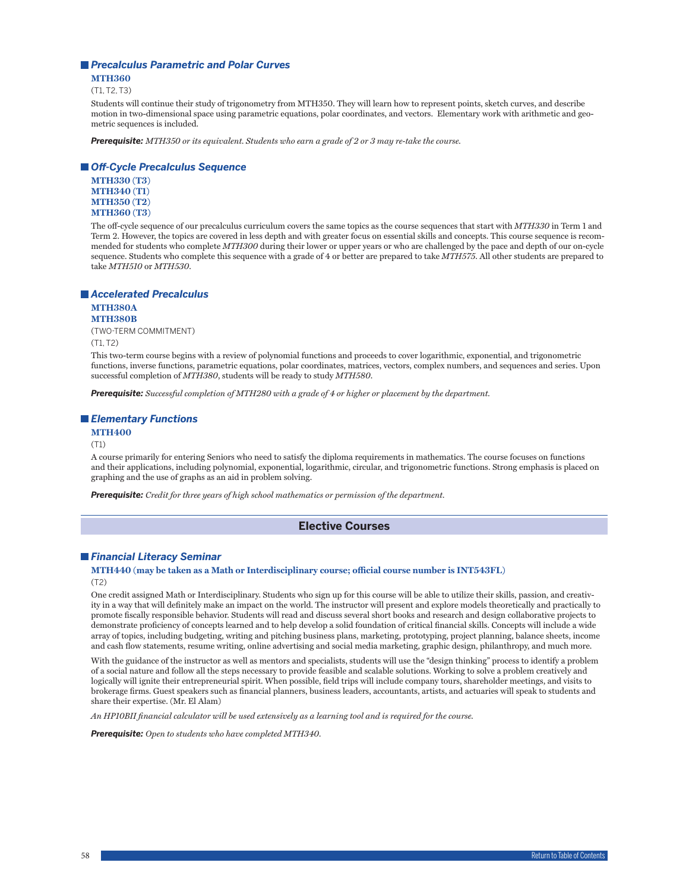### *Precalculus Parametric and Polar Curves*

**MTH360** (T1, T2, T3)

Students will continue their study of trigonometry from MTH350. They will learn how to represent points, sketch curves, and describe motion in two-dimensional space using parametric equations, polar coordinates, and vectors. Elementary work with arithmetic and geometric sequences is included.

*Prerequisite: MTH350 or its equivalent. Students who earn a grade of 2 or 3 may re-take the course.*

### *Off-Cycle Precalculus Sequence*

**MTH330 (T3) MTH340 (T1) MTH350 (T2) MTH360 (T3)**

The off-cycle sequence of our precalculus curriculum covers the same topics as the course sequences that start with *MTH330* in Term 1 and Term 2. However, the topics are covered in less depth and with greater focus on essential skills and concepts. This course sequence is recommended for students who complete *MTH300* during their lower or upper years or who are challenged by the pace and depth of our on-cycle sequence. Students who complete this sequence with a grade of 4 or better are prepared to take *MTH575*. All other students are prepared to take *MTH510* or *MTH530*.

#### *Accelerated Precalculus*

**MTH380A MTH380B**

(TWO-TERM COMMITMENT) (T1, T2)

This two-term course begins with a review of polynomial functions and proceeds to cover logarithmic, exponential, and trigonometric functions, inverse functions, parametric equations, polar coordinates, matrices, vectors, complex numbers, and sequences and series. Upon successful completion of *MTH380*, students will be ready to study *MTH580*.

*Prerequisite: Successful completion of MTH280 with a grade of 4 or higher or placement by the department.*

### *Elementary Functions*

### **MTH400**

(T1)

A course primarily for entering Seniors who need to satisfy the diploma requirements in mathematics. The course focuses on functions and their applications, including polynomial, exponential, logarithmic, circular, and trigonometric functions. Strong emphasis is placed on graphing and the use of graphs as an aid in problem solving.

*Prerequisite: Credit for three years of high school mathematics or permission of the department.*

### **Elective Courses**

### *Financial Literacy Seminar*

#### **MTH440 (may be taken as a Math or Interdisciplinary course; official course number is INT543FL)** (T2)

One credit assigned Math or Interdisciplinary. Students who sign up for this course will be able to utilize their skills, passion, and creativity in a way that will definitely make an impact on the world. The instructor will present and explore models theoretically and practically to promote fiscally responsible behavior. Students will read and discuss several short books and research and design collaborative projects to demonstrate proficiency of concepts learned and to help develop a solid foundation of critical financial skills. Concepts will include a wide array of topics, including budgeting, writing and pitching business plans, marketing, prototyping, project planning, balance sheets, income and cash flow statements, resume writing, online advertising and social media marketing, graphic design, philanthropy, and much more.

With the guidance of the instructor as well as mentors and specialists, students will use the "design thinking" process to identify a problem of a social nature and follow all the steps necessary to provide feasible and scalable solutions. Working to solve a problem creatively and logically will ignite their entrepreneurial spirit. When possible, field trips will include company tours, shareholder meetings, and visits to brokerage firms. Guest speakers such as financial planners, business leaders, accountants, artists, and actuaries will speak to students and share their expertise. (Mr. El Alam)

*An HP10BII financial calculator will be used extensively as a learning tool and is required for the course.*

*Prerequisite: Open to students who have completed MTH340.*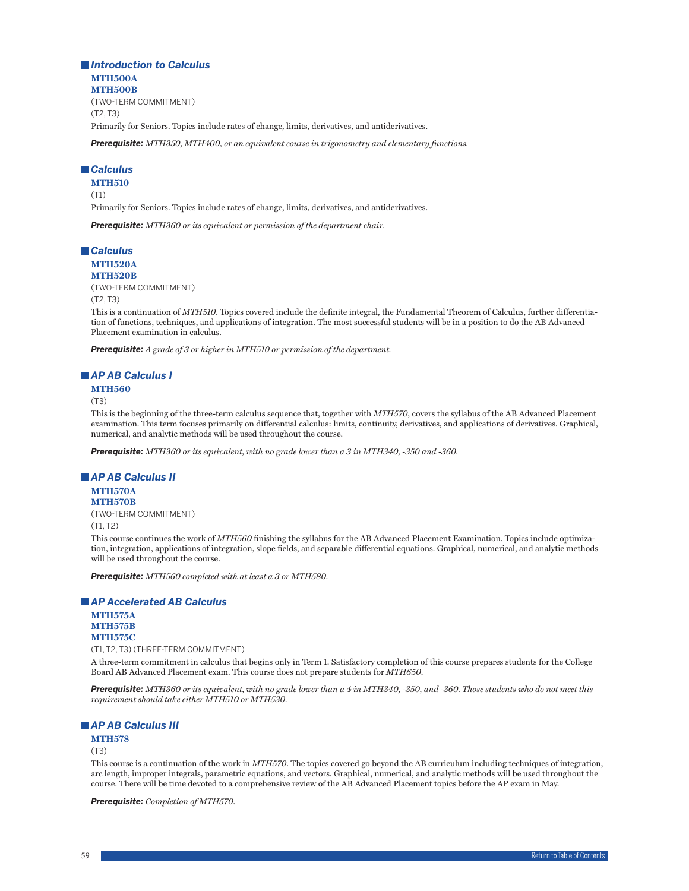*Introduction to Calculus* **MTH500A MTH500B** (TWO-TERM COMMITMENT) (T2, T3) Primarily for Seniors. Topics include rates of change, limits, derivatives, and antiderivatives.

*Prerequisite: MTH350, MTH400, or an equivalent course in trigonometry and elementary functions.*

### *Calculus*

**MTH510** (T1)

Primarily for Seniors. Topics include rates of change, limits, derivatives, and antiderivatives.

*Prerequisite: MTH360 or its equivalent or permission of the department chair.*

## *Calculus*

**MTH520A MTH520B**

(TWO-TERM COMMITMENT) (T2, T3)

This is a continuation of *MTH510*. Topics covered include the definite integral, the Fundamental Theorem of Calculus, further differentiation of functions, techniques, and applications of integration. The most successful students will be in a position to do the AB Advanced Placement examination in calculus.

*Prerequisite: A grade of 3 or higher in MTH510 or permission of the department.*

### *AP AB Calculus I*

**MTH560**

(T3)

This is the beginning of the three-term calculus sequence that, together with *MTH570*, covers the syllabus of the AB Advanced Placement examination. This term focuses primarily on differential calculus: limits, continuity, derivatives, and applications of derivatives. Graphical, numerical, and analytic methods will be used throughout the course.

*Prerequisite: MTH360 or its equivalent, with no grade lower than a 3 in MTH340, -350 and -360.*

#### *AP AB Calculus II*

**MTH570A MTH570B**

(TWO-TERM COMMITMENT) (T1, T2)

This course continues the work of *MTH560* finishing the syllabus for the AB Advanced Placement Examination. Topics include optimization, integration, applications of integration, slope fields, and separable differential equations. Graphical, numerical, and analytic methods will be used throughout the course.

*Prerequisite: MTH560 completed with at least a 3 or MTH580.*

#### *AP Accelerated AB Calculus*

**MTH575A MTH575B MTH575C** (T1, T2, T3) (THREE-TERM COMMITMENT)

A three-term commitment in calculus that begins only in Term 1. Satisfactory completion of this course prepares students for the College Board AB Advanced Placement exam. This course does not prepare students for *MTH650*.

*Prerequisite: MTH360 or its equivalent, with no grade lower than a 4 in MTH340, -350, and -360. Those students who do not meet this requirement should take either MTH510 or MTH530.*

### *AP AB Calculus III*

#### **MTH578**

#### (T3)

This course is a continuation of the work in *MTH570*. The topics covered go beyond the AB curriculum including techniques of integration, arc length, improper integrals, parametric equations, and vectors. Graphical, numerical, and analytic methods will be used throughout the course. There will be time devoted to a comprehensive review of the AB Advanced Placement topics before the AP exam in May.

*Prerequisite: Completion of MTH570.*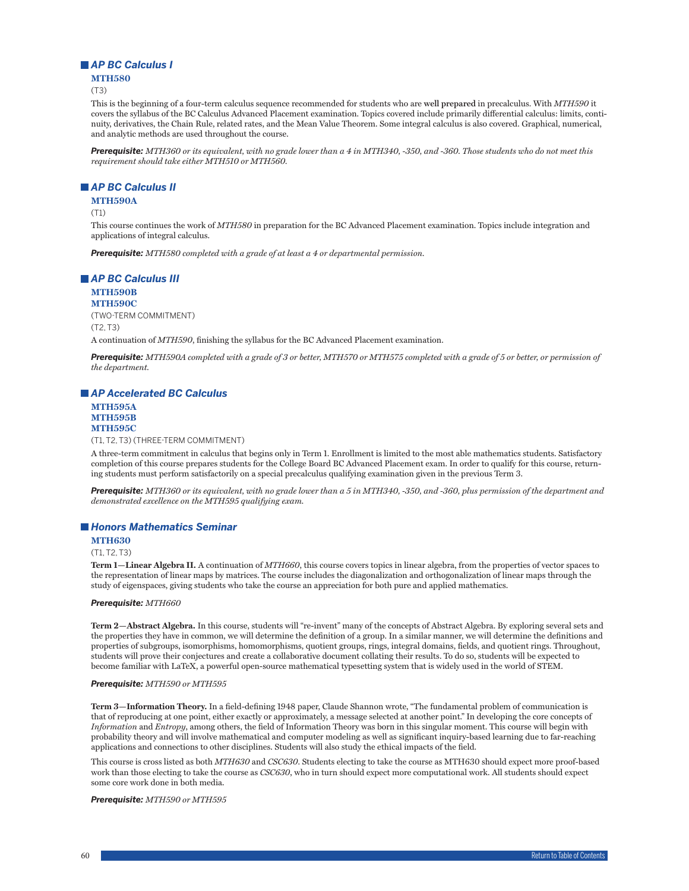## *AP BC Calculus I*

#### **MTH580**

(T3)

This is the beginning of a four-term calculus sequence recommended for students who are **well prepared** in precalculus. With *MTH590* it covers the syllabus of the BC Calculus Advanced Placement examination. Topics covered include primarily differential calculus: limits, continuity, derivatives, the Chain Rule, related rates, and the Mean Value Theorem. Some integral calculus is also covered. Graphical, numerical, and analytic methods are used throughout the course.

*Prerequisite: MTH360 or its equivalent, with no grade lower than a 4 in MTH340, -350, and -360. Those students who do not meet this requirement should take either MTH510 or MTH560.*

#### *AP BC Calculus II*

**MTH590A**

(T1)

This course continues the work of *MTH580* in preparation for the BC Advanced Placement examination. Topics include integration and applications of integral calculus.

*Prerequisite: MTH580 completed with a grade of at least a 4 or departmental permission.*

### *AP BC Calculus III*

**MTH590B MTH590C** (TWO-TERM COMMITMENT) (T2, T3) A continuation of *MTH590*, finishing the syllabus for the BC Advanced Placement examination.

*Prerequisite: MTH590A completed with a grade of 3 or better, MTH570 or MTH575 completed with a grade of 5 or better, or permission of the department.*

#### *AP Accelerated BC Calculus*

**MTH595A MTH595B MTH595C**

(T1, T2, T3) (THREE-TERM COMMITMENT)

A three-term commitment in calculus that begins only in Term 1. Enrollment is limited to the most able mathematics students. Satisfactory completion of this course prepares students for the College Board BC Advanced Placement exam. In order to qualify for this course, returning students must perform satisfactorily on a special precalculus qualifying examination given in the previous Term 3.

*Prerequisite: MTH360 or its equivalent, with no grade lower than a 5 in MTH340, -350, and -360, plus permission of the department and demonstrated excellence on the MTH595 qualifying exam.*

### *Honors Mathematics Seminar*

**MTH630**

#### (T1, T2, T3)

**Term 1—Linear Algebra II.** A continuation of *MTH660*, this course covers topics in linear algebra, from the properties of vector spaces to the representation of linear maps by matrices. The course includes the diagonalization and orthogonalization of linear maps through the study of eigenspaces, giving students who take the course an appreciation for both pure and applied mathematics.

#### *Prerequisite: MTH660*

**Term 2—Abstract Algebra.** In this course, students will "re-invent" many of the concepts of Abstract Algebra. By exploring several sets and the properties they have in common, we will determine the definition of a group. In a similar manner, we will determine the definitions and properties of subgroups, isomorphisms, homomorphisms, quotient groups, rings, integral domains, fields, and quotient rings. Throughout, students will prove their conjectures and create a collaborative document collating their results. To do so, students will be expected to become familiar with LaTeX, a powerful open-source mathematical typesetting system that is widely used in the world of STEM.

#### *Prerequisite: MTH590 or MTH595*

**Term 3—Information Theory.** In a field-defining 1948 paper, Claude Shannon wrote, "The fundamental problem of communication is that of reproducing at one point, either exactly or approximately, a message selected at another point." In developing the core concepts of *Information* and *Entropy*, among others, the field of Information Theory was born in this singular moment. This course will begin with probability theory and will involve mathematical and computer modeling as well as significant inquiry-based learning due to far-reaching applications and connections to other disciplines. Students will also study the ethical impacts of the field.

This course is cross listed as both *MTH630* and *CSC630*. Students electing to take the course as MTH630 should expect more proof-based work than those electing to take the course as *CSC630*, who in turn should expect more computational work. All students should expect some core work done in both media.

#### *Prerequisite: MTH590 or MTH595*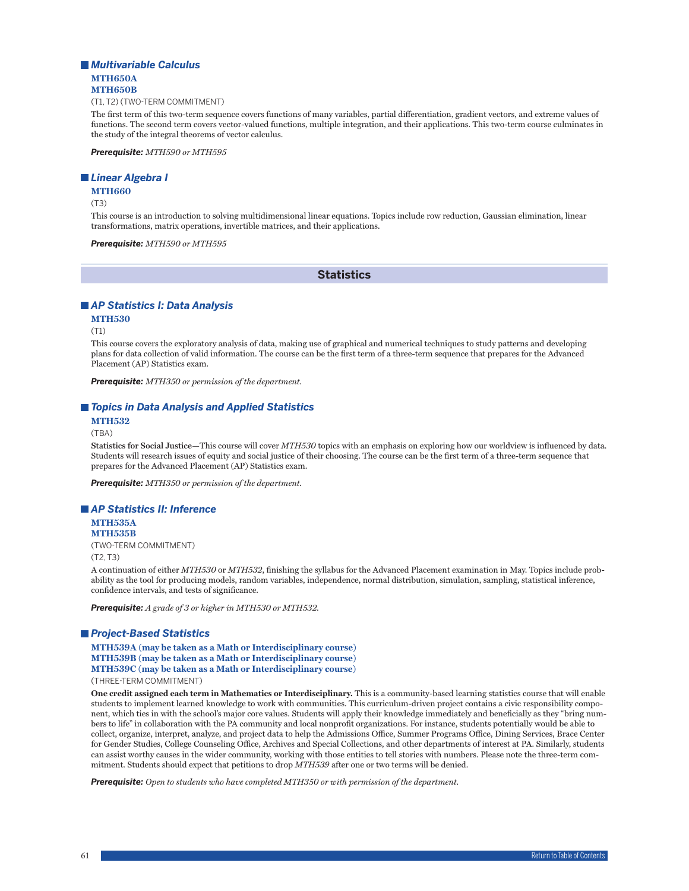### *Multivariable Calculus* **MTH650A MTH650B**

(T1, T2) (TWO-TERM COMMITMENT)

The first term of this two-term sequence covers functions of many variables, partial differentiation, gradient vectors, and extreme values of functions. The second term covers vector-valued functions, multiple integration, and their applications. This two-term course culminates in the study of the integral theorems of vector calculus.

*Prerequisite: MTH590 or MTH595*

### *Linear Algebra I*

#### **MTH660**

(T3)

This course is an introduction to solving multidimensional linear equations. Topics include row reduction, Gaussian elimination, linear transformations, matrix operations, invertible matrices, and their applications.

*Prerequisite: MTH590 or MTH595*

**Statistics**

#### *AP Statistics I: Data Analysis*

#### **MTH530**

(T1)

This course covers the exploratory analysis of data, making use of graphical and numerical techniques to study patterns and developing plans for data collection of valid information. The course can be the first term of a three-term sequence that prepares for the Advanced Placement (AP) Statistics exam.

*Prerequisite: MTH350 or permission of the department.*

### ■ *Topics in Data Analysis and Applied Statistics*

#### **MTH532**

(TBA)

**Statistics for Social Justice—**This course will cover *MTH530* topics with an emphasis on exploring how our worldview is influenced by data. Students will research issues of equity and social justice of their choosing. The course can be the first term of a three-term sequence that prepares for the Advanced Placement (AP) Statistics exam.

*Prerequisite: MTH350 or permission of the department.*

*AP Statistics II: Inference* **MTH535A MTH535B**

(TWO-TERM COMMITMENT) (T2, T3)

A continuation of either *MTH530* or *MTH532*, finishing the syllabus for the Advanced Placement examination in May. Topics include probability as the tool for producing models, random variables, independence, normal distribution, simulation, sampling, statistical inference, confidence intervals, and tests of significance.

*Prerequisite: A grade of 3 or higher in MTH530 or MTH532.*

#### *Project-Based Statistics*

**MTH539A (may be taken as a Math or Interdisciplinary course) MTH539B (may be taken as a Math or Interdisciplinary course) MTH539C (may be taken as a Math or Interdisciplinary course)** (THREE-TERM COMMITMENT)

**One credit assigned each term in Mathematics or Interdisciplinary.** This is a community-based learning statistics course that will enable students to implement learned knowledge to work with communities. This curriculum-driven project contains a civic responsibility component, which ties in with the school's major core values. Students will apply their knowledge immediately and beneficially as they "bring numbers to life" in collaboration with the PA community and local nonprofit organizations. For instance, students potentially would be able to collect, organize, interpret, analyze, and project data to help the Admissions Office, Summer Programs Office, Dining Services, Brace Center for Gender Studies, College Counseling Office, Archives and Special Collections, and other departments of interest at PA. Similarly, students can assist worthy causes in the wider community, working with those entities to tell stories with numbers. Please note the three-term commitment. Students should expect that petitions to drop *MTH539* after one or two terms will be denied.

*Prerequisite: Open to students who have completed MTH350 or with permission of the department.*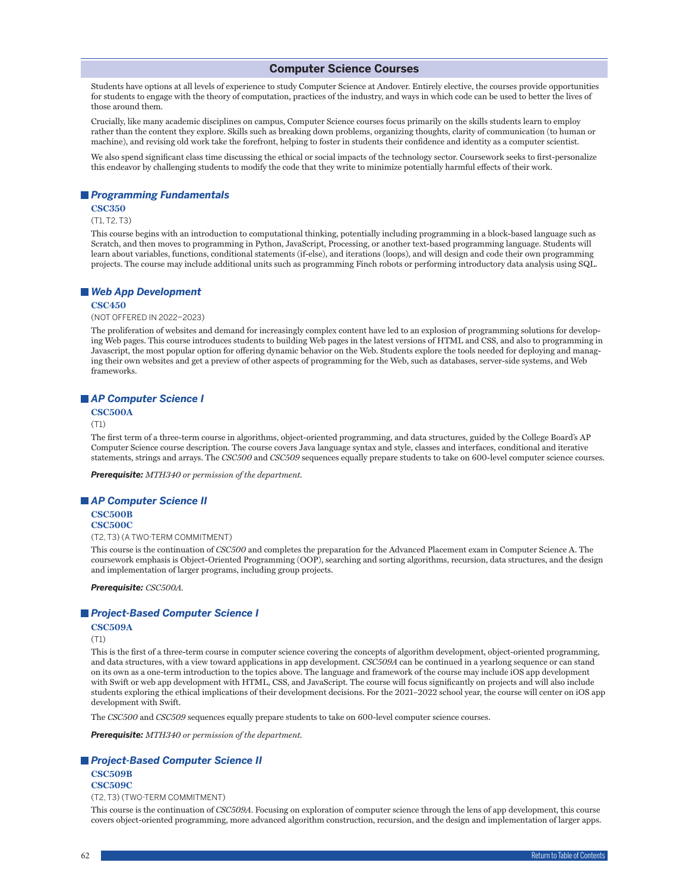#### **Computer Science Courses**

Students have options at all levels of experience to study Computer Science at Andover. Entirely elective, the courses provide opportunities for students to engage with the theory of computation, practices of the industry, and ways in which code can be used to better the lives of those around them.

Crucially, like many academic disciplines on campus, Computer Science courses focus primarily on the skills students learn to employ rather than the content they explore. Skills such as breaking down problems, organizing thoughts, clarity of communication (to human or machine), and revising old work take the forefront, helping to foster in students their confidence and identity as a computer scientist.

We also spend significant class time discussing the ethical or social impacts of the technology sector. Coursework seeks to first-personalize this endeavor by challenging students to modify the code that they write to minimize potentially harmful effects of their work.

#### *Programming Fundamentals*

### **CSC350**

(T1, T2, T3)

This course begins with an introduction to computational thinking, potentially including programming in a block-based language such as Scratch, and then moves to programming in Python, JavaScript, Processing, or another text-based programming language. Students will learn about variables, functions, conditional statements (if-else), and iterations (loops), and will design and code their own programming projects. The course may include additional units such as programming Finch robots or performing introductory data analysis using SQL.

### *Web App Development*

#### **CSC450**

#### (NOT OFFERED IN 2022–2023)

The proliferation of websites and demand for increasingly complex content have led to an explosion of programming solutions for developing Web pages. This course introduces students to building Web pages in the latest versions of HTML and CSS, and also to programming in Javascript, the most popular option for offering dynamic behavior on the Web. Students explore the tools needed for deploying and managing their own websites and get a preview of other aspects of programming for the Web, such as databases, server-side systems, and Web frameworks.

### *AP Computer Science I*

**CSC500A**

(T1)

The first term of a three-term course in algorithms, object-oriented programming, and data structures, guided by the College Board's AP Computer Science course description. The course covers Java language syntax and style, classes and interfaces, conditional and iterative statements, strings and arrays. The *CSC500* and *CSC509* sequences equally prepare students to take on 600-level computer science courses.

*Prerequisite: MTH340 or permission of the department.*

#### *AP Computer Science II*

**CSC500B CSC500C**

(T2, T3) (A TWO-TERM COMMITMENT)

This course is the continuation of *CSC500* and completes the preparation for the Advanced Placement exam in Computer Science A. The coursework emphasis is Object-Oriented Programming (OOP), searching and sorting algorithms, recursion, data structures, and the design and implementation of larger programs, including group projects.

*Prerequisite: CSC500A.*

### *Project-Based Computer Science I*

**CSC509A**

(T1)

This is the first of a three-term course in computer science covering the concepts of algorithm development, object-oriented programming, and data structures, with a view toward applications in app development. *CSC509A* can be continued in a yearlong sequence or can stand on its own as a one-term introduction to the topics above. The language and framework of the course may include iOS app development with Swift or web app development with HTML, CSS, and JavaScript. The course will focus significantly on projects and will also include students exploring the ethical implications of their development decisions. For the 2021–2022 school year, the course will center on iOS app development with Swift.

The *CSC500* and *CSC509* sequences equally prepare students to take on 600-level computer science courses.

*Prerequisite: MTH340 or permission of the department.*

### *Project-Based Computer Science II*

**CSC509B CSC509C**

(T2, T3) (TWO-TERM COMMITMENT)

This course is the continuation of *CSC509A*. Focusing on exploration of computer science through the lens of app development, this course covers object-oriented programming, more advanced algorithm construction, recursion, and the design and implementation of larger apps.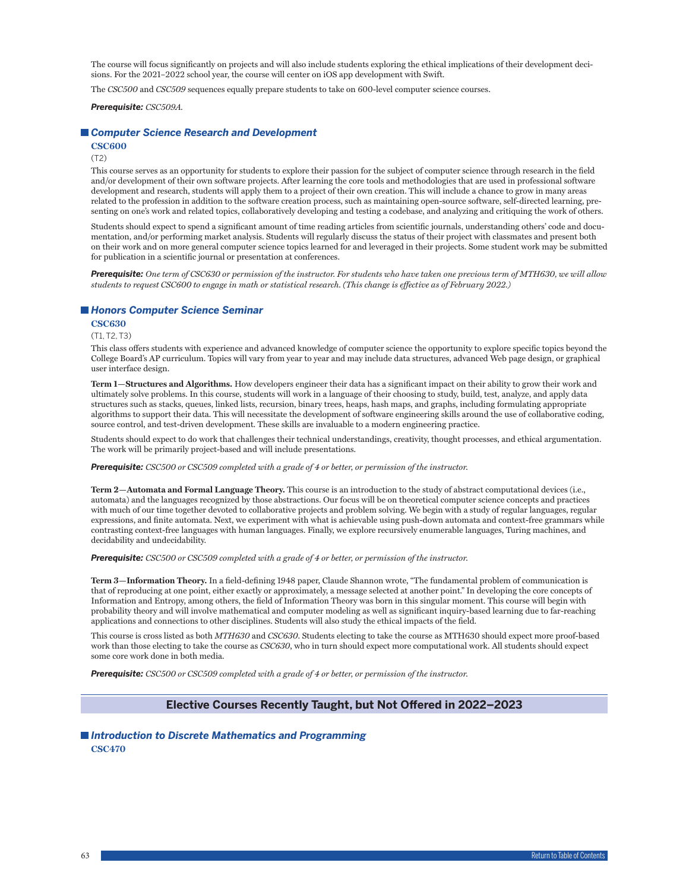The course will focus significantly on projects and will also include students exploring the ethical implications of their development decisions. For the 2021–2022 school year, the course will center on iOS app development with Swift.

The *CSC500* and *CSC509* sequences equally prepare students to take on 600-level computer science courses.

*Prerequisite: CSC509A.*

#### *Computer Science Research and Development*

**CSC600**

(T2)

This course serves as an opportunity for students to explore their passion for the subject of computer science through research in the field and/or development of their own software projects. After learning the core tools and methodologies that are used in professional software development and research, students will apply them to a project of their own creation. This will include a chance to grow in many areas related to the profession in addition to the software creation process, such as maintaining open-source software, self-directed learning, presenting on one's work and related topics, collaboratively developing and testing a codebase, and analyzing and critiquing the work of others.

Students should expect to spend a significant amount of time reading articles from scientific journals, understanding others' code and documentation, and/or performing market analysis. Students will regularly discuss the status of their project with classmates and present both on their work and on more general computer science topics learned for and leveraged in their projects. Some student work may be submitted for publication in a scientific journal or presentation at conferences.

*Prerequisite: One term of CSC630 or permission of the instructor. For students who have taken one previous term of MTH630, we will allow students to request CSC600 to engage in math or statistical research. (This change is effective as of February 2022.)*

### *Honors Computer Science Seminar*

#### **CSC630**

(T1, T2, T3)

This class offers students with experience and advanced knowledge of computer science the opportunity to explore specific topics beyond the College Board's AP curriculum. Topics will vary from year to year and may include data structures, advanced Web page design, or graphical user interface design.

**Term 1—Structures and Algorithms.** How developers engineer their data has a significant impact on their ability to grow their work and ultimately solve problems. In this course, students will work in a language of their choosing to study, build, test, analyze, and apply data structures such as stacks, queues, linked lists, recursion, binary trees, heaps, hash maps, and graphs, including formulating appropriate algorithms to support their data. This will necessitate the development of software engineering skills around the use of collaborative coding, source control, and test-driven development. These skills are invaluable to a modern engineering practice.

Students should expect to do work that challenges their technical understandings, creativity, thought processes, and ethical argumentation. The work will be primarily project-based and will include presentations.

#### *Prerequisite: CSC500 or CSC509 completed with a grade of 4 or better, or permission of the instructor.*

**Term 2—Automata and Formal Language Theory.** This course is an introduction to the study of abstract computational devices (i.e., automata) and the languages recognized by those abstractions. Our focus will be on theoretical computer science concepts and practices with much of our time together devoted to collaborative projects and problem solving. We begin with a study of regular languages, regular expressions, and finite automata. Next, we experiment with what is achievable using push-down automata and context-free grammars while contrasting context-free languages with human languages. Finally, we explore recursively enumerable languages, Turing machines, and decidability and undecidability.

#### *Prerequisite: CSC500 or CSC509 completed with a grade of 4 or better, or permission of the instructor.*

**Term 3—Information Theory.** In a field-defining 1948 paper, Claude Shannon wrote, "The fundamental problem of communication is that of reproducing at one point, either exactly or approximately, a message selected at another point." In developing the core concepts of Information and Entropy, among others, the field of Information Theory was born in this singular moment. This course will begin with probability theory and will involve mathematical and computer modeling as well as significant inquiry-based learning due to far-reaching applications and connections to other disciplines. Students will also study the ethical impacts of the field.

This course is cross listed as both *MTH630* and *CSC630*. Students electing to take the course as MTH630 should expect more proof-based work than those electing to take the course as *CSC630*, who in turn should expect more computational work. All students should expect some core work done in both media.

*Prerequisite: CSC500 or CSC509 completed with a grade of 4 or better, or permission of the instructor.*

### **Elective Courses Recently Taught, but Not Offered in 2022–2023**

### *Introduction to Discrete Mathematics and Programming* **CSC470**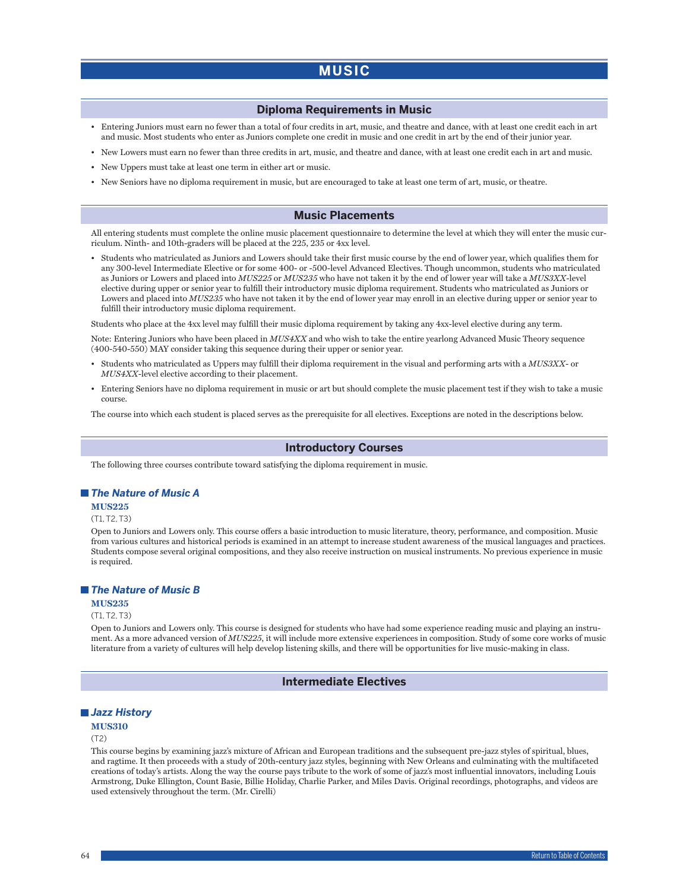# **MUSIC**

### **Diploma Requirements in Music**

- Entering Juniors must earn no fewer than a total of four credits in art, music, and theatre and dance, with at least one credit each in art and music. Most students who enter as Juniors complete one credit in music and one credit in art by the end of their junior year.
- New Lowers must earn no fewer than three credits in art, music, and theatre and dance, with at least one credit each in art and music.
- New Uppers must take at least one term in either art or music.
- New Seniors have no diploma requirement in music, but are encouraged to take at least one term of art, music, or theatre.

### **Music Placements**

All entering students must complete the online music placement questionnaire to determine the level at which they will enter the music curriculum. Ninth- and 10th-graders will be placed at the 225, 235 or 4xx level.

• Students who matriculated as Juniors and Lowers should take their first music course by the end of lower year, which qualifies them for any 300-level Intermediate Elective or for some 400- or -500-level Advanced Electives. Though uncommon, students who matriculated as Juniors or Lowers and placed into *MUS225* or *MUS235* who have not taken it by the end of lower year will take a *MUS3XX*-level elective during upper or senior year to fulfill their introductory music diploma requirement. Students who matriculated as Juniors or Lowers and placed into *MUS235* who have not taken it by the end of lower year may enroll in an elective during upper or senior year to fulfill their introductory music diploma requirement.

Students who place at the 4xx level may fulfill their music diploma requirement by taking any 4xx-level elective during any term.

Note: Entering Juniors who have been placed in *MUS4XX* and who wish to take the entire yearlong Advanced Music Theory sequence (400-540-550) MAY consider taking this sequence during their upper or senior year.

- Students who matriculated as Uppers may fulfill their diploma requirement in the visual and performing arts with a *MUS3XX* or *MUS4XX*-level elective according to their placement.
- Entering Seniors have no diploma requirement in music or art but should complete the music placement test if they wish to take a music course.

The course into which each student is placed serves as the prerequisite for all electives. Exceptions are noted in the descriptions below.

#### **Introductory Courses**

The following three courses contribute toward satisfying the diploma requirement in music.

### *The Nature of Music A*

#### **MUS225**

(T1, T2, T3)

Open to Juniors and Lowers only. This course offers a basic introduction to music literature, theory, performance, and composition. Music from various cultures and historical periods is examined in an attempt to increase student awareness of the musical languages and practices. Students compose several original compositions, and they also receive instruction on musical instruments. No previous experience in music is required.

### *The Nature of Music B*

#### **MUS235**

### (T1, T2, T3)

Open to Juniors and Lowers only. This course is designed for students who have had some experience reading music and playing an instrument. As a more advanced version of *MUS225*, it will include more extensive experiences in composition. Study of some core works of music literature from a variety of cultures will help develop listening skills, and there will be opportunities for live music-making in class.

### **Intermediate Electives**

### *Jazz History*

### **MUS310**

#### (T2)

This course begins by examining jazz's mixture of African and European traditions and the subsequent pre-jazz styles of spiritual, blues, and ragtime. It then proceeds with a study of 20th-century jazz styles, beginning with New Orleans and culminating with the multifaceted creations of today's artists. Along the way the course pays tribute to the work of some of jazz's most influential innovators, including Louis Armstrong, Duke Ellington, Count Basie, Billie Holiday, Charlie Parker, and Miles Davis. Original recordings, photographs, and videos are used extensively throughout the term. (Mr. Cirelli)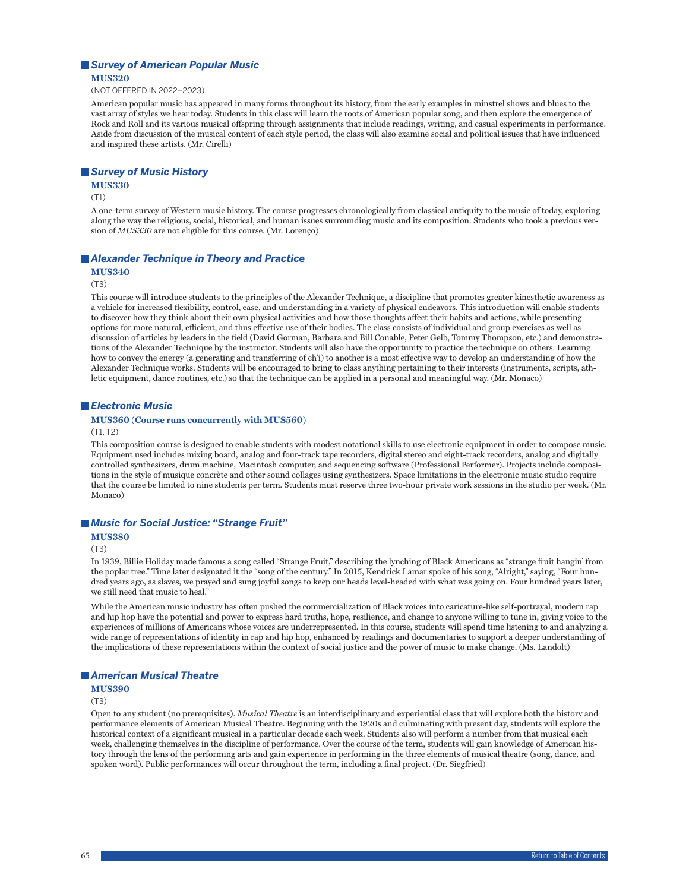# *Survey of American Popular Music*

**MUS320**

(NOT OFFERED IN 2022–2023)

American popular music has appeared in many forms throughout its history, from the early examples in minstrel shows and blues to the vast array of styles we hear today. Students in this class will learn the roots of American popular song, and then explore the emergence of Rock and Roll and its various musical offspring through assignments that include readings, writing, and casual experiments in performance. Aside from discussion of the musical content of each style period, the class will also examine social and political issues that have influenced and inspired these artists. (Mr. Cirelli)

### *Survey of Music History*

**MUS330**

#### (T1)

A one-term survey of Western music history. The course progresses chronologically from classical antiquity to the music of today, exploring along the way the religious, social, historical, and human issues surrounding music and its composition. Students who took a previous version of *MUS330* are not eligible for this course. (Mr. Lorenço)

### *Alexander Technique in Theory and Practice*

#### **MUS340**

#### (T3)

This course will introduce students to the principles of the Alexander Technique, a discipline that promotes greater kinesthetic awareness as a vehicle for increased flexibility, control, ease, and understanding in a variety of physical endeavors. This introduction will enable students to discover how they think about their own physical activities and how those thoughts affect their habits and actions, while presenting options for more natural, efficient, and thus effective use of their bodies. The class consists of individual and group exercises as well as discussion of articles by leaders in the field (David Gorman, Barbara and Bill Conable, Peter Gelb, Tommy Thompson, etc.) and demonstrations of the Alexander Technique by the instructor. Students will also have the opportunity to practice the technique on others. Learning how to convey the energy (a generating and transferring of ch'i) to another is a most effective way to develop an understanding of how the Alexander Technique works. Students will be encouraged to bring to class anything pertaining to their interests (instruments, scripts, athletic equipment, dance routines, etc.) so that the technique can be applied in a personal and meaningful way. (Mr. Monaco)

### *Electronic Music*

### **MUS360 (Course runs concurrently with MUS560)**

### $(T1, T2)$

This composition course is designed to enable students with modest notational skills to use electronic equipment in order to compose music. Equipment used includes mixing board, analog and four-track tape recorders, digital stereo and eight-track recorders, analog and digitally controlled synthesizers, drum machine, Macintosh computer, and sequencing software (Professional Performer). Projects include compositions in the style of musique concrète and other sound collages using synthesizers. Space limitations in the electronic music studio require that the course be limited to nine students per term. Students must reserve three two-hour private work sessions in the studio per week. (Mr. Monaco)

### *Music for Social Justice: "Strange Fruit"*

#### **MUS380**

(T3)

In 1939, Billie Holiday made famous a song called "Strange Fruit," describing the lynching of Black Americans as "strange fruit hangin' from the poplar tree." Time later designated it the "song of the century." In 2015, Kendrick Lamar spoke of his song, "Alright," saying, "Four hundred years ago, as slaves, we prayed and sung joyful songs to keep our heads level-headed with what was going on. Four hundred years later, we still need that music to heal."

While the American music industry has often pushed the commercialization of Black voices into caricature-like self-portrayal, modern rap and hip hop have the potential and power to express hard truths, hope, resilience, and change to anyone willing to tune in, giving voice to the experiences of millions of Americans whose voices are underrepresented. In this course, students will spend time listening to and analyzing a wide range of representations of identity in rap and hip hop, enhanced by readings and documentaries to support a deeper understanding of the implications of these representations within the context of social justice and the power of music to make change. (Ms. Landolt)

### *American Musical Theatre*

### **MUS390**

(T3)

Open to any student (no prerequisites). *Musical Theatre* is an interdisciplinary and experiential class that will explore both the history and performance elements of American Musical Theatre. Beginning with the 1920s and culminating with present day, students will explore the historical context of a significant musical in a particular decade each week. Students also will perform a number from that musical each week, challenging themselves in the discipline of performance. Over the course of the term, students will gain knowledge of American history through the lens of the performing arts and gain experience in performing in the three elements of musical theatre (song, dance, and spoken word). Public performances will occur throughout the term, including a final project. (Dr. Siegfried)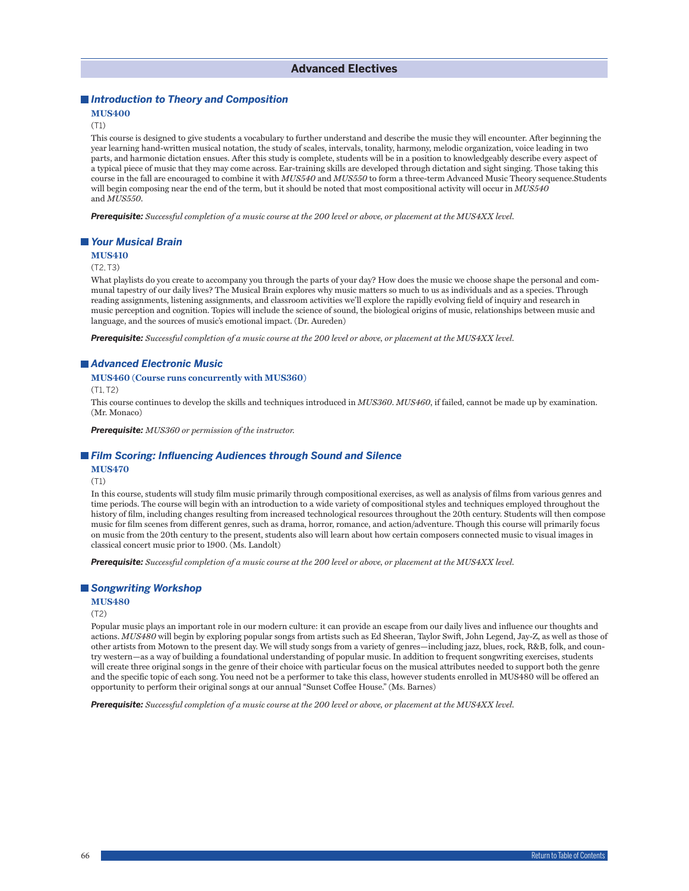### *Introduction to Theory and Composition*

### **MUS400**

#### (T1)

This course is designed to give students a vocabulary to further understand and describe the music they will encounter. After beginning the year learning hand-written musical notation, the study of scales, intervals, tonality, harmony, melodic organization, voice leading in two parts, and harmonic dictation ensues. After this study is complete, students will be in a position to knowledgeably describe every aspect of a typical piece of music that they may come across. Ear-training skills are developed through dictation and sight singing. Those taking this course in the fall are encouraged to combine it with *MUS540* and *MUS550* to form a three-term Advanced Music Theory sequence.Students will begin composing near the end of the term, but it should be noted that most compositional activity will occur in *MUS540* and *MUS550*.

*Prerequisite: Successful completion of a music course at the 200 level or above, or placement at the MUS4XX level.*

#### *Your Musical Brain*

#### **MUS410**

#### (T2, T3)

What playlists do you create to accompany you through the parts of your day? How does the music we choose shape the personal and communal tapestry of our daily lives? The Musical Brain explores why music matters so much to us as individuals and as a species. Through reading assignments, listening assignments, and classroom activities we'll explore the rapidly evolving field of inquiry and research in music perception and cognition. Topics will include the science of sound, the biological origins of music, relationships between music and language, and the sources of music's emotional impact. (Dr. Aureden)

*Prerequisite: Successful completion of a music course at the 200 level or above, or placement at the MUS4XX level.* 

#### *Advanced Electronic Music*

#### **MUS460 (Course runs concurrently with MUS360)**

(T1, T2)

This course continues to develop the skills and techniques introduced in *MUS360*. *MUS460*, if failed, cannot be made up by examination. (Mr. Monaco)

*Prerequisite: MUS360 or permission of the instructor.*

#### *Film Scoring: Influencing Audiences through Sound and Silence*

### **MUS470**

### (T1)

In this course, students will study film music primarily through compositional exercises, as well as analysis of films from various genres and time periods. The course will begin with an introduction to a wide variety of compositional styles and techniques employed throughout the history of film, including changes resulting from increased technological resources throughout the 20th century. Students will then compose music for film scenes from different genres, such as drama, horror, romance, and action/adventure. Though this course will primarily focus on music from the 20th century to the present, students also will learn about how certain composers connected music to visual images in classical concert music prior to 1900. (Ms. Landolt)

*Prerequisite: Successful completion of a music course at the 200 level or above, or placement at the MUS4XX level.*

### *Songwriting Workshop*

### **MUS480**

#### (T2)

Popular music plays an important role in our modern culture: it can provide an escape from our daily lives and influence our thoughts and actions. *MUS480* will begin by exploring popular songs from artists such as Ed Sheeran, Taylor Swift, John Legend, Jay-Z, as well as those of other artists from Motown to the present day. We will study songs from a variety of genres—including jazz, blues, rock, R&B, folk, and country western—as a way of building a foundational understanding of popular music. In addition to frequent songwriting exercises, students will create three original songs in the genre of their choice with particular focus on the musical attributes needed to support both the genre and the specific topic of each song. You need not be a performer to take this class, however students enrolled in MUS480 will be offered an opportunity to perform their original songs at our annual "Sunset Coffee House." (Ms. Barnes)

*Prerequisite: Successful completion of a music course at the 200 level or above, or placement at the MUS4XX level.*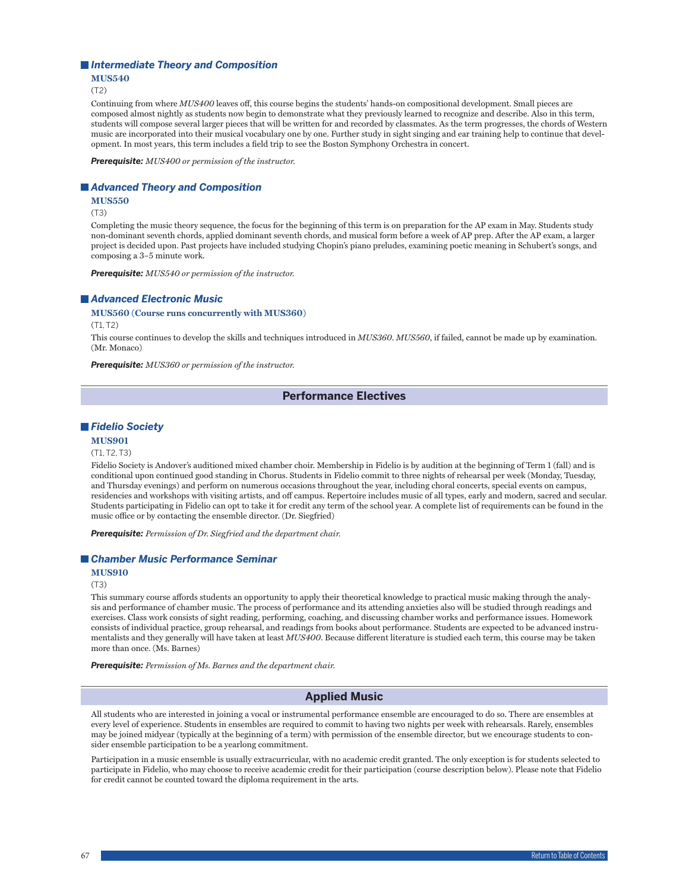#### *Intermediate Theory and Composition*

#### **MUS540**

(T2)

Continuing from where *MUS400* leaves off, this course begins the students' hands-on compositional development. Small pieces are composed almost nightly as students now begin to demonstrate what they previously learned to recognize and describe. Also in this term, students will compose several larger pieces that will be written for and recorded by classmates. As the term progresses, the chords of Western music are incorporated into their musical vocabulary one by one. Further study in sight singing and ear training help to continue that development. In most years, this term includes a field trip to see the Boston Symphony Orchestra in concert.

*Prerequisite: MUS400 or permission of the instructor.*

#### *Advanced Theory and Composition*

**MUS550**

(T3)

Completing the music theory sequence, the focus for the beginning of this term is on preparation for the AP exam in May. Students study non-dominant seventh chords, applied dominant seventh chords, and musical form before a week of AP prep. After the AP exam, a larger project is decided upon. Past projects have included studying Chopin's piano preludes, examining poetic meaning in Schubert's songs, and composing a 3–5 minute work.

*Prerequisite: MUS540 or permission of the instructor.*

#### *Advanced Electronic Music*

#### **MUS560 (Course runs concurrently with MUS360)**

(T1, T2)

This course continues to develop the skills and techniques introduced in *MUS360*. *MUS560*, if failed, cannot be made up by examination. (Mr. Monaco)

*Prerequisite: MUS360 or permission of the instructor.*

### **Performance Electives**

### *Fidelio Society*

#### **MUS901**

(T1, T2, T3)

Fidelio Society is Andover's auditioned mixed chamber choir. Membership in Fidelio is by audition at the beginning of Term 1 (fall) and is conditional upon continued good standing in Chorus. Students in Fidelio commit to three nights of rehearsal per week (Monday, Tuesday, and Thursday evenings) and perform on numerous occasions throughout the year, including choral concerts, special events on campus, residencies and workshops with visiting artists, and off campus. Repertoire includes music of all types, early and modern, sacred and secular. Students participating in Fidelio can opt to take it for credit any term of the school year. A complete list of requirements can be found in the music office or by contacting the ensemble director. (Dr. Siegfried)

*Prerequisite: Permission of Dr. Siegfried and the department chair.*

### *Chamber Music Performance Seminar*

**MUS910**

(T3)

This summary course affords students an opportunity to apply their theoretical knowledge to practical music making through the analysis and performance of chamber music. The process of performance and its attending anxieties also will be studied through readings and exercises. Class work consists of sight reading, performing, coaching, and discussing chamber works and performance issues. Homework consists of individual practice, group rehearsal, and readings from books about performance. Students are expected to be advanced instrumentalists and they generally will have taken at least *MUS400*. Because different literature is studied each term, this course may be taken more than once. (Ms. Barnes)

*Prerequisite: Permission of Ms. Barnes and the department chair.*

### **Applied Music**

All students who are interested in joining a vocal or instrumental performance ensemble are encouraged to do so. There are ensembles at every level of experience. Students in ensembles are required to commit to having two nights per week with rehearsals. Rarely, ensembles may be joined midyear (typically at the beginning of a term) with permission of the ensemble director, but we encourage students to consider ensemble participation to be a yearlong commitment.

Participation in a music ensemble is usually extracurricular, with no academic credit granted. The only exception is for students selected to participate in Fidelio, who may choose to receive academic credit for their participation (course description below). Please note that Fidelio for credit cannot be counted toward the diploma requirement in the arts.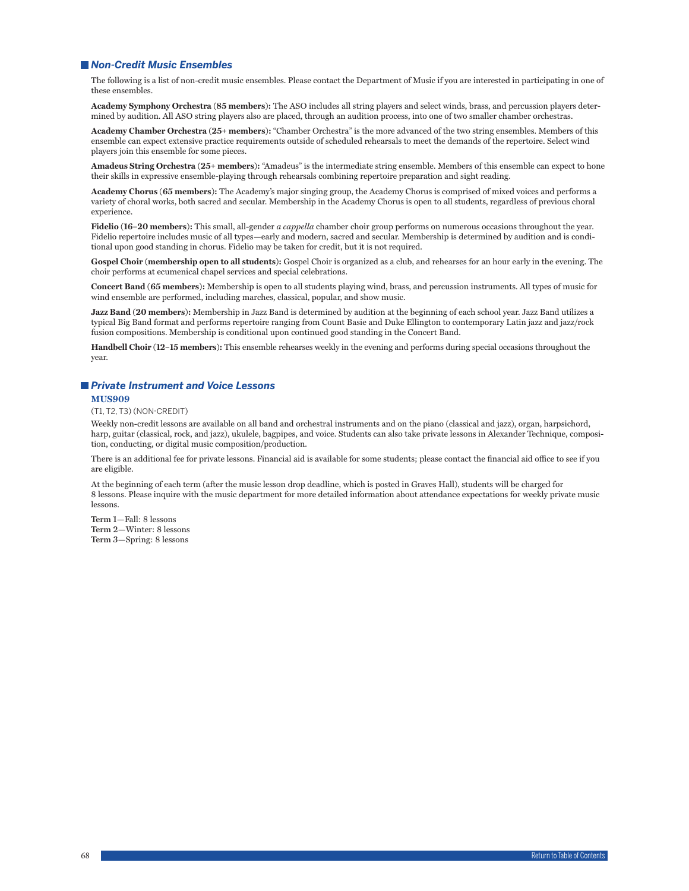### *Non-Credit Music Ensembles*

The following is a list of non-credit music ensembles. Please contact the Department of Music if you are interested in participating in one of these ensembles.

**Academy Symphony Orchestra (85 members):** The ASO includes all string players and select winds, brass, and percussion players determined by audition. All ASO string players also are placed, through an audition process, into one of two smaller chamber orchestras.

**Academy Chamber Orchestra (25+ members):** "Chamber Orchestra" is the more advanced of the two string ensembles. Members of this ensemble can expect extensive practice requirements outside of scheduled rehearsals to meet the demands of the repertoire. Select wind players join this ensemble for some pieces.

**Amadeus String Orchestra (25+ members):** "Amadeus" is the intermediate string ensemble. Members of this ensemble can expect to hone their skills in expressive ensemble-playing through rehearsals combining repertoire preparation and sight reading.

**Academy Chorus (65 members):** The Academy's major singing group, the Academy Chorus is comprised of mixed voices and performs a variety of choral works, both sacred and secular. Membership in the Academy Chorus is open to all students, regardless of previous choral experience.

**Fidelio (16–20 members):** This small, all-gender *a cappella* chamber choir group performs on numerous occasions throughout the year. Fidelio repertoire includes music of all types—early and modern, sacred and secular. Membership is determined by audition and is conditional upon good standing in chorus. Fidelio may be taken for credit, but it is not required.

**Gospel Choir (membership open to all students):** Gospel Choir is organized as a club, and rehearses for an hour early in the evening. The choir performs at ecumenical chapel services and special celebrations.

**Concert Band (65 members):** Membership is open to all students playing wind, brass, and percussion instruments. All types of music for wind ensemble are performed, including marches, classical, popular, and show music.

**Jazz Band (20 members):** Membership in Jazz Band is determined by audition at the beginning of each school year. Jazz Band utilizes a typical Big Band format and performs repertoire ranging from Count Basie and Duke Ellington to contemporary Latin jazz and jazz/rock fusion compositions. Membership is conditional upon continued good standing in the Concert Band.

**Handbell Choir (12–15 members):** This ensemble rehearses weekly in the evening and performs during special occasions throughout the year.

#### *Private Instrument and Voice Lessons*

### **MUS909**

(T1, T2, T3) (NON-CREDIT)

Weekly non-credit lessons are available on all band and orchestral instruments and on the piano (classical and jazz), organ, harpsichord, harp, guitar (classical, rock, and jazz), ukulele, bagpipes, and voice. Students can also take private lessons in Alexander Technique, composition, conducting, or digital music composition/production.

There is an additional fee for private lessons. Financial aid is available for some students; please contact the financial aid office to see if you are eligible.

At the beginning of each term (after the music lesson drop deadline, which is posted in Graves Hall), students will be charged for 8 lessons. Please inquire with the music department for more detailed information about attendance expectations for weekly private music lessons.

**Term 1—**Fall: 8 lessons **Term 2—**Winter: 8 lessons **Term 3—**Spring: 8 lessons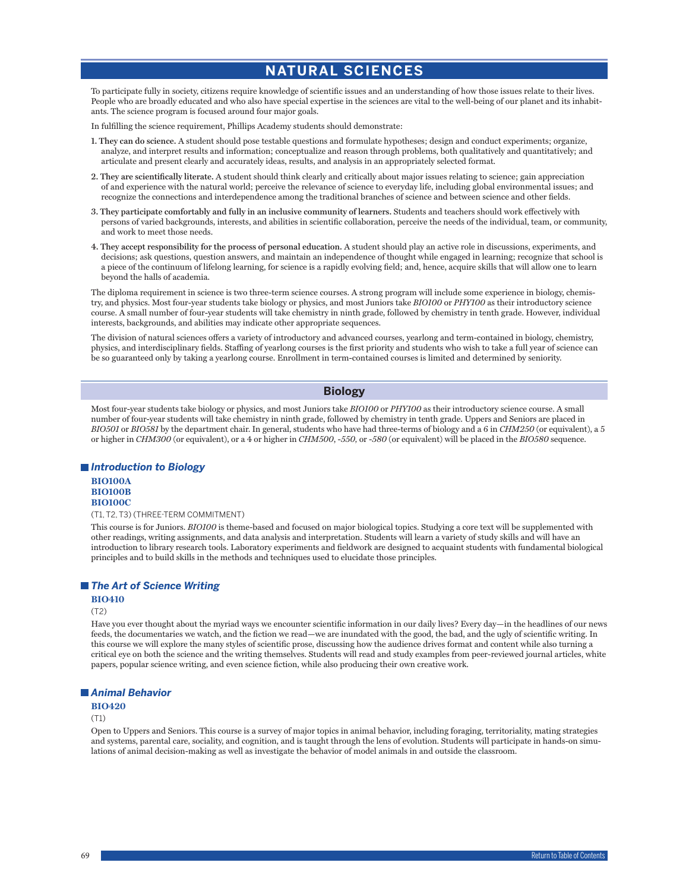# **NATURAL SCIENCES**

To participate fully in society, citizens require knowledge of scientific issues and an understanding of how those issues relate to their lives. People who are broadly educated and who also have special expertise in the sciences are vital to the well-being of our planet and its inhabitants. The science program is focused around four major goals.

In fulfilling the science requirement, Phillips Academy students should demonstrate:

- **1. They can do science.** A student should pose testable questions and formulate hypotheses; design and conduct experiments; organize, analyze, and interpret results and information; conceptualize and reason through problems, both qualitatively and quantitatively; and articulate and present clearly and accurately ideas, results, and analysis in an appropriately selected format.
- **2. They are scientifically literate.** A student should think clearly and critically about major issues relating to science; gain appreciation of and experience with the natural world; perceive the relevance of science to everyday life, including global environmental issues; and recognize the connections and interdependence among the traditional branches of science and between science and other fields.
- **3. They participate comfortably and fully in an inclusive community of learners.** Students and teachers should work effectively with persons of varied backgrounds, interests, and abilities in scientific collaboration, perceive the needs of the individual, team, or community, and work to meet those needs.
- **4. They accept responsibility for the process of personal education.** A student should play an active role in discussions, experiments, and decisions; ask questions, question answers, and maintain an independence of thought while engaged in learning; recognize that school is a piece of the continuum of lifelong learning, for science is a rapidly evolving field; and, hence, acquire skills that will allow one to learn beyond the halls of academia.

The diploma requirement in science is two three-term science courses. A strong program will include some experience in biology, chemistry, and physics. Most four-year students take biology or physics, and most Juniors take *BIO100* or *PHY100* as their introductory science course. A small number of four-year students will take chemistry in ninth grade, followed by chemistry in tenth grade. However, individual interests, backgrounds, and abilities may indicate other appropriate sequences.

The division of natural sciences offers a variety of introductory and advanced courses, yearlong and term-contained in biology, chemistry, physics, and interdisciplinary fields. Staffing of yearlong courses is the first priority and students who wish to take a full year of science can be so guaranteed only by taking a yearlong course. Enrollment in term-contained courses is limited and determined by seniority.

### **Biology**

Most four-year students take biology or physics, and most Juniors take *BIO100* or *PHY100* as their introductory science course. A small number of four-year students will take chemistry in ninth grade, followed by chemistry in tenth grade. Uppers and Seniors are placed in *BIO501* or *BIO581* by the department chair. In general, students who have had three-terms of biology and a 6 in *CHM250* (or equivalent), a 5 or higher in *CHM300* (or equivalent), or a 4 or higher in *CHM500*, -*550,* or -*580* (or equivalent) will be placed in the *BIO580* sequence.

### *Introduction to Biology*

**BIO100A BIO100B BIO100C**

#### (T1, T2, T3) (THREE-TERM COMMITMENT)

This course is for Juniors. *BIO100* is theme-based and focused on major biological topics. Studying a core text will be supplemented with other readings, writing assignments, and data analysis and interpretation. Students will learn a variety of study skills and will have an introduction to library research tools. Laboratory experiments and fieldwork are designed to acquaint students with fundamental biological principles and to build skills in the methods and techniques used to elucidate those principles.

### *The Art of Science Writing*

### **BIO410**

(T2)

Have you ever thought about the myriad ways we encounter scientific information in our daily lives? Every day—in the headlines of our news feeds, the documentaries we watch, and the fiction we read—we are inundated with the good, the bad, and the ugly of scientific writing. In this course we will explore the many styles of scientific prose, discussing how the audience drives format and content while also turning a critical eye on both the science and the writing themselves. Students will read and study examples from peer-reviewed journal articles, white papers, popular science writing, and even science fiction, while also producing their own creative work.

### *Animal Behavior*

#### **BIO420**

(T1)

Open to Uppers and Seniors. This course is a survey of major topics in animal behavior, including foraging, territoriality, mating strategies and systems, parental care, sociality, and cognition, and is taught through the lens of evolution. Students will participate in hands-on simulations of animal decision-making as well as investigate the behavior of model animals in and outside the classroom.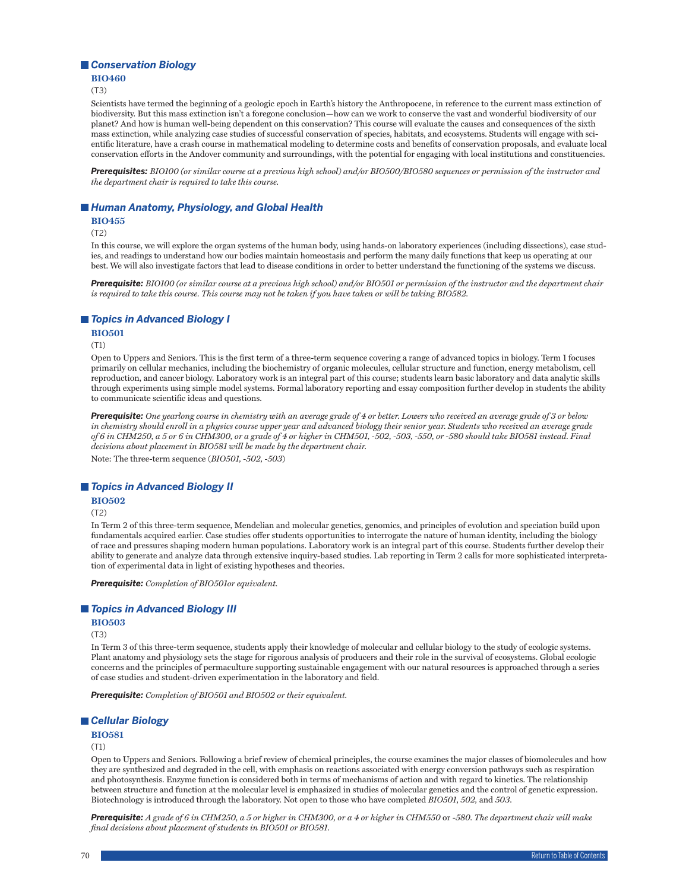### *Conservation Biology*

#### **BIO460**

(T3)

Scientists have termed the beginning of a geologic epoch in Earth's history the Anthropocene, in reference to the current mass extinction of biodiversity. But this mass extinction isn't a foregone conclusion—how can we work to conserve the vast and wonderful biodiversity of our planet? And how is human well-being dependent on this conservation? This course will evaluate the causes and consequences of the sixth mass extinction, while analyzing case studies of successful conservation of species, habitats, and ecosystems. Students will engage with scientific literature, have a crash course in mathematical modeling to determine costs and benefits of conservation proposals, and evaluate local conservation efforts in the Andover community and surroundings, with the potential for engaging with local institutions and constituencies.

*Prerequisites: BIO100 (or similar course at a previous high school) and/or BIO500/BIO580 sequences or permission of the instructor and the department chair is required to take this course.*

### ■ Human Anatomy, Physiology, and Global Health

**BIO455**

(T2)

In this course, we will explore the organ systems of the human body, using hands-on laboratory experiences (including dissections), case studies, and readings to understand how our bodies maintain homeostasis and perform the many daily functions that keep us operating at our best. We will also investigate factors that lead to disease conditions in order to better understand the functioning of the systems we discuss.

*Prerequisite: BIO100 (or similar course at a previous high school) and/or BIO501 or permission of the instructor and the department chair is required to take this course. This course may not be taken if you have taken or will be taking BIO582.*

### *Topics in Advanced Biology I*

### **BIO501**

(T1)

Open to Uppers and Seniors. This is the first term of a three-term sequence covering a range of advanced topics in biology. Term 1 focuses primarily on cellular mechanics, including the biochemistry of organic molecules, cellular structure and function, energy metabolism, cell reproduction, and cancer biology. Laboratory work is an integral part of this course; students learn basic laboratory and data analytic skills through experiments using simple model systems. Formal laboratory reporting and essay composition further develop in students the ability to communicate scientific ideas and questions.

*Prerequisite: One yearlong course in chemistry with an average grade of 4 or better. Lowers who received an average grade of 3 or below in chemistry should enroll in a physics course upper year and advanced biology their senior year. Students who received an average grade of 6 in CHM250, a 5 or 6 in CHM300, or a grade of 4 or higher in CHM501, -502, -503, -550, or -580 should take BIO581 instead. Final decisions about placement in BIO581 will be made by the department chair.*

Note: The three-term sequence (*BIO501, -502, -503*)

#### *Topics in Advanced Biology II*

#### **BIO502**

(T2)

In Term 2 of this three-term sequence, Mendelian and molecular genetics, genomics, and principles of evolution and speciation build upon fundamentals acquired earlier. Case studies offer students opportunities to interrogate the nature of human identity, including the biology of race and pressures shaping modern human populations. Laboratory work is an integral part of this course. Students further develop their ability to generate and analyze data through extensive inquiry-based studies. Lab reporting in Term 2 calls for more sophisticated interpretation of experimental data in light of existing hypotheses and theories.

*Prerequisite: Completion of BIO501or equivalent.*

### *Topics in Advanced Biology III*

#### **BIO503**

(T3)

In Term 3 of this three-term sequence, students apply their knowledge of molecular and cellular biology to the study of ecologic systems. Plant anatomy and physiology sets the stage for rigorous analysis of producers and their role in the survival of ecosystems. Global ecologic concerns and the principles of permaculture supporting sustainable engagement with our natural resources is approached through a series of case studies and student-driven experimentation in the laboratory and field.

*Prerequisite: Completion of BIO501 and BIO502 or their equivalent.*

### *Cellular Biology*

**BIO581**

#### (T1)

Open to Uppers and Seniors. Following a brief review of chemical principles, the course examines the major classes of biomolecules and how they are synthesized and degraded in the cell, with emphasis on reactions associated with energy conversion pathways such as respiration and photosynthesis. Enzyme function is considered both in terms of mechanisms of action and with regard to kinetics. The relationship between structure and function at the molecular level is emphasized in studies of molecular genetics and the control of genetic expression. Biotechnology is introduced through the laboratory. Not open to those who have completed *BIO501*, *502,* and *503*.

*Prerequisite: A grade of 6 in CHM250, a 5 or higher in CHM300, or a 4 or higher in CHM550* or -*580. The department chair will make final decisions about placement of students in BIO501 or BIO581.*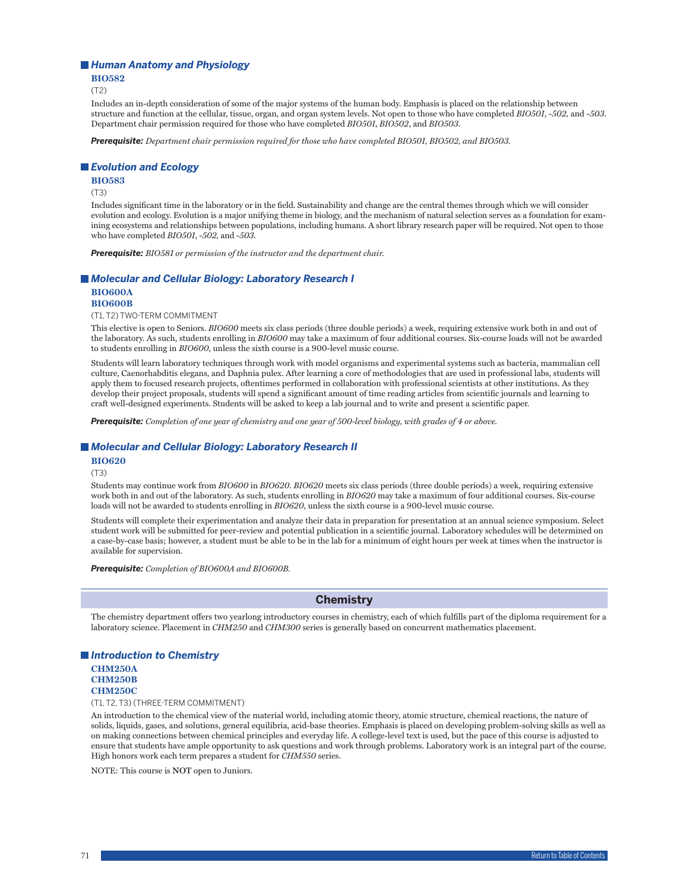#### *Human Anatomy and Physiology*

**BIO582**

(T2)

Includes an in-depth consideration of some of the major systems of the human body. Emphasis is placed on the relationship between structure and function at the cellular, tissue, organ, and organ system levels. Not open to those who have completed *BIO501*, -*502,* and -*503*. Department chair permission required for those who have completed *BIO501*, *BIO502*, and *BIO503*.

*Prerequisite: Department chair permission required for those who have completed BIO501, BIO502, and BIO503.*

#### *Evolution and Ecology*

**BIO583**

(T3)

Includes significant time in the laboratory or in the field. Sustainability and change are the central themes through which we will consider evolution and ecology. Evolution is a major unifying theme in biology, and the mechanism of natural selection serves as a foundation for examining ecosystems and relationships between populations, including humans. A short library research paper will be required. Not open to those who have completed *BIO501*, -*502,* and -*503*.

*Prerequisite: BIO581 or permission of the instructor and the department chair.*

### ■ *Molecular and Cellular Biology: Laboratory Research I* **BIO600A**

#### **BIO600B**

(T1, T2) TWO-TERM COMMITMENT

This elective is open to Seniors. *BIO600* meets six class periods (three double periods) a week, requiring extensive work both in and out of the laboratory. As such, students enrolling in *BIO600* may take a maximum of four additional courses. Six-course loads will not be awarded to students enrolling in *BIO600*, unless the sixth course is a 900-level music course.

Students will learn laboratory techniques through work with model organisms and experimental systems such as bacteria, mammalian cell culture, Caenorhabditis elegans, and Daphnia pulex. After learning a core of methodologies that are used in professional labs, students will apply them to focused research projects, oftentimes performed in collaboration with professional scientists at other institutions. As they develop their project proposals, students will spend a significant amount of time reading articles from scientific journals and learning to craft well-designed experiments. Students will be asked to keep a lab journal and to write and present a scientific paper.

*Prerequisite: Completion of one year of chemistry and one year of 500-level biology, with grades of 4 or above.*

#### ■ *Molecular and Cellular Biology: Laboratory Research II*

**BIO620**

(T3)

Students may continue work from *BIO600* in *BIO620*. *BIO620* meets six class periods (three double periods) a week, requiring extensive work both in and out of the laboratory. As such, students enrolling in *BIO620* may take a maximum of four additional courses. Six-course loads will not be awarded to students enrolling in *BIO620*, unless the sixth course is a 900-level music course.

Students will complete their experimentation and analyze their data in preparation for presentation at an annual science symposium. Select student work will be submitted for peer-review and potential publication in a scientific journal. Laboratory schedules will be determined on a case-by-case basis; however, a student must be able to be in the lab for a minimum of eight hours per week at times when the instructor is available for supervision.

*Prerequisite: Completion of BIO600A and BIO600B.*

### **Chemistry**

The chemistry department offers two yearlong introductory courses in chemistry, each of which fulfills part of the diploma requirement for a laboratory science. Placement in *CHM250* and *CHM300* series is generally based on concurrent mathematics placement.

### *Introduction to Chemistry* **CHM250A CHM250B CHM250C**

(T1, T2, T3) (THREE-TERM COMMITMENT)

An introduction to the chemical view of the material world, including atomic theory, atomic structure, chemical reactions, the nature of solids, liquids, gases, and solutions, general equilibria, acid-base theories. Emphasis is placed on developing problem-solving skills as well as on making connections between chemical principles and everyday life. A college-level text is used, but the pace of this course is adjusted to ensure that students have ample opportunity to ask questions and work through problems. Laboratory work is an integral part of the course. High honors work each term prepares a student for *CHM550* series.

NOTE: This course is **NOT** open to Juniors.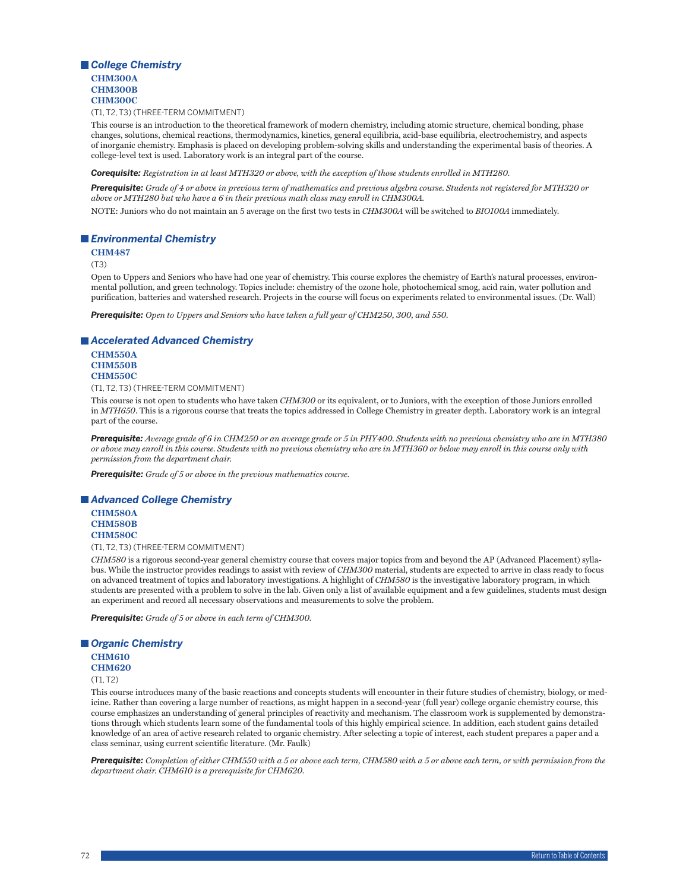## *College Chemistry* **CHM300A CHM300B CHM300C**

(T1, T2, T3) (THREE-TERM COMMITMENT)

This course is an introduction to the theoretical framework of modern chemistry, including atomic structure, chemical bonding, phase changes, solutions, chemical reactions, thermodynamics, kinetics, general equilibria, acid-base equilibria, electrochemistry, and aspects of inorganic chemistry. Emphasis is placed on developing problem-solving skills and understanding the experimental basis of theories. A college-level text is used. Laboratory work is an integral part of the course.

*Corequisite: Registration in at least MTH320 or above, with the exception of those students enrolled in MTH280.*

*Prerequisite: Grade of 4 or above in previous term of mathematics and previous algebra course. Students not registered for MTH320 or above or MTH280 but who have a 6 in their previous math class may enroll in CHM300A.* NOTE: Juniors who do not maintain an 5 average on the first two tests in *CHM300A* will be switched to *BIO100A* immediately.

## *Environmental Chemistry*

## **CHM487**

(T3)

Open to Uppers and Seniors who have had one year of chemistry. This course explores the chemistry of Earth's natural processes, environmental pollution, and green technology. Topics include: chemistry of the ozone hole, photochemical smog, acid rain, water pollution and purification, batteries and watershed research. Projects in the course will focus on experiments related to environmental issues. (Dr. Wall)

*Prerequisite: Open to Uppers and Seniors who have taken a full year of CHM250, 300, and 550.*

#### *Accelerated Advanced Chemistry*

## **CHM550A CHM550B CHM550C**

(T1, T2, T3) (THREE-TERM COMMITMENT)

This course is not open to students who have taken *CHM300* or its equivalent, or to Juniors, with the exception of those Juniors enrolled in *MTH650*. This is a rigorous course that treats the topics addressed in College Chemistry in greater depth. Laboratory work is an integral part of the course.

*Prerequisite: Average grade of 6 in CHM250 or an average grade or 5 in PHY400. Students with no previous chemistry who are in MTH380 or above may enroll in this course. Students with no previous chemistry who are in MTH360 or below may enroll in this course only with permission from the department chair.*

*Prerequisite: Grade of 5 or above in the previous mathematics course.*

## *Advanced College Chemistry*

**CHM580A CHM580B CHM580C**

(T1, T2, T3) (THREE-TERM COMMITMENT)

*CHM580* is a rigorous second-year general chemistry course that covers major topics from and beyond the AP (Advanced Placement) syllabus. While the instructor provides readings to assist with review of *CHM300* material, students are expected to arrive in class ready to focus on advanced treatment of topics and laboratory investigations. A highlight of *CHM580* is the investigative laboratory program, in which students are presented with a problem to solve in the lab. Given only a list of available equipment and a few guidelines, students must design an experiment and record all necessary observations and measurements to solve the problem.

*Prerequisite: Grade of 5 or above in each term of CHM300.*

## *Organic Chemistry*

**CHM610 CHM620**

(T1, T2)

This course introduces many of the basic reactions and concepts students will encounter in their future studies of chemistry, biology, or medicine. Rather than covering a large number of reactions, as might happen in a second-year (full year) college organic chemistry course, this course emphasizes an understanding of general principles of reactivity and mechanism. The classroom work is supplemented by demonstrations through which students learn some of the fundamental tools of this highly empirical science. In addition, each student gains detailed knowledge of an area of active research related to organic chemistry. After selecting a topic of interest, each student prepares a paper and a class seminar, using current scientific literature. (Mr. Faulk)

*Prerequisite: Completion of either CHM550 with a 5 or above each term, CHM580 with a 5 or above each term, or with permission from the department chair. CHM610 is a prerequisite for CHM620.*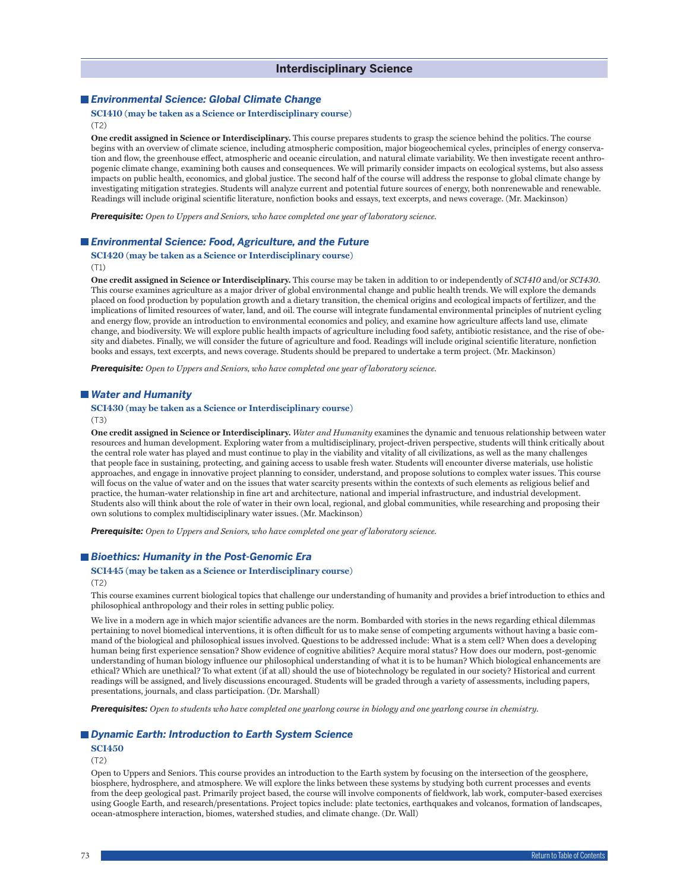## *Environmental Science: Global Climate Change*

#### **SCI410 (may be taken as a Science or Interdisciplinary course)** (T2)

**One credit assigned in Science or Interdisciplinary.** This course prepares students to grasp the science behind the politics. The course begins with an overview of climate science, including atmospheric composition, major biogeochemical cycles, principles of energy conservation and flow, the greenhouse effect, atmospheric and oceanic circulation, and natural climate variability. We then investigate recent anthropogenic climate change, examining both causes and consequences. We will primarily consider impacts on ecological systems, but also assess impacts on public health, economics, and global justice. The second half of the course will address the response to global climate change by investigating mitigation strategies. Students will analyze current and potential future sources of energy, both nonrenewable and renewable. Readings will include original scientific literature, nonfiction books and essays, text excerpts, and news coverage. (Mr. Mackinson)

*Prerequisite: Open to Uppers and Seniors, who have completed one year of laboratory science.*

## *Environmental Science: Food, Agriculture, and the Future*

**SCI420 (may be taken as a Science or Interdisciplinary course)** (T1)

**One credit assigned in Science or Interdisciplinary.** This course may be taken in addition to or independently of *SCI410* and/or *SCI430*. This course examines agriculture as a major driver of global environmental change and public health trends. We will explore the demands placed on food production by population growth and a dietary transition, the chemical origins and ecological impacts of fertilizer, and the implications of limited resources of water, land, and oil. The course will integrate fundamental environmental principles of nutrient cycling and energy flow, provide an introduction to environmental economics and policy, and examine how agriculture affects land use, climate change, and biodiversity. We will explore public health impacts of agriculture including food safety, antibiotic resistance, and the rise of obesity and diabetes. Finally, we will consider the future of agriculture and food. Readings will include original scientific literature, nonfiction books and essays, text excerpts, and news coverage. Students should be prepared to undertake a term project. (Mr. Mackinson)

*Prerequisite: Open to Uppers and Seniors, who have completed one year of laboratory science.*

## *Water and Humanity*

# **SCI430 (may be taken as a Science or Interdisciplinary course)**

(T3)

**One credit assigned in Science or Interdisciplinary.** *Water and Humanity* examines the dynamic and tenuous relationship between water resources and human development. Exploring water from a multidisciplinary, project-driven perspective, students will think critically about the central role water has played and must continue to play in the viability and vitality of all civilizations, as well as the many challenges that people face in sustaining, protecting, and gaining access to usable fresh water. Students will encounter diverse materials, use holistic approaches, and engage in innovative project planning to consider, understand, and propose solutions to complex water issues. This course will focus on the value of water and on the issues that water scarcity presents within the contexts of such elements as religious belief and practice, the human-water relationship in fine art and architecture, national and imperial infrastructure, and industrial development. Students also will think about the role of water in their own local, regional, and global communities, while researching and proposing their own solutions to complex multidisciplinary water issues. (Mr. Mackinson)

*Prerequisite: Open to Uppers and Seniors, who have completed one year of laboratory science.*

## *Bioethics: Humanity in the Post-Genomic Era*

#### **SCI445 (may be taken as a Science or Interdisciplinary course)**

(T2)

This course examines current biological topics that challenge our understanding of humanity and provides a brief introduction to ethics and philosophical anthropology and their roles in setting public policy.

We live in a modern age in which major scientific advances are the norm. Bombarded with stories in the news regarding ethical dilemmas pertaining to novel biomedical interventions, it is often difficult for us to make sense of competing arguments without having a basic command of the biological and philosophical issues involved. Questions to be addressed include: What is a stem cell? When does a developing human being first experience sensation? Show evidence of cognitive abilities? Acquire moral status? How does our modern, post-genomic understanding of human biology influence our philosophical understanding of what it is to be human? Which biological enhancements are ethical? Which are unethical? To what extent (if at all) should the use of biotechnology be regulated in our society? Historical and current readings will be assigned, and lively discussions encouraged. Students will be graded through a variety of assessments, including papers, presentations, journals, and class participation. (Dr. Marshall)

*Prerequisites: Open to students who have completed one yearlong course in biology and one yearlong course in chemistry.*

## *Dynamic Earth: Introduction to Earth System Science*

#### **SCI450**

(T2)

Open to Uppers and Seniors. This course provides an introduction to the Earth system by focusing on the intersection of the geosphere, biosphere, hydrosphere, and atmosphere. We will explore the links between these systems by studying both current processes and events from the deep geological past. Primarily project based, the course will involve components of fieldwork, lab work, computer-based exercises using Google Earth, and research/presentations. Project topics include: plate tectonics, earthquakes and volcanos, formation of landscapes, ocean-atmosphere interaction, biomes, watershed studies, and climate change. (Dr. Wall)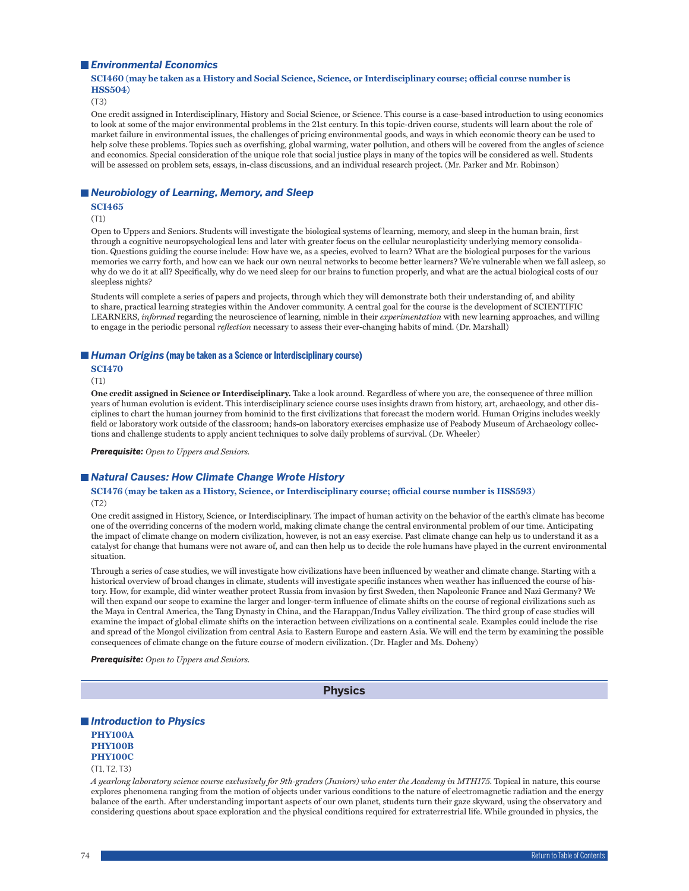#### *Environmental Economics*

## **SCI460 (may be taken as a History and Social Science, Science, or Interdisciplinary course; official course number is HSS504)**

(T3)

One credit assigned in Interdisciplinary, History and Social Science, or Science. This course is a case-based introduction to using economics to look at some of the major environmental problems in the 21st century. In this topic-driven course, students will learn about the role of market failure in environmental issues, the challenges of pricing environmental goods, and ways in which economic theory can be used to help solve these problems. Topics such as overfishing, global warming, water pollution, and others will be covered from the angles of science and economics. Special consideration of the unique role that social justice plays in many of the topics will be considered as well. Students will be assessed on problem sets, essays, in-class discussions, and an individual research project. (Mr. Parker and Mr. Robinson)

## *Neurobiology of Learning, Memory, and Sleep*

#### **SCI465**

(T1)

Open to Uppers and Seniors. Students will investigate the biological systems of learning, memory, and sleep in the human brain, first through a cognitive neuropsychological lens and later with greater focus on the cellular neuroplasticity underlying memory consolidation. Questions guiding the course include: How have we, as a species, evolved to learn? What are the biological purposes for the various memories we carry forth, and how can we hack our own neural networks to become better learners? We're vulnerable when we fall asleep, so why do we do it at all? Specifically, why do we need sleep for our brains to function properly, and what are the actual biological costs of our sleepless nights?

Students will complete a series of papers and projects, through which they will demonstrate both their understanding of, and ability to share, practical learning strategies within the Andover community. A central goal for the course is the development of SCIENTIFIC LEARNERS, *informed* regarding the neuroscience of learning, nimble in their *experimentation* with new learning approaches, and willing to engage in the periodic personal *reflection* necessary to assess their ever-changing habits of mind. (Dr. Marshall)

#### ■ *Human Origins* (may be taken as a Science or Interdisciplinary course)

**SCI470**

(T1)

**One credit assigned in Science or Interdisciplinary.** Take a look around. Regardless of where you are, the consequence of three million years of human evolution is evident. This interdisciplinary science course uses insights drawn from history, art, archaeology, and other disciplines to chart the human journey from hominid to the first civilizations that forecast the modern world. Human Origins includes weekly field or laboratory work outside of the classroom; hands-on laboratory exercises emphasize use of Peabody Museum of Archaeology collections and challenge students to apply ancient techniques to solve daily problems of survival. (Dr. Wheeler)

*Prerequisite: Open to Uppers and Seniors.*

#### ■ *Natural Causes: How Climate Change Wrote History*

#### **SCI476 (may be taken as a History, Science, or Interdisciplinary course; official course number is HSS593)** (T2)

One credit assigned in History, Science, or Interdisciplinary. The impact of human activity on the behavior of the earth's climate has become one of the overriding concerns of the modern world, making climate change the central environmental problem of our time. Anticipating the impact of climate change on modern civilization, however, is not an easy exercise. Past climate change can help us to understand it as a catalyst for change that humans were not aware of, and can then help us to decide the role humans have played in the current environmental situation.

Through a series of case studies, we will investigate how civilizations have been influenced by weather and climate change. Starting with a historical overview of broad changes in climate, students will investigate specific instances when weather has influenced the course of history. How, for example, did winter weather protect Russia from invasion by first Sweden, then Napoleonic France and Nazi Germany? We will then expand our scope to examine the larger and longer-term influence of climate shifts on the course of regional civilizations such as the Maya in Central America, the Tang Dynasty in China, and the Harappan/Indus Valley civilization. The third group of case studies will examine the impact of global climate shifts on the interaction between civilizations on a continental scale. Examples could include the rise and spread of the Mongol civilization from central Asia to Eastern Europe and eastern Asia. We will end the term by examining the possible consequences of climate change on the future course of modern civilization. (Dr. Hagler and Ms. Doheny)

*Prerequisite: Open to Uppers and Seniors.*

**Physics**

## *Introduction to Physics*

**PHY100A PHY100B PHY100C**

(T1, T2, T3)

*A yearlong laboratory science course exclusively for 9th-graders (Juniors) who enter the Academy in MTH175*. Topical in nature, this course explores phenomena ranging from the motion of objects under various conditions to the nature of electromagnetic radiation and the energy balance of the earth. After understanding important aspects of our own planet, students turn their gaze skyward, using the observatory and considering questions about space exploration and the physical conditions required for extraterrestrial life. While grounded in physics, the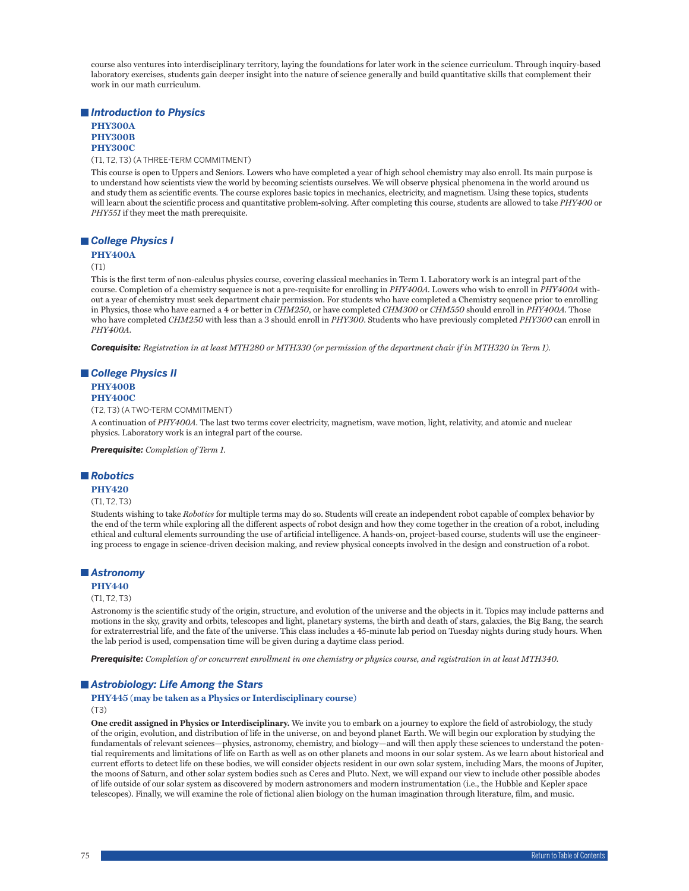course also ventures into interdisciplinary territory, laying the foundations for later work in the science curriculum. Through inquiry-based laboratory exercises, students gain deeper insight into the nature of science generally and build quantitative skills that complement their work in our math curriculum.

*Introduction to Physics*

## **PHY300A PHY300B PHY300C**

(T1, T2, T3) (A THREE-TERM COMMITMENT)

This course is open to Uppers and Seniors. Lowers who have completed a year of high school chemistry may also enroll. Its main purpose is to understand how scientists view the world by becoming scientists ourselves. We will observe physical phenomena in the world around us and study them as scientific events. The course explores basic topics in mechanics, electricity, and magnetism. Using these topics, students will learn about the scientific process and quantitative problem-solving. After completing this course, students are allowed to take *PHY400* or *PHY551* if they meet the math prerequisite.

## *College Physics I*

#### **PHY400A**

(T1)

This is the first term of non-calculus physics course, covering classical mechanics in Term 1. Laboratory work is an integral part of the course. Completion of a chemistry sequence is not a pre-requisite for enrolling in *PHY400A*. Lowers who wish to enroll in *PHY400A* without a year of chemistry must seek department chair permission. For students who have completed a Chemistry sequence prior to enrolling in Physics, those who have earned a 4 or better in *CHM250*, or have completed *CHM300* or *CHM550* should enroll in *PHY400A*. Those who have completed *CHM250* with less than a 3 should enroll in *PHY300*. Students who have previously completed *PHY300* can enroll in *PHY400A*.

*Corequisite: Registration in at least MTH280 or MTH330 (or permission of the department chair if in MTH320 in Term 1).*

## *College Physics II*

#### **PHY400B PHY400C**

(T2, T3) (A TWO-TERM COMMITMENT)

A continuation of *PHY400A*. The last two terms cover electricity, magnetism, wave motion, light, relativity, and atomic and nuclear physics. Laboratory work is an integral part of the course.

*Prerequisite: Completion of Term 1.*

## *Robotics*

#### **PHY420**

#### (T1, T2, T3)

Students wishing to take *Robotics* for multiple terms may do so. Students will create an independent robot capable of complex behavior by the end of the term while exploring all the different aspects of robot design and how they come together in the creation of a robot, including ethical and cultural elements surrounding the use of artificial intelligence. A hands-on, project-based course, students will use the engineering process to engage in science-driven decision making, and review physical concepts involved in the design and construction of a robot.

#### *Astronomy*

#### **PHY440**

#### (T1, T2, T3)

Astronomy is the scientific study of the origin, structure, and evolution of the universe and the objects in it. Topics may include patterns and motions in the sky, gravity and orbits, telescopes and light, planetary systems, the birth and death of stars, galaxies, the Big Bang, the search for extraterrestrial life, and the fate of the universe. This class includes a 45-minute lab period on Tuesday nights during study hours. When the lab period is used, compensation time will be given during a daytime class period.

*Prerequisite: Completion of or concurrent enrollment in one chemistry or physics course, and registration in at least MTH340.*

#### *Astrobiology: Life Among the Stars*

# **PHY445 (may be taken as a Physics or Interdisciplinary course)**

(T3)

**One credit assigned in Physics or Interdisciplinary.** We invite you to embark on a journey to explore the field of astrobiology, the study of the origin, evolution, and distribution of life in the universe, on and beyond planet Earth. We will begin our exploration by studying the fundamentals of relevant sciences—physics, astronomy, chemistry, and biology—and will then apply these sciences to understand the potential requirements and limitations of life on Earth as well as on other planets and moons in our solar system. As we learn about historical and current efforts to detect life on these bodies, we will consider objects resident in our own solar system, including Mars, the moons of Jupiter, the moons of Saturn, and other solar system bodies such as Ceres and Pluto. Next, we will expand our view to include other possible abodes of life outside of our solar system as discovered by modern astronomers and modern instrumentation (i.e., the Hubble and Kepler space telescopes). Finally, we will examine the role of fictional alien biology on the human imagination through literature, film, and music.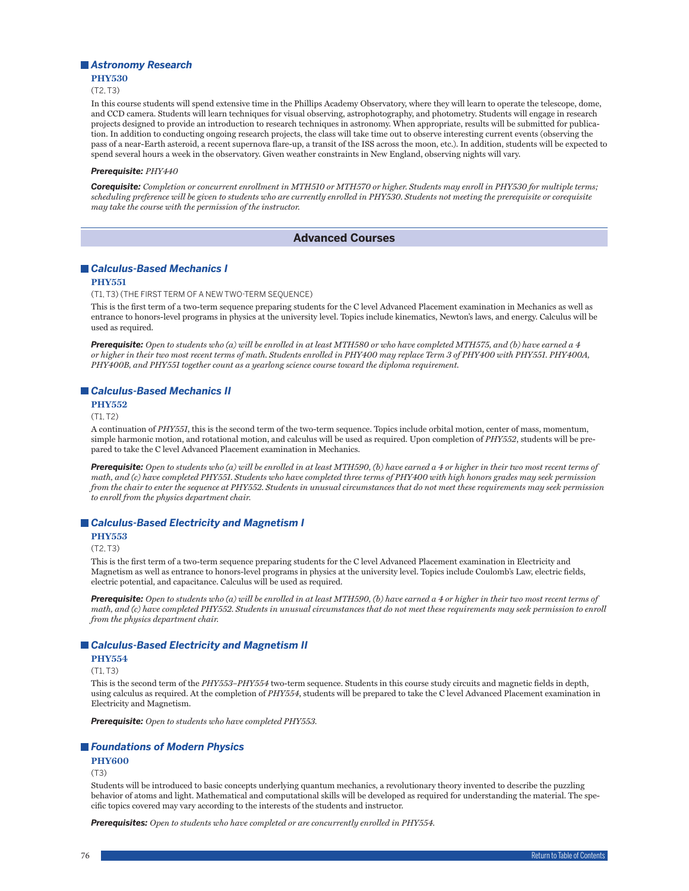## *Astronomy Research*

**PHY530**

 $(T2, T3)$ 

In this course students will spend extensive time in the Phillips Academy Observatory, where they will learn to operate the telescope, dome, and CCD camera. Students will learn techniques for visual observing, astrophotography, and photometry. Students will engage in research projects designed to provide an introduction to research techniques in astronomy. When appropriate, results will be submitted for publication. In addition to conducting ongoing research projects, the class will take time out to observe interesting current events (observing the pass of a near-Earth asteroid, a recent supernova flare-up, a transit of the ISS across the moon, etc.). In addition, students will be expected to spend several hours a week in the observatory. Given weather constraints in New England, observing nights will vary.

#### *Prerequisite: PHY440*

*Corequisite: Completion or concurrent enrollment in MTH510 or MTH570 or higher. Students may enroll in PHY530 for multiple terms; scheduling preference will be given to students who are currently enrolled in PHY530. Students not meeting the prerequisite or corequisite may take the course with the permission of the instructor.*

## **Advanced Courses**

## *Calculus-Based Mechanics I*

#### **PHY551**

(T1, T3) (THE FIRST TERM OF A NEW TWO-TERM SEQUENCE)

This is the first term of a two-term sequence preparing students for the C level Advanced Placement examination in Mechanics as well as entrance to honors-level programs in physics at the university level. Topics include kinematics, Newton's laws, and energy. Calculus will be used as required.

*Prerequisite: Open to students who (a) will be enrolled in at least MTH580 or who have completed MTH575, and (b) have earned a 4 or higher in their two most recent terms of math. Students enrolled in PHY400 may replace Term 3 of PHY400 with PHY551. PHY400A, PHY400B, and PHY551 together count as a yearlong science course toward the diploma requirement.*

## *Calculus-Based Mechanics II*

#### **PHY552**

 $(T1, T2)$ 

A continuation of *PHY551*, this is the second term of the two-term sequence. Topics include orbital motion, center of mass, momentum, simple harmonic motion, and rotational motion, and calculus will be used as required. Upon completion of *PHY552*, students will be prepared to take the C level Advanced Placement examination in Mechanics.

*Prerequisite: Open to students who (a) will be enrolled in at least MTH590, (b) have earned a 4 or higher in their two most recent terms of math, and (c) have completed PHY551. Students who have completed three terms of PHY400 with high honors grades may seek permission from the chair to enter the sequence at PHY552. Students in unusual circumstances that do not meet these requirements may seek permission to enroll from the physics department chair.*

## *Calculus-Based Electricity and Magnetism I*

**PHY553**

(T2, T3)

This is the first term of a two-term sequence preparing students for the C level Advanced Placement examination in Electricity and Magnetism as well as entrance to honors-level programs in physics at the university level. Topics include Coulomb's Law, electric fields, electric potential, and capacitance. Calculus will be used as required.

*Prerequisite: Open to students who (a) will be enrolled in at least MTH590, (b) have earned a 4 or higher in their two most recent terms of math, and (c) have completed PHY552. Students in unusual circumstances that do not meet these requirements may seek permission to enroll from the physics department chair.*

## *Calculus-Based Electricity and Magnetism II*

#### **PHY554**

(T1, T3)

This is the second term of the *PHY553*–*PHY554* two-term sequence. Students in this course study circuits and magnetic fields in depth, using calculus as required. At the completion of *PHY554*, students will be prepared to take the C level Advanced Placement examination in Electricity and Magnetism.

*Prerequisite: Open to students who have completed PHY553.*

## *Foundations of Modern Physics*

## **PHY600**

 $(T3)$ 

Students will be introduced to basic concepts underlying quantum mechanics, a revolutionary theory invented to describe the puzzling behavior of atoms and light. Mathematical and computational skills will be developed as required for understanding the material. The specific topics covered may vary according to the interests of the students and instructor.

*Prerequisites: Open to students who have completed or are concurrently enrolled in PHY554.*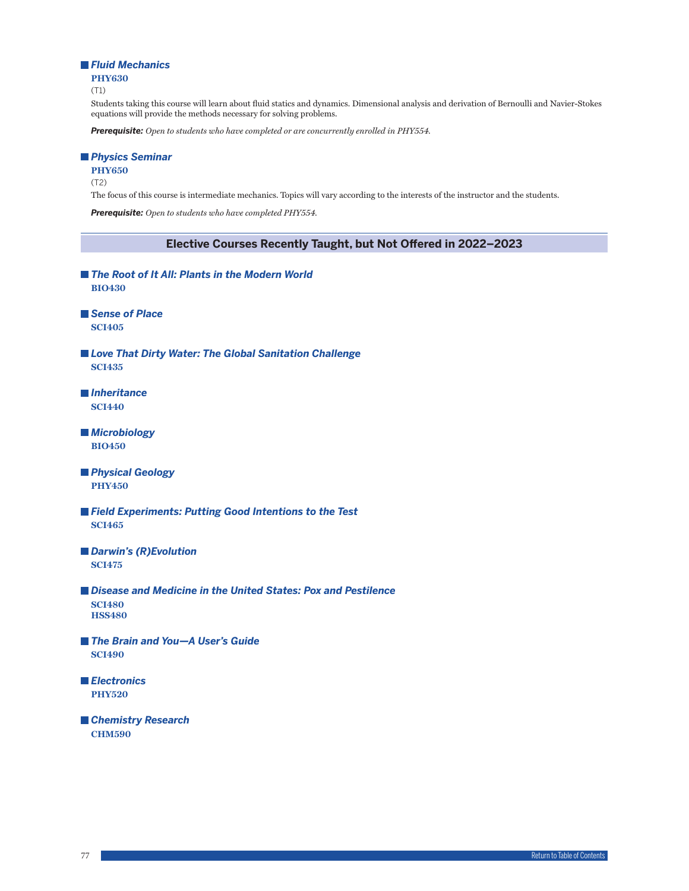## *Fluid Mechanics*

**PHY630**

(T1)

Students taking this course will learn about fluid statics and dynamics. Dimensional analysis and derivation of Bernoulli and Navier-Stokes equations will provide the methods necessary for solving problems.

*Prerequisite: Open to students who have completed or are concurrently enrolled in PHY554.*

## *Physics Seminar*

**PHY650**

(T2)

The focus of this course is intermediate mechanics. Topics will vary according to the interests of the instructor and the students.

*Prerequisite: Open to students who have completed PHY554.*

## **Elective Courses Recently Taught, but Not Offered in 2022–2023**

- The Root of It All: Plants in the Modern World **BIO430**
- *Sense of Place* **SCI405**
- *Love That Dirty Water: The Global Sanitation Challenge* **SCI435**
- *Inheritance* **SCI440**
- *Microbiology* **BIO450**
- *Physical Geology* **PHY450**
- *Field Experiments: Putting Good Intentions to the Test* **SCI465**
- *Darwin's (R)Evolution* **SCI475**
- *Disease and Medicine in the United States: Pox and Pestilence* **SCI480 HSS480**
- *The Brain and You—A User's Guide* **SCI490**
- *Electronics* **PHY520**
- *Chemistry Research* **CHM590**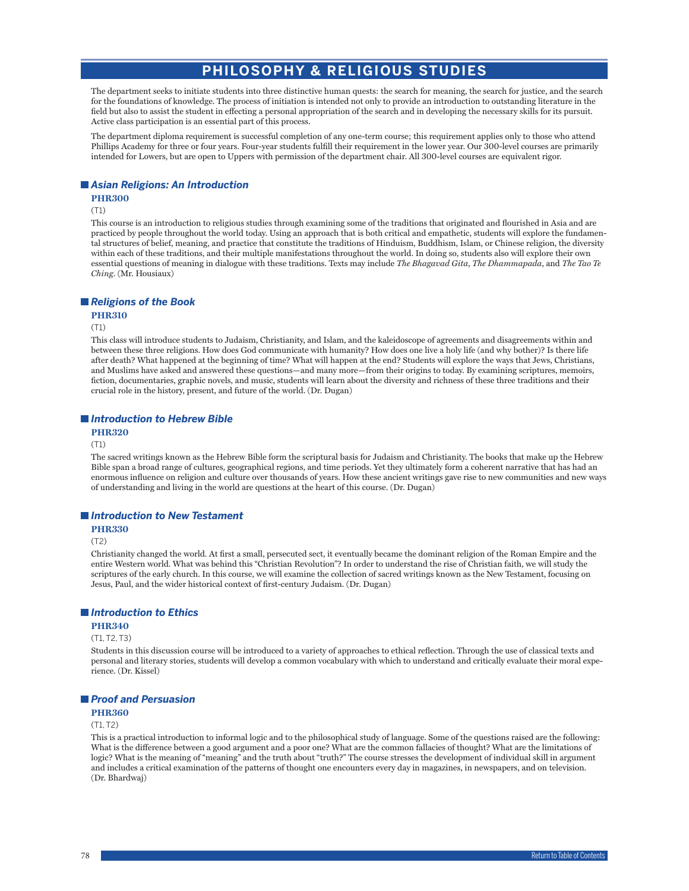# **PHILOSOPHY & RELIGIOUS STUDIES**

The department seeks to initiate students into three distinctive human quests: the search for meaning, the search for justice, and the search for the foundations of knowledge. The process of initiation is intended not only to provide an introduction to outstanding literature in the field but also to assist the student in effecting a personal appropriation of the search and in developing the necessary skills for its pursuit. Active class participation is an essential part of this process.

The department diploma requirement is successful completion of any one-term course; this requirement applies only to those who attend Phillips Academy for three or four years. Four-year students fulfill their requirement in the lower year. Our 300-level courses are primarily intended for Lowers, but are open to Uppers with permission of the department chair. All 300-level courses are equivalent rigor.

## *Asian Religions: An Introduction*

## **PHR300**

(T1)

This course is an introduction to religious studies through examining some of the traditions that originated and flourished in Asia and are practiced by people throughout the world today. Using an approach that is both critical and empathetic, students will explore the fundamental structures of belief, meaning, and practice that constitute the traditions of Hinduism, Buddhism, Islam, or Chinese religion, the diversity within each of these traditions, and their multiple manifestations throughout the world. In doing so, students also will explore their own essential questions of meaning in dialogue with these traditions. Texts may include *The Bhagavad Gita*, *The Dhammapada*, and *The Tao Te Ching*. (Mr. Housiaux)

## *Religions of the Book*

## **PHR310**

#### (T1)

This class will introduce students to Judaism, Christianity, and Islam, and the kaleidoscope of agreements and disagreements within and between these three religions. How does God communicate with humanity? How does one live a holy life (and why bother)? Is there life after death? What happened at the beginning of time? What will happen at the end? Students will explore the ways that Jews, Christians, and Muslims have asked and answered these questions—and many more—from their origins to today. By examining scriptures, memoirs, fiction, documentaries, graphic novels, and music, students will learn about the diversity and richness of these three traditions and their crucial role in the history, present, and future of the world. (Dr. Dugan)

## *Introduction to Hebrew Bible*

## **PHR320**

(T1)

The sacred writings known as the Hebrew Bible form the scriptural basis for Judaism and Christianity. The books that make up the Hebrew Bible span a broad range of cultures, geographical regions, and time periods. Yet they ultimately form a coherent narrative that has had an enormous influence on religion and culture over thousands of years. How these ancient writings gave rise to new communities and new ways of understanding and living in the world are questions at the heart of this course. (Dr. Dugan)

#### *Introduction to New Testament*

**PHR330**

(T2)

Christianity changed the world. At first a small, persecuted sect, it eventually became the dominant religion of the Roman Empire and the entire Western world. What was behind this "Christian Revolution"? In order to understand the rise of Christian faith, we will study the scriptures of the early church. In this course, we will examine the collection of sacred writings known as the New Testament, focusing on Jesus, Paul, and the wider historical context of first-century Judaism. (Dr. Dugan)

## *Introduction to Ethics*

#### **PHR340**

#### (T1, T2, T3)

Students in this discussion course will be introduced to a variety of approaches to ethical reflection. Through the use of classical texts and personal and literary stories, students will develop a common vocabulary with which to understand and critically evaluate their moral experience. (Dr. Kissel)

## *Proof and Persuasion*

## **PHR360**

(T1, T2)

This is a practical introduction to informal logic and to the philosophical study of language. Some of the questions raised are the following: What is the difference between a good argument and a poor one? What are the common fallacies of thought? What are the limitations of logic? What is the meaning of "meaning" and the truth about "truth?" The course stresses the development of individual skill in argument and includes a critical examination of the patterns of thought one encounters every day in magazines, in newspapers, and on television. (Dr. Bhardwaj)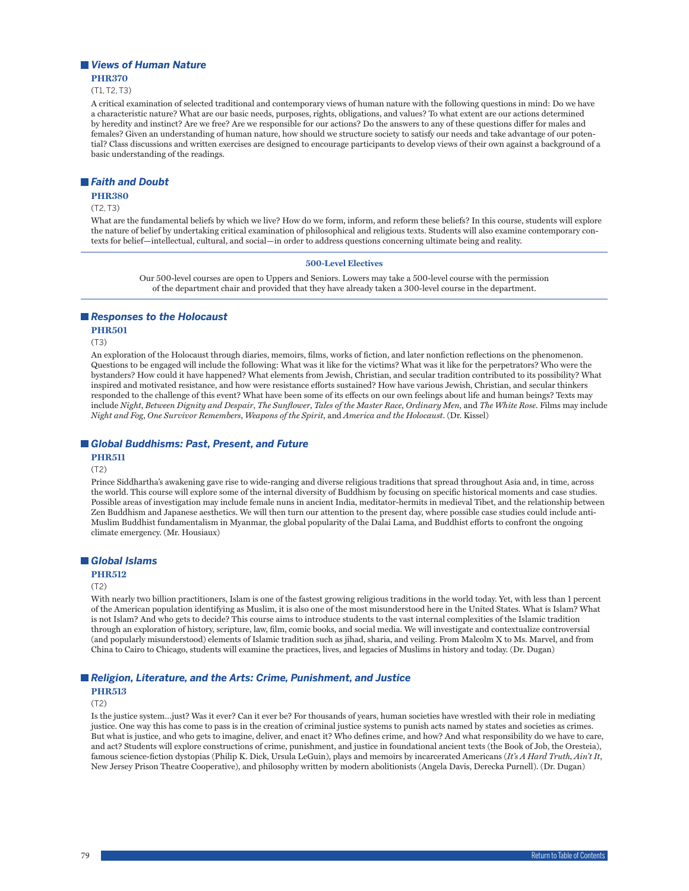## *Views of Human Nature*

**PHR370** (T1, T2, T3)

A critical examination of selected traditional and contemporary views of human nature with the following questions in mind: Do we have a characteristic nature? What are our basic needs, purposes, rights, obligations, and values? To what extent are our actions determined by heredity and instinct? Are we free? Are we responsible for our actions? Do the answers to any of these questions differ for males and females? Given an understanding of human nature, how should we structure society to satisfy our needs and take advantage of our potential? Class discussions and written exercises are designed to encourage participants to develop views of their own against a background of a basic understanding of the readings.

## *Faith and Doubt*

#### **PHR380**

 $(T2, T3)$ 

What are the fundamental beliefs by which we live? How do we form, inform, and reform these beliefs? In this course, students will explore the nature of belief by undertaking critical examination of philosophical and religious texts. Students will also examine contemporary contexts for belief—intellectual, cultural, and social—in order to address questions concerning ultimate being and reality.

#### **500-Level Electives**

Our 500-level courses are open to Uppers and Seniors. Lowers may take a 500-level course with the permission of the department chair and provided that they have already taken a 300-level course in the department.

## *Responses to the Holocaust*

**PHR501**

(T3)

An exploration of the Holocaust through diaries, memoirs, films, works of fiction, and later nonfiction reflections on the phenomenon. Questions to be engaged will include the following: What was it like for the victims? What was it like for the perpetrators? Who were the bystanders? How could it have happened? What elements from Jewish, Christian, and secular tradition contributed to its possibility? What inspired and motivated resistance, and how were resistance efforts sustained? How have various Jewish, Christian, and secular thinkers responded to the challenge of this event? What have been some of its effects on our own feelings about life and human beings? Texts may include *Night*, *Between Dignity and Despair*, *The Sunflower*, *Tales of the Master Race*, *Ordinary Men*, and *The White Rose*. Films may include *Night and Fog*, *One Survivor Remembers*, *Weapons of the Spirit*, and *America and the Holocaust*. (Dr. Kissel)

## *Global Buddhisms: Past, Present, and Future*

#### **PHR511**

(T2)

Prince Siddhartha's awakening gave rise to wide-ranging and diverse religious traditions that spread throughout Asia and, in time, across the world. This course will explore some of the internal diversity of Buddhism by focusing on specific historical moments and case studies. Possible areas of investigation may include female nuns in ancient India, meditator-hermits in medieval Tibet, and the relationship between Zen Buddhism and Japanese aesthetics. We will then turn our attention to the present day, where possible case studies could include anti-Muslim Buddhist fundamentalism in Myanmar, the global popularity of the Dalai Lama, and Buddhist efforts to confront the ongoing climate emergency. (Mr. Housiaux)

## *Global Islams*

## **PHR512**

#### (T2)

With nearly two billion practitioners, Islam is one of the fastest growing religious traditions in the world today. Yet, with less than 1 percent of the American population identifying as Muslim, it is also one of the most misunderstood here in the United States. What is Islam? What is not Islam? And who gets to decide? This course aims to introduce students to the vast internal complexities of the Islamic tradition through an exploration of history, scripture, law, film, comic books, and social media. We will investigate and contextualize controversial (and popularly misunderstood) elements of Islamic tradition such as jihad, sharia, and veiling. From Malcolm X to Ms. Marvel, and from China to Cairo to Chicago, students will examine the practices, lives, and legacies of Muslims in history and today. (Dr. Dugan)

## ■ *Religion, Literature, and the Arts: Crime, Punishment, and Justice*

## **PHR513**

(T2)

Is the justice system…just? Was it ever? Can it ever be? For thousands of years, human societies have wrestled with their role in mediating justice. One way this has come to pass is in the creation of criminal justice systems to punish acts named by states and societies as crimes. But what is justice, and who gets to imagine, deliver, and enact it? Who defines crime, and how? And what responsibility do we have to care, and act? Students will explore constructions of crime, punishment, and justice in foundational ancient texts (the Book of Job, the Oresteia), famous science-fiction dystopias (Philip K. Dick, Ursula LeGuin), plays and memoirs by incarcerated Americans (*It's A Hard Truth, Ain't It*, New Jersey Prison Theatre Cooperative), and philosophy written by modern abolitionists (Angela Davis, Derecka Purnell). (Dr. Dugan)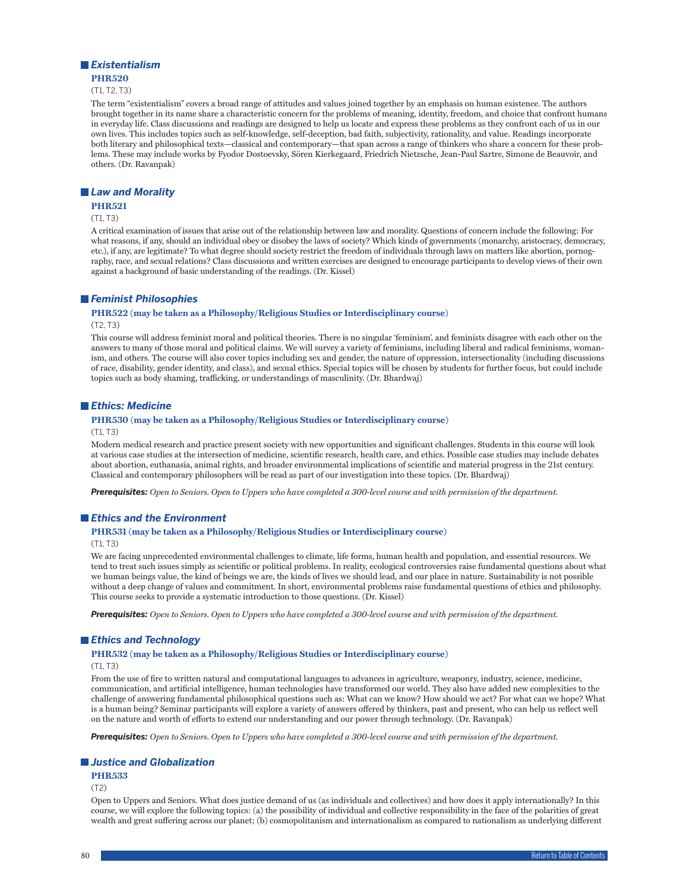## *Existentialism*

**PHR520** (T1, T2, T3)

The term "existentialism" covers a broad range of attitudes and values joined together by an emphasis on human existence. The authors brought together in its name share a characteristic concern for the problems of meaning, identity, freedom, and choice that confront humans in everyday life. Class discussions and readings are designed to help us locate and express these problems as they confront each of us in our own lives. This includes topics such as self-knowledge, self-deception, bad faith, subjectivity, rationality, and value. Readings incorporate both literary and philosophical texts—classical and contemporary—that span across a range of thinkers who share a concern for these problems. These may include works by Fyodor Dostoevsky, Sören Kierkegaard, Friedrich Nietzsche, Jean-Paul Sartre, Simone de Beauvoir, and others. (Dr. Ravanpak)

## *Law and Morality*

## **PHR521**

#### $(T1, T3)$

A critical examination of issues that arise out of the relationship between law and morality. Questions of concern include the following: For what reasons, if any, should an individual obey or disobey the laws of society? Which kinds of governments (monarchy, aristocracy, democracy, etc.), if any, are legitimate? To what degree should society restrict the freedom of individuals through laws on matters like abortion, pornography, race, and sexual relations? Class discussions and written exercises are designed to encourage participants to develop views of their own against a background of basic understanding of the readings. (Dr. Kissel)

#### *Feminist Philosophies*

## **PHR522 (may be taken as a Philosophy/Religious Studies or Interdisciplinary course)**

#### (T2, T3)

This course will address feminist moral and political theories. There is no singular 'feminism', and feminists disagree with each other on the answers to many of those moral and political claims. We will survey a variety of feminisms, including liberal and radical feminisms, womanism, and others. The course will also cover topics including sex and gender, the nature of oppression, intersectionality (including discussions of race, disability, gender identity, and class), and sexual ethics. Special topics will be chosen by students for further focus, but could include topics such as body shaming, trafficking, or understandings of masculinity. (Dr. Bhardwaj)

## *Ethics: Medicine*

## **PHR530 (may be taken as a Philosophy/Religious Studies or Interdisciplinary course)**

#### $(T1, T3)$

Modern medical research and practice present society with new opportunities and significant challenges. Students in this course will look at various case studies at the intersection of medicine, scientific research, health care, and ethics. Possible case studies may include debates about abortion, euthanasia, animal rights, and broader environmental implications of scientific and material progress in the 21st century. Classical and contemporary philosophers will be read as part of our investigation into these topics. (Dr. Bhardwaj)

*Prerequisites: Open to Seniors. Open to Uppers who have completed a 300-level course and with permission of the department.*

## *Ethics and the Environment*

#### **PHR531 (may be taken as a Philosophy/Religious Studies or Interdisciplinary course)**

## $(T1, T3)$

We are facing unprecedented environmental challenges to climate, life forms, human health and population, and essential resources. We tend to treat such issues simply as scientific or political problems. In reality, ecological controversies raise fundamental questions about what we human beings value, the kind of beings we are, the kinds of lives we should lead, and our place in nature. Sustainability is not possible without a deep change of values and commitment. In short, environmental problems raise fundamental questions of ethics and philosophy. This course seeks to provide a systematic introduction to those questions. (Dr. Kissel)

*Prerequisites: Open to Seniors. Open to Uppers who have completed a 300-level course and with permission of the department.*

## *Ethics and Technology*

## **PHR532 (may be taken as a Philosophy/Religious Studies or Interdisciplinary course)**

 $(T1, T3)$ 

From the use of fire to written natural and computational languages to advances in agriculture, weaponry, industry, science, medicine, communication, and artificial intelligence, human technologies have transformed our world. They also have added new complexities to the challenge of answering fundamental philosophical questions such as: What can we know? How should we act? For what can we hope? What is a human being? Seminar participants will explore a variety of answers offered by thinkers, past and present, who can help us reflect well on the nature and worth of efforts to extend our understanding and our power through technology. (Dr. Ravanpak)

*Prerequisites: Open to Seniors. Open to Uppers who have completed a 300-level course and with permission of the department.*

#### *Justice and Globalization*

#### **PHR533**

(T2)

Open to Uppers and Seniors. What does justice demand of us (as individuals and collectives) and how does it apply internationally? In this course, we will explore the following topics: (a) the possibility of individual and collective responsibility in the face of the polarities of great wealth and great suffering across our planet; (b) cosmopolitanism and internationalism as compared to nationalism as underlying different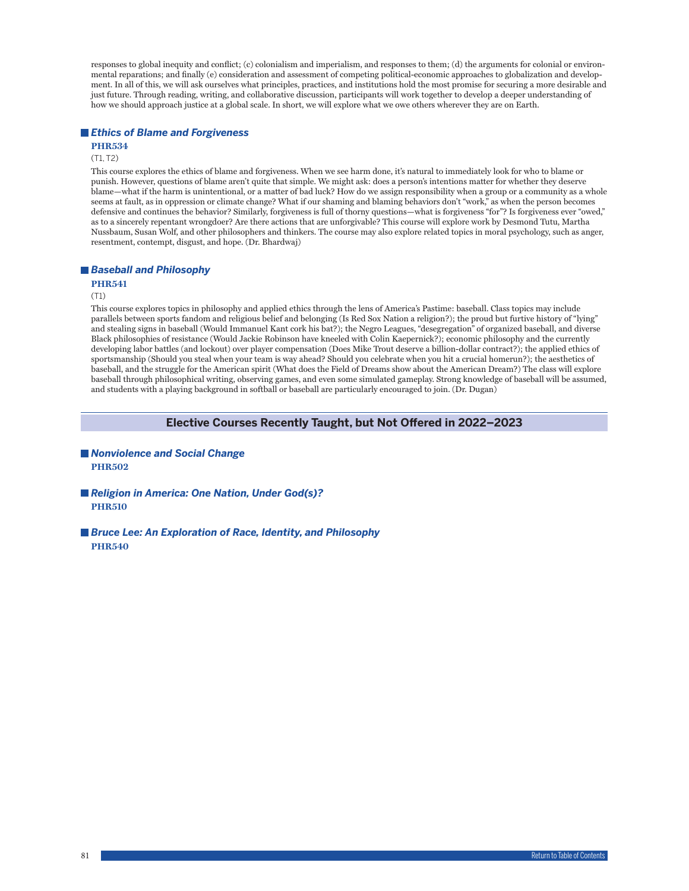responses to global inequity and conflict; (c) colonialism and imperialism, and responses to them; (d) the arguments for colonial or environmental reparations; and finally (e) consideration and assessment of competing political-economic approaches to globalization and development. In all of this, we will ask ourselves what principles, practices, and institutions hold the most promise for securing a more desirable and just future. Through reading, writing, and collaborative discussion, participants will work together to develop a deeper understanding of how we should approach justice at a global scale. In short, we will explore what we owe others wherever they are on Earth.

## *Ethics of Blame and Forgiveness*

# **PHR534**

## (T1, T2)

This course explores the ethics of blame and forgiveness. When we see harm done, it's natural to immediately look for who to blame or punish. However, questions of blame aren't quite that simple. We might ask: does a person's intentions matter for whether they deserve blame—what if the harm is unintentional, or a matter of bad luck? How do we assign responsibility when a group or a community as a whole seems at fault, as in oppression or climate change? What if our shaming and blaming behaviors don't "work," as when the person becomes defensive and continues the behavior? Similarly, forgiveness is full of thorny questions—what is forgiveness "for"? Is forgiveness ever "owed," as to a sincerely repentant wrongdoer? Are there actions that are unforgivable? This course will explore work by Desmond Tutu, Martha Nussbaum, Susan Wolf, and other philosophers and thinkers. The course may also explore related topics in moral psychology, such as anger, resentment, contempt, disgust, and hope. (Dr. Bhardwaj)

## *Baseball and Philosophy*

## **PHR541**

## $(T1)$

This course explores topics in philosophy and applied ethics through the lens of America's Pastime: baseball. Class topics may include parallels between sports fandom and religious belief and belonging (Is Red Sox Nation a religion?); the proud but furtive history of "lying" and stealing signs in baseball (Would Immanuel Kant cork his bat?); the Negro Leagues, "desegregation" of organized baseball, and diverse Black philosophies of resistance (Would Jackie Robinson have kneeled with Colin Kaepernick?); economic philosophy and the currently developing labor battles (and lockout) over player compensation (Does Mike Trout deserve a billion-dollar contract?); the applied ethics of sportsmanship (Should you steal when your team is way ahead? Should you celebrate when you hit a crucial homerun?); the aesthetics of baseball, and the struggle for the American spirit (What does the Field of Dreams show about the American Dream?) The class will explore baseball through philosophical writing, observing games, and even some simulated gameplay. Strong knowledge of baseball will be assumed, and students with a playing background in softball or baseball are particularly encouraged to join. (Dr. Dugan)

## **Elective Courses Recently Taught, but Not Offered in 2022–2023**

- *Nonviolence and Social Change* **PHR502**
- Religion in America: One Nation, Under God(s)? **PHR510**
- *Bruce Lee: An Exploration of Race, Identity, and Philosophy* **PHR540**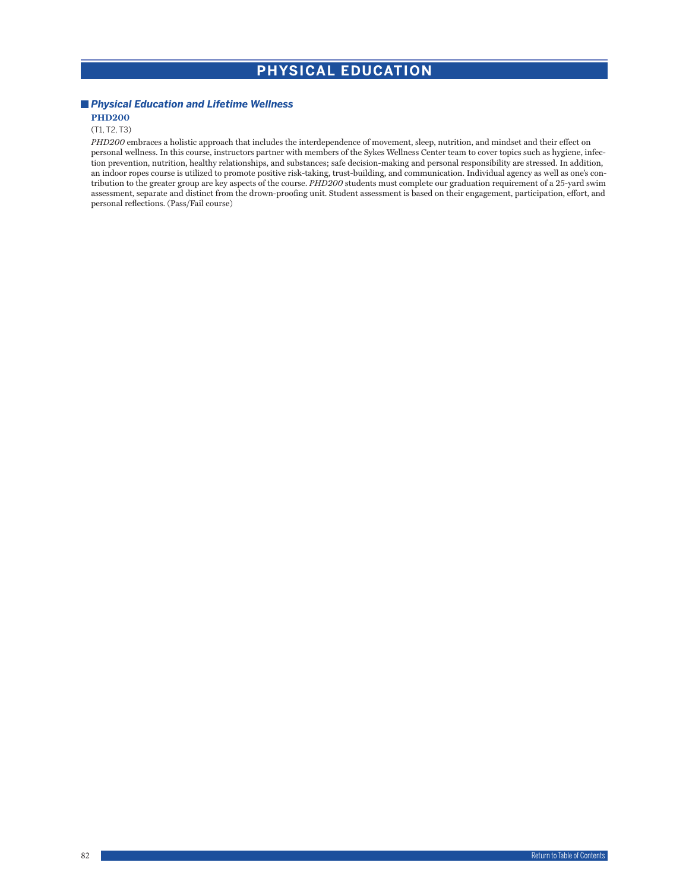# **PHYSICAL EDUCATION**

## *Physical Education and Lifetime Wellness* **PHD200**

# (T1, T2, T3)

*PHD200* embraces a holistic approach that includes the interdependence of movement, sleep, nutrition, and mindset and their effect on personal wellness. In this course, instructors partner with members of the Sykes Wellness Center team to cover topics such as hygiene, infection prevention, nutrition, healthy relationships, and substances; safe decision-making and personal responsibility are stressed. In addition, an indoor ropes course is utilized to promote positive risk-taking, trust-building, and communication. Individual agency as well as one's contribution to the greater group are key aspects of the course. *PHD200* students must complete our graduation requirement of a 25-yard swim assessment, separate and distinct from the drown-proofing unit. Student assessment is based on their engagement, participation, effort, and personal reflections. (Pass/Fail course)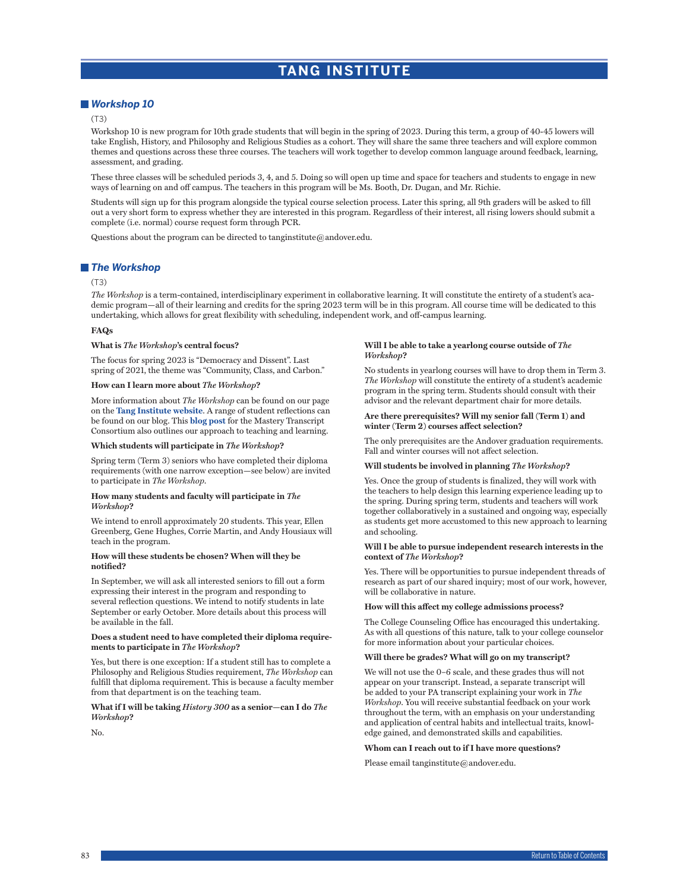# **TANG INSTITUTE**

## *Workshop 10*

#### (T3)

Workshop 10 is new program for 10th grade students that will begin in the spring of 2023. During this term, a group of 40-45 lowers will take English, History, and Philosophy and Religious Studies as a cohort. They will share the same three teachers and will explore common themes and questions across these three courses. The teachers will work together to develop common language around feedback, learning, assessment, and grading.

These three classes will be scheduled periods 3, 4, and 5. Doing so will open up time and space for teachers and students to engage in new ways of learning on and off campus. The teachers in this program will be Ms. Booth, Dr. Dugan, and Mr. Richie.

Students will sign up for this program alongside the typical course selection process. Later this spring, all 9th graders will be asked to fill out a very short form to express whether they are interested in this program. Regardless of their interest, all rising lowers should submit a complete (i.e. normal) course request form through PCR.

Questions about the program can be directed to tanginstitute@andover.edu.

## *The Workshop*

#### (T3)

*The Workshop* is a term-contained, interdisciplinary experiment in collaborative learning. It will constitute the entirety of a student's academic program—all of their learning and credits for the spring 2023 term will be in this program. All course time will be dedicated to this undertaking, which allows for great flexibility with scheduling, independent work, and off-campus learning.

#### **FAQs**

## **What is** *The Workshop***'s central focus?**

The focus for spring 2023 is "Democracy and Dissent". Last spring of 2021, the theme was "Community, Class, and Carbon."

#### **How can I learn more about** *The Workshop***?**

More information about *The Workshop* can be found on our page on the **[Tang Institute website](https://tanginstitute.andover.edu)**. A range of student reflections can be found on our blog. This **[blog post](https://tanginstitute.andover.edu/blog/2020/reimagining-the-grammar-of-schooling-the-workshop-at-andover)** for the Mastery Transcript Consortium also outlines our approach to teaching and learning.

#### **Which students will participate in** *The Workshop***?**

Spring term (Term 3) seniors who have completed their diploma requirements (with one narrow exception—see below) are invited to participate in *The Workshop*.

#### **How many students and faculty will participate in** *The Workshop***?**

We intend to enroll approximately 20 students. This year, Ellen Greenberg, Gene Hughes, Corrie Martin, and Andy Housiaux will teach in the program.

#### **How will these students be chosen? When will they be notified?**

In September, we will ask all interested seniors to fill out a form expressing their interest in the program and responding to several reflection questions. We intend to notify students in late September or early October. More details about this process will be available in the fall.

#### **Does a student need to have completed their diploma requirements to participate in** *The Workshop***?**

Yes, but there is one exception: If a student still has to complete a Philosophy and Religious Studies requirement, *The Workshop* can fulfill that diploma requirement. This is because a faculty member from that department is on the teaching team.

#### **What if I will be taking** *History 300* **as a senior—can I do** *The Workshop***?**

No.

#### **Will I be able to take a yearlong course outside of** *The Workshop***?**

No students in yearlong courses will have to drop them in Term 3. *The Workshop* will constitute the entirety of a student's academic program in the spring term. Students should consult with their advisor and the relevant department chair for more details.

#### **Are there prerequisites? Will my senior fall (Term 1) and winter (Term 2) courses affect selection?**

The only prerequisites are the Andover graduation requirements. Fall and winter courses will not affect selection.

#### **Will students be involved in planning** *The Workshop***?**

Yes. Once the group of students is finalized, they will work with the teachers to help design this learning experience leading up to the spring. During spring term, students and teachers will work together collaboratively in a sustained and ongoing way, especially as students get more accustomed to this new approach to learning and schooling.

#### **Will I be able to pursue independent research interests in the context of** *The Workshop***?**

Yes. There will be opportunities to pursue independent threads of research as part of our shared inquiry; most of our work, however, will be collaborative in nature.

#### **How will this affect my college admissions process?**

The College Counseling Office has encouraged this undertaking. As with all questions of this nature, talk to your college counselor for more information about your particular choices.

## **Will there be grades? What will go on my transcript?**

We will not use the 0–6 scale, and these grades thus will not appear on your transcript. Instead, a separate transcript will be added to your PA transcript explaining your work in *The Workshop*. You will receive substantial feedback on your work throughout the term, with an emphasis on your understanding and application of central habits and intellectual traits, knowledge gained, and demonstrated skills and capabilities.

## **Whom can I reach out to if I have more questions?**

Please email tanginstitute@andover.edu.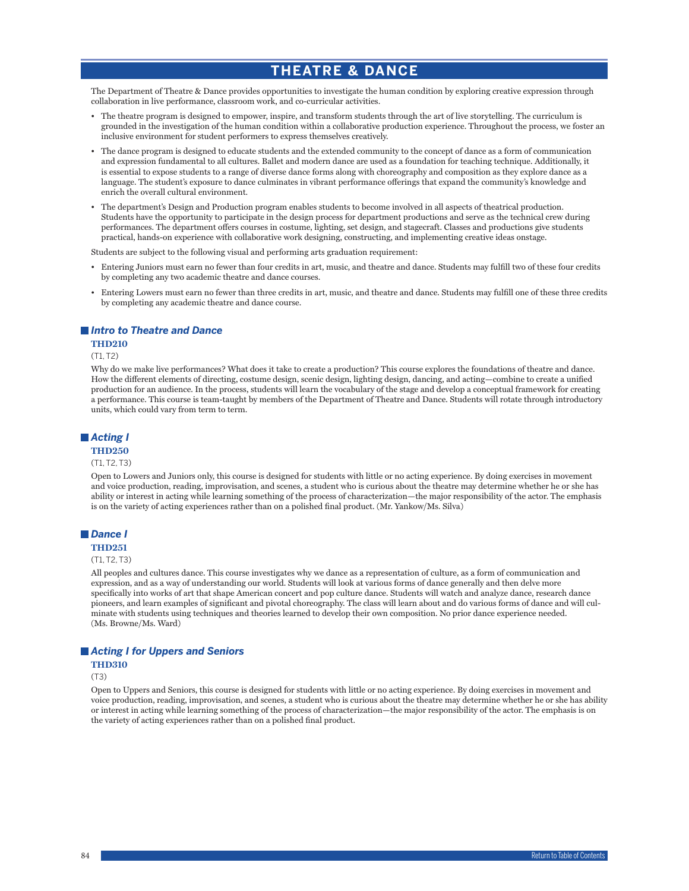# **THEATRE & DANCE**

The Department of Theatre & Dance provides opportunities to investigate the human condition by exploring creative expression through collaboration in live performance, classroom work, and co-curricular activities.

- The theatre program is designed to empower, inspire, and transform students through the art of live storytelling. The curriculum is grounded in the investigation of the human condition within a collaborative production experience. Throughout the process, we foster an inclusive environment for student performers to express themselves creatively.
- The dance program is designed to educate students and the extended community to the concept of dance as a form of communication and expression fundamental to all cultures. Ballet and modern dance are used as a foundation for teaching technique. Additionally, it is essential to expose students to a range of diverse dance forms along with choreography and composition as they explore dance as a language. The student's exposure to dance culminates in vibrant performance offerings that expand the community's knowledge and enrich the overall cultural environment.
- The department's Design and Production program enables students to become involved in all aspects of theatrical production. Students have the opportunity to participate in the design process for department productions and serve as the technical crew during performances. The department offers courses in costume, lighting, set design, and stagecraft. Classes and productions give students practical, hands-on experience with collaborative work designing, constructing, and implementing creative ideas onstage.

Students are subject to the following visual and performing arts graduation requirement:

- Entering Juniors must earn no fewer than four credits in art, music, and theatre and dance. Students may fulfill two of these four credits by completing any two academic theatre and dance courses.
- Entering Lowers must earn no fewer than three credits in art, music, and theatre and dance. Students may fulfill one of these three credits by completing any academic theatre and dance course.

## *Intro to Theatre and Dance*

## **THD210**

## (T1, T2)

Why do we make live performances? What does it take to create a production? This course explores the foundations of theatre and dance. How the different elements of directing, costume design, scenic design, lighting design, dancing, and acting—combine to create a unified production for an audience. In the process, students will learn the vocabulary of the stage and develop a conceptual framework for creating a performance. This course is team-taught by members of the Department of Theatre and Dance. Students will rotate through introductory units, which could vary from term to term.

## *Acting I*

# **THD250**

## (T1, T2, T3)

Open to Lowers and Juniors only, this course is designed for students with little or no acting experience. By doing exercises in movement and voice production, reading, improvisation, and scenes, a student who is curious about the theatre may determine whether he or she has ability or interest in acting while learning something of the process of characterization—the major responsibility of the actor. The emphasis is on the variety of acting experiences rather than on a polished final product. (Mr. Yankow/Ms. Silva)

## *Dance I*

## **THD251**

#### (T1, T2, T3)

All peoples and cultures dance. This course investigates why we dance as a representation of culture, as a form of communication and expression, and as a way of understanding our world. Students will look at various forms of dance generally and then delve more specifically into works of art that shape American concert and pop culture dance. Students will watch and analyze dance, research dance pioneers, and learn examples of significant and pivotal choreography. The class will learn about and do various forms of dance and will culminate with students using techniques and theories learned to develop their own composition. No prior dance experience needed. (Ms. Browne/Ms. Ward)

## *Acting I for Uppers and Seniors*

## **THD310**

#### (T3)

Open to Uppers and Seniors, this course is designed for students with little or no acting experience. By doing exercises in movement and voice production, reading, improvisation, and scenes, a student who is curious about the theatre may determine whether he or she has ability or interest in acting while learning something of the process of characterization—the major responsibility of the actor. The emphasis is on the variety of acting experiences rather than on a polished final product.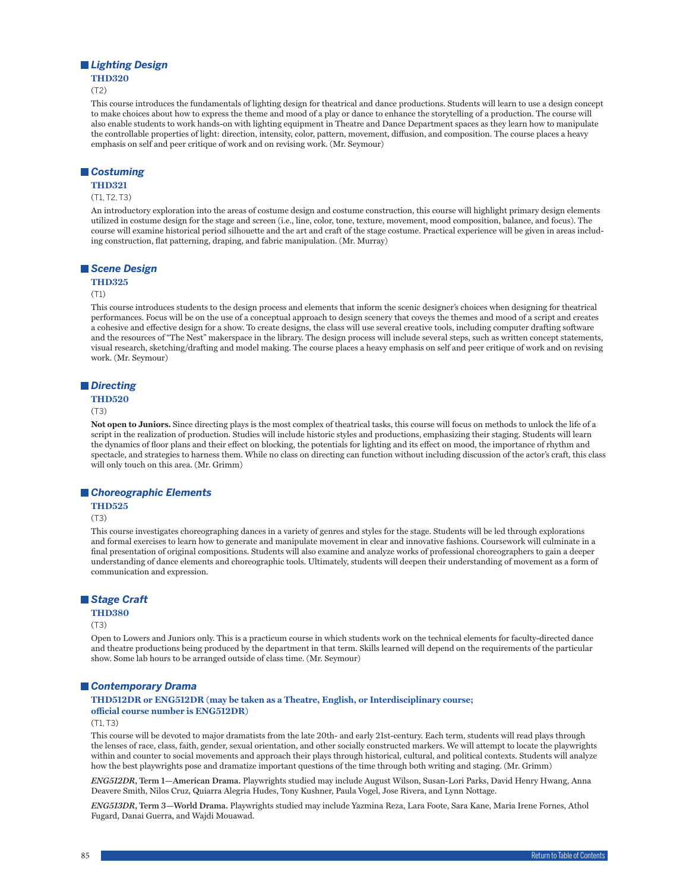## *Lighting Design*

## **THD320**

(T2)

This course introduces the fundamentals of lighting design for theatrical and dance productions. Students will learn to use a design concept to make choices about how to express the theme and mood of a play or dance to enhance the storytelling of a production. The course will also enable students to work hands-on with lighting equipment in Theatre and Dance Department spaces as they learn how to manipulate the controllable properties of light: direction, intensity, color, pattern, movement, diffusion, and composition. The course places a heavy emphasis on self and peer critique of work and on revising work. (Mr. Seymour)

## *Costuming*

#### **THD321**

#### (T1, T2, T3)

An introductory exploration into the areas of costume design and costume construction, this course will highlight primary design elements utilized in costume design for the stage and screen (i.e., line, color, tone, texture, movement, mood composition, balance, and focus). The course will examine historical period silhouette and the art and craft of the stage costume. Practical experience will be given in areas including construction, flat patterning, draping, and fabric manipulation. (Mr. Murray)

#### *Scene Design*

#### **THD325**

#### (T1)

This course introduces students to the design process and elements that inform the scenic designer's choices when designing for theatrical performances. Focus will be on the use of a conceptual approach to design scenery that coveys the themes and mood of a script and creates a cohesive and effective design for a show. To create designs, the class will use several creative tools, including computer drafting software and the resources of "The Nest" makerspace in the library. The design process will include several steps, such as written concept statements, visual research, sketching/drafting and model making. The course places a heavy emphasis on self and peer critique of work and on revising work. (Mr. Seymour)

#### *Directing*

#### **THD520**

(T3)

**Not open to Juniors.** Since directing plays is the most complex of theatrical tasks, this course will focus on methods to unlock the life of a script in the realization of production. Studies will include historic styles and productions, emphasizing their staging. Students will learn the dynamics of floor plans and their effect on blocking, the potentials for lighting and its effect on mood, the importance of rhythm and spectacle, and strategies to harness them. While no class on directing can function without including discussion of the actor's craft, this class will only touch on this area. (Mr. Grimm)

#### *Choreographic Elements*

## **THD525**

(T3)

This course investigates choreographing dances in a variety of genres and styles for the stage. Students will be led through explorations and formal exercises to learn how to generate and manipulate movement in clear and innovative fashions. Coursework will culminate in a final presentation of original compositions. Students will also examine and analyze works of professional choreographers to gain a deeper understanding of dance elements and choreographic tools. Ultimately, students will deepen their understanding of movement as a form of communication and expression.

## *Stage Craft*

## **THD380**

#### (T3)

Open to Lowers and Juniors only. This is a practicum course in which students work on the technical elements for faculty-directed dance and theatre productions being produced by the department in that term. Skills learned will depend on the requirements of the particular show. Some lab hours to be arranged outside of class time. (Mr. Seymour)

#### *Contemporary Drama*

**THD512DR or ENG512DR (may be taken as a Theatre, English, or Interdisciplinary course; official course number is ENG512DR)**

## $(T1, T3)$

This course will be devoted to major dramatists from the late 20th- and early 21st-century. Each term, students will read plays through the lenses of race, class, faith, gender, sexual orientation, and other socially constructed markers. We will attempt to locate the playwrights within and counter to social movements and approach their plays through historical, cultural, and political contexts. Students will analyze how the best playwrights pose and dramatize important questions of the time through both writing and staging. (Mr. Grimm)

*ENG512DR***, Term 1—American Drama.** Playwrights studied may include August Wilson, Susan-Lori Parks, David Henry Hwang, Anna Deavere Smith, Nilos Cruz, Quiarra Alegria Hudes, Tony Kushner, Paula Vogel, Jose Rivera, and Lynn Nottage.

*ENG513DR***, Term 3—World Drama.** Playwrights studied may include Yazmina Reza, Lara Foote, Sara Kane, Maria Irene Fornes, Athol Fugard, Danai Guerra, and Wajdi Mouawad.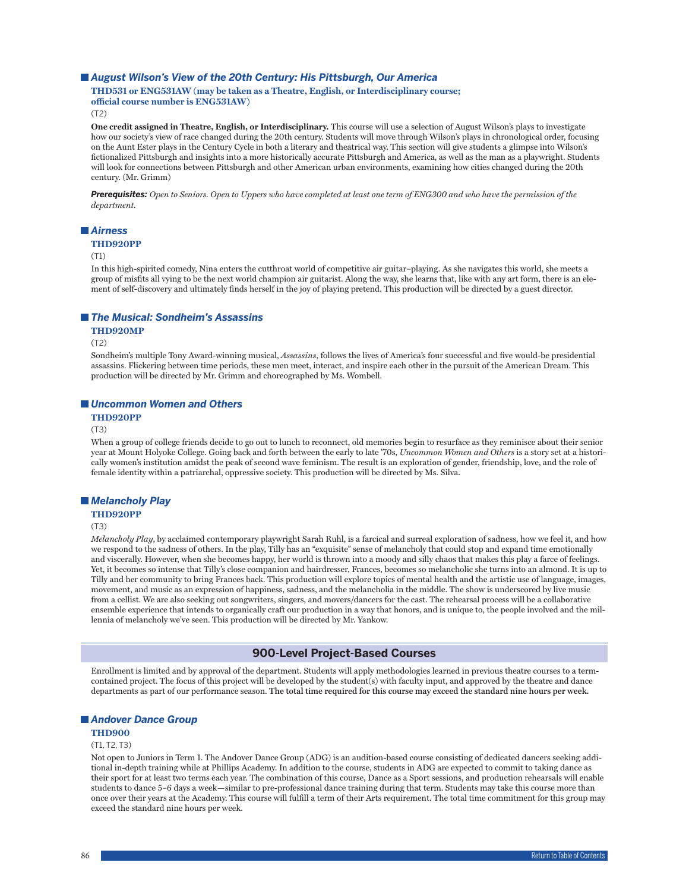## ■ August Wilson's View of the 20th Century: His Pittsburgh, Our America

## **THD531 or ENG531AW (may be taken as a Theatre, English, or Interdisciplinary course; official course number is ENG531AW)**

(T2)

**One credit assigned in Theatre, English, or Interdisciplinary.** This course will use a selection of August Wilson's plays to investigate how our society's view of race changed during the 20th century. Students will move through Wilson's plays in chronological order, focusing on the Aunt Ester plays in the Century Cycle in both a literary and theatrical way. This section will give students a glimpse into Wilson's fictionalized Pittsburgh and insights into a more historically accurate Pittsburgh and America, as well as the man as a playwright. Students will look for connections between Pittsburgh and other American urban environments, examining how cities changed during the 20th century. (Mr. Grimm)

*Prerequisites: Open to Seniors. Open to Uppers who have completed at least one term of ENG300 and who have the permission of the department.*

## *Airness*

#### **THD920PP**

(T1)

In this high-spirited comedy, Nina enters the cutthroat world of competitive air guitar–playing. As she navigates this world, she meets a group of misfits all vying to be the next world champion air guitarist. Along the way, she learns that, like with any art form, there is an element of self-discovery and ultimately finds herself in the joy of playing pretend. This production will be directed by a guest director.

#### *The Musical: Sondheim's Assassins*

#### **THD920MP**

(T2)

Sondheim's multiple Tony Award-winning musical, *Assassins*, follows the lives of America's four successful and five would-be presidential assassins. Flickering between time periods, these men meet, interact, and inspire each other in the pursuit of the American Dream. This production will be directed by Mr. Grimm and choreographed by Ms. Wombell.

#### *Uncommon Women and Others*

**THD920PP**

#### (T3)

When a group of college friends decide to go out to lunch to reconnect, old memories begin to resurface as they reminisce about their senior year at Mount Holyoke College. Going back and forth between the early to late '70s, *Uncommon Women and Others* is a story set at a historically women's institution amidst the peak of second wave feminism. The result is an exploration of gender, friendship, love, and the role of female identity within a patriarchal, oppressive society. This production will be directed by Ms. Silva.

## *Melancholy Play*

**THD920PP**

(T3)

*Melancholy Play*, by acclaimed contemporary playwright Sarah Ruhl, is a farcical and surreal exploration of sadness, how we feel it, and how we respond to the sadness of others. In the play, Tilly has an "exquisite" sense of melancholy that could stop and expand time emotionally and viscerally. However, when she becomes happy, her world is thrown into a moody and silly chaos that makes this play a farce of feelings. Yet, it becomes so intense that Tilly's close companion and hairdresser, Frances, becomes so melancholic she turns into an almond. It is up to Tilly and her community to bring Frances back. This production will explore topics of mental health and the artistic use of language, images, movement, and music as an expression of happiness, sadness, and the melancholia in the middle. The show is underscored by live music from a cellist. We are also seeking out songwriters, singers, and movers/dancers for the cast. The rehearsal process will be a collaborative ensemble experience that intends to organically craft our production in a way that honors, and is unique to, the people involved and the millennia of melancholy we've seen. This production will be directed by Mr. Yankow.

## **900-Level Project-Based Courses**

Enrollment is limited and by approval of the department. Students will apply methodologies learned in previous theatre courses to a termcontained project. The focus of this project will be developed by the student(s) with faculty input, and approved by the theatre and dance departments as part of our performance season. **The total time required for this course may exceed the standard nine hours per week.**

## *Andover Dance Group*

#### **THD900**

#### (T1, T2, T3)

Not open to Juniors in Term 1. The Andover Dance Group (ADG) is an audition-based course consisting of dedicated dancers seeking additional in-depth training while at Phillips Academy. In addition to the course, students in ADG are expected to commit to taking dance as their sport for at least two terms each year. The combination of this course, Dance as a Sport sessions, and production rehearsals will enable students to dance 5–6 days a week—similar to pre-professional dance training during that term. Students may take this course more than once over their years at the Academy. This course will fulfill a term of their Arts requirement. The total time commitment for this group may exceed the standard nine hours per week.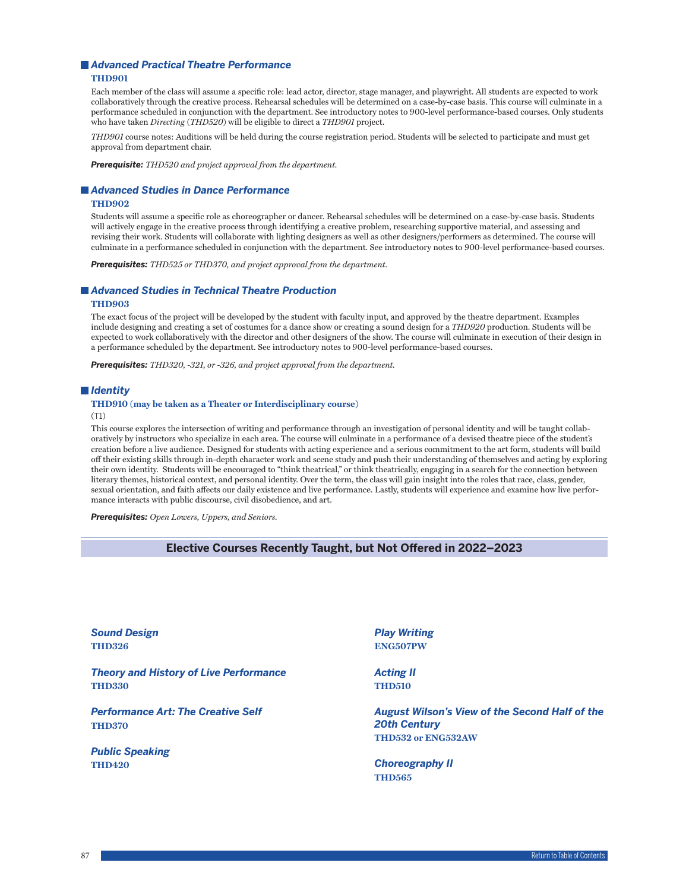# *Advanced Practical Theatre Performance*

## **THD901**

Each member of the class will assume a specific role: lead actor, director, stage manager, and playwright. All students are expected to work collaboratively through the creative process. Rehearsal schedules will be determined on a case-by-case basis. This course will culminate in a performance scheduled in conjunction with the department. See introductory notes to 900-level performance-based courses. Only students who have taken *Directing* (*THD520*) will be eligible to direct a *THD901* project.

*THD901* course notes: Auditions will be held during the course registration period. Students will be selected to participate and must get approval from department chair.

*Prerequisite: THD520 and project approval from the department.*

#### *Advanced Studies in Dance Performance*

#### **THD902**

Students will assume a specific role as choreographer or dancer. Rehearsal schedules will be determined on a case-by-case basis. Students will actively engage in the creative process through identifying a creative problem, researching supportive material, and assessing and revising their work. Students will collaborate with lighting designers as well as other designers/performers as determined. The course will culminate in a performance scheduled in conjunction with the department. See introductory notes to 900-level performance-based courses.

*Prerequisites: THD525 or THD370, and project approval from the department.*

## *Advanced Studies in Technical Theatre Production*

## **THD903**

The exact focus of the project will be developed by the student with faculty input, and approved by the theatre department. Examples include designing and creating a set of costumes for a dance show or creating a sound design for a *THD920* production. Students will be expected to work collaboratively with the director and other designers of the show. The course will culminate in execution of their design in a performance scheduled by the department. See introductory notes to 900-level performance-based courses.

*Prerequisites: THD320, -321, or -326, and project approval from the department.*

## *Identity*

#### **THD910 (may be taken as a Theater or Interdisciplinary course)**

(T1)

This course explores the intersection of writing and performance through an investigation of personal identity and will be taught collaboratively by instructors who specialize in each area. The course will culminate in a performance of a devised theatre piece of the student's creation before a live audience. Designed for students with acting experience and a serious commitment to the art form, students will build off their existing skills through in-depth character work and scene study and push their understanding of themselves and acting by exploring their own identity. Students will be encouraged to "think theatrical," or think theatrically, engaging in a search for the connection between literary themes, historical context, and personal identity. Over the term, the class will gain insight into the roles that race, class, gender, sexual orientation, and faith affects our daily existence and live performance. Lastly, students will experience and examine how live performance interacts with public discourse, civil disobedience, and art.

*Prerequisites: Open Lowers, Uppers, and Seniors.*

## **Elective Courses Recently Taught, but Not Offered in 2022–2023**

*Sound Design* **THD326** *Theory and History of Live Performance* **THD330** *Performance Art: The Creative Self* **THD370** *Public Speaking* **THD420** *Play Writing* **ENG507PW** *Acting II* **THD510** *August Wilson's View of the Second Half of the 20th Century* **THD532 or ENG532AW** *Choreography II* **THD565**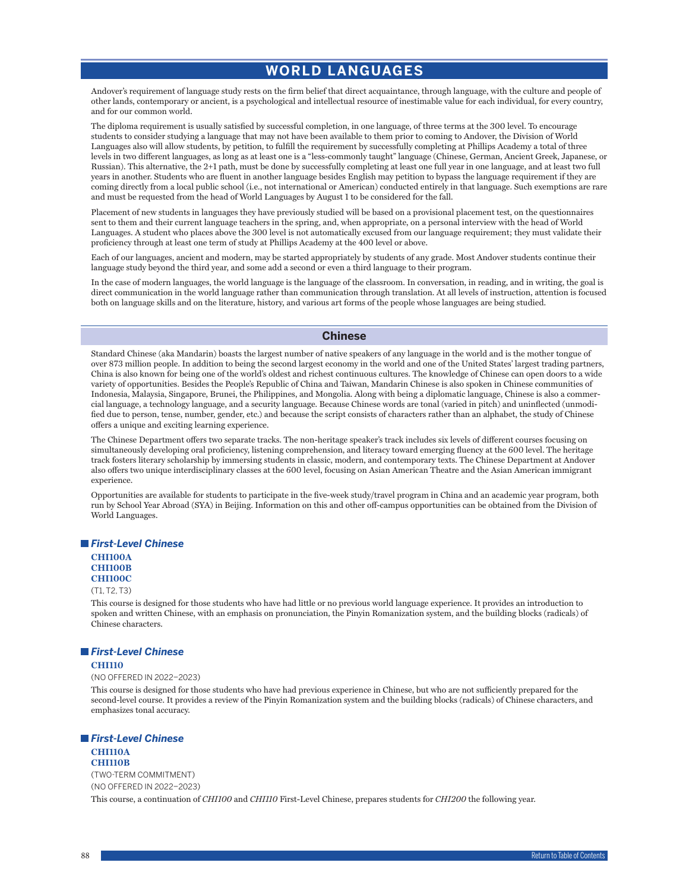# **WORLD LANGUAGES**

Andover's requirement of language study rests on the firm belief that direct acquaintance, through language, with the culture and people of other lands, contemporary or ancient, is a psychological and intellectual resource of inestimable value for each individual, for every country, and for our common world.

The diploma requirement is usually satisfied by successful completion, in one language, of three terms at the 300 level. To encourage students to consider studying a language that may not have been available to them prior to coming to Andover, the Division of World Languages also will allow students, by petition, to fulfill the requirement by successfully completing at Phillips Academy a total of three levels in two different languages, as long as at least one is a "less-commonly taught" language (Chinese, German, Ancient Greek, Japanese, or Russian). This alternative, the 2+1 path, must be done by successfully completing at least one full year in one language, and at least two full years in another. Students who are fluent in another language besides English may petition to bypass the language requirement if they are coming directly from a local public school (i.e., not international or American) conducted entirely in that language. Such exemptions are rare and must be requested from the head of World Languages by August 1 to be considered for the fall.

Placement of new students in languages they have previously studied will be based on a provisional placement test, on the questionnaires sent to them and their current language teachers in the spring, and, when appropriate, on a personal interview with the head of World Languages. A student who places above the 300 level is not automatically excused from our language requirement; they must validate their proficiency through at least one term of study at Phillips Academy at the 400 level or above.

Each of our languages, ancient and modern, may be started appropriately by students of any grade. Most Andover students continue their language study beyond the third year, and some add a second or even a third language to their program.

In the case of modern languages, the world language is the language of the classroom. In conversation, in reading, and in writing, the goal is direct communication in the world language rather than communication through translation. At all levels of instruction, attention is focused both on language skills and on the literature, history, and various art forms of the people whose languages are being studied.

## **Chinese**

Standard Chinese (aka Mandarin) boasts the largest number of native speakers of any language in the world and is the mother tongue of over 873 million people. In addition to being the second largest economy in the world and one of the United States' largest trading partners, China is also known for being one of the world's oldest and richest continuous cultures. The knowledge of Chinese can open doors to a wide variety of opportunities. Besides the People's Republic of China and Taiwan, Mandarin Chinese is also spoken in Chinese communities of Indonesia, Malaysia, Singapore, Brunei, the Philippines, and Mongolia. Along with being a diplomatic language, Chinese is also a commercial language, a technology language, and a security language. Because Chinese words are tonal (varied in pitch) and uninflected (unmodified due to person, tense, number, gender, etc.) and because the script consists of characters rather than an alphabet, the study of Chinese offers a unique and exciting learning experience.

The Chinese Department offers two separate tracks. The non-heritage speaker's track includes six levels of different courses focusing on simultaneously developing oral proficiency, listening comprehension, and literacy toward emerging fluency at the 600 level. The heritage track fosters literary scholarship by immersing students in classic, modern, and contemporary texts. The Chinese Department at Andover also offers two unique interdisciplinary classes at the 600 level, focusing on Asian American Theatre and the Asian American immigrant experience.

Opportunities are available for students to participate in the five-week study/travel program in China and an academic year program, both run by School Year Abroad (SYA) in Beijing. Information on this and other off-campus opportunities can be obtained from the Division of World Languages.

#### *First-Level Chinese*

# **CHI100A CHI100B**

# **CHI100C**

(T1, T2, T3)

This course is designed for those students who have had little or no previous world language experience. It provides an introduction to spoken and written Chinese, with an emphasis on pronunciation, the Pinyin Romanization system, and the building blocks (radicals) of Chinese characters.

#### *First-Level Chinese*

#### **CHI110**

(NO OFFERED IN 2022–2023)

This course is designed for those students who have had previous experience in Chinese, but who are not sufficiently prepared for the second-level course. It provides a review of the Pinyin Romanization system and the building blocks (radicals) of Chinese characters, and emphasizes tonal accuracy.

## *First-Level Chinese*

#### **CHI110A CHI110B**

(TWO-TERM COMMITMENT) (NO OFFERED IN 2022–2023) This course, a continuation of *CHI100* and *CHI110* First-Level Chinese, prepares students for *CHI200* the following year.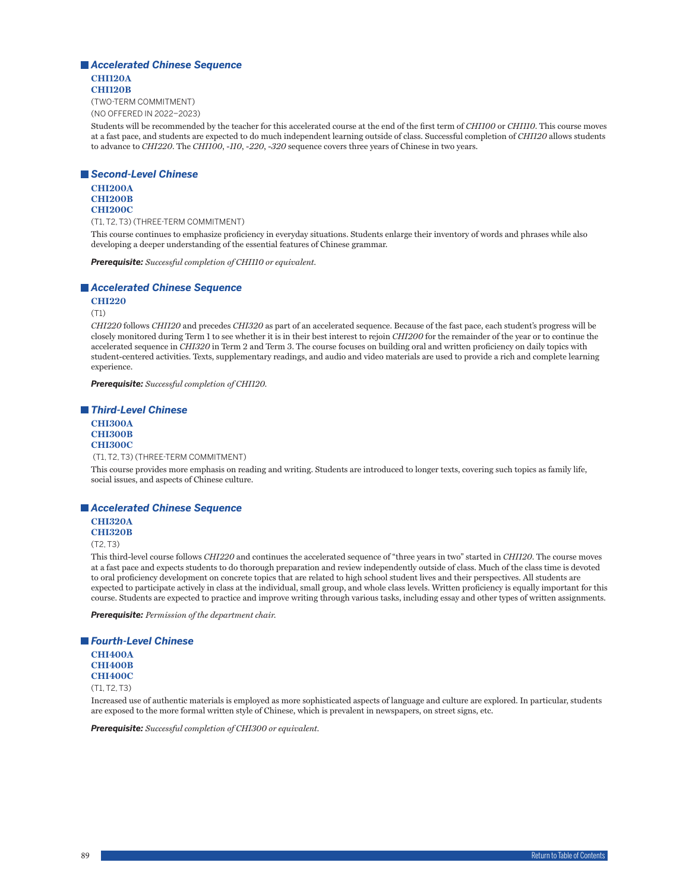## *Accelerated Chinese Sequence* **CHI120A CHI120B**

(TWO-TERM COMMITMENT) (NO OFFERED IN 2022–2023)

Students will be recommended by the teacher for this accelerated course at the end of the first term of *CHI100* or *CHI110*. This course moves at a fast pace, and students are expected to do much independent learning outside of class. Successful completion of *CHI120* allows students to advance to *CHI220*. The *CHI100*, -*110*, -*220*, -*320* sequence covers three years of Chinese in two years.

## *Second-Level Chinese*

**CHI200A CHI200B CHI200C**

(T1, T2, T3) (THREE-TERM COMMITMENT)

This course continues to emphasize proficiency in everyday situations. Students enlarge their inventory of words and phrases while also developing a deeper understanding of the essential features of Chinese grammar.

*Prerequisite: Successful completion of CHI110 or equivalent.*

## *Accelerated Chinese Sequence*

**CHI220**

(T1)

*CHI220* follows *CHI120* and precedes *CHI320* as part of an accelerated sequence. Because of the fast pace, each student's progress will be closely monitored during Term 1 to see whether it is in their best interest to rejoin *CHI200* for the remainder of the year or to continue the accelerated sequence in *CHI320* in Term 2 and Term 3. The course focuses on building oral and written proficiency on daily topics with student-centered activities. Texts, supplementary readings, and audio and video materials are used to provide a rich and complete learning experience.

*Prerequisite: Successful completion of CHI120.*

#### *Third-Level Chinese*

**CHI300A CHI300B CHI300C**

(T1, T2, T3) (THREE-TERM COMMITMENT)

This course provides more emphasis on reading and writing. Students are introduced to longer texts, covering such topics as family life, social issues, and aspects of Chinese culture.

## *Accelerated Chinese Sequence*

**CHI320A**

**CHI320B**

 $(T2, T3)$ 

This third-level course follows *CHI220* and continues the accelerated sequence of "three years in two" started in *CHI120*. The course moves at a fast pace and expects students to do thorough preparation and review independently outside of class. Much of the class time is devoted to oral proficiency development on concrete topics that are related to high school student lives and their perspectives. All students are expected to participate actively in class at the individual, small group, and whole class levels. Written proficiency is equally important for this course. Students are expected to practice and improve writing through various tasks, including essay and other types of written assignments.

*Prerequisite: Permission of the department chair.*

# *Fourth-Level Chinese* **CHI400A CHI400B CHI400C** (T1, T2, T3)

Increased use of authentic materials is employed as more sophisticated aspects of language and culture are explored. In particular, students are exposed to the more formal written style of Chinese, which is prevalent in newspapers, on street signs, etc.

*Prerequisite: Successful completion of CHI300 or equivalent.*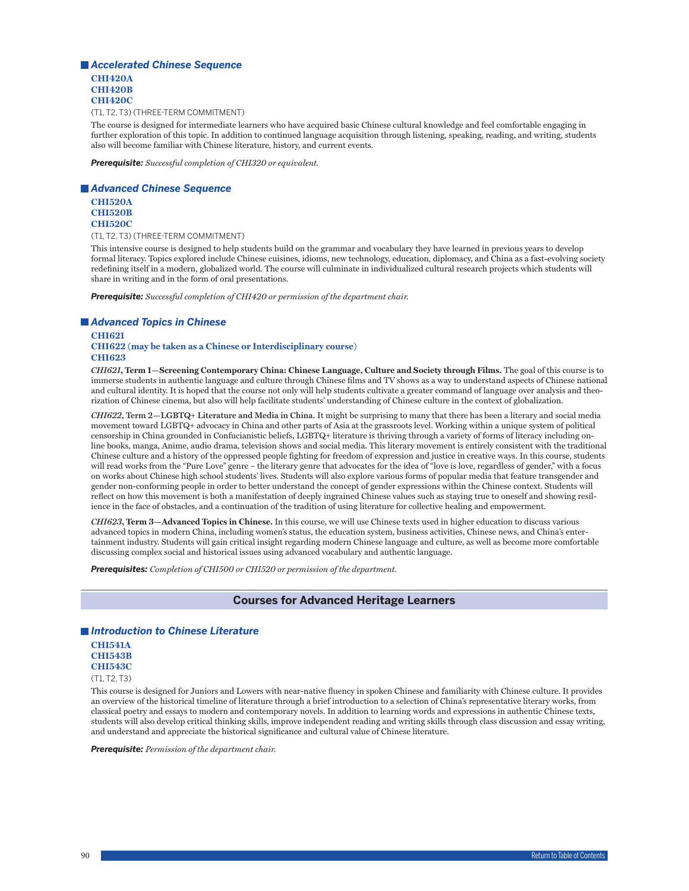*Accelerated Chinese Sequence* **CHI420A CHI420B CHI420C**

(T1, T2, T3) (THREE-TERM COMMITMENT)

The course is designed for intermediate learners who have acquired basic Chinese cultural knowledge and feel comfortable engaging in further exploration of this topic. In addition to continued language acquisition through listening, speaking, reading, and writing, students also will become familiar with Chinese literature, history, and current events.

*Prerequisite: Successful completion of CHI320 or equivalent.*

#### *Advanced Chinese Sequence*

**CHI520A CHI520B CHI520C**

(T1, T2, T3) (THREE-TERM COMMITMENT)

This intensive course is designed to help students build on the grammar and vocabulary they have learned in previous years to develop formal literacy. Topics explored include Chinese cuisines, idioms, new technology, education, diplomacy, and China as a fast-evolving society redefining itself in a modern, globalized world. The course will culminate in individualized cultural research projects which students will share in writing and in the form of oral presentations.

*Prerequisite: Successful completion of CHI420 or permission of the department chair.*

## *Advanced Topics in Chinese*

**CHI621 CHI622 (may be taken as a Chinese or Interdisciplinary course) CHI623**

*CHI621***, Term 1—Screening Contemporary China: Chinese Language, Culture and Society through Films.** The goal of this course is to immerse students in authentic language and culture through Chinese films and TV shows as a way to understand aspects of Chinese national and cultural identity. It is hoped that the course not only will help students cultivate a greater command of language over analysis and theorization of Chinese cinema, but also will help facilitate students' understanding of Chinese culture in the context of globalization.

*CHI622***, Term 2—LGBTQ+ Literature and Media in China.** It might be surprising to many that there has been a literary and social media movement toward LGBTQ+ advocacy in China and other parts of Asia at the grassroots level. Working within a unique system of political censorship in China grounded in Confucianistic beliefs, LGBTQ+ literature is thriving through a variety of forms of literacy including online books, manga, Anime, audio drama, television shows and social media. This literary movement is entirely consistent with the traditional Chinese culture and a history of the oppressed people fighting for freedom of expression and justice in creative ways. In this course, students will read works from the "Pure Love" genre – the literary genre that advocates for the idea of "love is love, regardless of gender," with a focus on works about Chinese high school students' lives. Students will also explore various forms of popular media that feature transgender and gender non-conforming people in order to better understand the concept of gender expressions within the Chinese context. Students will reflect on how this movement is both a manifestation of deeply ingrained Chinese values such as staying true to oneself and showing resilience in the face of obstacles, and a continuation of the tradition of using literature for collective healing and empowerment.

*CHI623***, Term 3—Advanced Topics in Chinese.** In this course, we will use Chinese texts used in higher education to discuss various advanced topics in modern China, including women's status, the education system, business activities, Chinese news, and China's entertainment industry. Students will gain critical insight regarding modern Chinese language and culture, as well as become more comfortable discussing complex social and historical issues using advanced vocabulary and authentic language.

*Prerequisites: Completion of CHI500 or CHI520 or permission of the department.*

## **Courses for Advanced Heritage Learners**

## *Introduction to Chinese Literature*

**CHI541A CHI543B CHI543C** (T1, T2, T3)

This course is designed for Juniors and Lowers with near-native fluency in spoken Chinese and familiarity with Chinese culture. It provides an overview of the historical timeline of literature through a brief introduction to a selection of China's representative literary works, from classical poetry and essays to modern and contemporary novels. In addition to learning words and expressions in authentic Chinese texts, students will also develop critical thinking skills, improve independent reading and writing skills through class discussion and essay writing, and understand and appreciate the historical significance and cultural value of Chinese literature.

*Prerequisite: Permission of the department chair.*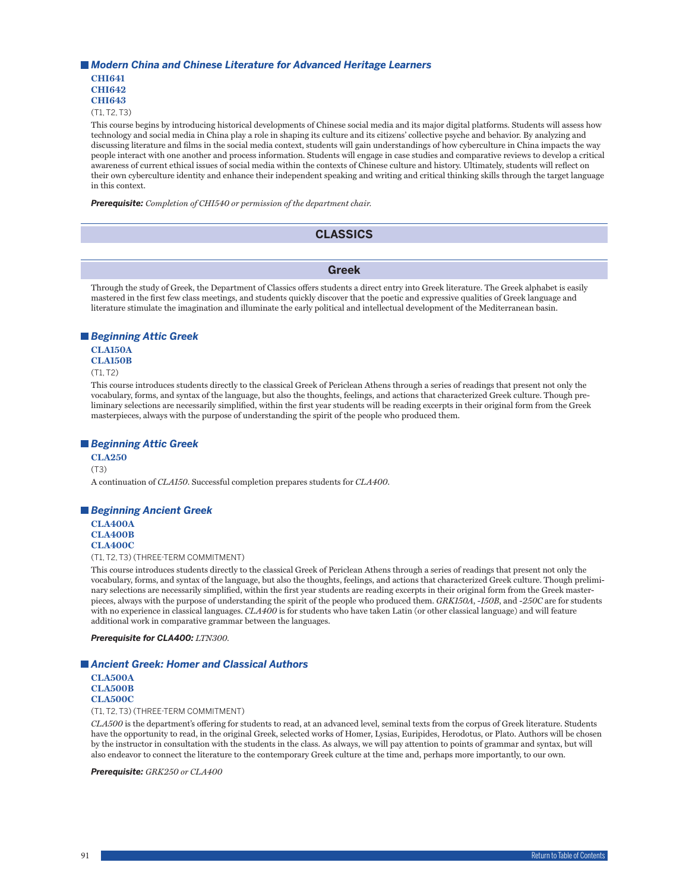#### *Modern China and Chinese Literature for Advanced Heritage Learners*

**CHI641 CHI642 CHI643**

(T1, T2, T3)

This course begins by introducing historical developments of Chinese social media and its major digital platforms. Students will assess how technology and social media in China play a role in shaping its culture and its citizens' collective psyche and behavior. By analyzing and discussing literature and films in the social media context, students will gain understandings of how cyberculture in China impacts the way people interact with one another and process information. Students will engage in case studies and comparative reviews to develop a critical awareness of current ethical issues of social media within the contexts of Chinese culture and history. Ultimately, students will reflect on their own cyberculture identity and enhance their independent speaking and writing and critical thinking skills through the target language in this context.

*Prerequisite: Completion of CHI540 or permission of the department chair.*

# **CLASSICS**

**Greek**

Through the study of Greek, the Department of Classics offers students a direct entry into Greek literature. The Greek alphabet is easily mastered in the first few class meetings, and students quickly discover that the poetic and expressive qualities of Greek language and literature stimulate the imagination and illuminate the early political and intellectual development of the Mediterranean basin.

## *Beginning Attic Greek*

## **CLA150A**

**CLA150B**

 $(T1, T2)$ 

This course introduces students directly to the classical Greek of Periclean Athens through a series of readings that present not only the vocabulary, forms, and syntax of the language, but also the thoughts, feelings, and actions that characterized Greek culture. Though preliminary selections are necessarily simplified, within the first year students will be reading excerpts in their original form from the Greek masterpieces, always with the purpose of understanding the spirit of the people who produced them.

## *Beginning Attic Greek*

**CLA250** (T3) A continuation of *CLA150*. Successful completion prepares students for *CLA400*.

## *Beginning Ancient Greek*

**CLA400A CLA400B CLA400C**

(T1, T2, T3) (THREE-TERM COMMITMENT)

This course introduces students directly to the classical Greek of Periclean Athens through a series of readings that present not only the vocabulary, forms, and syntax of the language, but also the thoughts, feelings, and actions that characterized Greek culture. Though preliminary selections are necessarily simplified, within the first year students are reading excerpts in their original form from the Greek masterpieces, always with the purpose of understanding the spirit of the people who produced them. *GRK150A*, -*150B*, and -*250C* are for students with no experience in classical languages. *CLA400* is for students who have taken Latin (or other classical language) and will feature additional work in comparative grammar between the languages.

*Prerequisite for CLA400: LTN300.*

## *Ancient Greek: Homer and Classical Authors*

**CLA500A CLA500B CLA500C**

(T1, T2, T3) (THREE-TERM COMMITMENT)

*CLA500* is the department's offering for students to read, at an advanced level, seminal texts from the corpus of Greek literature. Students have the opportunity to read, in the original Greek, selected works of Homer, Lysias, Euripides, Herodotus, or Plato. Authors will be chosen by the instructor in consultation with the students in the class. As always, we will pay attention to points of grammar and syntax, but will also endeavor to connect the literature to the contemporary Greek culture at the time and, perhaps more importantly, to our own.

*Prerequisite: GRK250 or CLA400*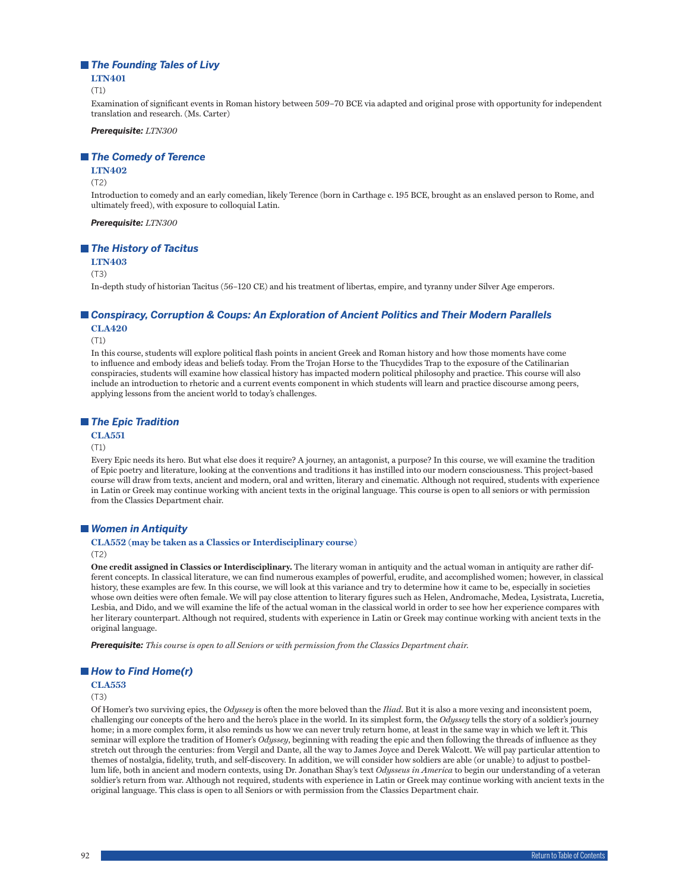## *The Founding Tales of Livy*

#### **LTN401**

(T1)

Examination of significant events in Roman history between 509–70 BCE via adapted and original prose with opportunity for independent translation and research. (Ms. Carter)

*Prerequisite: LTN300*

#### *The Comedy of Terence*

#### **LTN402**

#### (T2)

Introduction to comedy and an early comedian, likely Terence (born in Carthage c. 195 BCE, brought as an enslaved person to Rome, and ultimately freed), with exposure to colloquial Latin.

*Prerequisite: LTN300*

#### *The History of Tacitus*

**LTN403** 

#### (T3)

In-depth study of historian Tacitus (56–120 CE) and his treatment of libertas, empire, and tyranny under Silver Age emperors.

# *Conspiracy, Corruption & Coups: An Exploration of Ancient Politics and Their Modern Parallels*

**CLA420**

(T1)

In this course, students will explore political flash points in ancient Greek and Roman history and how those moments have come to influence and embody ideas and beliefs today. From the Trojan Horse to the Thucydides Trap to the exposure of the Catilinarian conspiracies, students will examine how classical history has impacted modern political philosophy and practice. This course will also include an introduction to rhetoric and a current events component in which students will learn and practice discourse among peers, applying lessons from the ancient world to today's challenges.

## *The Epic Tradition*

## **CLA551**

#### (T1)

Every Epic needs its hero. But what else does it require? A journey, an antagonist, a purpose? In this course, we will examine the tradition of Epic poetry and literature, looking at the conventions and traditions it has instilled into our modern consciousness. This project-based course will draw from texts, ancient and modern, oral and written, literary and cinematic. Although not required, students with experience in Latin or Greek may continue working with ancient texts in the original language. This course is open to all seniors or with permission from the Classics Department chair.

## *Women in Antiquity*

## **CLA552 (may be taken as a Classics or Interdisciplinary course)**

(T2)

**One credit assigned in Classics or Interdisciplinary.** The literary woman in antiquity and the actual woman in antiquity are rather different concepts. In classical literature, we can find numerous examples of powerful, erudite, and accomplished women; however, in classical history, these examples are few. In this course, we will look at this variance and try to determine how it came to be, especially in societies whose own deities were often female. We will pay close attention to literary figures such as Helen, Andromache, Medea, Lysistrata, Lucretia, Lesbia, and Dido, and we will examine the life of the actual woman in the classical world in order to see how her experience compares with her literary counterpart. Although not required, students with experience in Latin or Greek may continue working with ancient texts in the original language.

*Prerequisite: This course is open to all Seniors or with permission from the Classics Department chair.*

## ■ How to Find Home(r)

## **CLA553**

(T3)

Of Homer's two surviving epics, the *Odyssey* is often the more beloved than the *Iliad*. But it is also a more vexing and inconsistent poem, challenging our concepts of the hero and the hero's place in the world. In its simplest form, the *Odyssey* tells the story of a soldier's journey home; in a more complex form, it also reminds us how we can never truly return home, at least in the same way in which we left it. This seminar will explore the tradition of Homer's *Odyssey*, beginning with reading the epic and then following the threads of influence as they stretch out through the centuries: from Vergil and Dante, all the way to James Joyce and Derek Walcott. We will pay particular attention to themes of nostalgia, fidelity, truth, and self-discovery. In addition, we will consider how soldiers are able (or unable) to adjust to postbellum life, both in ancient and modern contexts, using Dr. Jonathan Shay's text *Odysseus in America* to begin our understanding of a veteran soldier's return from war. Although not required, students with experience in Latin or Greek may continue working with ancient texts in the original language. This class is open to all Seniors or with permission from the Classics Department chair.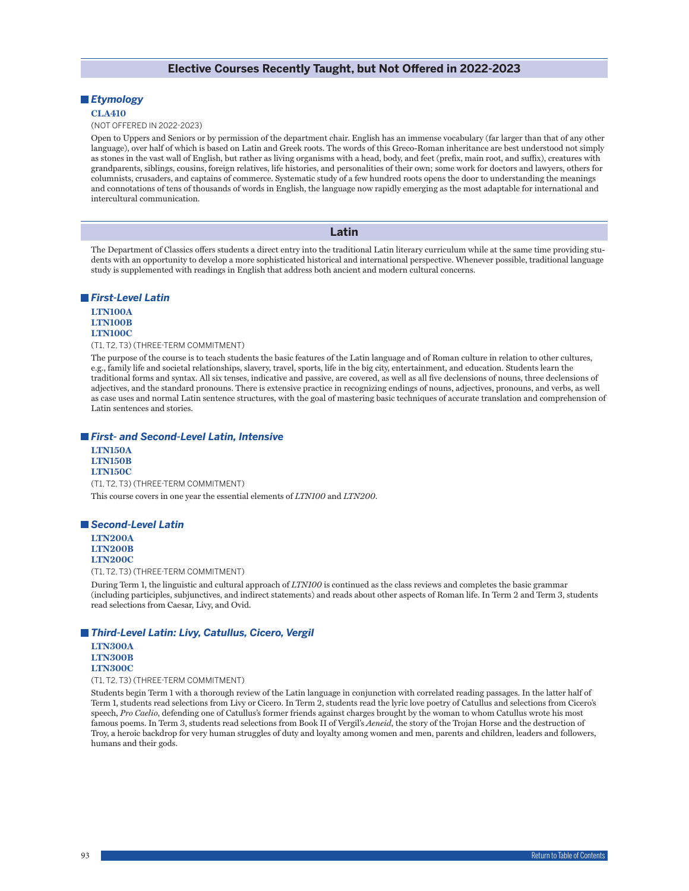## **Elective Courses Recently Taught, but Not Offered in 2022-2023**

## *Etymology*

#### **CLA410**

#### (NOT OFFERED IN 2022-2023)

Open to Uppers and Seniors or by permission of the department chair. English has an immense vocabulary (far larger than that of any other language), over half of which is based on Latin and Greek roots. The words of this Greco-Roman inheritance are best understood not simply as stones in the vast wall of English, but rather as living organisms with a head, body, and feet (prefix, main root, and suffix), creatures with grandparents, siblings, cousins, foreign relatives, life histories, and personalities of their own; some work for doctors and lawyers, others for columnists, crusaders, and captains of commerce. Systematic study of a few hundred roots opens the door to understanding the meanings and connotations of tens of thousands of words in English, the language now rapidly emerging as the most adaptable for international and intercultural communication.

#### **Latin**

The Department of Classics offers students a direct entry into the traditional Latin literary curriculum while at the same time providing students with an opportunity to develop a more sophisticated historical and international perspective. Whenever possible, traditional language study is supplemented with readings in English that address both ancient and modern cultural concerns.

#### *First-Level Latin*

## **LTN100A LTN100B LTN100C**

## (T1, T2, T3) (THREE-TERM COMMITMENT)

The purpose of the course is to teach students the basic features of the Latin language and of Roman culture in relation to other cultures, e.g., family life and societal relationships, slavery, travel, sports, life in the big city, entertainment, and education. Students learn the traditional forms and syntax. All six tenses, indicative and passive, are covered, as well as all five declensions of nouns, three declensions of adjectives, and the standard pronouns. There is extensive practice in recognizing endings of nouns, adjectives, pronouns, and verbs, as well as case uses and normal Latin sentence structures, with the goal of mastering basic techniques of accurate translation and comprehension of Latin sentences and stories.

#### *First- and Second-Level Latin, Intensive*

**LTN150A LTN150B LTN150C** (T1, T2, T3) (THREE-TERM COMMITMENT) This course covers in one year the essential elements of *LTN100* and *LTN200*.

## *Second-Level Latin*

**LTN200A LTN200B LTN200C**

(T1, T2, T3) (THREE-TERM COMMITMENT)

During Term 1, the linguistic and cultural approach of *LTN100* is continued as the class reviews and completes the basic grammar (including participles, subjunctives, and indirect statements) and reads about other aspects of Roman life. In Term 2 and Term 3, students read selections from Caesar, Livy, and Ovid.

## *Third-Level Latin: Livy, Catullus, Cicero, Vergil*

**LTN300A LTN300B LTN300C**

(T1, T2, T3) (THREE-TERM COMMITMENT)

Students begin Term 1 with a thorough review of the Latin language in conjunction with correlated reading passages. In the latter half of Term 1, students read selections from Livy or Cicero. In Term 2, students read the lyric love poetry of Catullus and selections from Cicero's speech, *Pro Caelio*, defending one of Catullus's former friends against charges brought by the woman to whom Catullus wrote his most famous poems. In Term 3, students read selections from Book II of Vergil's *Aeneid*, the story of the Trojan Horse and the destruction of Troy, a heroic backdrop for very human struggles of duty and loyalty among women and men, parents and children, leaders and followers, humans and their gods.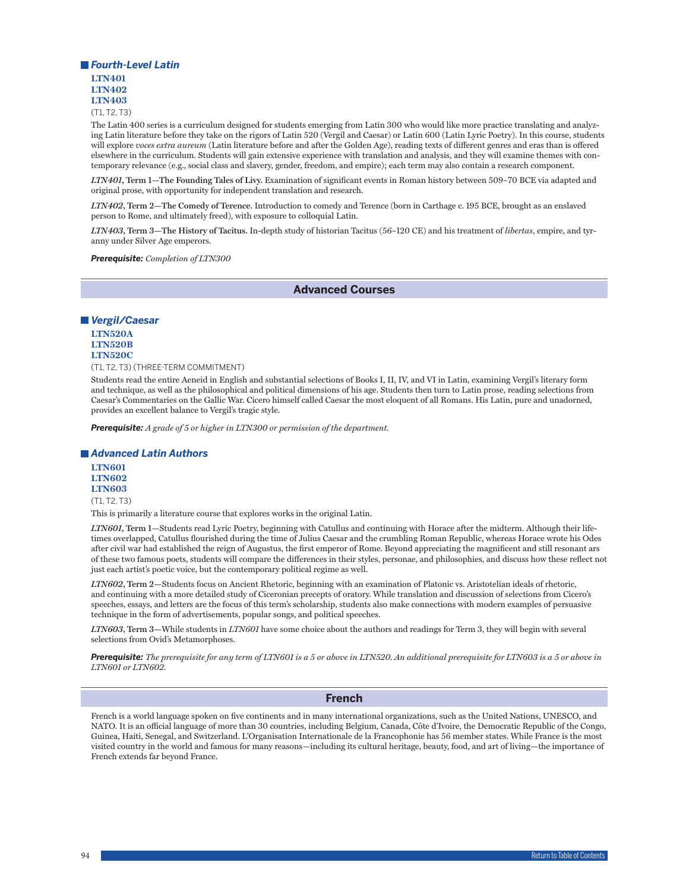

(T1, T2, T3)

The Latin 400 series is a curriculum designed for students emerging from Latin 300 who would like more practice translating and analyzing Latin literature before they take on the rigors of Latin 520 (Vergil and Caesar) or Latin 600 (Latin Lyric Poetry). In this course, students will explore *voces extra aureum* (Latin literature before and after the Golden Age), reading texts of different genres and eras than is offered elsewhere in the curriculum. Students will gain extensive experience with translation and analysis, and they will examine themes with contemporary relevance (e.g., social class and slavery, gender, freedom, and empire); each term may also contain a research component.

*LTN401***, Term 1—The Founding Tales of Livy.** Examination of significant events in Roman history between 509–70 BCE via adapted and original prose, with opportunity for independent translation and research.

*LTN402***, Term 2—The Comedy of Terence.** Introduction to comedy and Terence (born in Carthage c. 195 BCE, brought as an enslaved person to Rome, and ultimately freed), with exposure to colloquial Latin.

*LTN403***, Term 3—The History of Tacitus.** In-depth study of historian Tacitus (56–120 CE) and his treatment of *libertas*, empire, and tyranny under Silver Age emperors.

*Prerequisite: Completion of LTN300*

**Advanced Courses**

#### *Vergil/Caesar*

**LTN520A LTN520B LTN520C**

(T1, T2, T3) (THREE-TERM COMMITMENT)

Students read the entire Aeneid in English and substantial selections of Books I, II, IV, and VI in Latin, examining Vergil's literary form and technique, as well as the philosophical and political dimensions of his age. Students then turn to Latin prose, reading selections from Caesar's Commentaries on the Gallic War. Cicero himself called Caesar the most eloquent of all Romans. His Latin, pure and unadorned, provides an excellent balance to Vergil's tragic style.

*Prerequisite: A grade of 5 or higher in LTN300 or permission of the department.*

#### *Advanced Latin Authors*

**LTN601 LTN602 LTN603** (T1, T2, T3)

This is primarily a literature course that explores works in the original Latin.

*LTN601***, Term 1—**Students read Lyric Poetry, beginning with Catullus and continuing with Horace after the midterm. Although their lifetimes overlapped, Catullus flourished during the time of Julius Caesar and the crumbling Roman Republic, whereas Horace wrote his Odes after civil war had established the reign of Augustus, the first emperor of Rome. Beyond appreciating the magnificent and still resonant ars of these two famous poets, students will compare the differences in their styles, personae, and philosophies, and discuss how these reflect not just each artist's poetic voice, but the contemporary political regime as well.

*LTN602***, Term 2—**Students focus on Ancient Rhetoric, beginning with an examination of Platonic vs. Aristotelian ideals of rhetoric, and continuing with a more detailed study of Ciceronian precepts of oratory. While translation and discussion of selections from Cicero's speeches, essays, and letters are the focus of this term's scholarship, students also make connections with modern examples of persuasive technique in the form of advertisements, popular songs, and political speeches.

*LTN603***, Term 3—**While students in *LTN601* have some choice about the authors and readings for Term 3, they will begin with several selections from Ovid's Metamorphoses.

*Prerequisite: The prerequisite for any term of LTN601 is a 5 or above in LTN520. An additional prerequisite for LTN603 is a 5 or above in LTN601 or LTN602.*

## **French**

French is a world language spoken on five continents and in many international organizations, such as the United Nations, UNESCO, and NATO. It is an official language of more than 30 countries, including Belgium, Canada, Côte d'Ivoire, the Democratic Republic of the Congo, Guinea, Haiti, Senegal, and Switzerland. L'Organisation Internationale de la Francophonie has 56 member states. While France is the most visited country in the world and famous for many reasons—including its cultural heritage, beauty, food, and art of living—the importance of French extends far beyond France.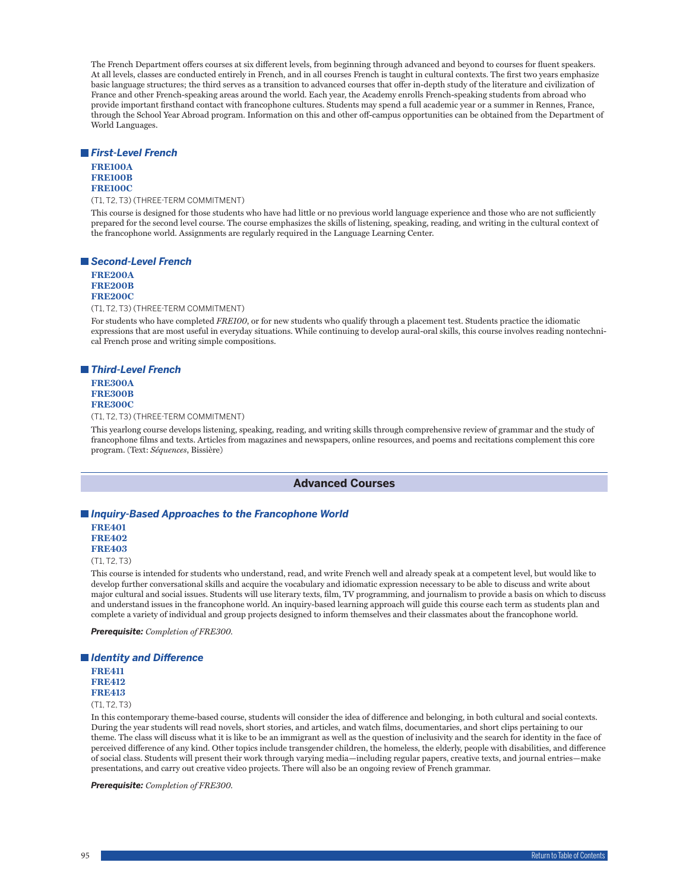The French Department offers courses at six different levels, from beginning through advanced and beyond to courses for fluent speakers. At all levels, classes are conducted entirely in French, and in all courses French is taught in cultural contexts. The first two years emphasize basic language structures; the third serves as a transition to advanced courses that offer in-depth study of the literature and civilization of France and other French-speaking areas around the world. Each year, the Academy enrolls French-speaking students from abroad who provide important firsthand contact with francophone cultures. Students may spend a full academic year or a summer in Rennes, France, through the School Year Abroad program. Information on this and other off-campus opportunities can be obtained from the Department of World Languages.

#### *First-Level French*

**FRE100A FRE100B FRE100C**

(T1, T2, T3) (THREE-TERM COMMITMENT)

This course is designed for those students who have had little or no previous world language experience and those who are not sufficiently prepared for the second level course. The course emphasizes the skills of listening, speaking, reading, and writing in the cultural context of the francophone world. Assignments are regularly required in the Language Learning Center.

## *Second-Level French*

**FRE200A FRE200B FRE200C**

(T1, T2, T3) (THREE-TERM COMMITMENT)

For students who have completed *FRE100*, or for new students who qualify through a placement test. Students practice the idiomatic expressions that are most useful in everyday situations. While continuing to develop aural-oral skills, this course involves reading nontechnical French prose and writing simple compositions.

## *Third-Level French*

**FRE300A FRE300B FRE300C**

(T1, T2, T3) (THREE-TERM COMMITMENT)

This yearlong course develops listening, speaking, reading, and writing skills through comprehensive review of grammar and the study of francophone films and texts. Articles from magazines and newspapers, online resources, and poems and recitations complement this core program. (Text: *Séquences*, Bissière)

## **Advanced Courses**

## *Inquiry-Based Approaches to the Francophone World*

**FRE401 FRE402 FRE403**

(T1, T2, T3)

This course is intended for students who understand, read, and write French well and already speak at a competent level, but would like to develop further conversational skills and acquire the vocabulary and idiomatic expression necessary to be able to discuss and write about major cultural and social issues. Students will use literary texts, film, TV programming, and journalism to provide a basis on which to discuss and understand issues in the francophone world. An inquiry-based learning approach will guide this course each term as students plan and complete a variety of individual and group projects designed to inform themselves and their classmates about the francophone world.

*Prerequisite: Completion of FRE300.*

*Identity and Difference* **FRE411 FRE412 FRE413** (T1, T2, T3)

In this contemporary theme-based course, students will consider the idea of difference and belonging, in both cultural and social contexts. During the year students will read novels, short stories, and articles, and watch films, documentaries, and short clips pertaining to our theme. The class will discuss what it is like to be an immigrant as well as the question of inclusivity and the search for identity in the face of perceived difference of any kind. Other topics include transgender children, the homeless, the elderly, people with disabilities, and difference of social class. Students will present their work through varying media—including regular papers, creative texts, and journal entries—make presentations, and carry out creative video projects. There will also be an ongoing review of French grammar.

*Prerequisite: Completion of FRE300.*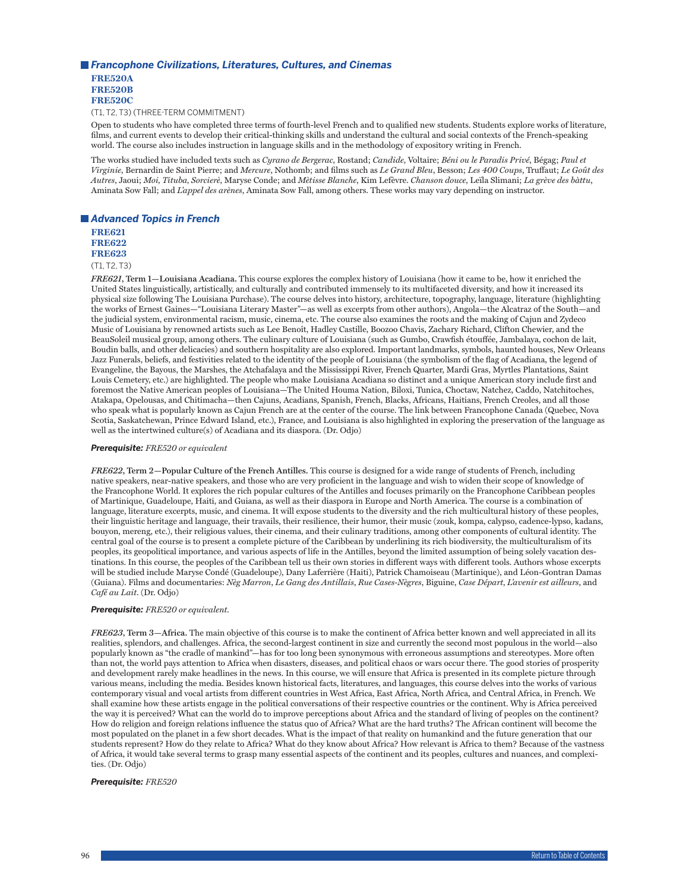## *Francophone Civilizations, Literatures, Cultures, and Cinemas*

**FRE520A FRE520B FRE520C**

(T1, T2, T3) (THREE-TERM COMMITMENT)

Open to students who have completed three terms of fourth-level French and to qualified new students. Students explore works of literature, films, and current events to develop their critical-thinking skills and understand the cultural and social contexts of the French-speaking world. The course also includes instruction in language skills and in the methodology of expository writing in French.

The works studied have included texts such as *Cyrano de Bergerac*, Rostand; *Candide*, Voltaire; *Béni ou le Paradis Privé*, Bégag; *Paul et Virginie*, Bernardin de Saint Pierre; and *Mercure*, Nothomb; and films such as *Le Grand Bleu*, Besson; *Les 400 Coups*, Truffaut; *Le Goût des Autres*, Jaoui; *Moi, Tituba, Sorcierè*, Maryse Conde; and *Mètisse Blanche*, Kim Lefèvre. *Chanson douce*, Leïla Slimani; *La grève des bàttu*, Aminata Sow Fall; and *L'appel des arènes*, Aminata Sow Fall, among others. These works may vary depending on instructor.

## *Advanced Topics in French*

**FRE621 FRE622 FRE623**

(T1, T2, T3)

*FRE621***, Term 1—Louisiana Acadiana.** This course explores the complex history of Louisiana (how it came to be, how it enriched the United States linguistically, artistically, and culturally and contributed immensely to its multifaceted diversity, and how it increased its physical size following The Louisiana Purchase). The course delves into history, architecture, topography, language, literature (highlighting the works of Ernest Gaines—"Louisiana Literary Master"—as well as excerpts from other authors), Angola—the Alcatraz of the South—and the judicial system, environmental racism, music, cinema, etc. The course also examines the roots and the making of Cajun and Zydeco Music of Louisiana by renowned artists such as Lee Benoît, Hadley Castille, Boozoo Chavis, Zachary Richard, Clifton Chewier, and the BeauSoleil musical group, among others. The culinary culture of Louisiana (such as Gumbo, Crawfish étouffée, Jambalaya, cochon de lait, Boudin balls, and other delicacies) and southern hospitality are also explored. Important landmarks, symbols, haunted houses, New Orleans Jazz Funerals, beliefs, and festivities related to the identity of the people of Louisiana (the symbolism of the flag of Acadiana, the legend of Evangeline, the Bayous, the Marshes, the Atchafalaya and the Mississippi River, French Quarter, Mardi Gras, Myrtles Plantations, Saint Louis Cemetery, etc.) are highlighted. The people who make Louisiana Acadiana so distinct and a unique American story include first and foremost the Native American peoples of Louisiana—The United Houma Nation, Biloxi, Tunica, Choctaw, Natchez, Caddo, Natchitoches, Atakapa, Opelousas, and Chitimacha—then Cajuns, Acadians, Spanish, French, Blacks, Africans, Haitians, French Creoles, and all those who speak what is popularly known as Cajun French are at the center of the course. The link between Francophone Canada (Quebec, Nova Scotia, Saskatchewan, Prince Edward Island, etc.), France, and Louisiana is also highlighted in exploring the preservation of the language as well as the intertwined culture(s) of Acadiana and its diaspora. (Dr. Odjo)

#### *Prerequisite: FRE520 or equivalent*

*FRE622***, Term 2—Popular Culture of the French Antilles.** This course is designed for a wide range of students of French, including native speakers, near-native speakers, and those who are very proficient in the language and wish to widen their scope of knowledge of the Francophone World. It explores the rich popular cultures of the Antilles and focuses primarily on the Francophone Caribbean peoples of Martinique, Guadeloupe, Haiti, and Guiana, as well as their diaspora in Europe and North America. The course is a combination of language, literature excerpts, music, and cinema. It will expose students to the diversity and the rich multicultural history of these peoples, their linguistic heritage and language, their travails, their resilience, their humor, their music (zouk, kompa, calypso, cadence-lypso, kadans, bouyon, mereng, etc.), their religious values, their cinema, and their culinary traditions, among other components of cultural identity. The central goal of the course is to present a complete picture of the Caribbean by underlining its rich biodiversity, the multiculturalism of its peoples, its geopolitical importance, and various aspects of life in the Antilles, beyond the limited assumption of being solely vacation destinations. In this course, the peoples of the Caribbean tell us their own stories in different ways with different tools. Authors whose excerpts will be studied include Maryse Condé (Guadeloupe), Dany Laferrière (Haiti), Patrick Chamoiseau (Martinique), and Léon-Gontran Damas (Guiana). Films and documentaries: *Nèg Marron*, *Le Gang des Antillais*, *Rue Cases-Nègres*, Biguine, *Case Départ*, *L'avenir est ailleurs*, and *Café au Lait*. (Dr. Odjo)

#### *Prerequisite: FRE520 or equivalent.*

*FRE623***, Term 3—Africa.** The main objective of this course is to make the continent of Africa better known and well appreciated in all its realities, splendors, and challenges. Africa, the second-largest continent in size and currently the second most populous in the world—also popularly known as "the cradle of mankind"—has for too long been synonymous with erroneous assumptions and stereotypes. More often than not, the world pays attention to Africa when disasters, diseases, and political chaos or wars occur there. The good stories of prosperity and development rarely make headlines in the news. In this course, we will ensure that Africa is presented in its complete picture through various means, including the media. Besides known historical facts, literatures, and languages, this course delves into the works of various contemporary visual and vocal artists from different countries in West Africa, East Africa, North Africa, and Central Africa, in French. We shall examine how these artists engage in the political conversations of their respective countries or the continent. Why is Africa perceived the way it is perceived? What can the world do to improve perceptions about Africa and the standard of living of peoples on the continent? How do religion and foreign relations influence the status quo of Africa? What are the hard truths? The African continent will become the most populated on the planet in a few short decades. What is the impact of that reality on humankind and the future generation that our students represent? How do they relate to Africa? What do they know about Africa? How relevant is Africa to them? Because of the vastness of Africa, it would take several terms to grasp many essential aspects of the continent and its peoples, cultures and nuances, and complexities. (Dr. Odjo)

#### *Prerequisite: FRE520*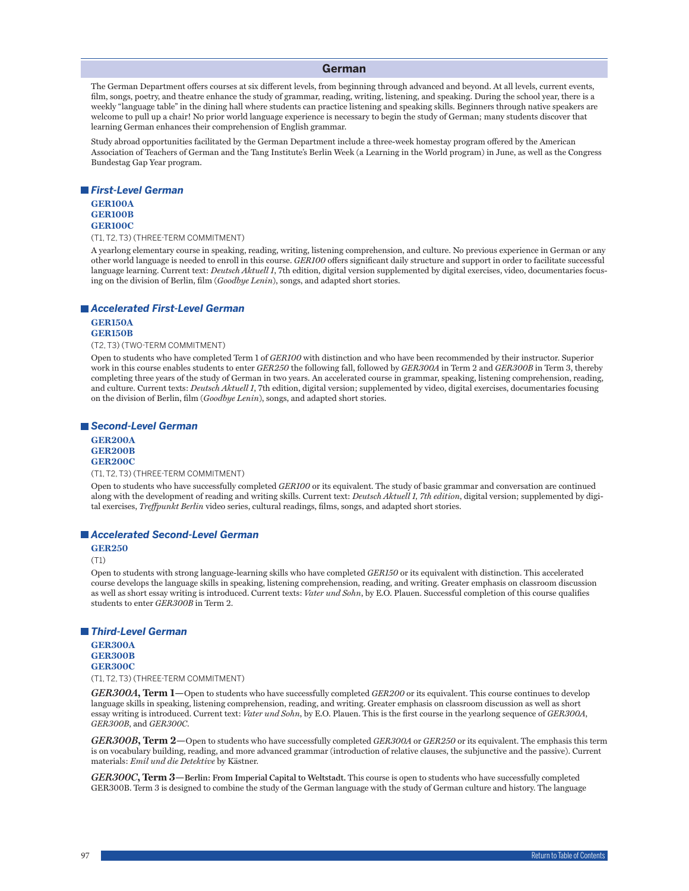#### **German**

The German Department offers courses at six different levels, from beginning through advanced and beyond. At all levels, current events, film, songs, poetry, and theatre enhance the study of grammar, reading, writing, listening, and speaking. During the school year, there is a weekly "language table" in the dining hall where students can practice listening and speaking skills. Beginners through native speakers are welcome to pull up a chair! No prior world language experience is necessary to begin the study of German; many students discover that learning German enhances their comprehension of English grammar.

Study abroad opportunities facilitated by the German Department include a three-week homestay program offered by the American Association of Teachers of German and the Tang Institute's Berlin Week (a Learning in the World program) in June, as well as the Congress Bundestag Gap Year program.

#### *First-Level German*

#### **GER100A GER100B GER100C**

(T1, T2, T3) (THREE-TERM COMMITMENT)

A yearlong elementary course in speaking, reading, writing, listening comprehension, and culture. No previous experience in German or any other world language is needed to enroll in this course. *GER100* offers significant daily structure and support in order to facilitate successful language learning. Current text: *Deutsch Aktuell 1*, 7th edition, digital version supplemented by digital exercises, video, documentaries focusing on the division of Berlin, film (*Goodbye Lenin*), songs, and adapted short stories.

#### *Accelerated First-Level German*

#### **GER150A GER150B**

(T2, T3) (TWO-TERM COMMITMENT)

Open to students who have completed Term 1 of *GER100* with distinction and who have been recommended by their instructor. Superior work in this course enables students to enter *GER250* the following fall, followed by *GER300A* in Term 2 and *GER300B* in Term 3, thereby completing three years of the study of German in two years. An accelerated course in grammar, speaking, listening comprehension, reading, and culture. Current texts: *Deutsch Aktuell 1*, 7th edition, digital version; supplemented by video, digital exercises, documentaries focusing on the division of Berlin, film (*Goodbye Lenin*), songs, and adapted short stories.

#### *Second-Level German*

**GER200A GER200B GER200C**

#### (T1, T2, T3) (THREE-TERM COMMITMENT)

Open to students who have successfully completed *GER100* or its equivalent. The study of basic grammar and conversation are continued along with the development of reading and writing skills. Current text: *Deutsch Aktuell 1, 7th edition*, digital version; supplemented by digital exercises, *Treffpunkt Berlin* video series, cultural readings, films, songs, and adapted short stories.

## *Accelerated Second-Level German*

#### **GER250**

(T1)

Open to students with strong language-learning skills who have completed *GER150* or its equivalent with distinction. This accelerated course develops the language skills in speaking, listening comprehension, reading, and writing. Greater emphasis on classroom discussion as well as short essay writing is introduced. Current texts: *Vater und Sohn*, by E.O. Plauen. Successful completion of this course qualifies students to enter *GER300B* in Term 2.

#### *Third-Level German*

**GER300A GER300B GER300C** (T1, T2, T3) (THREE-TERM COMMITMENT)

*GER300A***, Term 1—**Open to students who have successfully completed *GER200* or its equivalent. This course continues to develop language skills in speaking, listening comprehension, reading, and writing. Greater emphasis on classroom discussion as well as short essay writing is introduced. Current text: *Vater und Sohn*, by E.O. Plauen. This is the first course in the yearlong sequence of *GER300A*, *GER300B*, and *GER300C*.

*GER300B***, Term 2—**Open to students who have successfully completed *GER300A* or *GER250* or its equivalent. The emphasis this term is on vocabulary building, reading, and more advanced grammar (introduction of relative clauses, the subjunctive and the passive). Current materials: *Emil und die Detektive* by Kästner.

*GER300C***, Term 3—Berlin: From Imperial Capital to Weltstadt.** This course is open to students who have successfully completed GER300B. Term 3 is designed to combine the study of the German language with the study of German culture and history. The language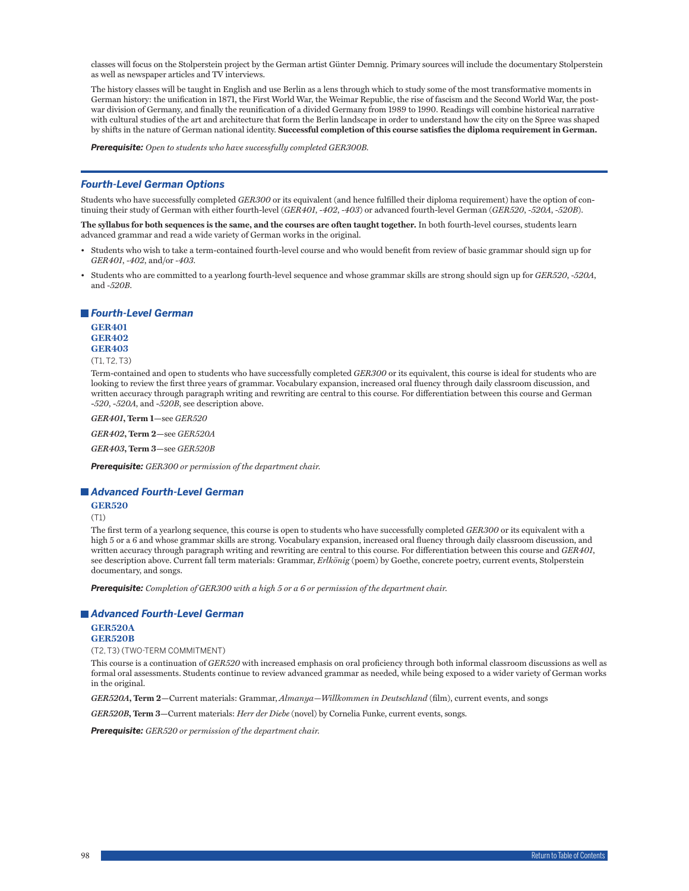classes will focus on the Stolperstein project by the German artist Günter Demnig. Primary sources will include the documentary Stolperstein as well as newspaper articles and TV interviews.

The history classes will be taught in English and use Berlin as a lens through which to study some of the most transformative moments in German history: the unification in 1871, the First World War, the Weimar Republic, the rise of fascism and the Second World War, the postwar division of Germany, and finally the reunification of a divided Germany from 1989 to 1990. Readings will combine historical narrative with cultural studies of the art and architecture that form the Berlin landscape in order to understand how the city on the Spree was shaped by shifts in the nature of German national identity. **Successful completion of this course satisfies the diploma requirement in German.**

*Prerequisite: Open to students who have successfully completed GER300B.*

## *Fourth-Level German Options*

Students who have successfully completed *GER300* or its equivalent (and hence fulfilled their diploma requirement) have the option of continuing their study of German with either fourth-level (*GER401*, *-402*, *-403*) or advanced fourth-level German (*GER520*, *-520A*, *-520B*).

**The syllabus for both sequences is the same, and the courses are often taught together.** In both fourth-level courses, students learn advanced grammar and read a wide variety of German works in the original.

- Students who wish to take a term-contained fourth-level course and who would benefit from review of basic grammar should sign up for *GER401*, *-402*, and/or *-403*.
- Students who are committed to a yearlong fourth-level sequence and whose grammar skills are strong should sign up for *GER520*, *-520A*, and *-520B*.

*Fourth-Level German*

**GER401 GER402 GER403**

(T1, T2, T3)

Term-contained and open to students who have successfully completed *GER300* or its equivalent, this course is ideal for students who are looking to review the first three years of grammar. Vocabulary expansion, increased oral fluency through daily classroom discussion, and written accuracy through paragraph writing and rewriting are central to this course. For differentiation between this course and German -*520*, -*520A*, and -*520B*, see description above.

*GER401***, Term 1—**see *GER520*

*GER402***, Term 2—**see *GER520A*

*GER403***, Term 3—**see *GER520B*

*Prerequisite: GER300 or permission of the department chair.*

#### *Advanced Fourth-Level German*

#### **GER520**

(T1)

The first term of a yearlong sequence, this course is open to students who have successfully completed *GER300* or its equivalent with a high 5 or a 6 and whose grammar skills are strong. Vocabulary expansion, increased oral fluency through daily classroom discussion, and written accuracy through paragraph writing and rewriting are central to this course. For differentiation between this course and *GER401*, see description above. Current fall term materials: Grammar, *Erlkönig* (poem) by Goethe, concrete poetry, current events, Stolperstein documentary, and songs.

*Prerequisite: Completion of GER300 with a high 5 or a 6 or permission of the department chair.*

#### *Advanced Fourth-Level German*

## **GER520A**

#### **GER520B**

(T2, T3) (TWO-TERM COMMITMENT)

This course is a continuation of *GER520* with increased emphasis on oral proficiency through both informal classroom discussions as well as formal oral assessments. Students continue to review advanced grammar as needed, while being exposed to a wider variety of German works in the original.

*GER520A***, Term 2—**Current materials: Grammar, *Almanya—Willkommen in Deutschland* (film), current events, and songs

*GER520B***, Term 3—**Current materials: *Herr der Diebe* (novel) by Cornelia Funke, current events, songs.

*Prerequisite: GER520 or permission of the department chair.*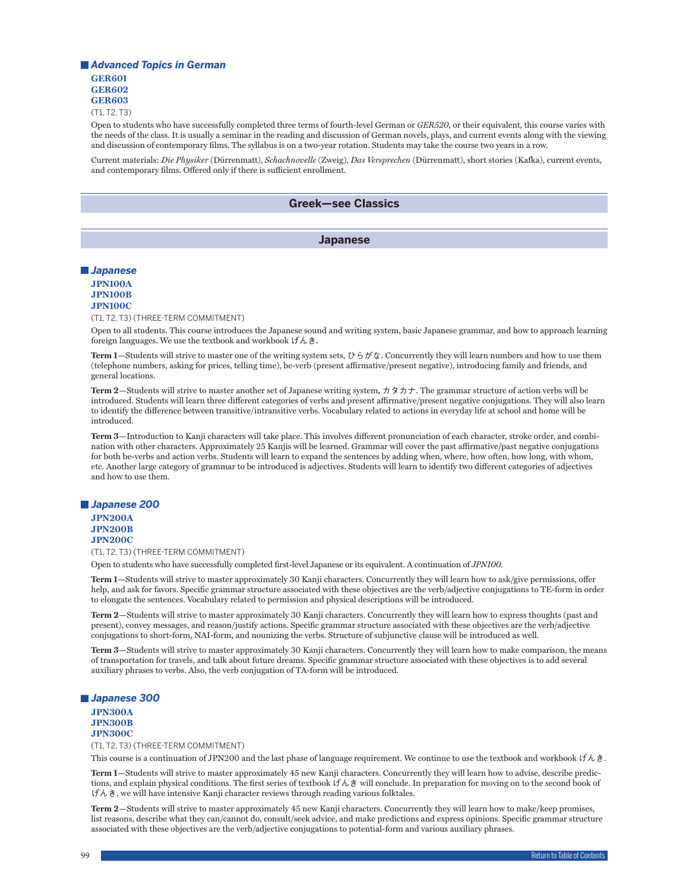## *Advanced Topics in German* **GER601 GER602 GER603**

(T1, T2, T3)

Open to students who have successfully completed three terms of fourth-level German or *GER520*, or their equivalent, this course varies with the needs of the class. It is usually a seminar in the reading and discussion of German novels, plays, and current events along with the viewing and discussion of contemporary films. The syllabus is on a two-year rotation. Students may take the course two years in a row.

Current materials: *Die Physiker* (Dürrenmatt), *Schachnovelle* (Zweig), *Das Versprechen* (Dürrenmatt), short stories (Kafka), current events, and contemporary films. Offered only if there is sufficient enrollment.

## **Greek—see Classics**

## **Japanese**

## *Japanese* **JPN100A**

#### **JPN100B JPN100C**

(T1, T2, T3) (THREE-TERM COMMITMENT)

Open to all students. This course introduces the Japanese sound and writing system, basic Japanese grammar, and how to approach learning foreign languages. We use the textbook and workbook げんき.

**Term 1—**Students will strive to master one of the writing system sets, ひらがな. Concurrently they will learn numbers and how to use them (telephone numbers, asking for prices, telling time), be-verb (present affirmative/present negative), introducing family and friends, and general locations.

**Term 2—**Students will strive to master another set of Japanese writing system, カタカナ. The grammar structure of action verbs will be introduced. Students will learn three different categories of verbs and present affirmative/present negative conjugations. They will also learn to identify the difference between transitive/intransitive verbs. Vocabulary related to actions in everyday life at school and home will be introduced.

**Term 3—**Introduction to Kanji characters will take place. This involves different pronunciation of each character, stroke order, and combination with other characters. Approximately 25 Kanjis will be learned. Grammar will cover the past affirmative/past negative conjugations for both be-verbs and action verbs. Students will learn to expand the sentences by adding when, where, how often, how long, with whom, etc. Another large category of grammar to be introduced is adjectives. Students will learn to identify two different categories of adjectives and how to use them.

# *Japanese 200*

**JPN200A JPN200B JPN200C**

(T1, T2, T3) (THREE-TERM COMMITMENT)

Open to students who have successfully completed first-level Japanese or its equivalent. A continuation of *JPN100*.

**Term 1—**Students will strive to master approximately 30 Kanji characters. Concurrently they will learn how to ask/give permissions, offer help, and ask for favors. Specific grammar structure associated with these objectives are the verb/adjective conjugations to TE-form in order to elongate the sentences. Vocabulary related to permission and physical descriptions will be introduced.

**Term 2—**Students will strive to master approximately 30 Kanji characters. Concurrently they will learn how to express thoughts (past and present), convey messages, and reason/justify actions. Specific grammar structure associated with these objectives are the verb/adjective conjugations to short-form, NAI-form, and nounizing the verbs. Structure of subjunctive clause will be introduced as well.

**Term 3—**Students will strive to master approximately 30 Kanji characters. Concurrently they will learn how to make comparison, the means of transportation for travels, and talk about future dreams. Specific grammar structure associated with these objectives is to add several auxiliary phrases to verbs. Also, the verb conjugation of TA-form will be introduced.

## *Japanese 300*

**JPN300A JPN300B JPN300C**

(T1, T2, T3) (THREE-TERM COMMITMENT)

This course is a continuation of JPN200 and the last phase of language requirement. We continue to use the textbook and workbook げんき.

**Term 1—**Students will strive to master approximately 45 new Kanji characters. Concurrently they will learn how to advise, describe predictions, and explain physical conditions. The first series of textbook げんき will conclude. In preparation for moving on to the second book of げんき, we will have intensive Kanji character reviews through reading various folktales.

**Term 2—**Students will strive to master approximately 45 new Kanji characters. Concurrently they will learn how to make/keep promises, list reasons, describe what they can/cannot do, consult/seek advice, and make predictions and express opinions. Specific grammar structure associated with these objectives are the verb/adjective conjugations to potential-form and various auxiliary phrases.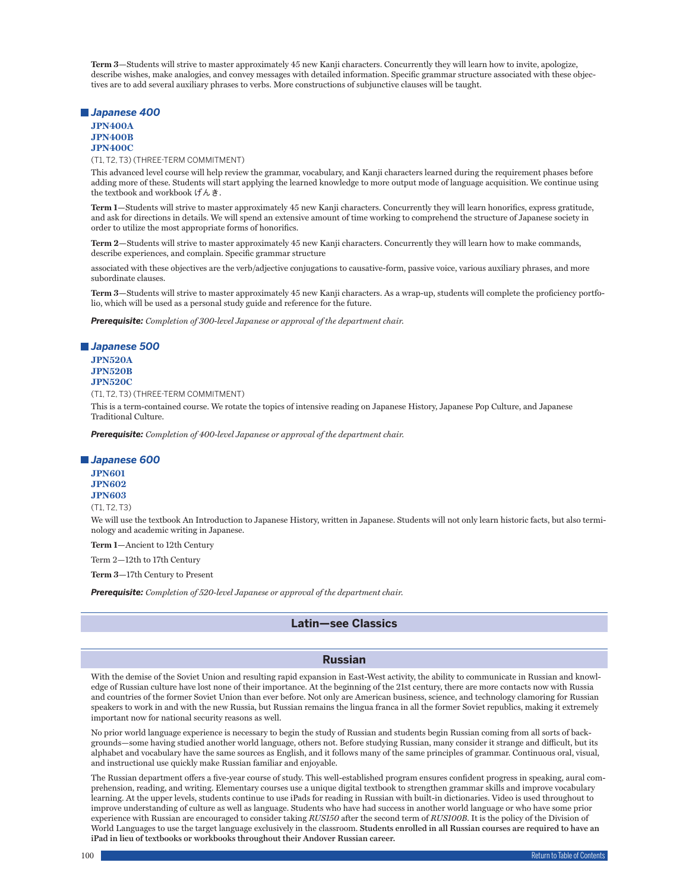**Term 3—**Students will strive to master approximately 45 new Kanji characters. Concurrently they will learn how to invite, apologize, describe wishes, make analogies, and convey messages with detailed information. Specific grammar structure associated with these objectives are to add several auxiliary phrases to verbs. More constructions of subjunctive clauses will be taught.

#### *Japanese 400*

**JPN400A JPN400B**

**JPN400C**

(T1, T2, T3) (THREE-TERM COMMITMENT)

This advanced level course will help review the grammar, vocabulary, and Kanji characters learned during the requirement phases before adding more of these. Students will start applying the learned knowledge to more output mode of language acquisition. We continue using the textbook and workbook げんき.

**Term 1—**Students will strive to master approximately 45 new Kanji characters. Concurrently they will learn honorifics, express gratitude, and ask for directions in details. We will spend an extensive amount of time working to comprehend the structure of Japanese society in order to utilize the most appropriate forms of honorifics.

**Term 2—**Students will strive to master approximately 45 new Kanji characters. Concurrently they will learn how to make commands, describe experiences, and complain. Specific grammar structure

associated with these objectives are the verb/adjective conjugations to causative-form, passive voice, various auxiliary phrases, and more subordinate clauses.

**Term 3—**Students will strive to master approximately 45 new Kanji characters. As a wrap-up, students will complete the proficiency portfolio, which will be used as a personal study guide and reference for the future.

*Prerequisite: Completion of 300-level Japanese or approval of the department chair.*

## *Japanese 500*

**JPN520A JPN520B JPN520C**

(T1, T2, T3) (THREE-TERM COMMITMENT)

This is a term-contained course. We rotate the topics of intensive reading on Japanese History, Japanese Pop Culture, and Japanese Traditional Culture.

*Prerequisite: Completion of 400-level Japanese or approval of the department chair.*

#### *Japanese 600*

**JPN601 JPN602 JPN603**

## (T1, T2, T3)

We will use the textbook An Introduction to Japanese History, written in Japanese. Students will not only learn historic facts, but also terminology and academic writing in Japanese.

**Term 1—**Ancient to 12th Century

Term 2—12th to 17th Century

**Term 3—**17th Century to Present

*Prerequisite: Completion of 520-level Japanese or approval of the department chair.*

## **Latin—see Classics**

## **Russian**

With the demise of the Soviet Union and resulting rapid expansion in East-West activity, the ability to communicate in Russian and knowledge of Russian culture have lost none of their importance. At the beginning of the 21st century, there are more contacts now with Russia and countries of the former Soviet Union than ever before. Not only are American business, science, and technology clamoring for Russian speakers to work in and with the new Russia, but Russian remains the lingua franca in all the former Soviet republics, making it extremely important now for national security reasons as well.

No prior world language experience is necessary to begin the study of Russian and students begin Russian coming from all sorts of backgrounds—some having studied another world language, others not. Before studying Russian, many consider it strange and difficult, but its alphabet and vocabulary have the same sources as English, and it follows many of the same principles of grammar. Continuous oral, visual, and instructional use quickly make Russian familiar and enjoyable.

The Russian department offers a five-year course of study. This well-established program ensures confident progress in speaking, aural comprehension, reading, and writing. Elementary courses use a unique digital textbook to strengthen grammar skills and improve vocabulary learning. At the upper levels, students continue to use iPads for reading in Russian with built-in dictionaries. Video is used throughout to improve understanding of culture as well as language. Students who have had success in another world language or who have some prior experience with Russian are encouraged to consider taking *RUS150* after the second term of *RUS100B*. It is the policy of the Division of World Languages to use the target language exclusively in the classroom. **Students enrolled in all Russian courses are required to have an iPad in lieu of textbooks or workbooks throughout their Andover Russian career.**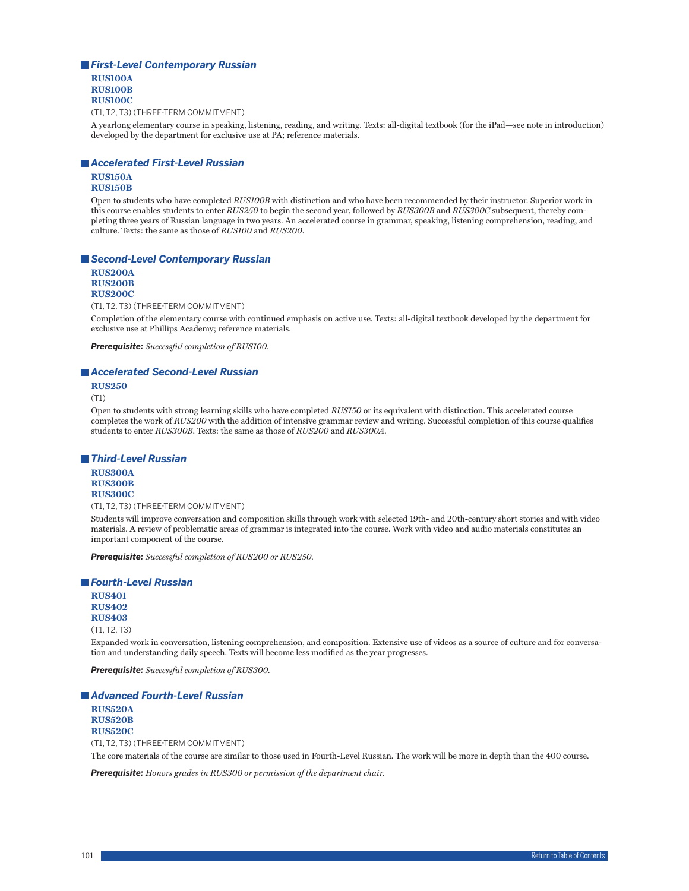# *First-Level Contemporary Russian*

**RUS100A RUS100B RUS100C**

(T1, T2, T3) (THREE-TERM COMMITMENT)

A yearlong elementary course in speaking, listening, reading, and writing. Texts: all-digital textbook (for the iPad—see note in introduction) developed by the department for exclusive use at PA; reference materials.

## *Accelerated First-Level Russian*

#### **RUS150A RUS150B**

Open to students who have completed *RUS100B* with distinction and who have been recommended by their instructor. Superior work in this course enables students to enter *RUS250* to begin the second year, followed by *RUS300B* and *RUS300C* subsequent, thereby completing three years of Russian language in two years. An accelerated course in grammar, speaking, listening comprehension, reading, and culture. Texts: the same as those of *RUS100* and *RUS200*.

## *Second-Level Contemporary Russian*

**RUS200A RUS200B RUS200C**

(T1, T2, T3) (THREE-TERM COMMITMENT)

Completion of the elementary course with continued emphasis on active use. Texts: all-digital textbook developed by the department for exclusive use at Phillips Academy; reference materials.

*Prerequisite: Successful completion of RUS100.*

## *Accelerated Second-Level Russian*

**RUS250**

(T1)

Open to students with strong learning skills who have completed *RUS150* or its equivalent with distinction. This accelerated course completes the work of *RUS200* with the addition of intensive grammar review and writing. Successful completion of this course qualifies students to enter *RUS300B*. Texts: the same as those of *RUS200* and *RUS300A*.

## *Third-Level Russian*

**RUS300A RUS300B RUS300C**

(T1, T2, T3) (THREE-TERM COMMITMENT)

Students will improve conversation and composition skills through work with selected 19th- and 20th-century short stories and with video materials. A review of problematic areas of grammar is integrated into the course. Work with video and audio materials constitutes an important component of the course.

*Prerequisite: Successful completion of RUS200 or RUS250.*

## *Fourth-Level Russian*

**RUS401 RUS402 RUS403**

(T1, T2, T3)

Expanded work in conversation, listening comprehension, and composition. Extensive use of videos as a source of culture and for conversation and understanding daily speech. Texts will become less modified as the year progresses.

*Prerequisite: Successful completion of RUS300.*

*Advanced Fourth-Level Russian*

**RUS520A RUS520B RUS520C** (T1, T2, T3) (THREE-TERM COMMITMENT) The core materials of the course are similar to those used in Fourth-Level Russian. The work will be more in depth than the 400 course.

*Prerequisite: Honors grades in RUS300 or permission of the department chair.*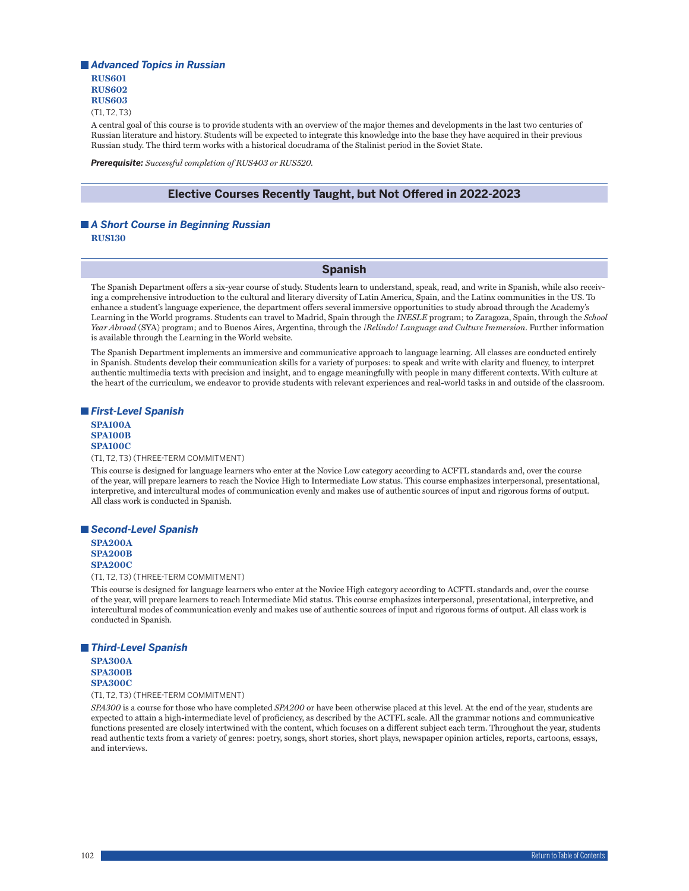# *Advanced Topics in Russian* **RUS601 RUS602 RUS603**

(T1, T2, T3)

A central goal of this course is to provide students with an overview of the major themes and developments in the last two centuries of Russian literature and history. Students will be expected to integrate this knowledge into the base they have acquired in their previous Russian study. The third term works with a historical docudrama of the Stalinist period in the Soviet State.

*Prerequisite: Successful completion of RUS403 or RUS520.*

## **Elective Courses Recently Taught, but Not Offered in 2022-2023**

# *A Short Course in Beginning Russian*

**RUS130**

## **Spanish**

The Spanish Department offers a six-year course of study. Students learn to understand, speak, read, and write in Spanish, while also receiving a comprehensive introduction to the cultural and literary diversity of Latin America, Spain, and the Latinx communities in the US. To enhance a student's language experience, the department offers several immersive opportunities to study abroad through the Academy's Learning in the World programs. Students can travel to Madrid, Spain through the *INESLE* program; to Zaragoza, Spain, through the *School Year Abroad* (SYA) program; and to Buenos Aires, Argentina, through the *¡Relindo! Language and Culture Immersion*. Further information is available through the Learning in the World website.

The Spanish Department implements an immersive and communicative approach to language learning. All classes are conducted entirely in Spanish. Students develop their communication skills for a variety of purposes: to speak and write with clarity and fluency, to interpret authentic multimedia texts with precision and insight, and to engage meaningfully with people in many different contexts. With culture at the heart of the curriculum, we endeavor to provide students with relevant experiences and real-world tasks in and outside of the classroom.

## *First-Level Spanish*

#### **SPA100A SPA100B SPA100C**

#### (T1, T2, T3) (THREE-TERM COMMITMENT)

This course is designed for language learners who enter at the Novice Low category according to ACFTL standards and, over the course of the year, will prepare learners to reach the Novice High to Intermediate Low status. This course emphasizes interpersonal, presentational, interpretive, and intercultural modes of communication evenly and makes use of authentic sources of input and rigorous forms of output. All class work is conducted in Spanish.

#### *Second-Level Spanish*

**SPA200A SPA200B SPA200C**

(T1, T2, T3) (THREE-TERM COMMITMENT)

This course is designed for language learners who enter at the Novice High category according to ACFTL standards and, over the course of the year, will prepare learners to reach Intermediate Mid status. This course emphasizes interpersonal, presentational, interpretive, and intercultural modes of communication evenly and makes use of authentic sources of input and rigorous forms of output. All class work is conducted in Spanish.

## *Third-Level Spanish*

**SPA300A SPA300B SPA300C**

(T1, T2, T3) (THREE-TERM COMMITMENT)

*SPA300* is a course for those who have completed *SPA200* or have been otherwise placed at this level. At the end of the year, students are expected to attain a high-intermediate level of proficiency, as described by the ACTFL scale. All the grammar notions and communicative functions presented are closely intertwined with the content, which focuses on a different subject each term. Throughout the year, students read authentic texts from a variety of genres: poetry, songs, short stories, short plays, newspaper opinion articles, reports, cartoons, essays, and interviews.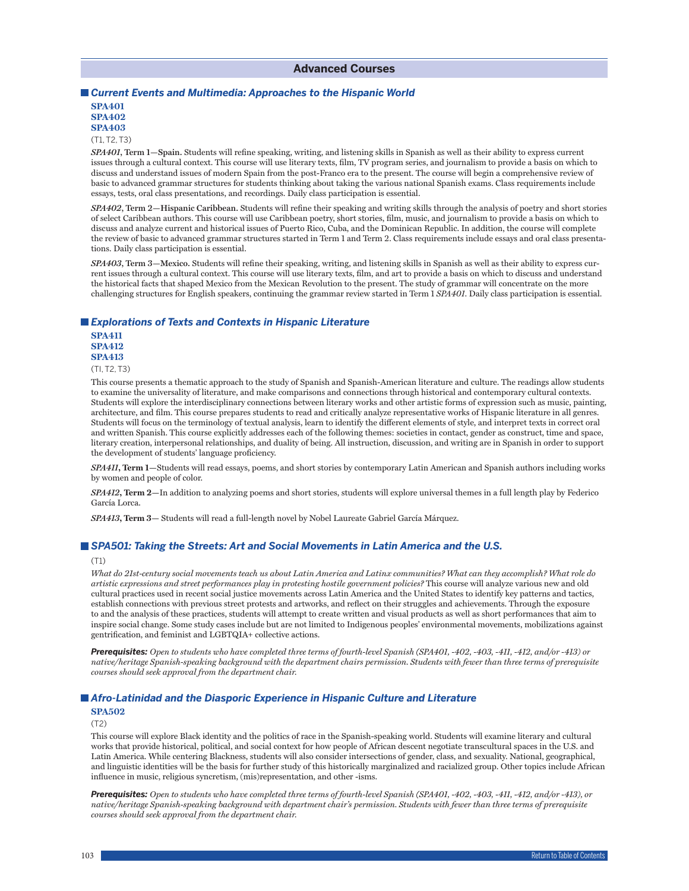## **Advanced Courses**

## *Current Events and Multimedia: Approaches to the Hispanic World* **SPA401**

**SPA402 SPA403**

## (T1, T2, T3)

*SPA401***, Term 1—Spain.** Students will refine speaking, writing, and listening skills in Spanish as well as their ability to express current issues through a cultural context. This course will use literary texts, film, TV program series, and journalism to provide a basis on which to discuss and understand issues of modern Spain from the post-Franco era to the present. The course will begin a comprehensive review of basic to advanced grammar structures for students thinking about taking the various national Spanish exams. Class requirements include essays, tests, oral class presentations, and recordings. Daily class participation is essential.

*SPA402***, Term 2—Hispanic Caribbean.** Students will refine their speaking and writing skills through the analysis of poetry and short stories of select Caribbean authors. This course will use Caribbean poetry, short stories, film, music, and journalism to provide a basis on which to discuss and analyze current and historical issues of Puerto Rico, Cuba, and the Dominican Republic. In addition, the course will complete the review of basic to advanced grammar structures started in Term 1 and Term 2. Class requirements include essays and oral class presentations. Daily class participation is essential.

*SPA403***, Term 3—Mexico.** Students will refine their speaking, writing, and listening skills in Spanish as well as their ability to express current issues through a cultural context. This course will use literary texts, film, and art to provide a basis on which to discuss and understand the historical facts that shaped Mexico from the Mexican Revolution to the present. The study of grammar will concentrate on the more challenging structures for English speakers, continuing the grammar review started in Term 1 *SPA401*. Daily class participation is essential.

#### *Explorations of Texts and Contexts in Hispanic Literature*

**SPA411 SPA412 SPA413**

(TI, T2, T3)

This course presents a thematic approach to the study of Spanish and Spanish-American literature and culture. The readings allow students to examine the universality of literature, and make comparisons and connections through historical and contemporary cultural contexts. Students will explore the interdisciplinary connections between literary works and other artistic forms of expression such as music, painting, architecture, and film. This course prepares students to read and critically analyze representative works of Hispanic literature in all genres. Students will focus on the terminology of textual analysis, learn to identify the different elements of style, and interpret texts in correct oral and written Spanish. This course explicitly addresses each of the following themes: societies in contact, gender as construct, time and space, literary creation, interpersonal relationships, and duality of being. All instruction, discussion, and writing are in Spanish in order to support the development of students' language proficiency.

*SPA411***, Term 1—**Students will read essays, poems, and short stories by contemporary Latin American and Spanish authors including works by women and people of color.

*SPA412***, Term 2—**In addition to analyzing poems and short stories, students will explore universal themes in a full length play by Federico García Lorca.

*SPA413***, Term 3—** Students will read a full-length novel by Nobel Laureate Gabriel García Márquez.

## *SPA501: Taking the Streets: Art and Social Movements in Latin America and the U.S.*

#### (T1)

*What do 21st-century social movements teach us about Latin America and Latinx communities? What can they accomplish? What role do artistic expressions and street performances play in protesting hostile government policies?* This course will analyze various new and old cultural practices used in recent social justice movements across Latin America and the United States to identify key patterns and tactics, establish connections with previous street protests and artworks, and reflect on their struggles and achievements. Through the exposure to and the analysis of these practices, students will attempt to create written and visual products as well as short performances that aim to inspire social change. Some study cases include but are not limited to Indigenous peoples' environmental movements, mobilizations against gentrification, and feminist and LGBTQIA+ collective actions.

*Prerequisites: Open to students who have completed three terms of fourth-level Spanish (SPA401, -402, -403, -411, -412, and/or -413) or native/heritage Spanish-speaking background with the department chairs permission. Students with fewer than three terms of prerequisite courses should seek approval from the department chair.*

## *Afro-Latinidad and the Diasporic Experience in Hispanic Culture and Literature*

## **SPA502**

 $(T2)$ 

This course will explore Black identity and the politics of race in the Spanish-speaking world. Students will examine literary and cultural works that provide historical, political, and social context for how people of African descent negotiate transcultural spaces in the U.S. and Latin America. While centering Blackness, students will also consider intersections of gender, class, and sexuality. National, geographical, and linguistic identities will be the basis for further study of this historically marginalized and racialized group. Other topics include African influence in music, religious syncretism, (mis)representation, and other -isms.

*Prerequisites: Open to students who have completed three terms of fourth-level Spanish (SPA401, -402, -403, -411, -412, and/or -413), or native/heritage Spanish-speaking background with department chair's permission. Students with fewer than three terms of prerequisite courses should seek approval from the department chair.*